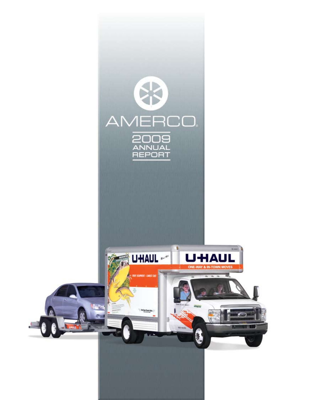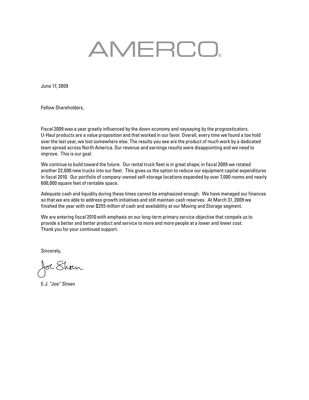# **AMERCO**

June 17, 2009

Fellow Shareholders,

Fiscal 2009 was a year greatly influenced by the down economy and naysaying by the prognosticators. U-Haul products are a value proposition and that worked in our favor. Overall, every time we found a toe hold over the last year, we lost somewhere else. The results you see are the product of much work by a dedicated team spread across North America. Our revenue and earnings results were disappointing and we need to improve. This is our goal.

We continue to build toward the future. Our rental truck fleet is in great shape; in fiscal 2009 we rotated another 22,000 new trucks into our fleet. This gives us the option to reduce our equipment capital expenditures in fiscal 2010. Our portfolio of company-owned self-storage locations expanded by over 7,000 rooms and nearly 600,000 square feet of rentable space.

Adequate cash and liquidity during these times cannot be emphasized enough. We have managed our finances so that we are able to address growth initiatives and still maintain cash reserves. At March 31, 2009 we finished the year with over \$255 million of cash and availability at our Moving and Storage segment.

We are entering fiscal 2010 with emphasis on our long-term primary service objective that compels us to provide a better and better product and service to more and more people at a lower and lower cost. Thank you for your continued support.

Sincerely,

Joe Show

E.J. "Joe" Shoen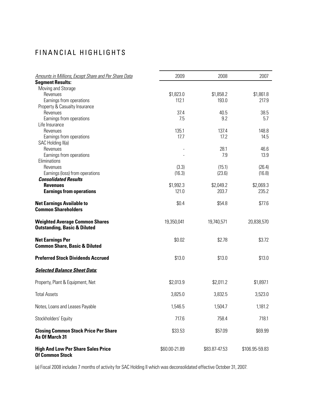## FINANCIAL HIGHLIGHTS

| <b>Amounts in Millions, Except Share and Per Share Data</b>                      | 2009          | 2008          | 2007           |
|----------------------------------------------------------------------------------|---------------|---------------|----------------|
| <b>Segment Results:</b>                                                          |               |               |                |
| Moving and Storage                                                               |               |               |                |
| Revenues                                                                         | \$1,823.0     | \$1,858.2     | \$1,861.8      |
| Earnings from operations                                                         | 112.1         | 193.0         | 217.9          |
| Property & Casualty Insurance                                                    |               |               |                |
| Revenues                                                                         | 37.4          | 40.5          | 38.5           |
| Earnings from operations<br>Life Insurance                                       | 7.5           | 9.2           | 5.7            |
| Revenues                                                                         |               |               |                |
| Earnings from operations                                                         | 135.1<br>17.7 | 137.4<br>17.2 | 148.8<br>14.5  |
| SAC Holding II(a)                                                                |               |               |                |
| Revenues                                                                         |               | 28.1          | 46.6           |
| Earnings from operations                                                         |               | 7.9           | 13.9           |
| Eliminations                                                                     |               |               |                |
| Revenues                                                                         | (3.3)         | (15.1)        | (26.4)         |
| Earnings (loss) from operations                                                  | (16.3)        | (23.6)        | (16.8)         |
| <b>Consolidated Results</b>                                                      |               |               |                |
| <b>Revenues</b>                                                                  | \$1,992.3     | \$2,049.2     | \$2,069.3      |
| <b>Earnings from operations</b>                                                  | 121.0         | 203.7         | 235.2          |
|                                                                                  |               |               |                |
| <b>Net Earnings Available to</b><br><b>Common Shareholders</b>                   | \$0.4         | \$54.8        | \$77.6         |
| <b>Weighted Average Common Shares</b><br><b>Outstanding, Basic &amp; Diluted</b> | 19,350,041    | 19,740,571    | 20,838,570     |
| <b>Net Earnings Per</b><br><b>Common Share, Basic &amp; Diluted</b>              | \$0.02        | \$2.78        | \$3.72         |
| <b>Preferred Stock Dividends Accrued</b>                                         | \$13.0        | \$13.0        | \$13.0         |
| <b>Selected Balance Sheet Data:</b>                                              |               |               |                |
| Property, Plant & Equipment, Net                                                 | \$2,013.9     | \$2,011.2     | \$1,897.1      |
| <b>Total Assets</b>                                                              | 3,825.0       | 3,832.5       | 3,523.0        |
| Notes, Loans and Leases Payable                                                  | 1,546.5       | 1,504.7       | 1,181.2        |
| Stockholders' Equity                                                             | 717.6         | 758.4         | 718.1          |
| <b>Closing Common Stock Price Per Share</b><br>As Of March 31                    | \$33.53       | \$57.09       | \$69.99        |
| <b>High And Low Per Share Sales Price</b><br><b>Of Common Stock</b>              | \$60.00-21.89 | \$83.87-47.53 | \$106.95-59.83 |

(a) Fiscal 2008 includes 7 months of activity for SAC Holding II which was deconsolidated effective October 31, 2007.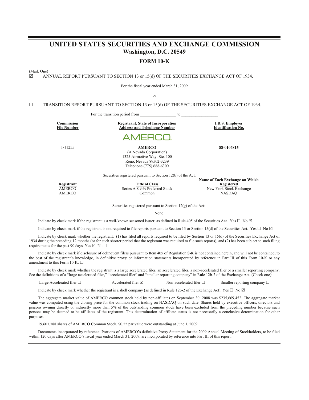## **UNITED STATES SECURITIES AND EXCHANGE COMMISSION Washington, D.C. 20549**

#### **FORM 10-K**

(Mark One)

 $\boxtimes$  ANNUAL REPORT PURSUANT TO SECTION 13 or 15(d) OF THE SECURITIES EXCHANGE ACT OF 1934.

For the fiscal year ended March 31, 2009

or

 $\square$  TRANSITION REPORT PURSUANT TO SECTION 13 or 15(d) OF THE SECURITIES EXCHANGE ACT OF 1934.

|                                         | For the transition period from<br>to                                                                                           |                                                     |
|-----------------------------------------|--------------------------------------------------------------------------------------------------------------------------------|-----------------------------------------------------|
| <b>Commission</b><br><b>File Number</b> | <b>Registrant, State of Incorporation</b><br><b>Address and Telephone Number</b>                                               | <b>I.R.S. Employer</b><br><b>Identification No.</b> |
|                                         | AMERCO.                                                                                                                        |                                                     |
| 1-11255                                 | <b>AMERCO</b><br>(A Nevada Corporation)<br>1325 Airmotive Way, Ste. 100<br>Reno, Nevada 89502-3239<br>Telephone (775) 688-6300 | 88-0106815                                          |
|                                         | Securities registered pursuant to Section 12(b) of the Act:                                                                    |                                                     |
|                                         |                                                                                                                                | Name of Each Exchange on Which                      |
| Registrant<br>AMERCO                    | <b>Title of Class</b><br>Series A 8 1/2% Preferred Stock                                                                       | Registered<br>New York Stock Exchange               |
|                                         |                                                                                                                                |                                                     |

AMERCO Series A 8 <sup>1</sup>/<sub>2</sub>% Preferred Stock New York Stock Exchange AMERCO Common Common NASDAQ

Securities registered pursuant to Section 12(g) of the Act:

None

Indicate by check mark if the registrant is a well-known seasoned issuer, as defined in Rule 405 of the Securities Act. Yes  $\Box$  No  $\Box$ 

Indicate by check mark if the registrant is not required to file reports pursuant to Section 13 or Section 15(d) of the Securities Act. Yes  $\Box$  No  $\Box$ 

Indicate by check mark whether the registrant: (1) has filed all reports required to be filed by Section 13 or 15(d) of the Securities Exchange Act of 1934 during the preceding 12 months (or for such shorter period that the registrant was required to file such reports), and (2) has been subject to such filing requirements for the past 90 days. Yes  $\boxtimes$  No  $\Box$ 

Indicate by check mark if disclosure of delinquent filers pursuant to Item 405 of Regulation S-K is not contained herein, and will not be contained, to the best of the registrant's knowledge, in definitive proxy or information statements incorporated by reference in Part III of this Form 10-K or any amendment to this Form 10-K.  $\Box$ 

Indicate by check mark whether the registrant is a large accelerated filer, an accelerated filer, a non-accelerated filer or a smaller reporting company. See the definitions of a "large accelerated filer," "accelerated filer" and "smaller reporting company" in Rule 12b-2 of the Exchange Act. (Check one):

Large Accelerated filer  $\square$  Accelerated filer  $\square$  Non-accelerated filer  $\square$  Smaller reporting company  $\square$ 

Indicate by check mark whether the registrant is a shell company (as defined in Rule 12b-2 of the Exchange Act). Yes  $\Box$  No  $\Box$ 

The aggregate market value of AMERCO common stock held by non-affiliates on September 30, 2008 was \$235,669,452. The aggregate market value was computed using the closing price for the common stock trading on NASDAQ on such date. Shares held by executive officers, directors and persons owning directly or indirectly more than 5% of the outstanding common stock have been excluded from the preceding number because such persons may be deemed to be affiliates of the registrant. This determination of affiliate status is not necessarily a conclusive determination for other purposes.

19,607,788 shares of AMERCO Common Stock, \$0.25 par value were outstanding at June 1, 2009.

Documents incorporated by reference: Portions of AMERCO's definitive Proxy Statement for the 2009 Annual Meeting of Stockholders, to be filed within 120 days after AMERCO's fiscal year ended March 31, 2009, are incorporated by reference into Part III of this report.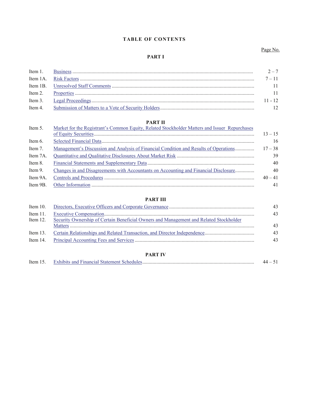## **TABLE OF CONTENTS**

## **PART I**

| Item 1. | $2 - 7$         |
|---------|-----------------|
|         | $7 - 11$        |
|         | -11             |
|         | -11             |
|         | $11 - 12$       |
| Item 4. | $\overline{12}$ |

## **PART II**

| Item 5.  | Market for the Registrant's Common Equity, Related Stockholder Matters and Issuer Repurchases |           |
|----------|-----------------------------------------------------------------------------------------------|-----------|
|          |                                                                                               | $13 - 15$ |
| Item 6.  |                                                                                               | 16        |
| Item 7.  | Management's Discussion and Analysis of Financial Condition and Results of Operations         | $17 - 38$ |
| Item 7A. |                                                                                               | 39        |
| Item 8.  |                                                                                               | 40        |
| Item 9.  | Changes in and Disagreements with Accountants on Accounting and Financial Disclosure          | 40        |
| Item 9A. |                                                                                               | $40 - 41$ |
| Item 9B. |                                                                                               | 41        |

## **PART III**

| Item $10$ . |                                                                                        | 43 |
|-------------|----------------------------------------------------------------------------------------|----|
| Item $11$ . |                                                                                        | 43 |
| Item $12$ . | Security Ownership of Certain Beneficial Owners and Management and Related Stockholder |    |
|             |                                                                                        | 43 |
| Item $131$  |                                                                                        | 43 |
| Item $14$ . |                                                                                        | 43 |
|             |                                                                                        |    |

## **PART IV**

| Item 15 | <b>Exhibits and Financial Statement Schedules</b> | 44 - |
|---------|---------------------------------------------------|------|
|---------|---------------------------------------------------|------|

## Page No.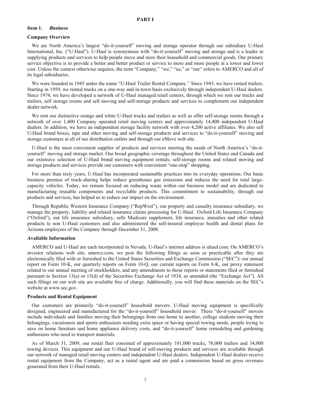#### <span id="page-5-0"></span>**Item 1. Business**

#### **Company Overview**

We are North America's largest "do-it-yourself" moving and storage operator through our subsidiary U-Haul International, Inc. ("U-Haul"). U-Haul is synonymous with "do-it-yourself" moving and storage and is a leader in supplying products and services to help people move and store their household and commercial goods. Our primary service objective is to provide a better and better product or service to more and more people at a lower and lower cost. Unless the context otherwise requires, the term "Company," "we," "us," or "our" refers to AMERCO and all of its legal subsidiaries.

We were founded in 1945 under the name "U-Haul Trailer Rental Company." Since 1945, we have rented trailers. Starting in 1959, we rented trucks on a one-way and in-town basis exclusively through independent U-Haul dealers. Since 1974, we have developed a network of U-Haul managed retail centers, through which we rent our trucks and trailers, self storage rooms and sell moving and self-storage products and services to complement our independent dealer network.

We rent our distinctive orange and white U-Haul trucks and trailers as well as offer self-storage rooms through a network of over 1,400 Company operated retail moving centers and approximately 14,400 independent U-Haul dealers. In addition, we have an independent storage facility network with over 4,200 active affiliates. We also sell U-Haul brand boxes, tape and other moving and self-storage products and services to "do-it-yourself" moving and storage customers at all of our distribution outlets and through our eMove web site.

U-Haul is the most convenient supplier of products and services meeting the needs of North America's "do-ityourself" moving and storage market. Our broad geographic coverage throughout the United States and Canada and our extensive selection of U-Haul brand moving equipment rentals, self-storage rooms and related moving and storage products and services provide our customers with convenient "one-stop" shopping.

For more than sixty years, U-Haul has incorporated sustainable practices into its everyday operations. Our basic business premise of truck-sharing helps reduce greenhouse gas emissions and reduces the need for total largecapacity vehicles. Today, we remain focused on reducing waste within our business model and are dedicated to manufacturing reusable components and recyclable products. This commitment to sustainability, through our products and services, has helped us to reduce our impact on the environment.

Through Republic Western Insurance Company ("RepWest"), our property and casualty insurance subsidiary, we manage the property, liability and related insurance claims processing for U-Haul. Oxford Life Insurance Company ("Oxford"), our life insurance subsidiary, sells Medicare supplement, life insurance, annuities and other related products to non U-Haul customers and also administered the self-insured employee health and dental plans for Arizona employees of the Company through December 31, 2008.

#### **Available Information**

AMERCO and U-Haul are each incorporated in Nevada. U-Haul's internet address is uhaul.com. On AMERCO's investor relations web site, amerco.com, we post the following filings as soon as practicable after they are electronically filed with or furnished to the United States Securities and Exchange Commission ("SEC"): our annual report on Form 10-K, our quarterly reports on Form 10-Q, our current reports on Form 8-K, our proxy statement related to our annual meeting of stockholders, and any amendments to those reports or statements filed or furnished pursuant to Section 13(a) or 15(d) of the Securities Exchange Act of 1934, as amended (the "Exchange Act"). All such filings on our web site are available free of charge. Additionally, you will find these materials on the SEC's website at www.sec.gov.

#### **Products and Rental Equipment**

Our customers are primarily "do-it-yourself" household movers. U-Haul moving equipment is specifically designed, engineered and manufactured for the "do-it-yourself" household mover. These "do-it-yourself" movers include individuals and families moving their belongings from one home to another, college students moving their belongings, vacationers and sports enthusiasts needing extra space or having special towing needs, people trying to save on home furniture and home appliance delivery costs, and "do-it-yourself" home remodeling and gardening enthusiasts who need to transport materials.

As of March 31, 2009, our rental fleet consisted of approximately 101,000 trucks, 76,000 trailers and 34,000 towing devices. This equipment and our U-Haul brand of self-moving products and services are available through our network of managed retail moving centers and independent U-Haul dealers. Independent U-Haul dealers receive rental equipment from the Company, act as a rental agent and are paid a commission based on gross revenues generated from their U-Haul rentals.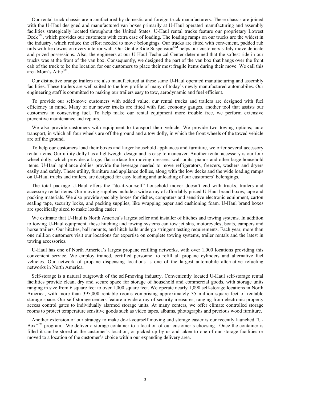Our rental truck chassis are manufactured by domestic and foreign truck manufacturers. These chassis are joined with the U-Haul designed and manufactured van boxes primarily at U-Haul operated manufacturing and assembly facilities strategically located throughout the United States. U-Haul rental trucks feature our proprietary Lowest Deck<sup>SM</sup>, which provides our customers with extra ease of loading. The loading ramps on our trucks are the widest in the industry, which reduce the effort needed to move belongings. Our trucks are fitted with convenient, padded rub rails with tie downs on every interior wall. Our Gentle Ride Suspension<sup>SM</sup> helps our customers safely move delicate and prized possessions. Also, the engineers at our U-Haul Technical Center determined that the softest ride in our trucks was at the front of the van box. Consequently, we designed the part of the van box that hangs over the front cab of the truck to be the location for our customers to place their most fragile items during their move. We call this area Mom's Attic<sup>SM</sup>.

Our distinctive orange trailers are also manufactured at these same U-Haul operated manufacturing and assembly facilities. These trailers are well suited to the low profile of many of today's newly manufactured automobiles. Our engineering staff is committed to making our trailers easy to tow, aerodynamic and fuel efficient.

To provide our self-move customers with added value, our rental trucks and trailers are designed with fuel efficiency in mind. Many of our newer trucks are fitted with fuel economy gauges, another tool that assists our customers in conserving fuel. To help make our rental equipment more trouble free, we perform extensive preventive maintenance and repairs.

We also provide customers with equipment to transport their vehicle. We provide two towing options; auto transport, in which all four wheels are off the ground and a tow dolly, in which the front wheels of the towed vehicle are off the ground.

To help our customers load their boxes and larger household appliances and furniture, we offer several accessory rental items. Our utility dolly has a lightweight design and is easy to maneuver. Another rental accessory is our four wheel dolly, which provides a large, flat surface for moving dressers, wall units, pianos and other large household items. U-Haul appliance dollies provide the leverage needed to move refrigerators, freezers, washers and dryers easily and safely. These utility, furniture and appliance dollies, along with the low decks and the wide loading ramps on U-Haul trucks and trailers, are designed for easy loading and unloading of our customers' belongings.

The total package U-Haul offers the "do-it-yourself" household mover doesn't end with trucks, trailers and accessory rental items. Our moving supplies include a wide array of affordably priced U-Haul brand boxes, tape and packing materials. We also provide specialty boxes for dishes, computers and sensitive electronic equipment, carton sealing tape, security locks, and packing supplies, like wrapping paper and cushioning foam. U-Haul brand boxes are specifically sized to make loading easier.

We estimate that U-Haul is North America's largest seller and installer of hitches and towing systems. In addition to towing U-Haul equipment, these hitching and towing systems can tow jet skis, motorcycles, boats, campers and horse trailers. Our hitches, ball mounts, and hitch balls undergo stringent testing requirements. Each year, more than one million customers visit our locations for expertise on complete towing systems, trailer rentals and the latest in towing accessories.

U-Haul has one of North America's largest propane refilling networks, with over 1,000 locations providing this convenient service. We employ trained, certified personnel to refill all propane cylinders and alternative fuel vehicles. Our network of propane dispensing locations is one of the largest automobile alternative refueling networks in North America.

Self-storage is a natural outgrowth of the self-moving industry. Conveniently located U-Haul self-storage rental facilities provide clean, dry and secure space for storage of household and commercial goods, with storage units ranging in size from 6 square feet to over 1,000 square feet. We operate nearly 1,090 self-storage locations in North America, with more than 395,000 rentable rooms comprising approximately 35 million square feet of rentable storage space. Our self-storage centers feature a wide array of security measures, ranging from electronic property access control gates to individually alarmed storage units. At many centers, we offer climate controlled storage rooms to protect temperature sensitive goods such as video tapes, albums, photographs and precious wood furniture.

Another extension of our strategy to make do-it-yourself moving and storage easier is our recently launched "U-Box<sup>"TM</sup> program. We deliver a storage container to a location of our customer's choosing. Once the container is filled it can be stored at the customer's location, or picked up by us and taken to one of our storage facilities or moved to a location of the customer's choice within our expanding delivery area.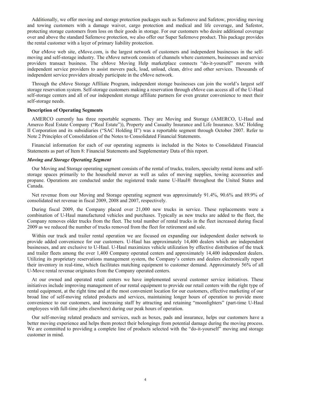Additionally, we offer moving and storage protection packages such as Safemove and Safetow, providing moving and towing customers with a damage waiver, cargo protection and medical and life coverage, and Safestor, protecting storage customers from loss on their goods in storage. For our customers who desire additional coverage over and above the standard Safemove protection, we also offer our Super Safemove product. This package provides the rental customer with a layer of primary liability protection.

Our eMove web site, eMove.com, is the largest network of customers and independent businesses in the selfmoving and self-storage industry. The eMove network consists of channels where customers, businesses and service providers transact business. The eMove Moving Help marketplace connects "do-it-yourself" movers with independent service providers to assist movers pack, load, unload, clean, drive and other services. Thousands of independent service providers already participate in the eMove network.

Through the eMove Storage Affiliate Program, independent storage businesses can join the world's largest self storage reservation system. Self-storage customers making a reservation through eMove can access all of the U-Haul self-storage centers and all of our independent storage affiliate partners for even greater convenience to meet their self-storage needs.

#### **Description of Operating Segments**

AMERCO currently has three reportable segments. They are Moving and Storage (AMERCO, U-Haul and Amerco Real Estate Company ("Real Estate")), Property and Casualty Insurance and Life Insurance. SAC Holding II Corporation and its subsidiaries ("SAC Holding II") was a reportable segment through October 2007. Refer to Note 2 Principles of Consolidation of the Notes to Consolidated Financial Statements.

Financial information for each of our operating segments is included in the Notes to Consolidated Financial Statements as part of Item 8: Financial Statements and Supplementary Data of this report.

#### *Moving and Storage Operating Segment*

Our Moving and Storage operating segment consists of the rental of trucks, trailers, specialty rental items and selfstorage spaces primarily to the household mover as well as sales of moving supplies, towing accessories and propane. Operations are conducted under the registered trade name U-Haul® throughout the United States and Canada.

Net revenue from our Moving and Storage operating segment was approximately 91.4%, 90.6% and 89.9% of consolidated net revenue in fiscal 2009, 2008 and 2007, respectively.

During fiscal 2009, the Company placed over 21,000 new trucks in service. These replacements were a combination of U-Haul manufactured vehicles and purchases. Typically as new trucks are added to the fleet, the Company removes older trucks from the fleet. The total number of rental trucks in the fleet increased during fiscal 2009 as we reduced the number of trucks removed from the fleet for retirement and sale.

Within our truck and trailer rental operation we are focused on expanding our independent dealer network to provide added convenience for our customers. U-Haul has approximately 14,400 dealers which are independent businesses, and are exclusive to U-Haul. U-Haul maximizes vehicle utilization by effective distribution of the truck and trailer fleets among the over 1,400 Company operated centers and approximately 14,400 independent dealers. Utilizing its proprietary reservations management system, the Company's centers and dealers electronically report their inventory in real-time, which facilitates matching equipment to customer demand. Approximately 56% of all U-Move rental revenue originates from the Company operated centers.

At our owned and operated retail centers we have implemented several customer service initiatives. These initiatives include improving management of our rental equipment to provide our retail centers with the right type of rental equipment, at the right time and at the most convenient location for our customers, effective marketing of our broad line of self-moving related products and services, maintaining longer hours of operation to provide more convenience to our customers, and increasing staff by attracting and retaining "moonlighters" (part-time U-Haul employees with full-time jobs elsewhere) during our peak hours of operation.

Our self-moving related products and services, such as boxes, pads and insurance, helps our customers have a better moving experience and helps them protect their belongings from potential damage during the moving process. We are committed to providing a complete line of products selected with the "do-it-yourself" moving and storage customer in mind.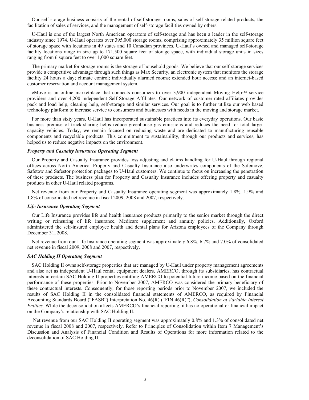Our self-storage business consists of the rental of self-storage rooms, sales of self-storage related products, the facilitation of sales of services, and the management of self-storage facilities owned by others.

U-Haul is one of the largest North American operators of self-storage and has been a leader in the self-storage industry since 1974. U-Haul operates over 395,000 storage rooms, comprising approximately 35 million square feet of storage space with locations in 49 states and 10 Canadian provinces. U-Haul's owned and managed self-storage facility locations range in size up to 171,500 square feet of storage space, with individual storage units in sizes ranging from 6 square feet to over 1,000 square feet.

The primary market for storage rooms is the storage of household goods. We believe that our self-storage services provide a competitive advantage through such things as Max Security, an electronic system that monitors the storage facility 24 hours a day; climate control; individually alarmed rooms; extended hour access; and an internet-based customer reservation and account management system.

eMove is an online marketplace that connects consumers to over 3,900 independent Moving Help™ service providers and over 4,200 independent Self-Storage Affiliates. Our network of customer-rated affiliates provides pack and load help, cleaning help, self-storage and similar services. Our goal is to further utilize our web based technology platform to increase service to consumers and businesses with needs in the moving and storage market.

For more than sixty years, U-Haul has incorporated sustainable practices into its everyday operations. Our basic business premise of truck-sharing helps reduce greenhouse gas emissions and reduces the need for total largecapacity vehicles. Today, we remain focused on reducing waste and are dedicated to manufacturing reusable components and recyclable products. This commitment to sustainability, through our products and services, has helped us to reduce negative impacts on the environment.

#### *Property and Casualty Insurance Operating Segment*

Our Property and Casualty Insurance provides loss adjusting and claims handling for U-Haul through regional offices across North America. Property and Casualty Insurance also underwrites components of the Safemove, Safetow and Safestor protection packages to U-Haul customers. We continue to focus on increasing the penetration of these products. The business plan for Property and Casualty Insurance includes offering property and casualty products in other U-Haul related programs.

Net revenue from our Property and Casualty Insurance operating segment was approximately 1.8%, 1.9% and 1.8% of consolidated net revenue in fiscal 2009, 2008 and 2007, respectively.

#### *Life Insurance Operating Segment*

Our Life Insurance provides life and health insurance products primarily to the senior market through the direct writing or reinsuring of life insurance, Medicare supplement and annuity policies. Additionally, Oxford administered the self-insured employee health and dental plans for Arizona employees of the Company through December 31, 2008.

Net revenue from our Life Insurance operating segment was approximately 6.8%, 6.7% and 7.0% of consolidated net revenue in fiscal 2009, 2008 and 2007, respectively.

#### *SAC Holding II Operating Segment*

SAC Holding II owns self-storage properties that are managed by U-Haul under property management agreements and also act as independent U-Haul rental equipment dealers. AMERCO, through its subsidiaries, has contractual interests in certain SAC Holding II properties entitling AMERCO to potential future income based on the financial performance of these properties. Prior to November 2007, AMERCO was considered the primary beneficiary of these contractual interests. Consequently, for those reporting periods prior to November 2007, we included the results of SAC Holding II in the consolidated financial statements of AMERCO, as required by Financial Accounting Standards Board ("FASB") Interpretation No. 46(R) ("FIN 46(R)"), *Consolidation of Variable Interest Entities*. While the deconsolidation affects AMERCO's financial reporting, it has no operational or financial impact on the Company's relationship with SAC Holding II.

 Net revenue from our SAC Holding II operating segment was approximately 0.8% and 1.3% of consolidated net revenue in fiscal 2008 and 2007, respectively. Refer to Principles of Consolidation within Item 7 Management's Discussion and Analysis of Financial Condition and Results of Operations for more information related to the deconsolidation of SAC Holding II.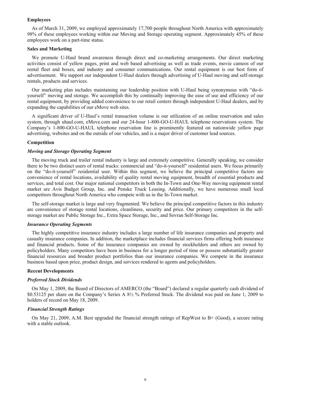#### **Employees**

As of March 31, 2009, we employed approximately 17,700 people throughout North America with approximately 98% of these employees working within our Moving and Storage operating segment. Approximately 45% of these employees work on a part-time status.

#### **Sales and Marketing**

We promote U-Haul brand awareness through direct and co-marketing arrangements. Our direct marketing activities consist of yellow pages, print and web based advertising as well as trade events, movie cameos of our rental fleet and boxes, and industry and consumer communications. Our rental equipment is our best form of advertisement. We support our independent U-Haul dealers through advertising of U-Haul moving and self-storage rentals, products and services.

Our marketing plan includes maintaining our leadership position with U-Haul being synonymous with "do-ityourself" moving and storage. We accomplish this by continually improving the ease of use and efficiency of our rental equipment, by providing added convenience to our retail centers through independent U-Haul dealers, and by expanding the capabilities of our eMove web sites.

A significant driver of U-Haul's rental transaction volume is our utilization of an online reservation and sales system, through uhaul.com, eMove.com and our 24-hour 1-800-GO-U-HAUL telephone reservations system. The Company's 1-800-GO-U-HAUL telephone reservation line is prominently featured on nationwide yellow page advertising, websites and on the outside of our vehicles, and is a major driver of customer lead sources.

#### **Competition**

#### *Moving and Storage Operating Segment*

The moving truck and trailer rental industry is large and extremely competitive. Generally speaking, we consider there to be two distinct users of rental trucks: commercial and "do-it-yourself" residential users. We focus primarily on the "do-it-yourself" residential user. Within this segment, we believe the principal competitive factors are convenience of rental locations, availability of quality rental moving equipment, breadth of essential products and services, and total cost. Our major national competitors in both the In-Town and One-Way moving equipment rental market are Avis Budget Group, Inc. and Penske Truck Leasing. Additionally, we have numerous small local competitors throughout North America who compete with us in the In-Town market.

The self-storage market is large and very fragmented. We believe the principal competitive factors in this industry are convenience of storage rental locations, cleanliness, security and price. Our primary competitors in the selfstorage market are Public Storage Inc., Extra Space Storage, Inc., and Sovran Self-Storage Inc.

#### *Insurance Operating Segments*

The highly competitive insurance industry includes a large number of life insurance companies and property and casualty insurance companies. In addition, the marketplace includes financial services firms offering both insurance and financial products. Some of the insurance companies are owned by stockholders and others are owned by policyholders. Many competitors have been in business for a longer period of time or possess substantially greater financial resources and broader product portfolios than our insurance companies. We compete in the insurance business based upon price, product design, and services rendered to agents and policyholders.

#### **Recent Developments**

#### *Preferred Stock Dividends*

On May 1, 2009, the Board of Directors of AMERCO (the "Board") declared a regular quarterly cash dividend of \$0.53125 per share on the Company's Series A 8½ % Preferred Stock. The dividend was paid on June 1, 2009 to holders of record on May 18, 2009.

#### *Financial Strength Ratings*

On May 21, 2009, A.M. Best upgraded the financial strength ratings of RepWest to B+ (Good), a secure rating with a stable outlook.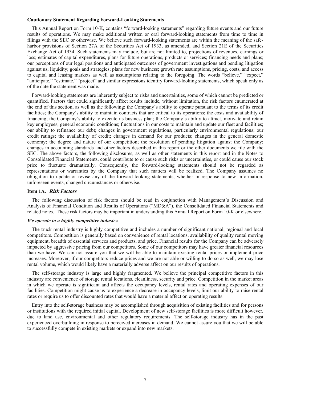#### <span id="page-10-0"></span>**Cautionary Statement Regarding Forward-Looking Statements**

This Annual Report on Form 10-K, contains "forward-looking statements" regarding future events and our future results of operations. We may make additional written or oral forward-looking statements from time to time in filings with the SEC or otherwise. We believe such forward-looking statements are within the meaning of the safeharbor provisions of Section 27A of the Securities Act of 1933, as amended, and Section 21E of the Securities Exchange Act of 1934. Such statements may include, but are not limited to, projections of revenues, earnings or loss; estimates of capital expenditures, plans for future operations, products or services; financing needs and plans; our perceptions of our legal positions and anticipated outcomes of government investigations and pending litigation against us; liquidity; goals and strategies; plans for new business; growth rate assumptions, pricing, costs, and access to capital and leasing markets as well as assumptions relating to the foregoing. The words "believe," "expect," "anticipate," "estimate," "project" and similar expressions identify forward-looking statements, which speak only as of the date the statement was made.

Forward-looking statements are inherently subject to risks and uncertainties, some of which cannot be predicted or quantified. Factors that could significantly affect results include, without limitation, the risk factors enumerated at the end of this section, as well as the following: the Company's ability to operate pursuant to the terms of its credit facilities; the Company's ability to maintain contracts that are critical to its operations; the costs and availability of financing; the Company's ability to execute its business plan; the Company's ability to attract, motivate and retain key employees; general economic conditions; fluctuations in our costs to maintain and update our fleet and facilities; our ability to refinance our debt; changes in government regulations, particularly environmental regulations; our credit ratings; the availability of credit; changes in demand for our products; changes in the general domestic economy; the degree and nature of our competition; the resolution of pending litigation against the Company; changes in accounting standards and other factors described in this report or the other documents we file with the SEC. The above factors, the following disclosures, as well as other statements in this report and in the Notes to Consolidated Financial Statements, could contribute to or cause such risks or uncertainties, or could cause our stock price to fluctuate dramatically. Consequently, the forward-looking statements should not be regarded as representations or warranties by the Company that such matters will be realized. The Company assumes no obligation to update or revise any of the forward-looking statements, whether in response to new information, unforeseen events, changed circumstances or otherwise.

#### **Item 1A. Risk Factors**

The following discussion of risk factors should be read in conjunction with Management's Discussion and Analysis of Financial Condition and Results of Operations ("MD&A"), the Consolidated Financial Statements and related notes. These risk factors may be important in understanding this Annual Report on Form 10-K or elsewhere.

#### *We operate in a highly competitive industry.*

The truck rental industry is highly competitive and includes a number of significant national, regional and local competitors. Competition is generally based on convenience of rental locations, availability of quality rental moving equipment, breadth of essential services and products, and price. Financial results for the Company can be adversely impacted by aggressive pricing from our competitors. Some of our competitors may have greater financial resources than we have. We can not assure you that we will be able to maintain existing rental prices or implement price increases. Moreover, if our competitors reduce prices and we are not able or willing to do so as well, we may lose rental volume, which would likely have a materially adverse affect on our results of operations.

The self-storage industry is large and highly fragmented. We believe the principal competitive factors in this industry are convenience of storage rental locations, cleanliness, security and price. Competition in the market areas in which we operate is significant and affects the occupancy levels, rental rates and operating expenses of our facilities. Competition might cause us to experience a decrease in occupancy levels, limit our ability to raise rental rates or require us to offer discounted rates that would have a material affect on operating results.

Entry into the self-storage business may be accomplished through acquisition of existing facilities and for persons or institutions with the required initial capital. Development of new self-storage facilities is more difficult however, due to land use, environmental and other regulatory requirements. The self-storage industry has in the past experienced overbuilding in response to perceived increases in demand. We cannot assure you that we will be able to successfully compete in existing markets or expand into new markets.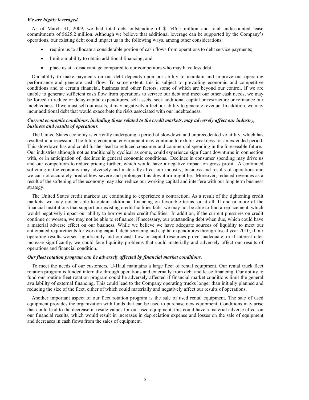#### *We are highly leveraged.*

As of March 31, 2009, we had total debt outstanding of \$1,546.5 million and total undiscounted lease commitments of \$625.2 million. Although we believe that additional leverage can be supported by the Company's operations, our existing debt could impact us in the following ways, among other considerations:

- require us to allocate a considerable portion of cash flows from operations to debt service payments;
- limit our ability to obtain additional financing; and
- place us at a disadvantage compared to our competitors who may have less debt.

Our ability to make payments on our debt depends upon our ability to maintain and improve our operating performance and generate cash flow. To some extent, this is subject to prevailing economic and competitive conditions and to certain financial, business and other factors, some of which are beyond our control. If we are unable to generate sufficient cash flow from operations to service our debt and meet our other cash needs, we may be forced to reduce or delay capital expenditures, sell assets, seek additional capital or restructure or refinance our indebtedness. If we must sell our assets, it may negatively affect our ability to generate revenue. In addition, we may incur additional debt that would exacerbate the risks associated with our indebtedness.

#### *Current economic conditions, including those related to the credit markets, may adversely affect our industry, business and results of operations.*

The United States economy is currently undergoing a period of slowdown and unprecedented volatility, which has resulted in a recession. The future economic environment may continue to exhibit weakness for an extended period. This slowdown has and could further lead to reduced consumer and commercial spending in the foreseeable future. Our industries although not as traditionally cyclical as some, could experience significant downturns in connection with, or in anticipation of, declines in general economic conditions. Declines in consumer spending may drive us and our competitors to reduce pricing further, which would have a negative impact on gross profit. A continued softening in the economy may adversely and materially affect our industry, business and results of operations and we can not accurately predict how severe and prolonged this downturn might be. Moreover, reduced revenues as a result of the softening of the economy may also reduce our working capital and interfere with our long term business strategy.

The United States credit markets are continuing to experience a contraction. As a result of the tightening credit markets, we may not be able to obtain additional financing on favorable terms, or at all. If one or more of the financial institutions that support our existing credit facilities fails, we may not be able to find a replacement, which would negatively impact our ability to borrow under credit facilities. In addition, if the current pressures on credit continue or worsen, we may not be able to refinance, if necessary, our outstanding debt when due, which could have a material adverse effect on our business. While we believe we have adequate sources of liquidity to meet our anticipated requirements for working capital, debt servicing and capital expenditures through fiscal year 2010, if our operating results worsen significantly and our cash flow or capital resources prove inadequate, or if interest rates increase significantly, we could face liquidity problems that could materially and adversely affect our results of operations and financial condition.

#### *Our fleet rotation program can be adversely affected by financial market conditions.*

To meet the needs of our customers, U-Haul maintains a large fleet of rental equipment. Our rental truck fleet rotation program is funded internally through operations and externally from debt and lease financing. Our ability to fund our routine fleet rotation program could be adversely affected if financial market conditions limit the general availability of external financing. This could lead to the Company operating trucks longer than initially planned and reducing the size of the fleet, either of which could materially and negatively affect our results of operations.

Another important aspect of our fleet rotation program is the sale of used rental equipment. The sale of used equipment provides the organization with funds that can be used to purchase new equipment. Conditions may arise that could lead to the decrease in resale values for our used equipment, this could have a material adverse effect on our financial results, which would result in increases in depreciation expense and losses on the sale of equipment and decreases in cash flows from the sales of equipment.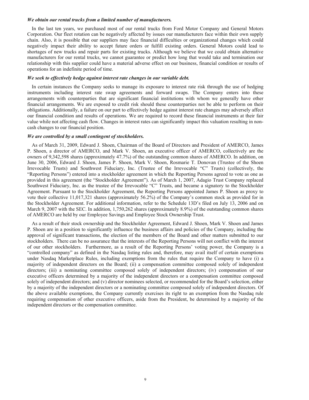#### *We obtain our rental trucks from a limited number of manufacturers.*

In the last ten years, we purchased most of our rental trucks from Ford Motor Company and General Motors Corporation. Our fleet rotation can be negatively affected by issues our manufacturers face within their own supply chain. Also, it is possible that our suppliers may face financial difficulties or organizational changes which could negatively impact their ability to accept future orders or fulfill existing orders. General Motors could lead to shortages of new trucks and repair parts for existing trucks. Although we believe that we could obtain alternative manufacturers for our rental trucks, we cannot guarantee or predict how long that would take and termination our relationship with this supplier could have a material adverse effect on our business, financial condition or results of operations for an indefinite period of time.

#### *We seek to effectively hedge against interest rate changes in our variable debt.*

In certain instances the Company seeks to manage its exposure to interest rate risk through the use of hedging instruments including interest rate swap agreements and forward swaps. The Company enters into these arrangements with counterparties that are significant financial institutions with whom we generally have other financial arrangements. We are exposed to credit risk should these counterparties not be able to perform on their obligations. Additionally, a failure on our part to effectively hedge against interest rate changes may adversely affect our financial condition and results of operations. We are required to record these financial instruments at their fair value while not affecting cash flow. Changes in interest rates can significantly impact this valuation resulting in noncash changes to our financial position.

#### *We are controlled by a small contingent of stockholders.*

As of March 31, 2009, Edward J. Shoen, Chairman of the Board of Directors and President of AMERCO, James P. Shoen, a director of AMERCO, and Mark V. Shoen, an executive officer of AMERCO, collectively are the owners of 9,342,598 shares (approximately 47.7%) of the outstanding common shares of AMERCO. In addition, on June 30, 2006, Edward J. Shoen, James P. Shoen, Mark V. Shoen, Rosmarie T. Donovan (Trustee of the Shoen Irrevocable Trusts) and Southwest Fiduciary, Inc. (Trustee of the Irrevocable "C" Trusts) (collectively, the "Reporting Persons") entered into a stockholder agreement in which the Reporting Persons agreed to vote as one as provided in this agreement (the "Stockholder Agreement"). As of March 1, 2007, Adagio Trust Company replaced Southwest Fiduciary, Inc. as the trustee of the Irrevocable "C" Trusts, and became a signatory to the Stockholder Agreement. Pursuant to the Stockholder Agreement, the Reporting Persons appointed James P. Shoen as proxy to vote their collective 11,017,321 shares (approximately 56.2%) of the Company's common stock as provided for in the Stockholder Agreement. For additional information, refer to the Schedule 13D's filed on July 13, 2006 and on March 9, 2007 with the SEC. In addition, 1,750,262 shares (approximately 8.9%) of the outstanding common shares of AMERCO are held by our Employee Savings and Employee Stock Ownership Trust.

As a result of their stock ownership and the Stockholder Agreement, Edward J. Shoen, Mark V. Shoen and James P. Shoen are in a position to significantly influence the business affairs and policies of the Company, including the approval of significant transactions, the election of the members of the Board and other matters submitted to our stockholders. There can be no assurance that the interests of the Reporting Persons will not conflict with the interest of our other stockholders. Furthermore, as a result of the Reporting Persons' voting power, the Company is a "controlled company" as defined in the Nasdaq listing rules and, therefore, may avail itself of certain exemptions under Nasdaq Marketplace Rules, including exemptions from the rules that require the Company to have (i) a majority of independent directors on the Board; (ii) a compensation committee composed solely of independent directors; (iii) a nominating committee composed solely of independent directors; (iv) compensation of our executive officers determined by a majority of the independent directors or a compensation committee composed solely of independent directors; and (v) director nominees selected, or recommended for the Board's selection, either by a majority of the independent directors or a nominating committee composed solely of independent directors. Of the above available exemptions, the Company currently exercises its right to an exemption from the Nasdaq rule requiring compensation of other executive officers, aside from the President, be determined by a majority of the independent directors or the compensation committee.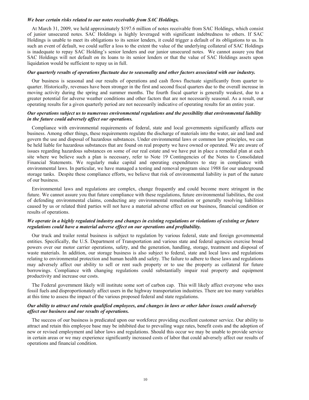#### *We bear certain risks related to our notes receivable from SAC Holdings.*

At March 31, 2009, we held approximately \$197.6 million of notes receivable from SAC Holdings, which consist of junior unsecured notes. SAC Holdings is highly leveraged with significant indebtedness to others. If SAC Holdings is unable to meet its obligations to its senior lenders, it could trigger a default of its obligations to us. In such an event of default, we could suffer a loss to the extent the value of the underlying collateral of SAC Holdings is inadequate to repay SAC Holding's senior lenders and our junior unsecured notes. We cannot assure you that SAC Holdings will not default on its loans to its senior lenders or that the value of SAC Holdings assets upon liquidation would be sufficient to repay us in full.

#### *Our quarterly results of operations fluctuate due to seasonality and other factors associated with our industry.*

Our business is seasonal and our results of operations and cash flows fluctuate significantly from quarter to quarter. Historically, revenues have been stronger in the first and second fiscal quarters due to the overall increase in moving activity during the spring and summer months. The fourth fiscal quarter is generally weakest, due to a greater potential for adverse weather conditions and other factors that are not necessarily seasonal. As a result, our operating results for a given quarterly period are not necessarily indicative of operating results for an entire year.

#### *Our operations subject us to numerous environmental regulations and the possibility that environmental liability in the future could adversely affect our operations.*

Compliance with environmental requirements of federal, state and local governments significantly affects our business. Among other things, these requirements regulate the discharge of materials into the water, air and land and govern the use and disposal of hazardous substances. Under environmental laws or common law principles, we can be held liable for hazardous substances that are found on real property we have owned or operated. We are aware of issues regarding hazardous substances on some of our real estate and we have put in place a remedial plan at each site where we believe such a plan is necessary, refer to Note 19 Contingencies of the Notes to Consolidated Financial Statements. We regularly make capital and operating expenditures to stay in compliance with environmental laws. In particular, we have managed a testing and removal program since 1988 for our underground storage tanks. Despite these compliance efforts, we believe that risk of environmental liability is part of the nature of our business.

Environmental laws and regulations are complex, change frequently and could become more stringent in the future. We cannot assure you that future compliance with these regulations, future environmental liabilities, the cost of defending environmental claims, conducting any environmental remediation or generally resolving liabilities caused by us or related third parties will not have a material adverse effect on our business, financial condition or results of operations.

#### *We operate in a highly regulated industry and changes in existing regulations or violations of existing or future regulations could have a material adverse effect on our operations and profitability.*

Our truck and trailer rental business is subject to regulation by various federal, state and foreign governmental entities. Specifically, the U.S. Department of Transportation and various state and federal agencies exercise broad powers over our motor carrier operations, safety, and the generation, handling, storage, treatment and disposal of waste materials. In addition, our storage business is also subject to federal, state and local laws and regulations relating to environmental protection and human health and safety. The failure to adhere to these laws and regulations may adversely affect our ability to sell or rent such property or to use the property as collateral for future borrowings. Compliance with changing regulations could substantially impair real property and equipment productivity and increase our costs.

The Federal government likely will institute some sort of carbon cap. This will likely affect everyone who uses fossil fuels and disproportionately affect users in the highway transportation industries. There are too many variables at this time to assess the impact of the various proposed federal and state regulations.

#### *Our ability to attract and retain qualified employees, and changes in laws or other labor issues could adversely affect our business and our results of operations.*

The success of our business is predicated upon our workforce providing excellent customer service. Our ability to attract and retain this employee base may be inhibited due to prevailing wage rates, benefit costs and the adoption of new or revised employment and labor laws and regulations. Should this occur we may be unable to provide service in certain areas or we may experience significantly increased costs of labor that could adversely affect our results of operations and financial condition.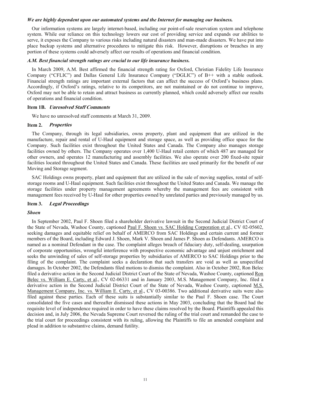#### <span id="page-14-0"></span>*We are highly dependent upon our automated systems and the Internet for managing our business.*

Our information systems are largely internet-based, including our point-of-sale reservation system and telephone system. While our reliance on this technology lowers our cost of providing service and expands our abilities to serve, it exposes the Company to various risks including natural disasters and man-made disasters. We have put into place backup systems and alternative procedures to mitigate this risk. However, disruptions or breaches in any portion of these systems could adversely affect our results of operations and financial condition.

#### *A.M. Best financial strength ratings are crucial to our life insurance business.*

In March 2009, A.M. Best affirmed the financial strength rating for Oxford, Christian Fidelity Life Insurance Company ("CFLIC") and Dallas General Life Insurance Company ("DGLIC") of B++ with a stable outlook. Financial strength ratings are important external factors that can affect the success of Oxford's business plans. Accordingly, if Oxford's ratings, relative to its competitors, are not maintained or do not continue to improve, Oxford may not be able to retain and attract business as currently planned, which could adversely affect our results of operations and financial condition.

#### **Item 1B. Unresolved Staff Comments**

We have no unresolved staff comments at March 31, 2009.

#### **Item 2. Properties**

The Company, through its legal subsidiaries, owns property, plant and equipment that are utilized in the manufacture, repair and rental of U-Haul equipment and storage space, as well as providing office space for the Company. Such facilities exist throughout the United States and Canada. The Company also manages storage facilities owned by others. The Company operates over 1,400 U-Haul retail centers of which 487 are managed for other owners, and operates 12 manufacturing and assembly facilities. We also operate over 200 fixed-site repair facilities located throughout the United States and Canada. These facilities are used primarily for the benefit of our Moving and Storage segment.

SAC Holdings owns property, plant and equipment that are utilized in the sale of moving supplies, rental of selfstorage rooms and U-Haul equipment. Such facilities exist throughout the United States and Canada. We manage the storage facilities under property management agreements whereby the management fees are consistent with management fees received by U-Haul for other properties owned by unrelated parties and previously managed by us.

#### **Item 3. Legal Proceedings**

#### *Shoen*

In September 2002, Paul F. Shoen filed a shareholder derivative lawsuit in the Second Judicial District Court of the State of Nevada, Washoe County, captioned Paul F. Shoen vs. SAC Holding Corporation et al., CV 02-05602, seeking damages and equitable relief on behalf of AMERCO from SAC Holdings and certain current and former members of the Board, including Edward J. Shoen, Mark V. Shoen and James P. Shoen as Defendants. AMERCO is named as a nominal Defendant in the case. The complaint alleges breach of fiduciary duty, self-dealing, usurpation of corporate opportunities, wrongful interference with prospective economic advantage and unjust enrichment and seeks the unwinding of sales of self-storage properties by subsidiaries of AMERCO to SAC Holdings prior to the filing of the complaint. The complaint seeks a declaration that such transfers are void as well as unspecified damages. In October 2002, the Defendants filed motions to dismiss the complaint. Also in October 2002, Ron Belec filed a derivative action in the Second Judicial District Court of the State of Nevada, Washoe County, captioned Ron Belec vs. William E. Carty, et al., CV 02-06331 and in January 2003, M.S. Management Company, Inc. filed a derivative action in the Second Judicial District Court of the State of Nevada, Washoe County, captioned M.S. Management Company, Inc. vs. William E. Carty, et al., CV 03-00386. Two additional derivative suits were also filed against these parties. Each of these suits is substantially similar to the Paul F. Shoen case. The Court consolidated the five cases and thereafter dismissed these actions in May 2003, concluding that the Board had the requisite level of independence required in order to have these claims resolved by the Board. Plaintiffs appealed this decision and, in July 2006, the Nevada Supreme Court reversed the ruling of the trial court and remanded the case to the trial court for proceedings consistent with its ruling, allowing the Plaintiffs to file an amended complaint and plead in addition to substantive claims, demand futility.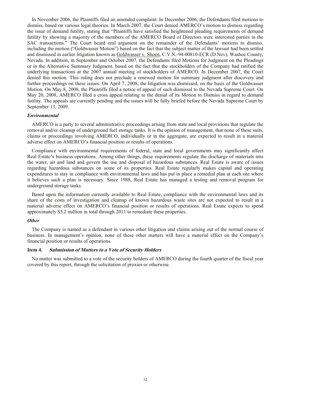<span id="page-15-0"></span>In November 2006, the Plaintiffs filed an amended complaint. In December 2006, the Defendants filed motions to dismiss, based on various legal theories. In March 2007, the Court denied AMERCO's motion to dismiss regarding the issue of demand futility, stating that "Plaintiffs have satisfied the heightened pleading requirements of demand futility by showing a majority of the members of the AMERCO Board of Directors were interested parties in the SAC transactions." The Court heard oral argument on the remainder of the Defendants' motions to dismiss, including the motion ("Goldwasser Motion") based on the fact that the subject matter of the lawsuit had been settled and dismissed in earlier litigation known as Goldwasser v. Shoen, C.V.N.-94-00810-ECR (D.Nev), Washoe County, Nevada. In addition, in September and October 2007, the Defendants filed Motions for Judgment on the Pleadings or in the Alternative Summary Judgment, based on the fact that the stockholders of the Company had ratified the underlying transactions at the 2007 annual meeting of stockholders of AMERCO. In December 2007, the Court denied this motion. This ruling does not preclude a renewed motion for summary judgment after discovery and further proceedings on these issues. On April 7, 2008, the litigation was dismissed, on the basis of the Goldwasser Motion. On May 8, 2008, the Plaintiffs filed a notice of appeal of such dismissal to the Nevada Supreme Court. On May 20, 2008, AMERCO filed a cross appeal relating to the denial of its Motion to Dismiss in regard to demand futility. The appeals are currently pending and the issues will be fully briefed before the Nevada Supreme Court by September 13, 2009.

#### *Environmental*

AMERCO is a party to several administrative proceedings arising from state and local provisions that regulate the removal and/or cleanup of underground fuel storage tanks. It is the opinion of management, that none of these suits, claims or proceedings involving AMERCO, individually or in the aggregate, are expected to result in a material adverse effect on AMERCO's financial position or results of operations.

Compliance with environmental requirements of federal, state and local governments may significantly affect Real Estate's business operations. Among other things, these requirements regulate the discharge of materials into the water, air and land and govern the use and disposal of hazardous substances. Real Estate is aware of issues regarding hazardous substances on some of its properties. Real Estate regularly makes capital and operating expenditures to stay in compliance with environmental laws and has put in place a remedial plan at each site where it believes such a plan is necessary. Since 1988, Real Estate has managed a testing and removal program for underground storage tanks.

Based upon the information currently available to Real Estate, compliance with the environmental laws and its share of the costs of investigation and cleanup of known hazardous waste sites are not expected to result in a material adverse effect on AMERCO's financial position or results of operations. Real Estate expects to spend approximately \$5.2 million in total through 2011 to remediate these properties.

#### *Other*

The Company is named as a defendant in various other litigation and claims arising out of the normal course of business. In management's opinion, none of these other matters will have a material effect on the Company's financial position or results of operations.

#### **Item 4. Submission of Matters to a Vote of Security Holders**

No matter was submitted to a vote of the security holders of AMERCO during the fourth quarter of the fiscal year covered by this report, through the solicitation of proxies or otherwise.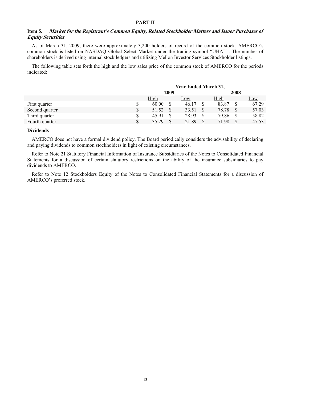#### **PART II**

#### <span id="page-16-0"></span>**Item 5. Market for the Registrant's Common Equity, Related Stockholder Matters and Issuer Purchases of Equity Securities**

As of March 31, 2009, there were approximately 3,200 holders of record of the common stock. AMERCO's common stock is listed on NASDAQ Global Select Market under the trading symbol "UHAL". The number of shareholders is derived using internal stock ledgers and utilizing Mellon Investor Services Stockholder listings.

The following table sets forth the high and the low sales price of the common stock of AMERCO for the periods indicated:

|                | <b>Year Ended March 31,</b> |  |       |      |             |  |       |
|----------------|-----------------------------|--|-------|------|-------------|--|-------|
|                | <u>2009</u>                 |  |       | 2008 |             |  |       |
|                | High                        |  | Low   |      | <u>High</u> |  | Low   |
| First quarter  | 60.00                       |  | 46.17 |      | 83.87       |  | 67.29 |
| Second quarter | \$<br>51.52                 |  | 33.51 |      | 78.78       |  | 57.03 |
| Third quarter  | 45.91                       |  | 28.93 |      | 79.86       |  | 58.82 |
| Fourth quarter | 35.29                       |  | 21.89 | \$.  | 71.98       |  | 47.53 |

#### **Dividends**

AMERCO does not have a formal dividend policy. The Board periodically considers the advisability of declaring and paying dividends to common stockholders in light of existing circumstances.

Refer to Note 21 Statutory Financial Information of Insurance Subsidiaries of the Notes to Consolidated Financial Statements for a discussion of certain statutory restrictions on the ability of the insurance subsidiaries to pay dividends to AMERCO.

Refer to Note 12 Stockholders Equity of the Notes to Consolidated Financial Statements for a discussion of AMERCO's preferred stock.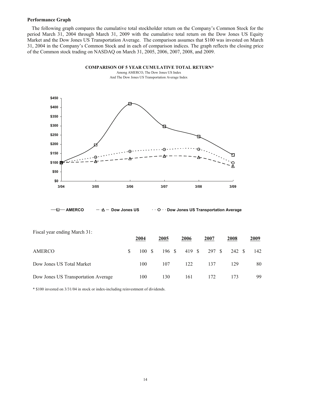#### **Performance Graph**

The following graph compares the cumulative total stockholder return on the Company's Common Stock for the period March 31, 2004 through March 31, 2009 with the cumulative total return on the Dow Jones US Equity Market and the Dow Jones US Transportation Average. The comparison assumes that \$100 was invested on March 31, 2004 in the Company's Common Stock and in each of comparison indices. The graph reflects the closing price of the Common stock trading on NASDAQ on March 31, 2005, 2006, 2007, 2008, and 2009.

And The Dow Jones US Transportation Average Index **\$450 \$400 \$350 \$300 \$250 \$200 \$150** Ы Θ **\$100** р<br>Д **\$50 \$0 3/04 3/05 3/06 3/07 3/08 3/09**

**COMPARISON OF 5 YEAR CUMULATIVE TOTAL RETURN\*** Among AMERCO, The Dow Jones US Index



**AMERCO Dow Jones US Dow Jones US Transportation Average**

Fiscal year ending March 31:

⊟

|                                     |    | 2004 | 2005 | 2006                        | 2007 | 2008   | <u>2009</u> |
|-------------------------------------|----|------|------|-----------------------------|------|--------|-------------|
| AMERCO                              | S. |      |      | 100 \$ 196 \$ 419 \$ 297 \$ |      | 242 \$ | 142         |
| Dow Jones US Total Market           |    | 100  | 107  | 122                         | 137  | 129    | 80          |
| Dow Jones US Transportation Average |    | 100  | 130  | 161                         | 172  | 173    | 99          |

\* \$100 invested on 3/31/04 in stock or index-including reinvestment of dividends.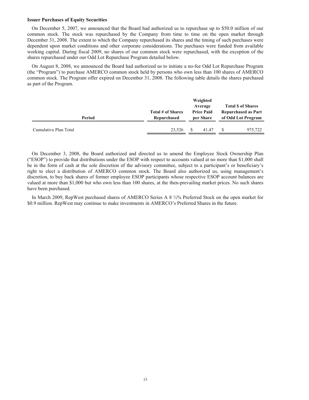#### **Issuer Purchases of Equity Securities**

On December 5, 2007, we announced that the Board had authorized us to repurchase up to \$50.0 million of our common stock. The stock was repurchased by the Company from time to time on the open market through December 31, 2008. The extent to which the Company repurchased its shares and the timing of such purchases were dependent upon market conditions and other corporate considerations. The purchases were funded from available working capital. During fiscal 2009, no shares of our common stock were repurchased, with the exception of the shares repurchased under our Odd Lot Repurchase Program detailed below.

On August 8, 2008, we announced the Board had authorized us to initiate a no-fee Odd Lot Repurchase Program (the "Program") to purchase AMERCO common stock held by persons who own less than 100 shares of AMERCO common stock. The Program offer expired on December 31, 2008. The following table details the shares purchased as part of the Program.

| Period                | Total # of Shares<br>Repurchased |  | Weighted<br>Average<br><b>Price Paid</b><br>per Share | <b>Total S of Shares</b><br><b>Repurchased as Part</b><br>of Odd Lot Program |
|-----------------------|----------------------------------|--|-------------------------------------------------------|------------------------------------------------------------------------------|
| Cumulative Plan Total | 23.526                           |  | 41.47                                                 | 975.722                                                                      |

On December 3, 2008, the Board authorized and directed us to amend the Employee Stock Ownership Plan ("ESOP") to provide that distributions under the ESOP with respect to accounts valued at no more than \$1,000 shall be in the form of cash at the sole discretion of the advisory committee, subject to a participant's or beneficiary's right to elect a distribution of AMERCO common stock. The Board also authorized us, using management's discretion, to buy back shares of former employee ESOP participants whose respective ESOP account balances are valued at more than \$1,000 but who own less than 100 shares, at the then-prevailing market prices. No such shares have been purchased.

In March 2009, RepWest purchased shares of AMERCO Series A 8 ½% Preferred Stock on the open market for \$0.9 million. RepWest may continue to make investments in AMERCO's Preferred Shares in the future.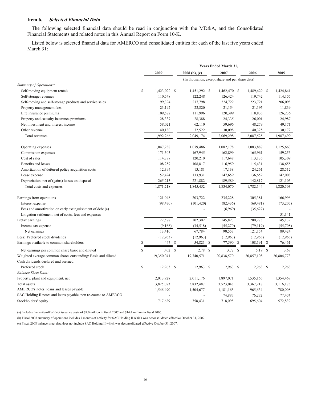## <span id="page-19-0"></span>**Item 6. Selected Financial Data**

The following selected financial data should be read in conjunction with the MD&A, and the Consolidated Financial Statements and related notes in this Annual Report on Form 10-K.

Listed below is selected financial data for AMERCO and consolidated entities for each of the last five years ended March 31:

|                                                                 |                                                 | <b>Years Ended March 31,</b> |              |  |              |  |                         |  |            |
|-----------------------------------------------------------------|-------------------------------------------------|------------------------------|--------------|--|--------------|--|-------------------------|--|------------|
|                                                                 | 2009                                            |                              | 2008(b), (c) |  | 2007         |  | 2006                    |  | 2005       |
|                                                                 | (In thousands, except share and per share data) |                              |              |  |              |  |                         |  |            |
| Summary of Operations:                                          |                                                 |                              |              |  |              |  |                         |  |            |
| Self-moving equipment rentals                                   | \$<br>1,423,022 \$                              |                              | 1,451,292 \$ |  | 1,462,470 \$ |  | 1,489,429 \$            |  | 1,424,841  |
| Self-storage revenues                                           | 110,548                                         |                              | 122,248      |  | 126,424      |  | 119,742                 |  | 114,155    |
| Self-moving and self-storage products and service sales         | 199,394                                         |                              | 217,798      |  | 224,722      |  | 223,721                 |  | 206,098    |
| Property management fees                                        | 23,192                                          |                              | 22,820       |  | 21,154       |  | 21,195                  |  | 11,839     |
| Life insurance premiums                                         | 109,572                                         |                              | 111,996      |  | 120,399      |  | 118,833                 |  | 126,236    |
| Property and casualty insurance premiums                        | 28,337                                          |                              | 28,388       |  | 24,335       |  | 26,001                  |  | 24,987     |
| Net investment and interest income                              | 58,021                                          |                              | 62,110       |  | 59,696       |  | 48,279                  |  | 49,171     |
| Other revenue                                                   | 40,180                                          |                              | 32,522       |  | 30,098       |  | 40,325                  |  | 30,172     |
| Total revenues                                                  | 1,992,266                                       |                              | 2,049,174    |  | 2,069,298    |  | 2,087,525               |  | 1,987,499  |
| Operating expenses                                              | 1,047,238                                       |                              | 1,079,486    |  | 1,082,178    |  | 1,083,887               |  | 1,125,663  |
| Commission expenses                                             | 171,303                                         |                              | 167,945      |  | 162,899      |  | 165,961                 |  | 159,253    |
| Cost of sales                                                   | 114,387                                         |                              | 120,210      |  | 117,648      |  | 113,135                 |  | 105,309    |
| Benefits and losses                                             | 108,259                                         |                              | 108,817      |  | 116,959      |  | 115,431                 |  | 138,655    |
| Amortization of deferred policy acquisition costs               | 12,394                                          |                              | 13,181       |  | 17,138       |  | 24,261                  |  | 28,512     |
| Lease expense                                                   | 152,424                                         |                              | 133,931      |  | 147,659      |  | 136,652                 |  | 142,008    |
| Depreciation, net of (gains) losses on disposal                 | 265,213                                         |                              | 221,882      |  | 189,589      |  | 142,817                 |  | 121,103    |
| Total costs and expenses                                        | 1,871,218                                       |                              | 1,845,452    |  | 1,834,070    |  | 1,782,144               |  | 1,820,503  |
| Earnings from operations                                        | 121,048                                         |                              | 203,722      |  | 235,228      |  | 305,381                 |  | 166,996    |
| Interest expense                                                | (98, 470)                                       |                              | (101, 420)   |  | (82, 436)    |  | (69, 481)               |  | (73,205)   |
| Fees and amortization on early extinguishment of debt (a)       |                                                 |                              |              |  | (6,969)      |  | (35, 627)               |  |            |
| Litigation settlement, net of costs, fees and expenses          |                                                 |                              |              |  |              |  |                         |  | 51,341     |
| Pretax earnings                                                 | 22,578                                          |                              | 102,302      |  | 145,823      |  | 200,273                 |  | 145,132    |
| Income tax expense                                              | (9,168)                                         |                              | (34,518)     |  | (55,270)     |  | (79, 119)               |  | (55,708)   |
| Net earnings                                                    | 13,410                                          |                              | 67,784       |  | 90,553       |  | 121,154                 |  | 89,424     |
| Less: Preferred stock dividends                                 | (12, 963)                                       |                              | (12, 963)    |  | (12, 963)    |  | (12, 963)               |  | (12, 963)  |
| Earnings available to common shareholders                       | 447                                             | $\mathbb{S}$                 | $54,821$ \$  |  | $77,590$ \$  |  | $\overline{108,191}$ \$ |  | 76,461     |
| Net earnings per common share basic and diluted                 | \$<br>0.02 S                                    |                              | 2.78S        |  | 3.72S        |  | 5.19S                   |  | 3.68       |
| Weighted average common shares outstanding: Basic and diluted   | 19,350,041                                      |                              | 19,740,571   |  | 20,838,570   |  | 20,857,108              |  | 20,804,773 |
| Cash dividends declared and accrued                             |                                                 |                              |              |  |              |  |                         |  |            |
| Preferred stock                                                 | \$<br>$12,963$ \$                               |                              | $12,963$ \$  |  | $12,963$ \$  |  | $12,963$ \$             |  | 12,963     |
| <b>Balance Sheet Data:</b>                                      |                                                 |                              |              |  |              |  |                         |  |            |
| Property, plant and equipment, net                              | 2,013,928                                       |                              | 2,011,176    |  | 1,897,071    |  | 1,535,165               |  | 1,354,468  |
| <b>Total</b> assets                                             | 3,825,073                                       |                              | 3,832,487    |  | 3,523,048    |  | 3,367,218               |  | 3,116,173  |
| AMERCO's notes, loans and leases payable                        | 1,546,490                                       |                              | 1,504,677    |  | 1,181,165    |  | 965,634                 |  | 780,008    |
| SAC Holding II notes and loans payable, non re-course to AMERCO |                                                 |                              |              |  | 74,887       |  | 76,232                  |  | 77,474     |
| Stockholders' equity                                            | 717,629                                         |                              | 758,431      |  | 718,098      |  | 695,604                 |  | 572,839    |

(a) Includes the write-off of debt issuance costs of \$7.0 million in fiscal 2007 and \$14.4 million in fiscal 2006.

(b) Fiscal 2008 summary of operations includes 7 months of activity for SAC Holding II which was deconsolidated effective October 31, 2007.

(c) Fiscal 2008 balance sheet data does not include SAC Holding II which was deconsolidated effective October 31, 2007.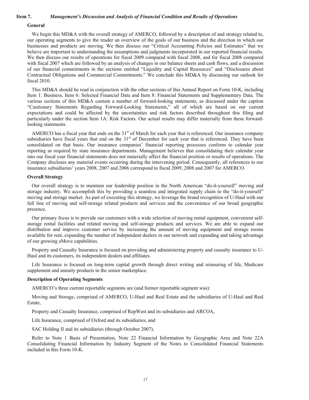#### <span id="page-20-0"></span>**Item 7.** *Management's Discussion and Analysis of Financial Condition and Results of Operations*

#### **General**

We begin this MD&A with the overall strategy of AMERCO, followed by a description of and strategy related to, our operating segments to give the reader an overview of the goals of our business and the direction in which our businesses and products are moving. We then discuss our "Critical Accounting Policies and Estimates" that we believe are important to understanding the assumptions and judgments incorporated in our reported financial results. We then discuss our results of operations for fiscal 2009 compared with fiscal 2008, and for fiscal 2008 compared with fiscal 2007 which are followed by an analysis of changes in our balance sheets and cash flows, and a discussion of our financial commitments in the sections entitled "Liquidity and Capital Resources" and "Disclosures about Contractual Obligations and Commercial Commitments." We conclude this MD&A by discussing our outlook for fiscal 2010.

This MD&A should be read in conjunction with the other sections of this Annual Report on Form 10-K, including Item 1: Business, Item 6: Selected Financial Data and Item 8: Financial Statements and Supplementary Data. The various sections of this MD&A contain a number of forward-looking statements, as discussed under the caption "Cautionary Statements Regarding Forward-Looking Statements," all of which are based on our current expectations and could be affected by the uncertainties and risk factors described throughout this filing and particularly under the section Item 1A: Risk Factors. Our actual results may differ materially from these forwardlooking statements.

AMERCO has a fiscal year that ends on the  $31<sup>st</sup>$  of March for each year that is referenced. Our insurance company subsidiaries have fiscal years that end on the 31<sup>st</sup> of December for each year that is referenced. They have been consolidated on that basis. Our insurance companies' financial reporting processes conform to calendar year reporting as required by state insurance departments. Management believes that consolidating their calendar year into our fiscal year financial statements does not materially affect the financial position or results of operations. The Company discloses any material events occurring during the intervening period. Consequently, all references to our insurance subsidiaries' years 2008, 2007 and 2006 correspond to fiscal 2009, 2008 and 2007 for AMERCO.

#### **Overall Strategy**

Our overall strategy is to maintain our leadership position in the North American "do-it-yourself" moving and storage industry. We accomplish this by providing a seamless and integrated supply chain to the "do-it-yourself" moving and storage market. As part of executing this strategy, we leverage the brand recognition of U-Haul with our full line of moving and self-storage related products and services and the convenience of our broad geographic presence.

Our primary focus is to provide our customers with a wide selection of moving rental equipment, convenient selfstorage rental facilities and related moving and self-storage products and services. We are able to expand our distribution and improve customer service by increasing the amount of moving equipment and storage rooms available for rent, expanding the number of independent dealers in our network and expanding and taking advantage of our growing eMove capabilities.

Property and Casualty Insurance is focused on providing and administering property and casualty insurance to U-Haul and its customers, its independent dealers and affiliates.

Life Insurance is focused on long-term capital growth through direct writing and reinsuring of life, Medicare supplement and annuity products in the senior marketplace.

#### **Description of Operating Segments**

AMERCO's three current reportable segments are (and former reportable segment was):

Moving and Storage, comprised of AMERCO, U-Haul and Real Estate and the subsidiaries of U-Haul and Real Estate,

Property and Casualty Insurance, comprised of RepWest and its subsidiaries and ARCOA,

Life Insurance, comprised of Oxford and its subsidiaries, and

SAC Holding II and its subsidiaries (through October 2007).

Refer to Note 1 Basis of Presentation, Note 22 Financial Information by Geographic Area and Note 22A Consolidating Financial Information by Industry Segment of the Notes to Consolidated Financial Statements included in this Form 10-K.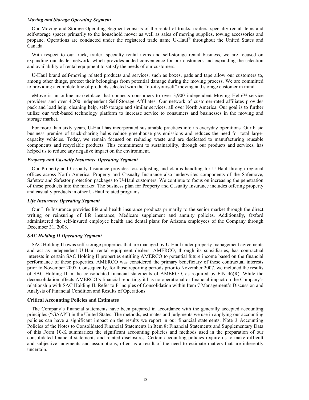#### *Moving and Storage Operating Segment*

Our Moving and Storage Operating Segment consists of the rental of trucks, trailers, specialty rental items and self-storage spaces primarily to the household mover as well as sales of moving supplies, towing accessories and propane. Operations are conducted under the registered trade name U-Haul® throughout the United States and Canada.

With respect to our truck, trailer, specialty rental items and self-storage rental business, we are focused on expanding our dealer network, which provides added convenience for our customers and expanding the selection and availability of rental equipment to satisfy the needs of our customers.

U-Haul brand self-moving related products and services, such as boxes, pads and tape allow our customers to, among other things, protect their belongings from potential damage during the moving process. We are committed to providing a complete line of products selected with the "do-it-yourself" moving and storage customer in mind.

eMove is an online marketplace that connects consumers to over 3,900 independent Moving Help™ service providers and over 4,200 independent Self-Storage Affiliates. Our network of customer-rated affiliates provides pack and load help, cleaning help, self-storage and similar services, all over North America. Our goal is to further utilize our web-based technology platform to increase service to consumers and businesses in the moving and storage market.

For more than sixty years, U-Haul has incorporated sustainable practices into its everyday operations. Our basic business premise of truck-sharing helps reduce greenhouse gas emissions and reduces the need for total largecapacity vehicles. Today, we remain focused on reducing waste and are dedicated to manufacturing reusable components and recyclable products. This commitment to sustainability, through our products and services, has helped us to reduce any negative impact on the environment.

#### *Property and Casualty Insurance Operating Segment*

Our Property and Casualty Insurance provides loss adjusting and claims handling for U-Haul through regional offices across North America. Property and Casualty Insurance also underwrites components of the Safemove, Safetow and Safestor protection packages to U-Haul customers. We continue to focus on increasing the penetration of these products into the market. The business plan for Property and Casualty Insurance includes offering property and casualty products in other U-Haul related programs.

#### *Life Insurance Operating Segment*

Our Life Insurance provides life and health insurance products primarily to the senior market through the direct writing or reinsuring of life insurance, Medicare supplement and annuity policies. Additionally, Oxford administered the self-insured employee health and dental plans for Arizona employees of the Company through December 31, 2008.

#### *SAC Holding II Operating Segment*

SAC Holding II owns self-storage properties that are managed by U-Haul under property management agreements and act as independent U-Haul rental equipment dealers. AMERCO, through its subsidiaries, has contractual interests in certain SAC Holding II properties entitling AMERCO to potential future income based on the financial performance of these properties. AMERCO was considered the primary beneficiary of these contractual interests prior to November 2007. Consequently, for those reporting periods prior to November 2007, we included the results of SAC Holding II in the consolidated financial statements of AMERCO, as required by FIN 46(R). While the deconsolidation affects AMERCO's financial reporting, it has no operational or financial impact on the Company's relationship with SAC Holding II. Refer to Principles of Consolidation within Item 7 Management's Discussion and Analysis of Financial Condition and Results of Operations.

#### **Critical Accounting Policies and Estimates**

The Company's financial statements have been prepared in accordance with the generally accepted accounting principles ("GAAP") in the United States. The methods, estimates and judgments we use in applying our accounting policies can have a significant impact on the results we report in our financial statements. Note 3 Accounting Policies of the Notes to Consolidated Financial Statements in Item 8: Financial Statements and Supplementary Data of this Form 10-K summarizes the significant accounting policies and methods used in the preparation of our consolidated financial statements and related disclosures. Certain accounting policies require us to make difficult and subjective judgments and assumptions, often as a result of the need to estimate matters that are inherently uncertain.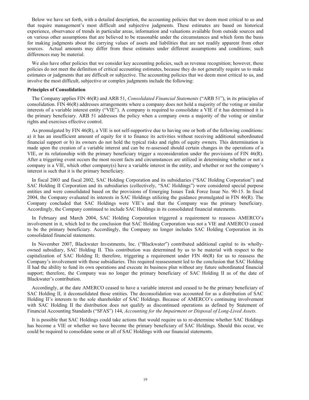Below we have set forth, with a detailed description, the accounting policies that we deem most critical to us and that require management's most difficult and subjective judgments. These estimates are based on historical experience, observance of trends in particular areas, information and valuations available from outside sources and on various other assumptions that are believed to be reasonable under the circumstances and which form the basis for making judgments about the carrying values of assets and liabilities that are not readily apparent from other sources. Actual amounts may differ from these estimates under different assumptions and conditions; such differences may be material.

We also have other policies that we consider key accounting policies, such as revenue recognition; however, these policies do not meet the definition of critical accounting estimates, because they do not generally require us to make estimates or judgments that are difficult or subjective. The accounting policies that we deem most critical to us, and involve the most difficult, subjective or complex judgments include the following:

#### **Principles of Consolidation**

The Company applies FIN 46(R) and ARB 51, *Consolidated Financial Statements* ("ARB 51"), in its principles of consolidation. FIN 46(R) addresses arrangements where a company does not hold a majority of the voting or similar interests of a variable interest entity ("VIE"). A company is required to consolidate a VIE if it has determined it is the primary beneficiary. ARB 51 addresses the policy when a company owns a majority of the voting or similar rights and exercises effective control.

As promulgated by FIN 46(R), a VIE is not self-supportive due to having one or both of the following conditions: a) it has an insufficient amount of equity for it to finance its activities without receiving additional subordinated financial support or b) its owners do not hold the typical risks and rights of equity owners. This determination is made upon the creation of a variable interest and can be re-assessed should certain changes in the operations of a VIE, or its relationship with the primary beneficiary trigger a reconsideration under the provisions of FIN 46(R). After a triggering event occurs the most recent facts and circumstances are utilized in determining whether or not a company is a VIE, which other company(s) have a variable interest in the entity, and whether or not the company's interest is such that it is the primary beneficiary.

In fiscal 2003 and fiscal 2002, SAC Holding Corporation and its subsidiaries ("SAC Holding Corporation") and SAC Holding II Corporation and its subsidiaries (collectively, "SAC Holdings") were considered special purpose entities and were consolidated based on the provisions of Emerging Issues Task Force Issue No. 90-15. In fiscal 2004, the Company evaluated its interests in SAC Holdings utilizing the guidance promulgated in FIN 46(R). The Company concluded that SAC Holdings were VIE's and that the Company was the primary beneficiary. Accordingly, the Company continued to include SAC Holdings in its consolidated financial statements.

In February and March 2004, SAC Holding Corporation triggered a requirement to reassess AMERCO's involvement in it, which led to the conclusion that SAC Holding Corporation was not a VIE and AMERCO ceased to be the primary beneficiary. Accordingly, the Company no longer includes SAC Holding Corporation in its consolidated financial statements.

In November 2007, Blackwater Investments, Inc. ("Blackwater") contributed additional capital to its whollyowned subsidiary, SAC Holding II. This contribution was determined by us to be material with respect to the capitalization of SAC Holding II; therefore, triggering a requirement under FIN  $46(R)$  for us to reassess the Company's involvement with those subsidiaries. This required reassessment led to the conclusion that SAC Holding II had the ability to fund its own operations and execute its business plan without any future subordinated financial support; therefore, the Company was no longer the primary beneficiary of SAC Holding II as of the date of Blackwater's contribution.

Accordingly, at the date AMERCO ceased to have a variable interest and ceased to be the primary beneficiary of SAC Holding II, it deconsolidated those entities. The deconsolidation was accounted for as a distribution of SAC Holding II's interests to the sole shareholder of SAC Holdings. Because of AMERCO's continuing involvement with SAC Holding II the distribution does not qualify as discontinued operations as defined by Statement of Financial Accounting Standards ("SFAS") 144, *Accounting for the Impairment or Disposal of Long-Lived Assets.*

It is possible that SAC Holdings could take actions that would require us to re-determine whether SAC Holdings has become a VIE or whether we have become the primary beneficiary of SAC Holdings. Should this occur, we could be required to consolidate some or all of SAC Holdings with our financial statements.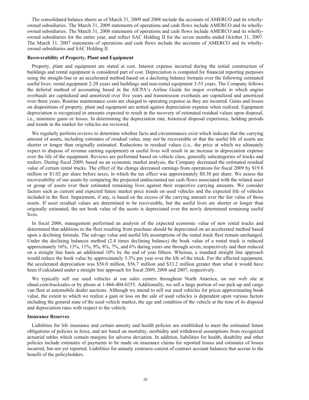The consolidated balance sheets as of March 31, 2009 and 2008 include the accounts of AMERCO and its whollyowned subsidiaries. The March 31, 2009 statements of operations and cash flows include AMERCO and its whollyowned subsidiaries. The March 31, 2008 statements of operations and cash flows include AMERCO and its whollyowned subsidiaries for the entire year, and reflect SAC Holding II for the seven months ended October 31, 2007. The March 31, 2007 statements of operations and cash flows include the accounts of AMERCO and its whollyowned subsidiaries and SAC Holding II.

#### **Recoverability of Property, Plant and Equipment**

Property, plant and equipment are stated at cost. Interest expense incurred during the initial construction of buildings and rental equipment is considered part of cost. Depreciation is computed for financial reporting purposes using the straight-line or an accelerated method based on a declining balance formula over the following estimated useful lives: rental equipment 2-20 years and buildings and non-rental equipment 3-55 years. The Company follows the deferral method of accounting based in the AICPA's Airline Guide for major overhauls in which engine overhauls are capitalized and amortized over five years and transmission overhauls are capitalized and amortized over three years. Routine maintenance costs are charged to operating expense as they are incurred. Gains and losses on dispositions of property, plant and equipment are netted against depreciation expense when realized. Equipment depreciation is recognized in amounts expected to result in the recovery of estimated residual values upon disposal, i.e., minimize gains or losses. In determining the depreciation rate, historical disposal experience, holding periods and trends in the market for vehicles are reviewed.

We regularly perform reviews to determine whether facts and circumstances exist which indicate that the carrying amount of assets, including estimates of residual value, may not be recoverable or that the useful life of assets are shorter or longer than originally estimated. Reductions in residual values (i.e., the price at which we ultimately expect to dispose of revenue earning equipment) or useful lives will result in an increase in depreciation expense over the life of the equipment. Reviews are performed based on vehicle class, generally subcategories of trucks and trailers. During fiscal 2009, based on an economic market analysis, the Company decreased the estimated residual value of certain rental trucks. The effect of the change decreased earnings from operations for fiscal 2009 by \$19.8 million or \$1.02 per share before taxes, in which the tax effect was approximately \$0.38 per share. We assess the recoverability of our assets by comparing the projected undiscounted net cash flows associated with the related asset or group of assets over their estimated remaining lives against their respective carrying amounts. We consider factors such as current and expected future market price trends on used vehicles and the expected life of vehicles included in the fleet. Impairment, if any, is based on the excess of the carrying amount over the fair value of those assets. If asset residual values are determined to be recoverable, but the useful lives are shorter or longer than originally estimated, the net book value of the assets is depreciated over the newly determined remaining useful lives.

In fiscal 2006, management performed an analysis of the expected economic value of new rental trucks and determined that additions to the fleet resulting from purchase should be depreciated on an accelerated method based upon a declining formula. The salvage value and useful life assumptions of the rental truck fleet remain unchanged. Under the declining balances method (2.4 times declining balance) the book value of a rental truck is reduced approximately 16%, 13%, 11%, 9%, 8%, 7%, and 6% during years one through seven, respectively and then reduced on a straight line basis an additional 10% by the end of year fifteen. Whereas, a standard straight line approach would reduce the book value by approximately 5.3% per year over the life of the truck. For the affected equipment, the accelerated depreciation was \$56.0 million, \$56.7 million and \$33.2 million greater than what it would have been if calculated under a straight line approach for fiscal 2009, 2008 and 2007, respectively.

We typically sell our used vehicles at our sales centers throughout North America, on our web site at uhaul.com/trucksales or by phone at 1-866-404-0355. Additionally, we sell a large portion of our pick-up and cargo van fleet at automobile dealer auctions. Although we intend to sell our used vehicles for prices approximating book value, the extent to which we realize a gain or loss on the sale of used vehicles is dependent upon various factors including the general state of the used vehicle market, the age and condition of the vehicle at the time of its disposal and depreciation rates with respect to the vehicle.

#### **Insurance Reserves**

Liabilities for life insurance and certain annuity and health policies are established to meet the estimated future obligations of policies in force, and are based on mortality, morbidity and withdrawal assumptions from recognized actuarial tables which contain margins for adverse deviation. In addition, liabilities for health, disability and other policies include estimates of payments to be made on insurance claims for reported losses and estimates of losses incurred, but not yet reported. Liabilities for annuity contracts consist of contract account balances that accrue to the benefit of the policyholders.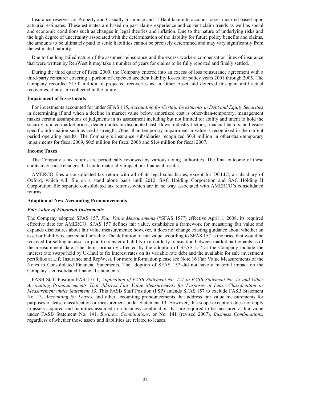Insurance reserves for Property and Casualty Insurance and U-Haul take into account losses incurred based upon actuarial estimates. These estimates are based on past claims experience and current claim trends as well as social and economic conditions such as changes in legal theories and inflation. Due to the nature of underlying risks and the high degree of uncertainty associated with the determination of the liability for future policy benefits and claims, the amounts to be ultimately paid to settle liabilities cannot be precisely determined and may vary significantly from the estimated liability.

Due to the long tailed nature of the assumed reinsurance and the excess workers compensation lines of insurance that were written by RepWest it may take a number of years for claims to be fully reported and finally settled.

During the third quarter of fiscal 2009, the Company entered into an excess of loss reinsurance agreement with a third-party reinsurer covering a portion of expected accident liability losses for policy years 2001 through 2005. The Company recorded \$15.0 million of projected recoveries as an Other Asset and deferred this gain until actual recoveries, if any, are collected in the future.

#### **Impairment of Investments**

For investments accounted for under SFAS 115, *Accounting for Certain Investments in Debt and Equity Securities* in determining if and when a decline in market value below amortized cost is other-than-temporary, management makes certain assumptions or judgments in its assessment including but not limited to: ability and intent to hold the security, quoted market prices, dealer quotes or discounted cash flows, industry factors, financial factors, and issuer specific information such as credit strength. Other-than-temporary impairment in value is recognized in the current period operating results. The Company's insurance subsidiaries recognized \$0.4 million in other-than-temporary impairments for fiscal 2009, \$0.5 million for fiscal 2008 and \$1.4 million for fiscal 2007.

#### **Income Taxes**

The Company's tax returns are periodically reviewed by various taxing authorities. The final outcome of these audits may cause changes that could materially impact our financial results.

AMERCO files a consolidated tax return with all of its legal subsidiaries, except for DGLIC, a subsidiary of Oxford, which will file on a stand alone basis until 2012. SAC Holding Corporation and SAC Holding II Corporation file separate consolidated tax returns, which are in no way associated with AMERCO's consolidated returns.

#### **Adoption of New Accounting Pronouncements**

#### *Fair Value of Financial Instruments*

The Company adopted SFAS 157, *Fair Value Measurements* ("SFAS 157") effective April 1, 2008, its required effective date for AMERCO. SFAS 157 defines fair value, establishes a framework for measuring fair value and expands disclosures about fair value measurements; however, it does not change existing guidance about whether an asset or liability is carried at fair value. The definition of fair value according to SFAS 157 is the price that would be received for selling an asset or paid to transfer a liability in an orderly transaction between market participants as of the measurement date. The items primarily affected by the adoption of SFAS 157 at the Company include the interest rate swaps held by U-Haul to fix interest rates on its variable rate debt and the available for sale investment portfolios at Life Insurance and RepWest. For more information please see Note 16 Fair Value Measurements of the Notes to Consolidated Financial Statements. The adoption of SFAS 157 did not have a material impact on the Company's consolidated financial statements.

FASB Staff Position FAS 157-1, *Application of FASB Statement No. 157 to FASB Statement No. 13 and Other Accounting Pronouncements That Address Fair Value Measurements for Purposes of Lease Classification or Measurement under Statement 13*. This FASB Staff Position (FSP) amends SFAS 157 to exclude FASB Statement No. 13, *Accounting for Leases*, and other accounting pronouncements that address fair value measurements for purposes of lease classification or measurement under Statement 13. However, this scope exception does not apply to assets acquired and liabilities assumed in a business combination that are required to be measured at fair value under FASB Statement No. 141, *Business Combinations*, or No. 141 (revised 2007), *Business Combinations*, regardless of whether those assets and liabilities are related to leases.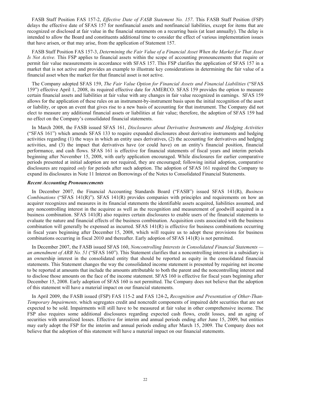FASB Staff Position FAS 157-2, *Effective Date of FASB Statement No. 157*. This FASB Staff Position (FSP) delays the effective date of SFAS 157 for nonfinancial assets and nonfinancial liabilities, except for items that are recognized or disclosed at fair value in the financial statements on a recurring basis (at least annually). The delay is intended to allow the Board and constituents additional time to consider the effect of various implementation issues that have arisen, or that may arise, from the application of Statement 157.

FASB Staff Position FAS 157-3, *Determining the Fair Value of a Financial Asset When the Market for That Asset Is Not Active.* This FSP applies to financial assets within the scope of accounting pronouncements that require or permit fair value measurements in accordance with SFAS 157. This FSP clarifies the application of SFAS 157 in a market that is not active and provides an example to illustrate key considerations in determining the fair value of a financial asset when the market for that financial asset is not active.

The Company adopted SFAS 159, *The Fair Value Option for Financial Assets and Financial Liabilities* ("SFAS 159") effective April 1, 2008, its required effective date for AMERCO. SFAS 159 provides the option to measure certain financial assets and liabilities at fair value with any changes in fair value recognized in earnings. SFAS 159 allows for the application of these rules on an instrument-by-instrument basis upon the initial recognition of the asset or liability, or upon an event that gives rise to a new basis of accounting for that instrument. The Company did not elect to measure any additional financial assets or liabilities at fair value; therefore, the adoption of SFAS 159 had no effect on the Company's consolidated financial statements.

In March 2008, the FASB issued SFAS 161, *Disclosures about Derivative Instruments and Hedging Activities* ("SFAS 161") which amends SFAS 133 to require expanded disclosures about derivative instruments and hedging activities regarding (1) the ways in which an entity uses derivatives, (2) the accounting for derivatives and hedging activities, and (3) the impact that derivatives have (or could have) on an entity's financial position, financial performance, and cash flows. SFAS 161 is effective for financial statements of fiscal years and interim periods beginning after November 15, 2008, with early application encouraged. While disclosures for earlier comparative periods presented at initial adoption are not required, they are encouraged; following initial adoption, comparative disclosures are required *only* for periods after such adoption. The adoption of SFAS 161 required the Company to expand its disclosures in Note 11 Interest on Borrowings of the Notes to Consolidated Financial Statements.

#### *Recent Accounting Pronouncements*

In December 2007, the Financial Accounting Standards Board ("FASB") issued SFAS 141(R), *Business Combinations* ("SFAS 141(R)"). SFAS 141(R) provides companies with principles and requirements on how an acquirer recognizes and measures in its financial statements the identifiable assets acquired, liabilities assumed, and any noncontrolling interest in the acquiree as well as the recognition and measurement of goodwill acquired in a business combination. SFAS 141(R) also requires certain disclosures to enable users of the financial statements to evaluate the nature and financial effects of the business combination. Acquisition costs associated with the business combination will generally be expensed as incurred. SFAS 141(R) is effective for business combinations occurring in fiscal years beginning after December 15, 2008, which will require us to adopt these provisions for business combinations occurring in fiscal 2010 and thereafter. Early adoption of SFAS 141(R) is not permitted.

In December 2007, the FASB issued SFAS 160, *Noncontrolling Interests in Consolidated Financial Statements an amendment of ARB No. 51* ("SFAS 160"). This Statement clarifies that a noncontrolling interest in a subsidiary is an ownership interest in the consolidated entity that should be reported as equity in the consolidated financial statements. This Statement changes the way the consolidated income statement is presented by requiring net income to be reported at amounts that include the amounts attributable to both the parent and the noncontrolling interest and to disclose those amounts on the face of the income statement. SFAS 160 is effective for fiscal years beginning after December 15, 2008. Early adoption of SFAS 160 is not permitted. The Company does not believe that the adoption of this statement will have a material impact on our financial statements.

In April 2009, the FASB issued (FSP) FAS 115-2 and FAS 124-2**,** *Recognition and Presentation of Other-Than-Temporary Impairments,* which segregates credit and noncredit components of impaired debt securities that are not expected to be sold. Impairments will still have to be measured at fair value in other comprehensive income. The FSP also requires some additional disclosures regarding expected cash flows, credit losses, and an aging of securities with unrealized losses. Effective for interim and annual periods ending after June 15, 2009, but entities may early adopt the FSP for the interim and annual periods ending after March 15, 2009. The Company does not believe that the adoption of this statement will have a material impact on our financial statements.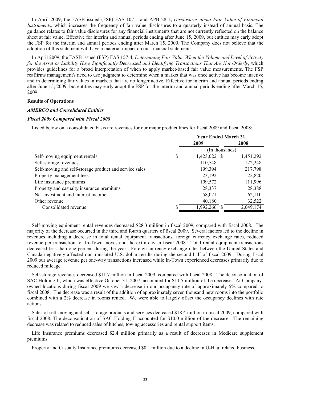In April 2009, the FASB issued (FSP) FAS 107-1 and APB 28-1**,** *Disclosures about Fair Value of Financial Instruments,* which increases the frequency of fair value disclosures to a quarterly instead of annual basis. The guidance relates to fair value disclosures for any financial instruments that are not currently reflected on the balance sheet at fair value. Effective for interim and annual periods ending after June 15, 2009, but entities may early adopt the FSP for the interim and annual periods ending after March 15, 2009. The Company does not believe that the adoption of this statement will have a material impact on our financial statements.

In April 2009, the FASB issued (FSP) FAS 157-4, *Determining Fair Value When the Volume and Level of Activity for the Asset or Liability Have Significantly Decreased and Identifying Transactions That Are Not Orderly*, which provides guidelines for a broad interpretation of when to apply market-based fair value measurements. The FSP reaffirms management's need to use judgment to determine when a market that was once active has become inactive and in determining fair values in markets that are no longer active. Effective for interim and annual periods ending after June 15, 2009, but entities may early adopt the FSP for the interim and annual periods ending after March 15, 2009.

#### **Results of Operations**

#### *AMERCO and Consolidated Entities*

#### *Fiscal 2009 Compared with Fiscal 2008*

Listed below on a consolidated basis are revenues for our major product lines for fiscal 2009 and fiscal 2008:

|                                                        | Year Ended March 31, |                |           |  |  |
|--------------------------------------------------------|----------------------|----------------|-----------|--|--|
|                                                        |                      | 2009           | 2008      |  |  |
|                                                        |                      | (In thousands) |           |  |  |
| Self-moving equipment rentals                          | \$                   | 1,423,022 \$   | 1,451,292 |  |  |
| Self-storage revenues                                  |                      | 110,548        | 122,248   |  |  |
| Self-moving and self-storage product and service sales |                      | 199,394        | 217,798   |  |  |
| Property management fees                               |                      | 23,192         | 22,820    |  |  |
| Life insurance premiums                                |                      | 109,572        | 111,996   |  |  |
| Property and casualty insurance premiums               |                      | 28,337         | 28,388    |  |  |
| Net investment and interest income                     |                      | 58,021         | 62,110    |  |  |
| Other revenue                                          |                      | 40,180         | 32,522    |  |  |
| Consolidated revenue                                   |                      | 1,992,266      | 2,049,174 |  |  |

Self-moving equipment rental revenues decreased \$28.3 million in fiscal 2009, compared with fiscal 2008. The majority of the decrease occurred in the third and fourth quarters of fiscal 2009. Several factors led to the decline in revenues including a decrease in total rental equipment transactions, foreign currency exchange rates, reduced revenue per transaction for In-Town moves and the extra day in fiscal 2008. Total rental equipment transactions decreased less than one percent during the year. Foreign currency exchange rates between the United States and Canada negatively affected our translated U.S. dollar results during the second half of fiscal 2009. During fiscal 2009 our average revenue per one-way transactions increased while In-Town experienced decreases primarily due to reduced mileage.

Self-storage revenues decreased \$11.7 million in fiscal 2009, compared with fiscal 2008. The deconsolidation of SAC Holding II, which was effective October 31, 2007, accounted for \$11.5 million of the decrease. At Companyowned locations during fiscal 2009 we saw a decrease in our occupancy rate of approximately 5% compared to fiscal 2008. The decrease was a result of the addition of approximately seven thousand new rooms into the portfolio combined with a 2% decrease in rooms rented. We were able to largely offset the occupancy declines with rate actions.

Sales of self-moving and self-storage products and services decreased \$18.4 million in fiscal 2009, compared with fiscal 2008. The deconsolidation of SAC Holding II accounted for \$10.0 million of the decrease. The remaining decrease was related to reduced sales of hitches, towing accessories and rental support items.

Life Insurance premiums decreased \$2.4 million primarily as a result of decreases in Medicare supplement premiums.

Property and Casualty Insurance premiums decreased \$0.1 million due to a decline in U-Haul related business.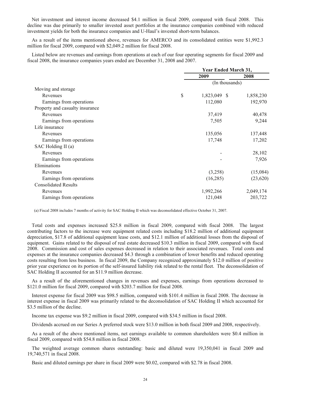Net investment and interest income decreased \$4.1 million in fiscal 2009, compared with fiscal 2008. This decline was due primarily to smaller invested asset portfolios at the insurance companies combined with reduced investment yields for both the insurance companies and U-Haul's invested short-term balances.

As a result of the items mentioned above, revenues for AMERCO and its consolidated entities were \$1,992.3 million for fiscal 2009, compared with \$2,049.2 million for fiscal 2008.

Listed below are revenues and earnings from operations at each of our four operating segments for fiscal 2009 and fiscal 2008, the insurance companies years ended are December 31, 2008 and 2007.

|                                 | Year Ended March 31, |              |                |  |  |
|---------------------------------|----------------------|--------------|----------------|--|--|
|                                 |                      | 2009         | 2008           |  |  |
|                                 |                      |              | (In thousands) |  |  |
| Moving and storage              |                      |              |                |  |  |
| Revenues                        | \$                   | 1,823,049 \$ | 1,858,230      |  |  |
| Earnings from operations        |                      | 112,080      | 192,970        |  |  |
| Property and casualty insurance |                      |              |                |  |  |
| Revenues                        |                      | 37,419       | 40,478         |  |  |
| Earnings from operations        |                      | 7,505        | 9,244          |  |  |
| Life insurance                  |                      |              |                |  |  |
| Revenues                        |                      | 135,056      | 137,448        |  |  |
| Earnings from operations        |                      | 17,748       | 17,202         |  |  |
| SAC Holding II (a)              |                      |              |                |  |  |
| Revenues                        |                      |              | 28,102         |  |  |
| Earnings from operations        |                      |              | 7,926          |  |  |
| Eliminations                    |                      |              |                |  |  |
| Revenues                        |                      | (3,258)      | (15,084)       |  |  |
| Earnings from operations        |                      | (16, 285)    | (23, 620)      |  |  |
| <b>Consolidated Results</b>     |                      |              |                |  |  |
| Revenues                        |                      | 1,992,266    | 2,049,174      |  |  |
| Earnings from operations        |                      | 121,048      | 203,722        |  |  |

(a) Fiscal 2008 includes 7 months of activity for SAC Holding II which was deconsolidated effective October 31, 2007.

Total costs and expenses increased \$25.8 million in fiscal 2009, compared with fiscal 2008. The largest contributing factors to the increase were equipment related costs including \$18.2 million of additional equipment depreciation, \$17.8 of additional equipment lease costs, and \$12.1 million of additional losses from the disposal of equipment. Gains related to the disposal of real estate decreased \$10.3 million in fiscal 2009, compared with fiscal 2008. Commission and cost of sales expenses decreased in relation to their associated revenues. Total costs and expenses at the insurance companies decreased \$4.3 through a combination of lower benefits and reduced operating costs resulting from less business. In fiscal 2009, the Company recognized approximately \$12.0 million of positive prior year experience on its portion of the self-insured liability risk related to the rental fleet. The deconsolidation of SAC Holding II accounted for an \$11.9 million decrease.

As a result of the aforementioned changes in revenues and expenses, earnings from operations decreased to \$121.0 million for fiscal 2009, compared with \$203.7 million for fiscal 2008.

Interest expense for fiscal 2009 was \$98.5 million, compared with \$101.4 million in fiscal 2008. The decrease in interest expense in fiscal 2009 was primarily related to the deconsolidation of SAC Holding II which accounted for \$3.5 million of the decline.

Income tax expense was \$9.2 million in fiscal 2009, compared with \$34.5 million in fiscal 2008.

Dividends accrued on our Series A preferred stock were \$13.0 million in both fiscal 2009 and 2008, respectively.

As a result of the above mentioned items, net earnings available to common shareholders were \$0.4 million in fiscal 2009, compared with \$54.8 million in fiscal 2008.

The weighted average common shares outstanding: basic and diluted were 19,350,041 in fiscal 2009 and 19,740,571 in fiscal 2008.

Basic and diluted earnings per share in fiscal 2009 were \$0.02, compared with \$2.78 in fiscal 2008.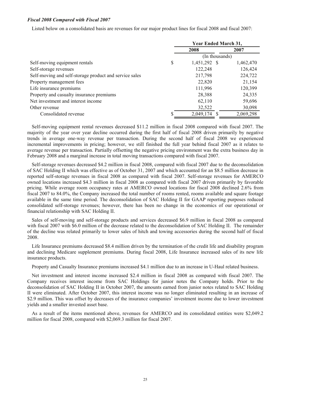#### *Fiscal 2008 Compared with Fiscal 2007*

Listed below on a consolidated basis are revenues for our major product lines for fiscal 2008 and fiscal 2007:

|                                                        |    | Year Ended March 31, |           |  |  |  |
|--------------------------------------------------------|----|----------------------|-----------|--|--|--|
|                                                        |    | 2008                 | 2007      |  |  |  |
|                                                        |    | (In thousands)       |           |  |  |  |
| Self-moving equipment rentals                          | \$ | 1,451,292 \$         | 1,462,470 |  |  |  |
| Self-storage revenues                                  |    | 122,248              | 126,424   |  |  |  |
| Self-moving and self-storage product and service sales |    | 217,798              | 224,722   |  |  |  |
| Property management fees                               |    | 22,820               | 21,154    |  |  |  |
| Life insurance premiums                                |    | 111,996              | 120,399   |  |  |  |
| Property and casualty insurance premiums               |    | 28,388               | 24,335    |  |  |  |
| Net investment and interest income                     |    | 62,110               | 59,696    |  |  |  |
| Other revenue                                          |    | 32,522               | 30,098    |  |  |  |
| Consolidated revenue                                   | S  | 2,049,174 \$         | 2,069,298 |  |  |  |

Self-moving equipment rental revenues decreased \$11.2 million in fiscal 2008 compared with fiscal 2007. The majority of the year over year decline occurred during the first half of fiscal 2008 driven primarily by negative trends in average one-way revenue per transaction. During the second half of fiscal 2008 we experienced incremental improvements in pricing; however, we still finished the full year behind fiscal 2007 as it relates to average revenue per transaction. Partially offsetting the negative pricing environment was the extra business day in February 2008 and a marginal increase in total moving transactions compared with fiscal 2007.

Self-storage revenues decreased \$4.2 million in fiscal 2008, compared with fiscal 2007 due to the deconsolidation of SAC Holding II which was effective as of October 31, 2007 and which accounted for an \$8.5 million decrease in reported self-storage revenues in fiscal 2008 as compared with fiscal 2007. Self-storage revenues for AMERCO owned locations increased \$4.3 million in fiscal 2008 as compared with fiscal 2007 driven primarily by favorable pricing. While average room occupancy rates at AMERCO owned locations for fiscal 2008 declined 2.6% from fiscal 2007 to 84.0%, the Company increased the total number of rooms rented, rooms available and square footage available in the same time period. The deconsolidation of SAC Holding II for GAAP reporting purposes reduced consolidated self-storage revenues; however, there has been no change in the economics of our operational or financial relationship with SAC Holding II.

Sales of self-moving and self-storage products and services decreased \$6.9 million in fiscal 2008 as compared with fiscal 2007 with \$6.0 million of the decrease related to the deconsolidation of SAC Holding II. The remainder of the decline was related primarily to lower sales of hitch and towing accessories during the second half of fiscal 2008.

Life Insurance premiums decreased \$8.4 million driven by the termination of the credit life and disability program and declining Medicare supplement premiums. During fiscal 2008, Life Insurance increased sales of its new life insurance products.

Property and Casualty Insurance premiums increased \$4.1 million due to an increase in U-Haul related business.

Net investment and interest income increased \$2.4 million in fiscal 2008 as compared with fiscal 2007. The Company receives interest income from SAC Holdings for junior notes the Company holds. Prior to the deconsolidation of SAC Holding II in October 2007, the amounts earned from junior notes related to SAC Holding II were eliminated. After October 2007, this interest income was no longer eliminated resulting in an increase of \$2.9 million. This was offset by decreases of the insurance companies' investment income due to lower investment yields and a smaller invested asset base.

As a result of the items mentioned above, revenues for AMERCO and its consolidated entities were \$2,049.2 million for fiscal 2008, compared with \$2,069.3 million for fiscal 2007.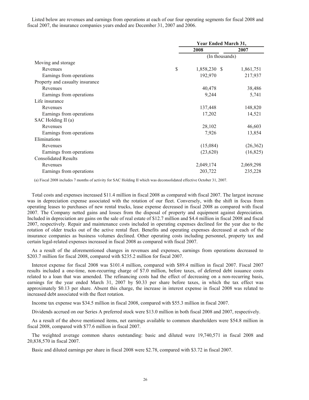Listed below are revenues and earnings from operations at each of our four operating segments for fiscal 2008 and fiscal 2007, the insurance companies years ended are December 31, 2007 and 2006.

|                                 |                | <b>Year Ended March 31,</b> |           |  |  |  |
|---------------------------------|----------------|-----------------------------|-----------|--|--|--|
|                                 |                | 2008                        | 2007      |  |  |  |
|                                 | (In thousands) |                             |           |  |  |  |
| Moving and storage              |                |                             |           |  |  |  |
| Revenues                        | \$             | 1,858,230 \$                | 1,861,751 |  |  |  |
| Earnings from operations        |                | 192,970                     | 217,937   |  |  |  |
| Property and casualty insurance |                |                             |           |  |  |  |
| Revenues                        |                | 40,478                      | 38,486    |  |  |  |
| Earnings from operations        |                | 9,244                       | 5,741     |  |  |  |
| Life insurance                  |                |                             |           |  |  |  |
| Revenues                        |                | 137,448                     | 148,820   |  |  |  |
| Earnings from operations        |                | 17,202                      | 14,521    |  |  |  |
| SAC Holding II (a)              |                |                             |           |  |  |  |
| Revenues                        |                | 28,102                      | 46,603    |  |  |  |
| Earnings from operations        |                | 7,926                       | 13,854    |  |  |  |
| Eliminations                    |                |                             |           |  |  |  |
| Revenues                        |                | (15,084)                    | (26, 362) |  |  |  |
| Earnings from operations        |                | (23,620)                    | (16, 825) |  |  |  |
| <b>Consolidated Results</b>     |                |                             |           |  |  |  |
| Revenues                        |                | 2,049,174                   | 2,069,298 |  |  |  |
| Earnings from operations        |                | 203,722                     | 235,228   |  |  |  |

(a) Fiscal 2008 includes 7 months of activity for SAC Holding II which was deconsolidated effective October 31, 2007.

Total costs and expenses increased \$11.4 million in fiscal 2008 as compared with fiscal 2007. The largest increase was in depreciation expense associated with the rotation of our fleet. Conversely, with the shift in focus from operating leases to purchases of new rental trucks, lease expense decreased in fiscal 2008 as compared with fiscal 2007. The Company netted gains and losses from the disposal of property and equipment against depreciation. Included in depreciation are gains on the sale of real estate of \$12.7 million and \$4.4 million in fiscal 2008 and fiscal 2007, respectively. Repair and maintenance costs included in operating expenses declined for the year due to the rotation of older trucks out of the active rental fleet. Benefits and operating expenses decreased at each of the insurance companies as business volumes declined. Other operating costs including personnel, property tax and certain legal-related expenses increased in fiscal 2008 as compared with fiscal 2007.

As a result of the aforementioned changes in revenues and expenses, earnings from operations decreased to \$203.7 million for fiscal 2008, compared with \$235.2 million for fiscal 2007.

Interest expense for fiscal 2008 was \$101.4 million, compared with \$89.4 million in fiscal 2007. Fiscal 2007 results included a one-time, non-recurring charge of \$7.0 million, before taxes, of deferred debt issuance costs related to a loan that was amended. The refinancing costs had the effect of decreasing on a non-recurring basis, earnings for the year ended March 31, 2007 by \$0.33 per share before taxes, in which the tax effect was approximately \$0.13 per share. Absent this charge, the increase in interest expense in fiscal 2008 was related to increased debt associated with the fleet rotation.

Income tax expense was \$34.5 million in fiscal 2008, compared with \$55.3 million in fiscal 2007.

Dividends accrued on our Series A preferred stock were \$13.0 million in both fiscal 2008 and 2007, respectively.

As a result of the above mentioned items, net earnings available to common shareholders were \$54.8 million in fiscal 2008, compared with \$77.6 million in fiscal 2007.

The weighted average common shares outstanding: basic and diluted were 19,740,571 in fiscal 2008 and 20,838,570 in fiscal 2007.

Basic and diluted earnings per share in fiscal 2008 were \$2.78, compared with \$3.72 in fiscal 2007.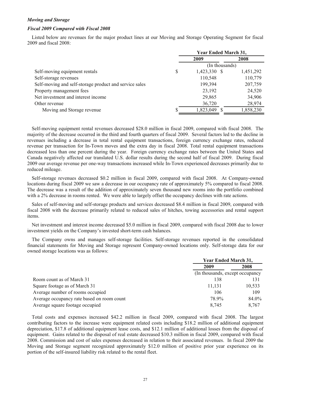#### *Moving and Storage*

#### *Fiscal 2009 Compared with Fiscal 2008*

Listed below are revenues for the major product lines at our Moving and Storage Operating Segment for fiscal 2009 and fiscal 2008:

|                                                        |    | <b>Year Ended March 31,</b> |           |  |  |  |
|--------------------------------------------------------|----|-----------------------------|-----------|--|--|--|
|                                                        |    | 2009                        | 2008      |  |  |  |
|                                                        |    | (In thousands)              |           |  |  |  |
| Self-moving equipment rentals                          | \$ | 1,423,330 \$                | 1,451,292 |  |  |  |
| Self-storage revenues                                  |    | 110,548                     | 110,779   |  |  |  |
| Self-moving and self-storage product and service sales |    | 199,394                     | 207,759   |  |  |  |
| Property management fees                               |    | 23,192                      | 24,520    |  |  |  |
| Net investment and interest income                     |    | 29,865                      | 34,906    |  |  |  |
| Other revenue                                          |    | 36,720                      | 28,974    |  |  |  |
| Moving and Storage revenue                             | S  | 1,823,049                   | 1,858,230 |  |  |  |

Self-moving equipment rental revenues decreased \$28.0 million in fiscal 2009, compared with fiscal 2008. The majority of the decrease occurred in the third and fourth quarters of fiscal 2009. Several factors led to the decline in revenues including a decrease in total rental equipment transactions, foreign currency exchange rates, reduced revenue per transaction for In-Town moves and the extra day in fiscal 2008. Total rental equipment transactions decreased less than one percent during the year. Foreign currency exchange rates between the United States and Canada negatively affected our translated U.S. dollar results during the second half of fiscal 2009. During fiscal 2009 our average revenue per one-way transactions increased while In-Town experienced decreases primarily due to reduced mileage.

Self-storage revenues decreased \$0.2 million in fiscal 2009, compared with fiscal 2008. At Company-owned locations during fiscal 2009 we saw a decrease in our occupancy rate of approximately 5% compared to fiscal 2008. The decrease was a result of the addition of approximately seven thousand new rooms into the portfolio combined with a 2% decrease in rooms rented. We were able to largely offset the occupancy declines with rate actions.

Sales of self-moving and self-storage products and services decreased \$8.4 million in fiscal 2009, compared with fiscal 2008 with the decrease primarily related to reduced sales of hitches, towing accessories and rental support items.

Net investment and interest income decreased \$5.0 million in fiscal 2009, compared with fiscal 2008 due to lower investment yields on the Company's invested short-term cash balances.

The Company owns and manages self-storage facilities. Self-storage revenues reported in the consolidated financial statements for Moving and Storage represent Company-owned locations only. Self-storage data for our owned storage locations was as follows:

|                                            | Year Ended March 31,             |        |  |  |  |  |
|--------------------------------------------|----------------------------------|--------|--|--|--|--|
|                                            | 2009                             | 2008   |  |  |  |  |
|                                            | (In thousands, except occupancy) |        |  |  |  |  |
| Room count as of March 31                  | 138                              | 131    |  |  |  |  |
| Square footage as of March 31              | 11.131                           | 10,533 |  |  |  |  |
| Average number of rooms occupied           | 106                              | 109    |  |  |  |  |
| Average occupancy rate based on room count | 78.9%                            | 84.0%  |  |  |  |  |
| Average square footage occupied            | 8.745                            | 8.767  |  |  |  |  |

Total costs and expenses increased \$42.2 million in fiscal 2009, compared with fiscal 2008. The largest contributing factors to the increase were equipment related costs including \$18.2 million of additional equipment depreciation, \$17.8 of additional equipment lease costs, and \$12.1 million of additional losses from the disposal of equipment. Gains related to the disposal of real estate decreased \$10.3 million in fiscal 2009, compared with fiscal 2008. Commission and cost of sales expenses decreased in relation to their associated revenues. In fiscal 2009 the Moving and Storage segment recognized approximately \$12.0 million of positive prior year experience on its portion of the self-insured liability risk related to the rental fleet.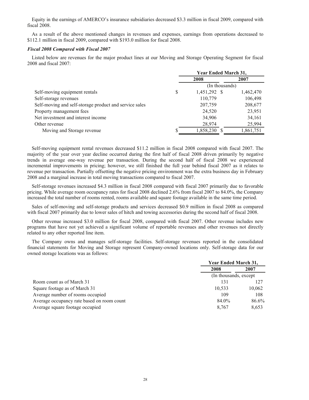Equity in the earnings of AMERCO's insurance subsidiaries decreased \$3.3 million in fiscal 2009, compared with fiscal 2008.

As a result of the above mentioned changes in revenues and expenses, earnings from operations decreased to \$112.1 million in fiscal 2009, compared with \$193.0 million for fiscal 2008.

#### *Fiscal 2008 Compared with Fiscal 2007*

Listed below are revenues for the major product lines at our Moving and Storage Operating Segment for fiscal 2008 and fiscal 2007:

|                                                        |   | <b>Year Ended March 31,</b> |           |  |  |  |
|--------------------------------------------------------|---|-----------------------------|-----------|--|--|--|
|                                                        |   | 2008                        | 2007      |  |  |  |
|                                                        |   | (In thousands)              |           |  |  |  |
| Self-moving equipment rentals                          | S | 1,451,292 \$                | 1,462,470 |  |  |  |
| Self-storage revenues                                  |   | 110,779                     | 106,498   |  |  |  |
| Self-moving and self-storage product and service sales |   | 207,759                     | 208,677   |  |  |  |
| Property management fees                               |   | 24,520                      | 23,951    |  |  |  |
| Net investment and interest income                     |   | 34,906                      | 34,161    |  |  |  |
| Other revenue                                          |   | 28,974                      | 25,994    |  |  |  |
| Moving and Storage revenue                             | S | 1,858,230                   | 1,861,751 |  |  |  |
|                                                        |   |                             |           |  |  |  |

Self-moving equipment rental revenues decreased \$11.2 million in fiscal 2008 compared with fiscal 2007. The majority of the year over year decline occurred during the first half of fiscal 2008 driven primarily by negative trends in average one-way revenue per transaction. During the second half of fiscal 2008 we experienced incremental improvements in pricing; however, we still finished the full year behind fiscal 2007 as it relates to revenue per transaction. Partially offsetting the negative pricing environment was the extra business day in February 2008 and a marginal increase in total moving transactions compared to fiscal 2007.

Self-storage revenues increased \$4.3 million in fiscal 2008 compared with fiscal 2007 primarily due to favorable pricing. While average room occupancy rates for fiscal 2008 declined 2.6% from fiscal 2007 to 84.0%, the Company increased the total number of rooms rented, rooms available and square footage available in the same time period.

Sales of self-moving and self-storage products and services decreased \$0.9 million in fiscal 2008 as compared with fiscal 2007 primarily due to lower sales of hitch and towing accessories during the second half of fiscal 2008.

Other revenue increased \$3.0 million for fiscal 2008, compared with fiscal 2007. Other revenue includes new programs that have not yet achieved a significant volume of reportable revenues and other revenues not directly related to any other reported line item.

The Company owns and manages self-storage facilities. Self-storage revenues reported in the consolidated financial statements for Moving and Storage represent Company-owned locations only. Self-storage data for our owned storage locations was as follows:

|                                            | Year Ended March 31,   |        |  |  |  |  |
|--------------------------------------------|------------------------|--------|--|--|--|--|
|                                            | 2008                   | 2007   |  |  |  |  |
|                                            | (In thousands, except) |        |  |  |  |  |
| Room count as of March 31                  | 131                    | 127    |  |  |  |  |
| Square footage as of March 31              | 10.533                 | 10,062 |  |  |  |  |
| Average number of rooms occupied           | 109                    | 108    |  |  |  |  |
| Average occupancy rate based on room count | 84.0%                  | 86.6%  |  |  |  |  |
| Average square footage occupied            | 8,767                  | 8,653  |  |  |  |  |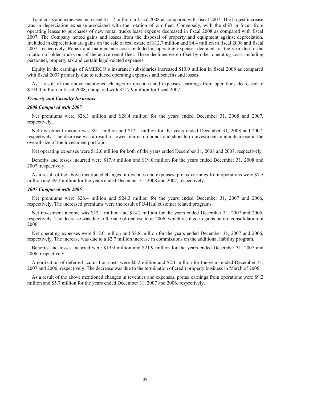Total costs and expenses increased \$31.2 million in fiscal 2008 as compared with fiscal 2007. The largest increase was in depreciation expense associated with the rotation of our fleet. Conversely, with the shift in focus from operating leases to purchases of new rental trucks lease expense decreased in fiscal 2008 as compared with fiscal 2007. The Company netted gains and losses from the disposal of property and equipment against depreciation. Included in depreciation are gains on the sale of real estate of \$12.7 million and \$4.4 million in fiscal 2008 and fiscal 2007, respectively. Repair and maintenance costs included in operating expenses declined for the year due to the rotation of older trucks out of the active rental fleet. These declines were offset by other operating costs including personnel, property tax and certain legal-related expenses.

Equity in the earnings of AMERCO's insurance subsidiaries increased \$10.0 million in fiscal 2008 as compared with fiscal 2007 primarily due to reduced operating expenses and benefits and losses.

As a result of the above mentioned changes in revenues and expenses, earnings from operations decreased to \$193.0 million in fiscal 2008, compared with \$217.9 million for fiscal 2007.

#### *Property and Casualty Insurance*

#### *2008 Compared with 2007*

Net premiums were \$28.3 million and \$28.4 million for the years ended December 31, 2008 and 2007, respectively.

Net investment income was \$9.1 million and \$12.1 million for the years ended December 31, 2008 and 2007, respectively. The decrease was a result of lower returns on bonds and short-term investments and a decrease in the overall size of the investment portfolio.

Net operating expenses were \$12.0 million for both of the years ended December 31, 2008 and 2007, respectively.

Benefits and losses incurred were \$17.9 million and \$19.0 million for the years ended December 31, 2008 and 2007, respectively.

As a result of the above mentioned changes in revenues and expenses, pretax earnings from operations were \$7.5 million and \$9.2 million for the years ended December 31, 2008 and 2007, respectively.

#### *2007 Compared with 2006*

Net premiums were \$28.4 million and \$24.3 million for the years ended December 31, 2007 and 2006, respectively. The increased premiums were the result of U-Haul customer related programs.

Net investment income was \$12.1 million and \$14.2 million for the years ended December 31, 2007 and 2006, respectively. The decrease was due to the sale of real estate in 2006, which resulted in gains before consolidation in 2006.

Net operating expenses were \$12.0 million and \$8.8 million for the years ended December 31, 2007 and 2006, respectively. The increase was due to a \$2.7 million increase in commissions on the additional liability program.

Benefits and losses incurred were \$19.0 million and \$21.9 million for the years ended December 31, 2007 and 2006, respectively.

Amortization of deferred acquisition costs were \$0.2 million and \$2.1 million for the years ended December 31, 2007 and 2006, respectively. The decrease was due to the termination of credit property business in March of 2006.

As a result of the above mentioned changes in revenues and expenses, pretax earnings from operations were \$9.2 million and \$5.7 million for the years ended December 31, 2007 and 2006, respectively.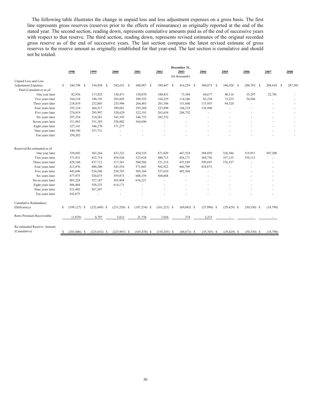The following table illustrates the change in unpaid loss and loss adjustment expenses on a gross basis. The first line represents gross reserves (reserves prior to the effects of reinsurance) as originally reported at the end of the stated year. The second section, reading down, represents cumulative amounts paid as of the end of successive years with respect to that reserve. The third section, reading down, represents revised estimates of the original recorded gross reserve as of the end of successive years. The last section compares the latest revised estimate of gross reserves to the reserve amount as originally established for that year-end. The last section is cumulative and should not be totaled.

|                              |    |                 |                 |              |                |    |                 |                 |    | December 31,   |    |               |    |                |               |      |            |         |
|------------------------------|----|-----------------|-----------------|--------------|----------------|----|-----------------|-----------------|----|----------------|----|---------------|----|----------------|---------------|------|------------|---------|
|                              |    | 1998            | 1999            |              | 2000           |    | 2001            | 2002            |    | 2003           |    | 2004          |    | 2005           | 2006          |      | 2007       | 2008    |
|                              |    |                 |                 |              |                |    |                 |                 |    | (In thousands) |    |               |    |                |               |      |            |         |
| Unpaid Loss and Loss         |    |                 |                 |              |                |    |                 |                 |    |                |    |               |    |                |               |      |            |         |
| <b>Adjustment Expenses</b>   | S  | 344,748 \$      | 334,858         | $\mathbf{s}$ | 382,651        | -S | 448,987 \$      | 399,447         | -S | 416,259        | -S | 380,875       | -S | 346,928 \$     | 288,783       | - \$ | 288,410 \$ | 287,501 |
| Paid (Cumulative) as of:     |    |                 |                 |              |                |    |                 |                 |    |                |    |               |    |                |               |      |            |         |
| One year later               |    | 82,936          | 117,025         |              | 130,471        |    | 130,070         | 100,851         |    | 73,384         |    | 44,677        |    | 40,116         | 35,297        |      | 22,701     |         |
| Two years later              |    | 164,318         | 186,193         |              | 203,605        |    | 209,525         | 164,255         |    | 114,246        |    | 83,230        |    | 73,235         | 56,566        |      |            |         |
| Three years later            |    | 218,819         | 232,883         |              | 255,996        |    | 266,483         | 201,346         |    | 151,840        |    | 115,955       |    | 94,320         | ٠             |      |            |         |
| Four years later             |    | 255,134         | 264,517         |              | 299,681        |    | 295,268         | 233,898         |    | 184,219        |    | 136,940       |    |                |               |      |            |         |
| Five years later             |    | 274,819         | 295,997         |              | 320,629        |    | 322,191         | 263,654         |    | 204,752        |    | ٠             |    |                |               |      |            |         |
| Six years later              |    | 297,354         | 314,281         |              | 341,543        |    | 346,733         | 282,552         |    |                |    |               |    |                |               |      |            |         |
| Seven years later            |    | 311,963         | 331,385         |              | 358,882        |    | 364,696         | ٠               |    |                |    |               |    |                |               |      |            |         |
| Eight years later            |    | 327,141         | 346,270         |              | 371,277        |    | ٠               |                 |    |                |    |               |    |                |               |      |            |         |
| Nine years later             |    | 340,190         | 357,731         |              | ٠              |    |                 |                 |    |                |    |               |    |                |               |      |            |         |
| Ten years later              |    | 350,202         |                 |              |                |    |                 |                 |    |                |    |               |    |                |               |      |            |         |
| Reserved Re-estimated as of: |    |                 |                 |              |                |    |                 |                 |    |                |    |               |    |                |               |      |            |         |
| One year later               |    | 339,602         | 383,264         |              | 433,222        |    | 454,510         | 471,029         |    | 447,524        |    | 388,859       |    | 326,386        | 319,951       |      | 307,200    |         |
| Two years later              |    | 371,431         | 432,714         |              | 454,926        |    | 523,624         | 480,713         |    | 456,171        |    | 368,756       |    | 357,135        | 339,113       |      |            |         |
| Three years later            |    | 429,160         | 437,712         |              | 517,361        |    | 500,566         | 521,319         |    | 435,549        |    | 399,693       |    | 376,357        |               |      |            |         |
| Four years later             |    | 413,476         | 480,200         |              | 543,554        |    | 571,045         | 502,922         |    | 466,709        |    | 418,873       |    |                |               |      |            |         |
| Five years later             |    | 443,696         | 524,548         |              | 558,765        |    | 569,104         | 537,610         |    | 485,304        |    | ÷.            |    |                |               |      |            |         |
| Six years later              |    | 477,975         | 520,675         |              | 559,873        |    | 608,159         | 560,668         |    |                |    |               |    |                |               |      |            |         |
| Seven years later            |    | 485,228         | 527,187         |              | 583,904        |    | 636,221         |                 |    |                |    |               |    |                |               |      |            |         |
| Eight years later            |    | 496,484         | 550,333         |              | 614,171        |    | ÷.              |                 |    |                |    |               |    |                |               |      |            |         |
| Nine years later             |    | 521,403         | 567,307         |              |                |    |                 |                 |    |                |    |               |    |                |               |      |            |         |
| Ten years later              |    | 543,875         |                 |              |                |    |                 |                 |    |                |    |               |    |                |               |      |            |         |
| Cumulative Redundancy        |    |                 |                 |              |                |    |                 |                 |    |                |    |               |    |                |               |      |            |         |
| (Deficiency)                 | \$ | $(199, 127)$ \$ | $(232, 449)$ \$ |              | $(231,520)$ \$ |    | $(187, 234)$ \$ | $(161,221)$ \$  |    | $(69,045)$ \$  |    | $(37,998)$ \$ |    | $(29, 429)$ \$ | $(50,330)$ \$ |      | (18,790)   |         |
| Retro Premium Recoverable    |    | (1, 879)        | 6,797           |              | 5,613          |    | 21,756          | 7,036           |    | 374            |    | 2,233         |    |                |               |      |            |         |
| Re-estimated Reserve: Amount |    |                 |                 |              |                |    |                 |                 |    |                |    |               |    |                |               |      |            |         |
| (Cumulative)                 | S  | $(201,006)$ \$  | $(225, 652)$ \$ |              | $(225,907)$ \$ |    | $(165, 478)$ \$ | $(154, 185)$ \$ |    | $(68,671)$ \$  |    | $(35,765)$ \$ |    | $(29, 429)$ \$ | $(50,330)$ \$ |      | (18,790)   |         |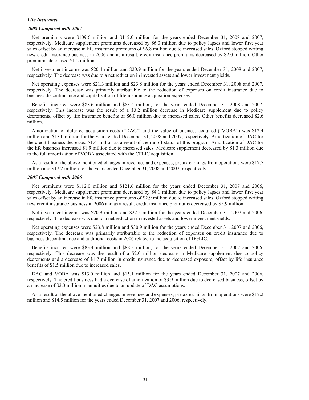#### *Life Insurance*

#### *2008 Compared with 2007*

Net premiums were \$109.6 million and \$112.0 million for the years ended December 31, 2008 and 2007, respectively. Medicare supplement premiums decreased by \$6.0 million due to policy lapses and lower first year sales offset by an increase in life insurance premiums of \$6.8 million due to increased sales. Oxford stopped writing new credit insurance business in 2006 and as a result, credit insurance premiums decreased by \$2.0 million. Other premiums decreased \$1.2 million.

Net investment income was \$20.4 million and \$20.9 million for the years ended December 31, 2008 and 2007, respectively. The decrease was due to a net reduction in invested assets and lower investment yields.

Net operating expenses were \$21.3 million and \$23.8 million for the years ended December 31, 2008 and 2007, respectively. The decrease was primarily attributable to the reduction of expenses on credit insurance due to business discontinuance and capitalization of life insurance acquisition expenses.

Benefits incurred were \$83.6 million and \$83.4 million, for the years ended December 31, 2008 and 2007, respectively. This increase was the result of a \$3.2 million decrease in Medicare supplement due to policy decrements, offset by life insurance benefits of \$6.0 million due to increased sales. Other benefits decreased \$2.6 million.

Amortization of deferred acquisition costs ("DAC") and the value of business acquired ("VOBA") was \$12.4 million and \$13.0 million for the years ended December 31, 2008 and 2007, respectively. Amortization of DAC for the credit business decreased \$1.4 million as a result of the runoff status of this program. Amortization of DAC for the life business increased \$1.9 million due to increased sales. Medicare supplement decreased by \$1.3 million due to the full amortization of VOBA associated with the CFLIC acquisition.

As a result of the above mentioned changes in revenues and expenses, pretax earnings from operations were \$17.7 million and \$17.2 million for the years ended December 31, 2008 and 2007, respectively.

#### *2007 Compared with 2006*

Net premiums were \$112.0 million and \$121.6 million for the years ended December 31, 2007 and 2006, respectively. Medicare supplement premiums decreased by \$4.1 million due to policy lapses and lower first year sales offset by an increase in life insurance premiums of \$2.9 million due to increased sales. Oxford stopped writing new credit insurance business in 2006 and as a result, credit insurance premiums decreased by \$5.9 million.

Net investment income was \$20.9 million and \$22.5 million for the years ended December 31, 2007 and 2006, respectively. The decrease was due to a net reduction in invested assets and lower investment yields.

Net operating expenses were \$23.8 million and \$30.9 million for the years ended December 31, 2007 and 2006, respectively. The decrease was primarily attributable to the reduction of expenses on credit insurance due to business discontinuance and additional costs in 2006 related to the acquisition of DGLIC.

Benefits incurred were \$83.4 million and \$88.3 million, for the years ended December 31, 2007 and 2006, respectively. This decrease was the result of a \$2.0 million decrease in Medicare supplement due to policy decrements and a decrease of \$1.7 million in credit insurance due to decreased exposure, offset by life insurance benefits of \$1.5 million due to increased sales.

DAC and VOBA was \$13.0 million and \$15.1 million for the years ended December 31, 2007 and 2006, respectively. The credit business had a decrease of amortization of \$3.9 million due to decreased business, offset by an increase of \$2.3 million in annuities due to an update of DAC assumptions.

As a result of the above mentioned changes in revenues and expenses, pretax earnings from operations were \$17.2 million and \$14.5 million for the years ended December 31, 2007 and 2006, respectively.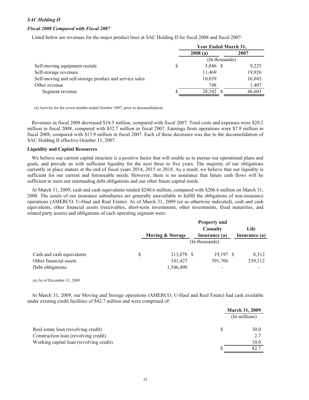#### *SAC Holding II*

#### *Fiscal 2008 Compared with Fiscal 2007*

Listed below are revenues for the major product lines at SAC Holding II for fiscal 2008 and fiscal 2007:

|                                                        |         | <b>Year Ended March 31,</b> |                |        |  |  |
|--------------------------------------------------------|---------|-----------------------------|----------------|--------|--|--|
|                                                        | 2008(a) |                             |                | 2007   |  |  |
|                                                        |         |                             | (In thousands) |        |  |  |
| Self-moving equipment rentals                          | \$      | 5,846 \$                    |                | 9,225  |  |  |
| Self-storage revenues                                  |         | 11,469                      |                | 19,926 |  |  |
| Self-moving and self-storage product and service sales |         | 10,039                      |                | 16,045 |  |  |
| Other revenue                                          |         | 748                         |                | 1,407  |  |  |
| Segment revenue                                        | S       | 28,102 \$                   |                | 46,603 |  |  |
|                                                        |         |                             |                |        |  |  |

(a) Activity for the seven months ended October 2007, prior to deconsolidation.

Revenues in fiscal 2008 decreased \$18.5 million, compared with fiscal 2007. Total costs and expenses were \$20.2 million in fiscal 2008, compared with \$32.7 million in fiscal 2007. Earnings from operations were \$7.9 million in fiscal 2008, compared with \$13.9 million in fiscal 2007. Each of these decreases was due to the deconsolidation of SAC Holding II effective October 31, 2007.

#### **Liquidity and Capital Resources**

We believe our current capital structure is a positive factor that will enable us to pursue our operational plans and goals, and provide us with sufficient liquidity for the next three to five years. The majority of our obligations currently in place mature at the end of fiscal years 2014, 2015 or 2018. As a result, we believe that our liquidity is sufficient for our current and foreseeable needs. However, there is no assurance that future cash flows will be sufficient to meet our outstanding debt obligations and our other future capital needs.

At March 31, 2009, cash and cash equivalents totaled \$240.6 million, compared with \$206.6 million on March 31, 2008. The assets of our insurance subsidiaries are generally unavailable to fulfill the obligations of non-insurance operations (AMERCO, U-Haul and Real Estate). As of March 31, 2009 (or as otherwise indicated), cash and cash equivalents, other financial assets (receivables, short-term investments, other investments, fixed maturities, and related party assets) and obligations of each operating segment were:

|                           |                  | <b>Property and</b> |               |
|---------------------------|------------------|---------------------|---------------|
|                           |                  | Casualty            | Life          |
|                           | Moving & Storage | Insurance (a)       | Insurance (a) |
|                           |                  | (In thousands)      |               |
| Cash and cash equivalents | \$<br>213,078 \$ | $19,197$ \$         | 8,312         |
| Other financial assets    | 341,427          | 391,706             | 539,112       |
| Debt obligations          | 1,546,490        |                     |               |

(a) As of December 31, 2008

At March 31, 2009, our Moving and Storage operations (AMERCO, U-Haul and Real Estate) had cash available under existing credit facilities of \$42.7 million and were comprised of:

|                                         | <b>March 31, 2009</b> |
|-----------------------------------------|-----------------------|
|                                         | (In millions)         |
| Real estate loan (revolving credit)     | 30.0                  |
| Construction loan (revolving credit)    | 2.7                   |
| Working capital loan (revolving credit) | 10.0                  |
|                                         | 42.7                  |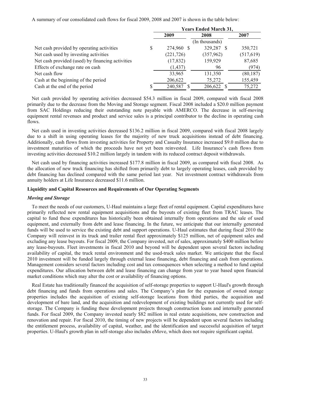A summary of our consolidated cash flows for fiscal 2009, 2008 and 2007 is shown in the table below:

|                                                  |   |            | <b>Years Ended March 31,</b> |            |
|--------------------------------------------------|---|------------|------------------------------|------------|
|                                                  |   | 2009       | 2008                         | 2007       |
|                                                  |   |            | (In thousands)               |            |
| Net cash provided by operating activities        | S | 274,960 \$ | 329,287                      | 350,721    |
| Net cash used by investing activities            |   | (221, 726) | (357,962)                    | (517, 619) |
| Net cash provided (used) by financing activities |   | (17, 832)  | 159,929                      | 87,685     |
| Effects of exchange rate on cash                 |   | (1, 437)   | 96                           | (974)      |
| Net cash flow                                    |   | 33,965     | 131,350                      | (80, 187)  |
| Cash at the beginning of the period              |   | 206,622    | 75,272                       | 155,459    |
| Cash at the end of the period                    |   | 240,587    | 206,622                      | 75,272     |

Net cash provided by operating activities decreased \$54.3 million in fiscal 2009, compared with fiscal 2008 primarily due to the decrease from the Moving and Storage segment. Fiscal 2008 included a \$20.0 million payment from SAC Holdings reducing their outstanding note payable with AMERCO. The decrease in self-moving equipment rental revenues and product and service sales is a principal contributor to the decline in operating cash flows.

Net cash used in investing activities decreased \$136.2 million in fiscal 2009, compared with fiscal 2008 largely due to a shift in using operating leases for the majority of new truck acquisitions instead of debt financing. Additionally, cash flows from investing activities for Property and Casualty Insurance increased \$9.0 million due to investment maturities of which the proceeds have not yet been reinvested. Life Insurance's cash flows from investing activities decreased \$10.2 million largely in tandem with its reduced contract deposit withdrawals.

Net cash used by financing activities increased \$177.8 million in fiscal 2009, as compared with fiscal 2008. As the allocation of new truck financing has shifted from primarily debt to largely operating leases, cash provided by debt financing has declined compared with the same period last year. Net investment contract withdrawals from annuity holders at Life Insurance decreased \$11.6 million.

# **Liquidity and Capital Resources and Requirements of Our Operating Segments**

#### *Moving and Storage*

To meet the needs of our customers, U-Haul maintains a large fleet of rental equipment. Capital expenditures have primarily reflected new rental equipment acquisitions and the buyouts of existing fleet from TRAC leases. The capital to fund these expenditures has historically been obtained internally from operations and the sale of used equipment, and externally from debt and lease financing. In the future, we anticipate that our internally generated funds will be used to service the existing debt and support operations. U-Haul estimates that during fiscal 2010 the Company will reinvest in its truck and trailer rental fleet approximately \$125 million, net of equipment sales and excluding any lease buyouts. For fiscal 2009, the Company invested, net of sales, approximately \$400 million before any lease-buyouts. Fleet investments in fiscal 2010 and beyond will be dependent upon several factors including availability of capital, the truck rental environment and the used-truck sales market. We anticipate that the fiscal 2010 investment will be funded largely through external lease financing, debt financing and cash from operations. Management considers several factors including cost and tax consequences when selecting a method to fund capital expenditures. Our allocation between debt and lease financing can change from year to year based upon financial market conditions which may alter the cost or availability of financing options.

Real Estate has traditionally financed the acquisition of self-storage properties to support U-Haul's growth through debt financing and funds from operations and sales. The Company's plan for the expansion of owned storage properties includes the acquisition of existing self-storage locations from third parties, the acquisition and development of bare land, and the acquisition and redevelopment of existing buildings not currently used for selfstorage. The Company is funding these development projects through construction loans and internally generated funds. For fiscal 2009, the Company invested nearly \$82 million in real estate acquisitions, new construction and renovation and repair. For fiscal 2010, the timing of new projects will be dependent upon several factors including the entitlement process, availability of capital, weather, and the identification and successful acquisition of target properties. U-Haul's growth plan in self-storage also includes eMove, which does not require significant capital.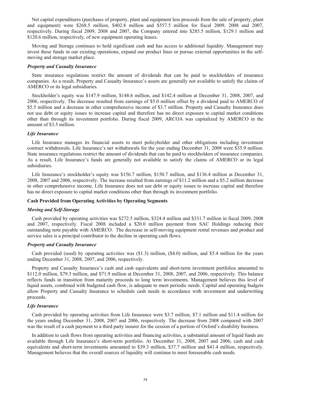Net capital expenditures (purchases of property, plant and equipment less proceeds from the sale of property, plant and equipment) were \$268.5 million, \$402.8 million and \$557.5 million for fiscal 2009, 2008 and 2007, respectively. During fiscal 2009, 2008 and 2007, the Company entered into \$285.5 million, \$129.1 million and \$120.6 million, respectively, of new equipment operating leases.

Moving and Storage continues to hold significant cash and has access to additional liquidity. Management may invest these funds in our existing operations, expand our product lines or pursue external opportunities in the selfmoving and storage market place.

#### *Property and Casualty Insurance*

State insurance regulations restrict the amount of dividends that can be paid to stockholders of insurance companies. As a result, Property and Casualty Insurance's assets are generally not available to satisfy the claims of AMERCO or its legal subsidiaries.

Stockholder's equity was \$147.9 million, \$148.6 million, and \$142.4 million at December 31, 2008, 2007, and 2006, respectively. The decrease resulted from earnings of \$5.0 million offset by a dividend paid to AMERCO of \$5.5 million and a decrease in other comprehensive income of \$3.7 million. Property and Casualty Insurance does not use debt or equity issues to increase capital and therefore has no direct exposure to capital market conditions other than through its investment portfolio. During fiscal 2009, ARCOA was capitalized by AMERCO in the amount of \$3.5 million.

# *Life Insurance*

Life Insurance manages its financial assets to meet policyholder and other obligations including investment contract withdrawals. Life Insurance's net withdrawals for the year ending December 31, 2008 were \$35.9 million. State insurance regulations restrict the amount of dividends that can be paid to stockholders of insurance companies. As a result, Life Insurance's funds are generally not available to satisfy the claims of AMERCO or its legal subsidiaries.

Life Insurance's stockholder's equity was \$156.7 million, \$150.7 million, and \$136.4 million at December 31, 2008, 2007 and 2006, respectively. The increase resulted from earnings of \$11.2 million and a \$5.2 million decrease in other comprehensive income. Life Insurance does not use debt or equity issues to increase capital and therefore has no direct exposure to capital market conditions other than through its investment portfolio.

## **Cash Provided from Operating Activities by Operating Segments**

## *Moving and Self-Storage*

Cash provided by operating activities was \$272.5 million, \$324.4 million and \$331.7 million in fiscal 2009, 2008 and 2007, respectively. Fiscal 2008 included a \$20.0 million payment from SAC Holdings reducing their outstanding note payable with AMERCO. The decrease in self-moving equipment rental revenues and product and service sales is a principal contributor to the decline in operating cash flows.

## *Property and Casualty Insurance*

Cash provided (used) by operating activities was (\$1.3) million, (\$4.0) million, and \$5.4 million for the years ending December 31, 2008, 2007, and 2006, respectively.

Property and Casualty Insurance's cash and cash equivalents and short-term investment portfolios amounted to \$112.0 million, \$79.3 million, and \$71.9 million at December 31, 2008, 2007, and 2006, respectively. This balance reflects funds in transition from maturity proceeds to long term investments. Management believes this level of liquid assets, combined with budgeted cash flow, is adequate to meet periodic needs. Capital and operating budgets allow Property and Casualty Insurance to schedule cash needs in accordance with investment and underwriting proceeds.

#### *Life Insurance*

Cash provided by operating activities from Life Insurance were \$3.7 million, \$7.1 million and \$11.4 million for the years ending December 31, 2008, 2007 and 2006, respectively. The decrease from 2008 compared with 2007 was the result of a cash payment to a third party insurer for the cession of a portion of Oxford's disability business.

In addition to cash flows from operating activities and financing activities, a substantial amount of liquid funds are available through Life Insurance's short-term portfolio. At December 31, 2008, 2007 and 2006, cash and cash equivalents and short-term investments amounted to \$39.3 million, \$37.7 million and \$41.4 million, respectively. Management believes that the overall sources of liquidity will continue to meet foreseeable cash needs.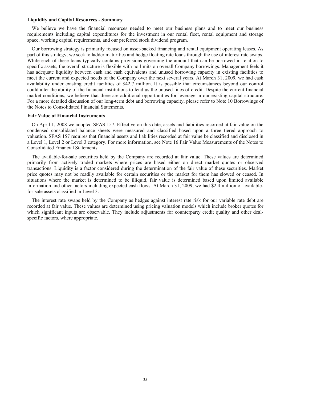# **Liquidity and Capital Resources - Summary**

We believe we have the financial resources needed to meet our business plans and to meet our business requirements including capital expenditures for the investment in our rental fleet, rental equipment and storage space, working capital requirements, and our preferred stock dividend program.

Our borrowing strategy is primarily focused on asset-backed financing and rental equipment operating leases. As part of this strategy, we seek to ladder maturities and hedge floating rate loans through the use of interest rate swaps. While each of these loans typically contains provisions governing the amount that can be borrowed in relation to specific assets, the overall structure is flexible with no limits on overall Company borrowings. Management feels it has adequate liquidity between cash and cash equivalents and unused borrowing capacity in existing facilities to meet the current and expected needs of the Company over the next several years. At March 31, 2009, we had cash availability under existing credit facilities of \$42.7 million. It is possible that circumstances beyond our control could alter the ability of the financial institutions to lend us the unused lines of credit. Despite the current financial market conditions, we believe that there are additional opportunities for leverage in our existing capital structure. For a more detailed discussion of our long-term debt and borrowing capacity, please refer to Note 10 Borrowings of the Notes to Consolidated Financial Statements.

## **Fair Value of Financial Instruments**

On April 1, 2008 we adopted SFAS 157. Effective on this date, assets and liabilities recorded at fair value on the condensed consolidated balance sheets were measured and classified based upon a three tiered approach to valuation. SFAS 157 requires that financial assets and liabilities recorded at fair value be classified and disclosed in a Level 1, Level 2 or Level 3 category. For more information, see Note 16 Fair Value Measurements of the Notes to Consolidated Financial Statements.

The available-for-sale securities held by the Company are recorded at fair value. These values are determined primarily from actively traded markets where prices are based either on direct market quotes or observed transactions. Liquidity is a factor considered during the determination of the fair value of these securities. Market price quotes may not be readily available for certain securities or the market for them has slowed or ceased. In situations where the market is determined to be illiquid, fair value is determined based upon limited available information and other factors including expected cash flows. At March 31, 2009, we had \$2.4 million of availablefor-sale assets classified in Level 3.

The interest rate swaps held by the Company as hedges against interest rate risk for our variable rate debt are recorded at fair value. These values are determined using pricing valuation models which include broker quotes for which significant inputs are observable. They include adjustments for counterparty credit quality and other dealspecific factors, where appropriate.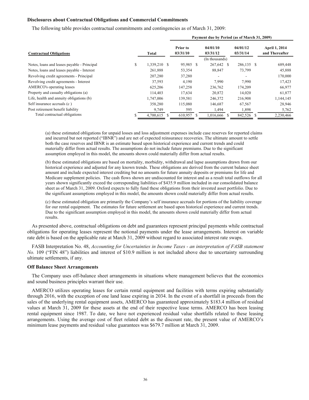## **Disclosures about Contractual Obligations and Commercial Commitments**

The following table provides contractual commitments and contingencies as of March 31, 2009:

|                                             |                    | Payment due by Period (as of March 31, 2009) |           |  |                                        |  |                      |  |                                        |
|---------------------------------------------|--------------------|----------------------------------------------|-----------|--|----------------------------------------|--|----------------------|--|----------------------------------------|
| <b>Contractual Obligations</b>              | <b>Total</b>       | <b>Prior</b> to<br>03/31/10                  |           |  | 04/01/10<br>03/31/12<br>(In thousands) |  | 04/01/12<br>03/31/14 |  | <b>April 1, 2014</b><br>and Thereafter |
| Notes, loans and leases payable - Principal | \$<br>1,339,210 \$ |                                              | 95,985 \$ |  | 267,642 \$                             |  | 286,135 \$           |  | 689,448                                |
| Notes, loans and leases payable - Interest  | 261,888            |                                              | 53,354    |  | 88,847                                 |  | 73,799               |  | 45,888                                 |
| Revolving credit agreements - Principal     | 207,280            |                                              | 37,280    |  | ۰                                      |  | ۰                    |  | 170,000                                |
| Revolving credit agreements - Interest      | 37,593             |                                              | 4,190     |  | 7,990                                  |  | 7,990                |  | 17,423                                 |
| AMERCO's operating leases                   | 625,206            |                                              | 147,258   |  | 236,762                                |  | 174,209              |  | 66,977                                 |
| Property and casualty obligations (a)       | 114.403            |                                              | 17,634    |  | 20,872                                 |  | 14,020               |  | 61,877                                 |
| Life, health and annuity obligations (b)    | 1,747,006          | 139,581                                      |           |  | 246,372                                |  | 216,908              |  | 1,144,145                              |
| Self insurance accruals (c)                 | 358,280            | 115,080                                      |           |  | 146,687                                |  | 67,567               |  | 28,946                                 |
| Post retirement benefit liability           | 9,749              |                                              | 595       |  | 1,494                                  |  | 1,898                |  | 5,762                                  |
| Total contractual obligations               | 4,700,615          | 610,957                                      |           |  | 1,016,666                              |  | 842,526              |  | 2,230,466                              |

(a) these estimated obligations for unpaid losses and loss adjustment expenses include case reserves for reported claims and incurred but not reported ("IBNR") and are net of expected reinsurance recoveries. The ultimate amount to settle both the case reserves and IBNR is an estimate based upon historical experience and current trends and could materially differ from actual results. The assumptions do not include future premiums. Due to the significant assumption employed in this model, the amounts shown could materially differ from actual results.

(b) these estimated obligations are based on mortality, morbidity, withdrawal and lapse assumptions drawn from our historical experience and adjusted for any known trends. These obligations are derived from the current balance sheet amount and include expected interest crediting but no amounts for future annuity deposits or premiums for life and Medicare supplement policies. The cash flows shown are undiscounted for interest and as a result total outflows for all years shown significantly exceed the corresponding liabilities of \$435.9 million included in our consolidated balance sheet as of March 31, 2009. Oxford expects to fully fund these obligations from their invested asset portfolio. Due to the significant assumptions employed in this model, the amounts shown could materially differ from actual results.

(c) these estimated obligation are primarily the Company's self insurance accruals for portions of the liability coverage for our rental equipment. The estimates for future settlement are based upon historical experience and current trends. Due to the significant assumption employed in this model, the amounts shown could materially differ from actual results.

As presented above, contractual obligations on debt and guarantees represent principal payments while contractual obligations for operating leases represent the notional payments under the lease arrangements. Interest on variable rate debt is based on the applicable rate at March 31, 2009 without regard to associated interest rate swaps.

FASB Interpretation No. 48, *Accounting for Uncertainties in Income Taxes - an interpretation of FASB statement No.* 109 ("FIN 48") liabilities and interest of \$10.9 million is not included above due to uncertainty surrounding ultimate settlements, if any.

## **Off Balance Sheet Arrangements**

The Company uses off-balance sheet arrangements in situations where management believes that the economics and sound business principles warrant their use.

AMERCO utilizes operating leases for certain rental equipment and facilities with terms expiring substantially through 2016, with the exception of one land lease expiring in 2034. In the event of a shortfall in proceeds from the sales of the underlying rental equipment assets, AMERCO has guaranteed approximately \$183.4 million of residual values at March 31, 2009 for these assets at the end of their respective lease terms. AMERCO has been leasing rental equipment since 1987. To date, we have not experienced residual value shortfalls related to these leasing arrangements. Using the average cost of fleet related debt as the discount rate, the present value of AMERCO's minimum lease payments and residual value guarantees was \$679.7 million at March 31, 2009.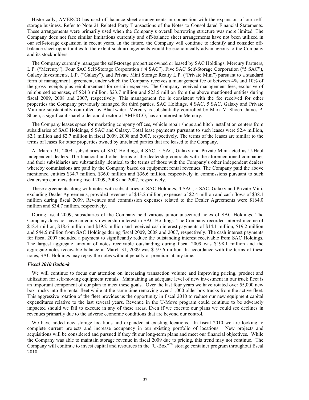Historically, AMERCO has used off-balance sheet arrangements in connection with the expansion of our selfstorage business. Refer to Note 21 Related Party Transactions of the Notes to Consolidated Financial Statements. These arrangements were primarily used when the Company's overall borrowing structure was more limited. The Company does not face similar limitations currently and off-balance sheet arrangements have not been utilized in our self-storage expansion in recent years. In the future, the Company will continue to identify and consider offbalance sheet opportunities to the extent such arrangements would be economically advantageous to the Company and its stockholders.

The Company currently manages the self-storage properties owned or leased by SAC Holdings, Mercury Partners, L.P. ("Mercury"), Four SAC Self-Storage Corporation ("4 SAC"), Five SAC Self-Storage Corporation ("5 SAC"), Galaxy Investments, L.P. ("Galaxy"), and Private Mini Storage Realty L.P. ("Private Mini") pursuant to a standard form of management agreement, under which the Company receives a management fee of between 4% and 10% of the gross receipts plus reimbursement for certain expenses. The Company received management fees, exclusive of reimbursed expenses, of \$24.3 million, \$23.7 million and \$23.5 million from the above mentioned entities during fiscal 2009, 2008 and 2007, respectively. This management fee is consistent with the fee received for other properties the Company previously managed for third parties. SAC Holdings, 4 SAC, 5 SAC, Galaxy and Private Mini are substantially controlled by Blackwater. Mercury is substantially controlled by Mark V. Shoen. James P. Shoen, a significant shareholder and director of AMERCO, has an interest in Mercury.

The Company leases space for marketing company offices, vehicle repair shops and hitch installation centers from subsidiaries of SAC Holdings, 5 SAC and Galaxy. Total lease payments pursuant to such leases were \$2.4 million, \$2.1 million and \$2.7 million in fiscal 2009, 2008 and 2007, respectively. The terms of the leases are similar to the terms of leases for other properties owned by unrelated parties that are leased to the Company.

At March 31, 2009, subsidiaries of SAC Holdings, 4 SAC, 5 SAC, Galaxy and Private Mini acted as U-Haul independent dealers. The financial and other terms of the dealership contracts with the aforementioned companies and their subsidiaries are substantially identical to the terms of those with the Company's other independent dealers whereby commissions are paid by the Company based on equipment rental revenues. The Company paid the above mentioned entities \$34.7 million, \$36.0 million and \$36.6 million, respectively in commissions pursuant to such dealership contracts during fiscal 2009, 2008 and 2007, respectively.

These agreements along with notes with subsidiaries of SAC Holdings, 4 SAC, 5 SAC, Galaxy and Private Mini, excluding Dealer Agreements, provided revenues of \$43.2 million, expenses of \$2.4 million and cash flows of \$38.1 million during fiscal 2009. Revenues and commission expenses related to the Dealer Agreements were \$164.0 million and \$34.7 million, respectively.

During fiscal 2009, subsidiaries of the Company held various junior unsecured notes of SAC Holdings. The Company does not have an equity ownership interest in SAC Holdings. The Company recorded interest income of \$18.4 million, \$18.6 million and \$19.2 million and received cash interest payments of \$14.1 million, \$19.2 million and \$44.5 million from SAC Holdings during fiscal 2009, 2008 and 2007, respectively. The cash interest payments for fiscal 2007 included a payment to significantly reduce the outstanding interest receivable from SAC Holdings. The largest aggregate amount of notes receivable outstanding during fiscal 2009 was \$198.1 million and the aggregate notes receivable balance at March 31, 2009 was \$197.6 million. In accordance with the terms of these notes, SAC Holdings may repay the notes without penalty or premium at any time.

# *Fiscal 2010 Outlook*

We will continue to focus our attention on increasing transaction volume and improving pricing, product and utilization for self-moving equipment rentals. Maintaining an adequate level of new investment in our truck fleet is an important component of our plan to meet these goals. Over the last four years we have rotated over 55,000 new box trucks into the rental fleet while at the same time removing over 51,000 older box trucks from the active fleet. This aggressive rotation of the fleet provides us the opportunity in fiscal 2010 to reduce our new equipment capital expenditures relative to the last several years. Revenue in the U-Move program could continue to be adversely impacted should we fail to execute in any of these areas. Even if we execute our plans we could see declines in revenues primarily due to the adverse economic conditions that are beyond our control.

We have added new storage locations and expanded at existing locations. In fiscal 2010 we are looking to complete current projects and increase occupancy in our existing portfolio of locations. New projects and acquisitions will be considered and pursued if they fit our long-term plans and meet our financial objectives. While the Company was able to maintain storage revenue in fiscal 2009 due to pricing, this trend may not continue. The Company will continue to invest capital and resources in the "U-Box"<sup>TM</sup> storage container program throughout fiscal 2010.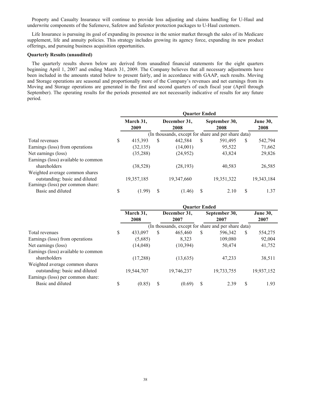Property and Casualty Insurance will continue to provide loss adjusting and claims handling for U-Haul and underwrite components of the Safemove, Safetow and Safestor protection packages to U-Haul customers.

Life Insurance is pursuing its goal of expanding its presence in the senior market through the sales of its Medicare supplement, life and annuity policies. This strategy includes growing its agency force, expanding its new product offerings, and pursuing business acquisition opportunities.

### **Quarterly Results (unaudited)**

The quarterly results shown below are derived from unaudited financial statements for the eight quarters beginning April 1, 2007 and ending March 31, 2009. The Company believes that all necessary adjustments have been included in the amounts stated below to present fairly, and in accordance with GAAP, such results. Moving and Storage operations are seasonal and proportionally more of the Company's revenues and net earnings from its Moving and Storage operations are generated in the first and second quarters of each fiscal year (April through September). The operating results for the periods presented are not necessarily indicative of results for any future period.

|                                     |   | <b>Quarter Ended</b> |     |                      |   |                                                     |                         |  |  |
|-------------------------------------|---|----------------------|-----|----------------------|---|-----------------------------------------------------|-------------------------|--|--|
|                                     |   | March 31,<br>2009    |     | December 31,<br>2008 |   | September 30,<br>2008                               | <b>June 30,</b><br>2008 |  |  |
|                                     |   |                      |     |                      |   | (In thousands, except for share and per share data) |                         |  |  |
| Total revenues                      | S | 415,393              | \$. | 442,584              | S | 591,495<br>S                                        | 542,794                 |  |  |
| Earnings (loss) from operations     |   | (32, 135)            |     | (14,001)             |   | 95,522                                              | 71,662                  |  |  |
| Net earnings (loss)                 |   | (35, 288)            |     | (24, 952)            |   | 43,824                                              | 29,826                  |  |  |
| Earnings (loss) available to common |   |                      |     |                      |   |                                                     |                         |  |  |
| shareholders                        |   | (38, 528)            |     | (28, 193)            |   | 40,583                                              | 26,585                  |  |  |
| Weighted average common shares      |   |                      |     |                      |   |                                                     |                         |  |  |
| outstanding: basic and diluted      |   | 19,357,185           |     | 19,347,660           |   | 19,351,322                                          | 19,343,184              |  |  |
| Earnings (loss) per common share:   |   |                      |     |                      |   |                                                     |                         |  |  |
| Basic and diluted                   | S | (1.99)               | S   | (1.46)               | S | S<br>2.10                                           | 1.37                    |  |  |

|                                     |   |            | <b>Ouarter Ended</b> |              |    |                                                     |    |                 |  |  |
|-------------------------------------|---|------------|----------------------|--------------|----|-----------------------------------------------------|----|-----------------|--|--|
|                                     |   | March 31,  |                      | December 31, |    | September 30,                                       |    | <b>June 30,</b> |  |  |
|                                     |   | 2008       |                      | 2007         |    | 2007                                                |    | 2007            |  |  |
|                                     |   |            |                      |              |    | (In thousands, except for share and per share data) |    |                 |  |  |
| Total revenues                      | S | 433.097    | S                    | 465,460      | S. | 596,342                                             | S  | 554,275         |  |  |
| Earnings (loss) from operations     |   | (5,685)    |                      | 8,323        |    | 109,080                                             |    | 92,004          |  |  |
| Net earnings (loss)                 |   | (14, 048)  |                      | (10, 394)    |    | 50,474                                              |    | 41,752          |  |  |
| Earnings (loss) available to common |   |            |                      |              |    |                                                     |    |                 |  |  |
| shareholders                        |   | (17, 288)  |                      | (13, 635)    |    | 47,233                                              |    | 38,511          |  |  |
| Weighted average common shares      |   |            |                      |              |    |                                                     |    |                 |  |  |
| outstanding: basic and diluted      |   | 19,544,707 |                      | 19,746,237   |    | 19,733,755                                          |    | 19,937,152      |  |  |
| Earnings (loss) per common share:   |   |            |                      |              |    |                                                     |    |                 |  |  |
| Basic and diluted                   | S | (0.85)     | S                    | (0.69)       | \$ | 2.39                                                | \$ | 1.93            |  |  |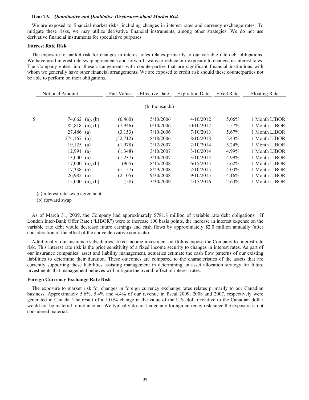# **Item 7A.** *Quantitative and Qualitative Disclosures about Market Risk*

We are exposed to financial market risks, including changes in interest rates and currency exchange rates. To mitigate these risks, we may utilize derivative financial instruments, among other strategies. We do not use derivative financial instruments for speculative purposes.

#### **Interest Rate Risk**

The exposure to market risk for changes in interest rates relates primarily to our variable rate debt obligations. We have used interest rate swap agreements and forward swaps to reduce our exposure to changes in interest rates. The Company enters into these arrangements with counterparties that are significant financial institutions with whom we generally have other financial arrangements. We are exposed to credit risk should these counterparties not be able to perform on their obligations.

| <b>Notional Amount</b> |          | Fair Value | <b>Effective Date</b> | <b>Expiration Date</b> | <b>Fixed Rate</b> | <b>Floating Rate</b> |
|------------------------|----------|------------|-----------------------|------------------------|-------------------|----------------------|
|                        |          |            | (In thousands)        |                        |                   |                      |
| \$<br>74,662           | (a), (b) | (6,460)    | 5/10/2006             | 4/10/2012              | 5.06%             | 1 Month LIBOR        |
| 82,818                 | (a), (b) | (7, 946)   | 10/10/2006            | 10/10/2012             | 5.57%             | 1 Month LIBOR        |
| 27,486                 | (a)      | (3, 153)   | 7/10/2006             | 7/10/2013              | 5.67%             | 1 Month LIBOR        |
| 274,167                | (a)      | (52, 712)  | 8/18/2006             | 8/10/2018              | 5.43%             | 1 Month LIBOR        |
| 19,125                 | (a)      | (1,978)    | 2/12/2007             | 2/10/2014              | 5.24%             | 1 Month LIBOR        |
| 12.991                 | (a)      | (1,348)    | 3/10/2007             | 3/10/2014              | 4.99%             | 1 Month LIBOR        |
| 13,000                 | (a)      | (1,237)    | 3/10/2007             | 3/10/2014              | 4.99%             | 1 Month LIBOR        |
| 17,000                 | (a), (b) | (965)      | 8/15/2008             | 6/15/2015              | $3.62\%$          | 1 Month LIBOR        |
| 17,338                 | (a)      | (1, 157)   | 8/29/2008             | 7/10/2015              | $4.04\%$          | 1 Month LIBOR        |
| 26,982                 | (a)      | (2,105)    | 9/30/2008             | 9/10/2015              | 4.16%             | 1 Month LIBOR        |
| 15,000                 | (a), (b) | (58)       | 3/30/2009             | 4/15/2016              | 2.63%             | 1 Month LIBOR        |

(a) interest rate swap agreement

(b) forward swap

As of March 31, 2009, the Company had approximately \$781.8 million of variable rate debt obligations. If London Inter-Bank Offer Rate ("LIBOR") were to increase 100 basis points, the increase in interest expense on the variable rate debt would decrease future earnings and cash flows by approximately \$2.0 million annually (after consideration of the effect of the above derivative contracts).

Additionally, our insurance subsidiaries' fixed income investment portfolios expose the Company to interest rate risk. This interest rate risk is the price sensitivity of a fixed income security to changes in interest rates. As part of our insurance companies' asset and liability management, actuaries estimate the cash flow patterns of our existing liabilities to determine their duration. These outcomes are compared to the characteristics of the assets that are currently supporting these liabilities assisting management in determining an asset allocation strategy for future investments that management believes will mitigate the overall effect of interest rates.

#### **Foreign Currency Exchange Rate Risk**

The exposure to market risk for changes in foreign currency exchange rates relates primarily to our Canadian business. Approximately 5.6%, 5.4% and 4.4% of our revenue in fiscal 2009, 2008 and 2007, respectively were generated in Canada. The result of a 10.0% change in the value of the U.S. dollar relative to the Canadian dollar would not be material to net income. We typically do not hedge any foreign currency risk since the exposure is not considered material.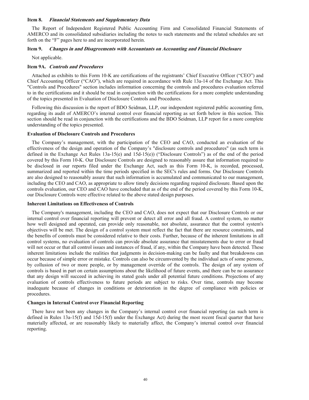## **Item 8. Financial Statements and Supplementary Data**

The Report of Independent Registered Public Accounting Firm and Consolidated Financial Statements of AMERCO and its consolidated subsidiaries including the notes to such statements and the related schedules are set forth on the "F" pages here to and are incorporated herein.

## **Item 9. Changes in and Disagreements with Accountants on Accounting and Financial Disclosure**

Not applicable.

## **Item 9A. Controls and Procedures**

Attached as exhibits to this Form 10-K are certifications of the registrants' Chief Executive Officer ("CEO") and Chief Accounting Officer ("CAO"), which are required in accordance with Rule 13a-14 of the Exchange Act. This "Controls and Procedures" section includes information concerning the controls and procedures evaluation referred to in the certifications and it should be read in conjunction with the certifications for a more complete understanding of the topics presented in Evaluation of Disclosure Controls and Procedures.

Following this discussion is the report of BDO Seidman, LLP, our independent registered public accounting firm, regarding its audit of AMERCO's internal control over financial reporting as set forth below in this section. This section should be read in conjunction with the certifications and the BDO Seidman, LLP report for a more complete understanding of the topics presented.

#### **Evaluation of Disclosure Controls and Procedures**

The Company's management, with the participation of the CEO and CAO, conducted an evaluation of the effectiveness of the design and operation of the Company's "disclosure controls and procedures" (as such term is defined in the Exchange Act Rules 13a-15(e) and 15d-15(e)) ("Disclosure Controls") as of the end of the period covered by this Form 10-K. Our Disclosure Controls are designed to reasonably assure that information required to be disclosed in our reports filed under the Exchange Act, such as this Form 10-K, is recorded, processed, summarized and reported within the time periods specified in the SEC's rules and forms. Our Disclosure Controls are also designed to reasonably assure that such information is accumulated and communicated to our management, including the CEO and CAO, as appropriate to allow timely decisions regarding required disclosure. Based upon the controls evaluation, our CEO and CAO have concluded that as of the end of the period covered by this Form 10-K, our Disclosure Controls were effective related to the above stated design purposes.

#### **Inherent Limitations on Effectiveness of Controls**

The Company's management, including the CEO and CAO, does not expect that our Disclosure Controls or our internal control over financial reporting will prevent or detect all error and all fraud. A control system, no matter how well designed and operated, can provide only reasonable, not absolute, assurance that the control system's objectives will be met. The design of a control system must reflect the fact that there are resource constraints, and the benefits of controls must be considered relative to their costs. Further, because of the inherent limitations in all control systems, no evaluation of controls can provide absolute assurance that misstatements due to error or fraud will not occur or that all control issues and instances of fraud, if any, within the Company have been detected. These inherent limitations include the realities that judgments in decision-making can be faulty and that breakdowns can occur because of simple error or mistake. Controls can also be circumvented by the individual acts of some persons, by collusion of two or more people, or by management override of the controls. The design of any system of controls is based in part on certain assumptions about the likelihood of future events, and there can be no assurance that any design will succeed in achieving its stated goals under all potential future conditions. Projections of any evaluation of controls effectiveness to future periods are subject to risks. Over time, controls may become inadequate because of changes in conditions or deterioration in the degree of compliance with policies or procedures.

# **Changes in Internal Control over Financial Reporting**

There have not been any changes in the Company's internal control over financial reporting (as such term is defined in Rules 13a-15(f) and 15d-15(f) under the Exchange Act) during the most recent fiscal quarter that have materially affected, or are reasonably likely to materially affect, the Company's internal control over financial reporting.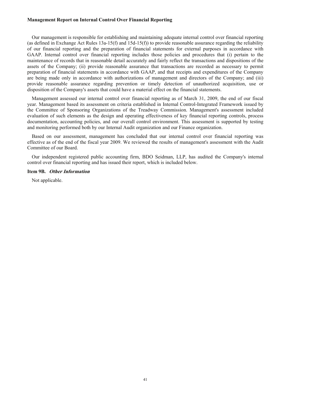# **Management Report on Internal Control Over Financial Reporting**

Our management is responsible for establishing and maintaining adequate internal control over financial reporting (as defined in Exchange Act Rules  $13a-15(f)$  and  $15d-15(f)$ ) to provide reasonable assurance regarding the reliability of our financial reporting and the preparation of financial statements for external purposes in accordance with GAAP. Internal control over financial reporting includes those policies and procedures that (i) pertain to the maintenance of records that in reasonable detail accurately and fairly reflect the transactions and dispositions of the assets of the Company; (ii) provide reasonable assurance that transactions are recorded as necessary to permit preparation of financial statements in accordance with GAAP, and that receipts and expenditures of the Company are being made only in accordance with authorizations of management and directors of the Company; and (iii) provide reasonable assurance regarding prevention or timely detection of unauthorized acquisition, use or disposition of the Company's assets that could have a material effect on the financial statements.

Management assessed our internal control over financial reporting as of March 31, 2009, the end of our fiscal year. Management based its assessment on criteria established in Internal Control-Integrated Framework issued by the Committee of Sponsoring Organizations of the Treadway Commission. Management's assessment included evaluation of such elements as the design and operating effectiveness of key financial reporting controls, process documentation, accounting policies, and our overall control environment. This assessment is supported by testing and monitoring performed both by our Internal Audit organization and our Finance organization.

Based on our assessment, management has concluded that our internal control over financial reporting was effective as of the end of the fiscal year 2009. We reviewed the results of management's assessment with the Audit Committee of our Board.

Our independent registered public accounting firm, BDO Seidman, LLP, has audited the Company's internal control over financial reporting and has issued their report, which is included below.

## **Item 9B. Other Information**

Not applicable.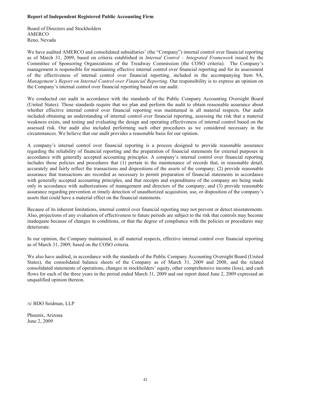# **Report of Independent Registered Public Accounting Firm**

Board of Directors and Stockholders AMERCO Reno, Nevada

We have audited AMERCO and consolidated subsidiaries' (the "Company") internal control over financial reporting as of March 31, 2009, based on criteria established in *Internal Control – Integrated Framework* issued by the Committee of Sponsoring Organizations of the Treadway Commission (the COSO criteria). The Company's management is responsible for maintaining effective internal control over financial reporting and for its assessment of the effectiveness of internal control over financial reporting, included in the accompanying Item 9A, *Management's Report on Internal Control over Financial Reporting.* Our responsibility is to express an opinion on the Company's internal control over financial reporting based on our audit.

We conducted our audit in accordance with the standards of the Public Company Accounting Oversight Board (United States). Those standards require that we plan and perform the audit to obtain reasonable assurance about whether effective internal control over financial reporting was maintained in all material respects. Our audit included obtaining an understanding of internal control over financial reporting, assessing the risk that a material weakness exists, and testing and evaluating the design and operating effectiveness of internal control based on the assessed risk. Our audit also included performing such other procedures as we considered necessary in the circumstances. We believe that our audit provides a reasonable basis for our opinion.

A company's internal control over financial reporting is a process designed to provide reasonable assurance regarding the reliability of financial reporting and the preparation of financial statements for external purposes in accordance with generally accepted accounting principles. A company's internal control over financial reporting includes those policies and procedures that (1) pertain to the maintenance of records that, in reasonable detail, accurately and fairly reflect the transactions and dispositions of the assets of the company; (2) provide reasonable assurance that transactions are recorded as necessary to permit preparation of financial statements in accordance with generally accepted accounting principles, and that receipts and expenditures of the company are being made only in accordance with authorizations of management and directors of the company; and (3) provide reasonable assurance regarding prevention or timely detection of unauthorized acquisition, use, or disposition of the company's assets that could have a material effect on the financial statements.

Because of its inherent limitations, internal control over financial reporting may not prevent or detect misstatements. Also, projections of any evaluation of effectiveness to future periods are subject to the risk that controls may become inadequate because of changes in conditions, or that the degree of compliance with the policies or procedures may deteriorate.

In our opinion, the Company maintained, in all material respects, effective internal control over financial reporting as of March 31, 2009, based on the COSO criteria*.* 

We also have audited, in accordance with the standards of the Public Company Accounting Oversight Board (United States), the consolidated balance sheets of the Company as of March 31, 2009 and 2008, and the related consolidated statements of operations, changes in stockholders' equity, other comprehensive income (loss), and cash flows for each of the three years in the period ended March 31, 2009 and our report dated June 2, 2009 expressed an unqualified opinion thereon.

/s/ BDO Seidman, LLP

Phoenix, Arizona June 2, 2009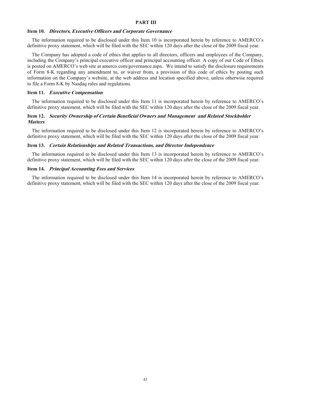# **PART III**

#### **Item 10. Directors, Executive Officers and Corporate Governance**

The information required to be disclosed under this Item 10 is incorporated herein by reference to AMERCO's definitive proxy statement, which will be filed with the SEC within 120 days after the close of the 2009 fiscal year.

The Company has adopted a code of ethics that applies to all directors, officers and employees of the Company, including the Company's principal executive officer and principal accounting officer. A copy of our Code of Ethics is posted on AMERCO's web site at amerco.com/governance.aspx. We intend to satisfy the disclosure requirements of Form 8-K regarding any amendment to, or waiver from, a provision of this code of ethics by posting such information on the Company's website, at the web address and location specified above, unless otherwise required to file a Form 8-K by Nasdaq rules and regulations.

#### **Item 11. Executive Compensation**

The information required to be disclosed under this Item 11 is incorporated herein by reference to AMERCO's definitive proxy statement, which will be filed with the SEC within 120 days after the close of the 2009 fiscal year.

# **Item 12. Security Ownership of Certain Beneficial Owners and Management and Related Stockholder Matters**

The information required to be disclosed under this Item 12 is incorporated herein by reference to AMERCO's definitive proxy statement, which will be filed with the SEC within 120 days after the close of the 2009 fiscal year.

#### **Item 13. Certain Relationships and Related Transactions, and Director Independence**

The information required to be disclosed under this Item 13 is incorporated herein by reference to AMERCO's definitive proxy statement, which will be filed with the SEC within 120 days after the close of the 2009 fiscal year.

# **Item 14. Principal Accounting Fees and Services**

The information required to be disclosed under this Item 14 is incorporated herein by reference to AMERCO's definitive proxy statement, which will be filed with the SEC within 120 days after the close of the 2009 fiscal year.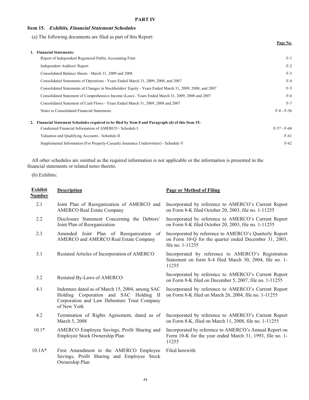# **Item 15. Exhibits, Financial Statement Schedules**

(a) The following documents are filed as part of this Report:

|                                                                                                         | Page No.      |
|---------------------------------------------------------------------------------------------------------|---------------|
| <b>Financial Statements:</b><br>1.                                                                      |               |
| Report of Independent Registered Public Accounting Firm                                                 | $F-1$         |
| <b>Independent Auditors' Report</b>                                                                     | $F-2$         |
| Consolidated Balance Sheets - March 31, 2009 and 2008                                                   | $F-3$         |
| Consolidated Statements of Operations - Years Ended March 31, 2009, 2008, and 2007                      | $F-4$         |
| Consolidated Statements of Changes in Stockholders' Equity - Years Ended March 31, 2009, 2008, and 2007 | $F-5$         |
| Consolidated Statement of Comprehensive Income (Loss) - Years Ended March 31, 2009, 2008 and 2007       | $F-6$         |
| Consolidated Statement of Cash Flows - Years Ended March 31, 2009, 2008 and 2007                        | $F-7$         |
| Notes to Consolidated Financial Statements                                                              | $F-8 - F-56$  |
| 2. Financial Statement Schedules required to be filed by Item 8 and Paragraph (d) of this Item 15:      |               |
| Condensed Financial Information of AMERCO - Schedule I                                                  | $F-57 - F-60$ |
| Valuation and Qualifying Accounts - Schedule II                                                         | $F-61$        |
| Supplemental Information (For Property-Casualty Insurance Underwriters) - Schedule V                    | $F-62$        |

All other schedules are omitted as the required information is not applicable or the information is presented in the financial statements or related notes thereto.

(b) Exhibits:

| <b>Exhibit</b><br>Number | <b>Description</b>                                                                                                                                      | <b>Page or Method of Filing</b>                                                                                                     |
|--------------------------|---------------------------------------------------------------------------------------------------------------------------------------------------------|-------------------------------------------------------------------------------------------------------------------------------------|
| 2.1                      | Joint Plan of Reorganization of AMERCO and<br><b>AMERCO Real Estate Company</b>                                                                         | Incorporated by reference to AMERCO's Current Report<br>on Form 8-K filed October 20, 2003, file no. 1-11255                        |
| 2.2                      | Disclosure Statement Concerning the Debtors'<br>Joint Plan of Reorganization                                                                            | Incorporated by reference to AMERCO's Current Report<br>on Form 8-K filed October 20, 2003, file no. 1-11255                        |
| 2.3                      | Amended Joint Plan of Reorganization of<br>AMERCO and AMERCO Real Estate Company                                                                        | Incorporated by reference to AMERCO's Quarterly Report<br>on Form 10-Q for the quarter ended December 31, 2003,<br>file no. 1-11255 |
| 3.1                      | Restated Articles of Incorporation of AMERCO                                                                                                            | Incorporated by reference to AMERCO's Registration<br>Statement on form S-4 filed March 30, 2004, file no. 1-<br>11255              |
| 3.2                      | Restated By-Laws of AMERCO                                                                                                                              | Incorporated by reference to AMERCO's Current Report<br>on Form 8-K filed on December 5, 2007, file no. 1-11255                     |
| 4.1                      | Indenture dated as of March 15, 2004, among SAC<br>Holding Corporation and SAC Holding II<br>Corporation and Law Debenture Trust Company<br>of New York | Incorporated by reference to AMERCO's Current Report<br>on Form 8-K filed on March 26, 2004, file no. 1-11255                       |
| 4.2                      | Termination of Rights Agreement, dated as of<br>March 5, 2008                                                                                           | Incorporated by reference to AMERCO's Current Report<br>on Form 8-K, filed on March 11, 2008, file no. 1-11255                      |
| $10.1*$                  | AMERCO Employee Savings, Profit Sharing and<br>Employee Stock Ownership Plan                                                                            | Incorporated by reference to AMERCO's Annual Report on<br>Form 10-K for the year ended March 31, 1993, file no. 1-<br>11255         |
| $10.1A*$                 | First Amendment to the AMERCO Employee<br>Savings, Profit Sharing and Employee Stock<br>Ownership Plan                                                  | Filed herewith                                                                                                                      |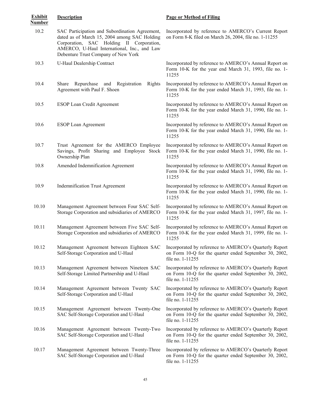| <b>Exhibit</b><br><u>Number</u> | <b>Description</b>                                                                                                                                                                                                               | <b>Page or Method of Filing</b>                                                                                                      |
|---------------------------------|----------------------------------------------------------------------------------------------------------------------------------------------------------------------------------------------------------------------------------|--------------------------------------------------------------------------------------------------------------------------------------|
| 10.2                            | SAC Participation and Subordination Agreement,<br>dated as of March 15, 2004 among SAC Holding<br>Corporation, SAC Holding II Corporation,<br>AMERCO, U-Haul International, Inc., and Law<br>Debenture Trust Company of New York | Incorporated by reference to AMERCO's Current Report<br>on Form 8-K filed on March 26, 2004, file no. 1-11255                        |
| 10.3                            | U-Haul Dealership Contract                                                                                                                                                                                                       | Incorporated by reference to AMERCO's Annual Report on<br>Form 10-K for the year end March 31, 1993, file no. 1-<br>11255            |
| 10.4                            | Repurchase<br>Registration<br>Rights<br>Share<br>and<br>Agreement with Paul F. Shoen                                                                                                                                             | Incorporated by reference to AMERCO's Annual Report on<br>Form 10-K for the year ended March 31, 1993, file no. 1-<br>11255          |
| 10.5                            | <b>ESOP Loan Credit Agreement</b>                                                                                                                                                                                                | Incorporated by reference to AMERCO's Annual Report on<br>Form 10-K for the year ended March 31, 1990, file no. 1-<br>11255          |
| 10.6                            | <b>ESOP</b> Loan Agreement                                                                                                                                                                                                       | Incorporated by reference to AMERCO's Annual Report on<br>Form 10-K for the year ended March 31, 1990, file no. 1-<br>11255          |
| 10.7                            | Trust Agreement for the AMERCO Employee<br>Savings, Profit Sharing and Employee Stock<br>Ownership Plan                                                                                                                          | Incorporated by reference to AMERCO's Annual Report on<br>Form 10-K for the year ended March 31, 1990, file no. 1-<br>11255          |
| 10.8                            | Amended Indemnification Agreement                                                                                                                                                                                                | Incorporated by reference to AMERCO's Annual Report on<br>Form 10-K for the year ended March 31, 1990, file no. 1-<br>11255          |
| 10.9                            | <b>Indemnification Trust Agreement</b>                                                                                                                                                                                           | Incorporated by reference to AMERCO's Annual Report on<br>Form 10-K for the year ended March 31, 1990, file no. 1-<br>11255          |
| 10.10                           | Management Agreement between Four SAC Self-<br>Storage Corporation and subsidiaries of AMERCO                                                                                                                                    | Incorporated by reference to AMERCO's Annual Report on<br>Form 10-K for the year ended March 31, 1997, file no. 1-<br>11255          |
| 10.11                           | Management Agreement between Five SAC Self-<br>Storage Corporation and subsidiaries of AMERCO                                                                                                                                    | Incorporated by reference to AMERCO's Annual Report on<br>Form 10-K for the year ended March 31, 1999, file no. 1-<br>11255          |
| 10.12                           | Management Agreement between Eighteen SAC<br>Self-Storage Corporation and U-Haul                                                                                                                                                 | Incorporated by reference to AMERCO's Quarterly Report<br>on Form 10-Q for the quarter ended September 30, 2002,<br>file no. 1-11255 |
| 10.13                           | Management Agreement between Nineteen SAC<br>Self-Storage Limited Partnership and U-Haul                                                                                                                                         | Incorporated by reference to AMERCO's Quarterly Report<br>on Form 10-Q for the quarter ended September 30, 2002,<br>file no. 1-11255 |
| 10.14                           | Management Agreement between Twenty SAC<br>Self-Storage Corporation and U-Haul                                                                                                                                                   | Incorporated by reference to AMERCO's Quarterly Report<br>on Form 10-Q for the quarter ended September 30, 2002,<br>file no. 1-11255 |
| 10.15                           | Management Agreement between Twenty-One<br>SAC Self-Storage Corporation and U-Haul                                                                                                                                               | Incorporated by reference to AMERCO's Quarterly Report<br>on Form 10-Q for the quarter ended September 30, 2002,<br>file no. 1-11255 |
| 10.16                           | Management Agreement between Twenty-Two<br>SAC Self-Storage Corporation and U-Haul                                                                                                                                               | Incorporated by reference to AMERCO's Quarterly Report<br>on Form 10-Q for the quarter ended September 30, 2002,<br>file no. 1-11255 |
| 10.17                           | Management Agreement between Twenty-Three<br>SAC Self-Storage Corporation and U-Haul                                                                                                                                             | Incorporated by reference to AMERCO's Quarterly Report<br>on Form 10-Q for the quarter ended September 30, 2002,<br>file no. 1-11255 |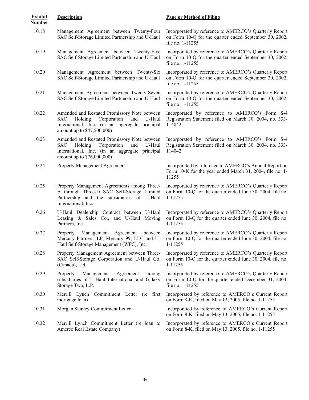| <b>Exhibit</b><br><b>Number</b> | <b>Description</b>                                                                                                                                                                    | <b>Page or Method of Filing</b>                                                                                                                                              |
|---------------------------------|---------------------------------------------------------------------------------------------------------------------------------------------------------------------------------------|------------------------------------------------------------------------------------------------------------------------------------------------------------------------------|
| 10.18                           | Management Agreement between Twenty-Four<br>SAC Self-Storage Limited Partnership and U-Haul                                                                                           | Incorporated by reference to AMERCO's Quarterly Report<br>on Form 10-Q for the quarter ended September 30, 2002,<br>file no. 1-11255                                         |
| 10.19                           | Management Agreement between Twenty-Five<br>SAC Self-Storage Limited Partnership and U-Haul                                                                                           | Incorporated by reference to AMERCO's Quarterly Report<br>on Form 10-Q for the quarter ended September 30, 2002,<br>file no. 1-11255                                         |
| 10.20                           | Management Agreement between Twenty-Six<br>SAC Self-Storage Limited Partnership and U-Haul                                                                                            | Incorporated by reference to AMERCO's Quarterly Report<br>on Form 10-Q for the quarter ended September 30, 2002,<br>file no. 1-11255                                         |
| 10.21                           | Management Agreement between Twenty-Seven<br>SAC Self-Storage Limited Partnership and U-Haul                                                                                          | Incorporated by reference to AMERCO's Quarterly Report<br>on Form 10-Q for the quarter ended September 30, 2002,<br>file no. 1-11255                                         |
| 10.22                           | Amended and Restated Promissory Note between<br>Corporation<br>Holding<br>U-Haul<br>SAC.<br>and<br>International, Inc. (in an aggregate principal<br>amount up to \$47,500,000)       | Incorporated by reference to AMERCO's Form S-4<br>Registration Statement filed on March 30, 2004, no. 333-<br>114042                                                         |
| 10.23                           | Amended and Restated Promissory Note between<br>Holding<br>Corporation<br><b>SAC</b><br>and<br>U-Haul<br>International, Inc. (in an aggregate principal<br>amount up to \$76,000,000) | Incorporated by reference to AMERCO's Form S-4<br>Registration Statement filed on March 30, 2004, no. 333-<br>114042                                                         |
| 10.24                           | <b>Property Management Agreement</b>                                                                                                                                                  | Incorporated by reference to AMERCO's Annual Report on<br>Form 10-K for the year ended March 31, 2004, file no. 1-<br>11255                                                  |
| 10.25                           | Property Management Agreements among Three-<br>A through Three-D SAC Self-Storage Limited<br>Partnership and the subsidiaries of U-Haul<br>International, Inc.                        | Incorporated by reference to AMERCO's Quarterly Report<br>on Form 10-Q for the quarter ended June 30, 2004, file no.<br>1-11255                                              |
| 10.26                           | U-Haul Dealership Contract between U-Haul<br>Leasing & Sales Co., and U-Haul Moving<br>Partners, Inc.                                                                                 | Incorporated by reference to AMERCO's Quarterly Report<br>on Form 10-Q for the quarter ended June 30, 2004, file no.<br>1-11255                                              |
| 10.27                           | Property Management Agreement<br>between<br>Haul Self-Storage Management (WPC), Inc.                                                                                                  | Incorporated by reference to AMERCO's Quarterly Report<br>Mercury Partners, LP, Mercury 99, LLC and U- on Form 10-Q for the quarter ended June 30, 2004, file no.<br>1-11255 |
| 10.28                           | Property Management Agreement between Three-<br>SAC Self-Storage Corporation and U-Haul Co.<br>(Canada), Ltd.                                                                         | Incorporated by reference to AMERCO's Quarterly Report<br>on Form 10-Q for the quarter ended June 30, 2004, file no.<br>1-11255                                              |
| 10.29                           | Management<br>Property<br>Agreement<br>among<br>subsidiaries of U-Haul International and Galaxy<br>Storage Two, L.P.                                                                  | Incorporated by reference to AMERCO's Quarterly Report<br>on Form 10-Q for the quarter ended December 31, 2004,<br>file no. 1-11255                                          |
| 10.30                           | Merrill Lynch Commitment Letter (re first<br>mortgage loan)                                                                                                                           | Incorporated by reference to AMERCO's Current Report<br>on Form 8-K, filed on May 13, 2005, file no. 1-11255                                                                 |
| 10.31                           | Morgan Stanley Commitment Letter                                                                                                                                                      | Incorporated by reference to AMERCO's Current Report<br>on Form 8-K, filed on May 13, 2005, file no. 1-11255                                                                 |
| 10.32                           | Merrill Lynch Commitment Letter (re loan to<br>Amerco Real Estate Company)                                                                                                            | Incorporated by reference to AMERCO's Current Report<br>on Form 8-K, filed on May 13, 2005, file no. 1-11255                                                                 |
|                                 |                                                                                                                                                                                       |                                                                                                                                                                              |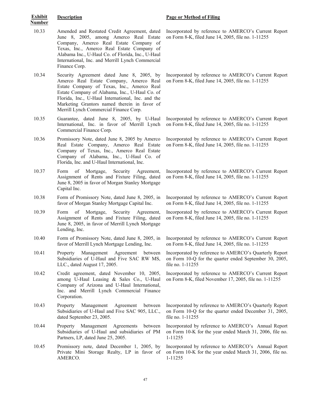| <b>Exhibit</b><br><b>Number</b> | <b>Description</b>                                                                                                                                                                                                                                                                                                                  | <b>Page or Method of Filing</b>                                                                                                                            |
|---------------------------------|-------------------------------------------------------------------------------------------------------------------------------------------------------------------------------------------------------------------------------------------------------------------------------------------------------------------------------------|------------------------------------------------------------------------------------------------------------------------------------------------------------|
| 10.33                           | Amended and Restated Credit Agreement, dated<br>June 8, 2005, among Amerco Real Estate<br>Company, Amerco Real Estate Company of<br>Texas, Inc., Amerco Real Estate Company of<br>Alabama Inc., U-Haul Co. of Florida, Inc., U-Haul<br>International, Inc. and Merrill Lynch Commercial<br>Finance Corp.                            | Incorporated by reference to AMERCO's Current Report<br>on Form 8-K, filed June 14, 2005, file no. 1-11255                                                 |
| 10.34                           | Security Agreement dated June 8, 2005, by<br>Amerco Real Estate Company, Amerco Real<br>Estate Company of Texas, Inc., Amerco Real<br>Estate Company of Alabama, Inc., U-Haul Co. of<br>Florida, Inc., U-Haul International, Inc. and the<br>Marketing Grantors named therein in favor of<br>Merrill Lynch Commercial Finance Corp. | Incorporated by reference to AMERCO's Current Report<br>on Form 8-K, filed June 14, 2005, file no. 1-11255                                                 |
| 10.35                           | Guarantee, dated June 8, 2005, by U-Haul<br>International, Inc. in favor of Merrill Lynch<br>Commercial Finance Corp.                                                                                                                                                                                                               | Incorporated by reference to AMERCO's Current Report<br>on Form 8-K, filed June 14, 2005, file no. 1-11255                                                 |
| 10.36                           | Promissory Note, dated June 8, 2005 by Amerco<br>Real Estate Company, Amerco Real Estate<br>Company of Texas, Inc., Amerco Real Estate<br>Company of Alabama, Inc., U-Haul Co. of<br>Florida, Inc. and U-Haul International, Inc.                                                                                                   | Incorporated by reference to AMERCO's Current Report<br>on Form 8-K, filed June 14, 2005, file no. 1-11255                                                 |
| 10.37                           | Form of Mortgage,<br>Security<br>Agreement,<br>Assignment of Rents and Fixture Filing, dated<br>June 8, 2005 in favor of Morgan Stanley Mortgage<br>Capital Inc.                                                                                                                                                                    | Incorporated by reference to AMERCO's Current Report<br>on Form 8-K, filed June 14, 2005, file no. 1-11255                                                 |
| 10.38                           | Form of Promissory Note, dated June 8, 2005, in<br>favor of Morgan Stanley Mortgage Capital Inc.                                                                                                                                                                                                                                    | Incorporated by reference to AMERCO's Current Report<br>on Form 8-K, filed June 14, 2005, file no. 1-11255                                                 |
| 10.39                           | of Mortgage, Security Agreement,<br>Form<br>Assignment of Rents and Fixture Filing, dated<br>June 8, 2005, in favor of Merrill Lynch Mortgage<br>Lending, Inc.                                                                                                                                                                      | Incorporated by reference to AMERCO's Current Report<br>on Form 8-K, filed June 14, 2005, file no. 1-11255                                                 |
| 10.40                           | favor of Merrill Lynch Mortgage Lending, Inc.                                                                                                                                                                                                                                                                                       | Form of Promissory Note, dated June 8, 2005, in Incorporated by reference to AMERCO's Current Report<br>on Form 8-K, filed June 14, 2005, file no. 1-11255 |
| 10.41                           | Management<br>Agreement between<br>Property<br>Subsidiaries of U-Haul and Five SAC RW MS,<br>LLC., dated August 17, 2005.                                                                                                                                                                                                           | Incorporated by reference to AMERCO's Quarterly Report<br>on Form 10-Q for the quarter ended September 30, 2005,<br>file no. 1-11255                       |
| 10.42                           | Credit agreement, dated November 10, 2005,<br>among U-Haul Leasing & Sales Co., U-Haul<br>Company of Arizona and U-Haul International,<br>Inc. and Merrill Lynch Commercial Finance<br>Corporation.                                                                                                                                 | Incorporated by reference to AMERCO's Current Report<br>on Form 8-K, filed November 17, 2005, file no. 1-11255                                             |
| 10.43                           | Property Management Agreement<br>between<br>Subsidiaries of U-Haul and Five SAC 905, LLC.,<br>dated September 23, 2005.                                                                                                                                                                                                             | Incorporated by reference to AMERCO's Quarterly Report<br>on Form 10-Q for the quarter ended December 31, 2005,<br>file no. 1-11255                        |
| 10.44                           | Property Management Agreements<br>between<br>Subsidiaries of U-Haul and subsidiaries of PM<br>Partners, LP, dated June 25, 2005.                                                                                                                                                                                                    | Incorporated by reference to AMERCO's Annual Report<br>on Form 10-K for the year ended March 31, 2006, file no.<br>1-11255                                 |
| 10.45                           | Promissory note, dated December 1, 2005, by<br>Private Mini Storage Realty, LP in favor of<br>AMERCO.                                                                                                                                                                                                                               | Incorporated by reference to AMERCO's Annual Report<br>on Form 10-K for the year ended March 31, 2006, file no.<br>1-11255                                 |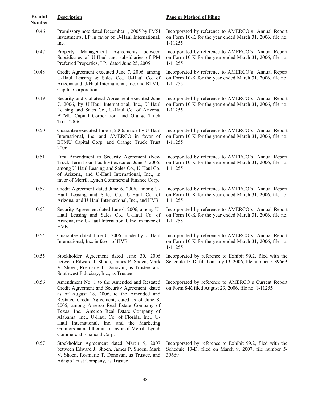| 10.46<br>Promissory note dated December 1, 2005 by PMSI<br>Investments, LP in favor of U-Haul International,<br>Inc.<br>10.47<br>Management Agreements<br>Property<br>between<br>Subsidiaries of U-Haul and subsidiaries of PM<br>Preferred Properties, LP., dated June 25, 2005<br>10.48<br>Credit Agreement executed June 7, 2006, among<br>U-Haul Leasing & Sales Co., U-Haul Co. of<br>Arizona and U-Haul International, Inc. and BTMU<br>Capital Corporation.<br>10.49<br>Security and Collateral Agreement executed June<br>7, 2006, by U-Haul International, Inc., U-Haul<br>Leasing and Sales Co., U-Haul Co. of Arizona,<br>BTMU Capital Corporation, and Orange Truck<br><b>Trust 2006</b><br>10.50<br>Guarantee executed June 7, 2006, made by U-Haul<br>International, Inc. and AMERCO in favor of<br>BTMU Capital Corp. and Orange Truck Trust<br>2006.<br>10.51<br>First Amendment to Security Agreement (New<br>Truck Term Loan Facility) executed June 7, 2006,<br>among U-Haul Leasing and Sales Co., U-Haul Co.<br>of Arizona, and U-Haul International, Inc., in<br>favor of Merrill Lynch Commercial Finance Corp.<br>Credit Agreement dated June 6, 2006, among U-<br>10.52<br>Haul Leasing and Sales Co., U-Haul Co. of<br>Arizona, and U-Haul International, Inc., and HVB<br>10.53<br>Security Agreement dated June 6, 2006, among U-<br>Haul Leasing and Sales Co., U-Haul Co. of<br>Arizona, and U-Haul International, Inc. in favor of<br><b>HVB</b><br>10.54<br>Guarantee dated June 6, 2006, made by U-Haul<br>International, Inc. in favor of HVB<br>10.55<br>Stockholder Agreement dated June 30, 2006<br>between Edward J. Shoen, James P. Shoen, Mark<br>V. Shoen, Rosmarie T. Donovan, as Trustee, and<br>Southwest Fiduciary, Inc., as Trustee<br>10.56<br>Amendment No. 1 to the Amended and Restated<br>Credit Agreement and Security Agreement, dated<br>as of August 18, 2006, to the Amended and<br>Restated Credit Agreement, dated as of June 8,<br>2005, among Amerco Real Estate Company of<br>Texas, Inc., Amerco Real Estate Company of<br>Alabama, Inc., U-Haul Co. of Florida, Inc., U-<br>Haul International, Inc. and the Marketing<br>Grantors named therein in favor of Merrill Lynch<br>Commercial Financial Corp.<br>Stockholder Agreement dated March 9, 2007<br>10.57<br>between Edward J. Shoen, James P. Shoen, Mark<br>V. Shoen, Rosmarie T. Donovan, as Trustee, and<br>Adagio Trust Company, as Trustee | <b>Exhibit</b><br><b>Number</b> | <b>Description</b> | <u>Pa</u>             |
|----------------------------------------------------------------------------------------------------------------------------------------------------------------------------------------------------------------------------------------------------------------------------------------------------------------------------------------------------------------------------------------------------------------------------------------------------------------------------------------------------------------------------------------------------------------------------------------------------------------------------------------------------------------------------------------------------------------------------------------------------------------------------------------------------------------------------------------------------------------------------------------------------------------------------------------------------------------------------------------------------------------------------------------------------------------------------------------------------------------------------------------------------------------------------------------------------------------------------------------------------------------------------------------------------------------------------------------------------------------------------------------------------------------------------------------------------------------------------------------------------------------------------------------------------------------------------------------------------------------------------------------------------------------------------------------------------------------------------------------------------------------------------------------------------------------------------------------------------------------------------------------------------------------------------------------------------------------------------------------------------------------------------------------------------------------------------------------------------------------------------------------------------------------------------------------------------------------------------------------------------------------------------------------------------------------------------------------------------------------------------------------------------------------------------------------------------------------------|---------------------------------|--------------------|-----------------------|
|                                                                                                                                                                                                                                                                                                                                                                                                                                                                                                                                                                                                                                                                                                                                                                                                                                                                                                                                                                                                                                                                                                                                                                                                                                                                                                                                                                                                                                                                                                                                                                                                                                                                                                                                                                                                                                                                                                                                                                                                                                                                                                                                                                                                                                                                                                                                                                                                                                                                      |                                 |                    | In<br>on<br>$1-$      |
|                                                                                                                                                                                                                                                                                                                                                                                                                                                                                                                                                                                                                                                                                                                                                                                                                                                                                                                                                                                                                                                                                                                                                                                                                                                                                                                                                                                                                                                                                                                                                                                                                                                                                                                                                                                                                                                                                                                                                                                                                                                                                                                                                                                                                                                                                                                                                                                                                                                                      |                                 |                    | In<br>on<br>$1 -$     |
|                                                                                                                                                                                                                                                                                                                                                                                                                                                                                                                                                                                                                                                                                                                                                                                                                                                                                                                                                                                                                                                                                                                                                                                                                                                                                                                                                                                                                                                                                                                                                                                                                                                                                                                                                                                                                                                                                                                                                                                                                                                                                                                                                                                                                                                                                                                                                                                                                                                                      |                                 |                    | In<br>on<br>$1-$      |
|                                                                                                                                                                                                                                                                                                                                                                                                                                                                                                                                                                                                                                                                                                                                                                                                                                                                                                                                                                                                                                                                                                                                                                                                                                                                                                                                                                                                                                                                                                                                                                                                                                                                                                                                                                                                                                                                                                                                                                                                                                                                                                                                                                                                                                                                                                                                                                                                                                                                      |                                 |                    | In<br>on<br>$1 -$     |
|                                                                                                                                                                                                                                                                                                                                                                                                                                                                                                                                                                                                                                                                                                                                                                                                                                                                                                                                                                                                                                                                                                                                                                                                                                                                                                                                                                                                                                                                                                                                                                                                                                                                                                                                                                                                                                                                                                                                                                                                                                                                                                                                                                                                                                                                                                                                                                                                                                                                      |                                 |                    | In<br>on<br>$1 -$     |
|                                                                                                                                                                                                                                                                                                                                                                                                                                                                                                                                                                                                                                                                                                                                                                                                                                                                                                                                                                                                                                                                                                                                                                                                                                                                                                                                                                                                                                                                                                                                                                                                                                                                                                                                                                                                                                                                                                                                                                                                                                                                                                                                                                                                                                                                                                                                                                                                                                                                      |                                 |                    | In<br>on<br>$1-$      |
|                                                                                                                                                                                                                                                                                                                                                                                                                                                                                                                                                                                                                                                                                                                                                                                                                                                                                                                                                                                                                                                                                                                                                                                                                                                                                                                                                                                                                                                                                                                                                                                                                                                                                                                                                                                                                                                                                                                                                                                                                                                                                                                                                                                                                                                                                                                                                                                                                                                                      |                                 |                    | In<br>on<br>$1-$      |
|                                                                                                                                                                                                                                                                                                                                                                                                                                                                                                                                                                                                                                                                                                                                                                                                                                                                                                                                                                                                                                                                                                                                                                                                                                                                                                                                                                                                                                                                                                                                                                                                                                                                                                                                                                                                                                                                                                                                                                                                                                                                                                                                                                                                                                                                                                                                                                                                                                                                      |                                 |                    | In<br>on<br>$1-$      |
|                                                                                                                                                                                                                                                                                                                                                                                                                                                                                                                                                                                                                                                                                                                                                                                                                                                                                                                                                                                                                                                                                                                                                                                                                                                                                                                                                                                                                                                                                                                                                                                                                                                                                                                                                                                                                                                                                                                                                                                                                                                                                                                                                                                                                                                                                                                                                                                                                                                                      |                                 |                    | In<br>on<br>$1-$      |
|                                                                                                                                                                                                                                                                                                                                                                                                                                                                                                                                                                                                                                                                                                                                                                                                                                                                                                                                                                                                                                                                                                                                                                                                                                                                                                                                                                                                                                                                                                                                                                                                                                                                                                                                                                                                                                                                                                                                                                                                                                                                                                                                                                                                                                                                                                                                                                                                                                                                      |                                 |                    | In<br>Sc              |
|                                                                                                                                                                                                                                                                                                                                                                                                                                                                                                                                                                                                                                                                                                                                                                                                                                                                                                                                                                                                                                                                                                                                                                                                                                                                                                                                                                                                                                                                                                                                                                                                                                                                                                                                                                                                                                                                                                                                                                                                                                                                                                                                                                                                                                                                                                                                                                                                                                                                      |                                 |                    | In<br>on              |
|                                                                                                                                                                                                                                                                                                                                                                                                                                                                                                                                                                                                                                                                                                                                                                                                                                                                                                                                                                                                                                                                                                                                                                                                                                                                                                                                                                                                                                                                                                                                                                                                                                                                                                                                                                                                                                                                                                                                                                                                                                                                                                                                                                                                                                                                                                                                                                                                                                                                      |                                 |                    | <b>In</b><br>Sc<br>39 |

# **Description Page or Method of Filing**

corporated by reference to AMERCO's Annual Report Form 10-K for the year ended March 31, 2006, file no. 11255

corporated by reference to AMERCO's Annual Report Form 10-K for the year ended March 31, 2006, file no. 11255

corporated by reference to AMERCO's Annual Report Form 10-K for the year ended March 31, 2006, file no. 11255

corporated by reference to AMERCO's Annual Report Form 10-K for the year ended March 31, 2006, file no. 11255

corporated by reference to AMERCO's Annual Report Form 10-K for the year ended March 31, 2006, file no. 11255

corporated by reference to AMERCO's Annual Report Form 10-K for the year ended March 31, 2006, file no. 11255

corporated by reference to AMERCO's Annual Report Form 10-K for the year ended March 31, 2006, file no. 11255

corporated by reference to AMERCO's Annual Report Form 10-K for the year ended March 31, 2006, file no. 11255

corporated by reference to AMERCO's Annual Report Form 10-K for the year ended March 31, 2006, file no. 11255

corporated by reference to Exhibit 99.2, filed with the hedule 13-D, filed on July 13, 2006, file number 5-39669

corporated by reference to AMERCO's Current Report Form 8-K filed August 23, 2006, file no. 1-11255

corporated by reference to Exhibit 99.2, filed with the chedule 13-D, filed on March 9, 2007, file number 5-39669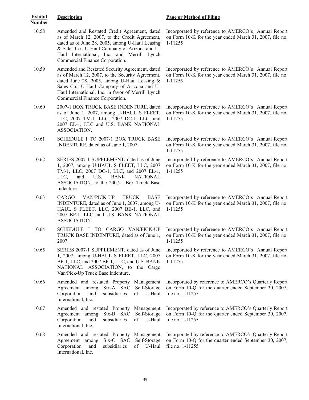# **Number**

- 10.58 Amended and Restated Credit Agreement, dated as of March 12, 2007, to the Credit Agreement, dated as of June 28, 2005, among U-Haul Leasing & Sales Co., U-Haul Company of Arizona and U-Haul International, Inc. and Merrill Lynch Commercial Finance Corporation.
- 10.59 Amended and Restated Security Agreement, dated as of March 12, 2007, to the Security Agreement, dated June 28, 2005, among U-Haul Leasing & Sales Co., U-Haul Company of Arizona and U-Haul International, Inc. in favor of Merrill Lynch Commercial Finance Corporation.
- 10.60 2007-1 BOX TRUCK BASE INDENTURE, dated as of June 1, 2007, among U-HAUL S FLEET, LLC, 2007 TM-1, LLC, 2007 DC-1, LLC, and 2007 EL-1, LLC and U.S. BANK NATIONAL ASSOCIATION.
- 10.61 SCHEDULE I TO 2007-1 BOX TRUCK BASE INDENTURE, dated as of June 1, 2007.
- 10.62 SERIES 2007-1 SUPPLEMENT, dated as of June 1, 2007, among U-HAUL S FLEET, LLC, 2007 TM-1, LLC, 2007 DC-1, LLC, and 2007 EL-1, LLC, and U.S. BANK NATIONAL ASSOCIATION, to the 2007-1 Box Truck Base Indenture.
- 10.63 CARGO VAN/PICK-UP TRUCK BASE INDENTURE, dated as of June 1, 2007, among U-HAUL S FLEET, LLC, 2007 BE-1, LLC, and 2007 BP-1, LLC, and U.S. BANK NATIONAL ASSOCIATION.
- 10.64 SCHEDULE I TO CARGO VAN/PICK-UP TRUCK BASE INDENTURE, dated as of June 1, 2007.
- 10.65 SERIES 2007-1 SUPPLEMENT, dated as of June 1, 2007, among U-HAUL S FLEET, LLC, 2007 BE-1, LLC, and 2007 BP-1, LLC, and U.S. BANK NATIONAL ASSOCIATION, to the Cargo Van/Pick-Up Truck Base Indenture.
- 10.66 Amended and restated Property Management Agreement among Six-A SAC Self-Storage Corporation and subsidiaries of U-Haul International, Inc.
- 10.67 Amended and restated Property Management Agreement among Six-B SAC Self-Storage Corporation and subsidiaries of U-Haul International, Inc.
- 10.68 Amended and restated Property Management Agreement among Six-C SAC Self-Storage Corporation and subsidiaries of U-Haul International, Inc.

# **Page or Method of Filing**

Incorporated by reference to AMERCO's Annual Report on Form 10-K for the year ended March 31, 2007, file no. 1-11255

Incorporated by reference to AMERCO's Annual Report on Form 10-K for the year ended March 31, 2007, file no. 1-11255

Incorporated by reference to AMERCO's Annual Report on Form 10-K for the year ended March 31, 2007, file no. 1-11255

Incorporated by reference to AMERCO's Annual Report on Form 10-K for the year ended March 31, 2007, file no. 1-11255

Incorporated by reference to AMERCO's Annual Report on Form 10-K for the year ended March 31, 2007, file no. 1-11255

Incorporated by reference to AMERCO's Annual Report on Form 10-K for the year ended March 31, 2007, file no. 1-11255

Incorporated by reference to AMERCO's Annual Report on Form 10-K for the year ended March 31, 2007, file no. 1-11255

Incorporated by reference to AMERCO's Annual Report on Form 10-K for the year ended March 31, 2007, file no. 1-11255

Incorporated by reference to AMERCO's Quarterly Report on Form 10-Q for the quarter ended September 30, 2007, file no. 1-11255

Incorporated by reference to AMERCO's Quarterly Report on Form 10-Q for the quarter ended September 30, 2007, file no. 1-11255

Incorporated by reference to AMERCO's Quarterly Report on Form 10-Q for the quarter ended September 30, 2007, file no. 1-11255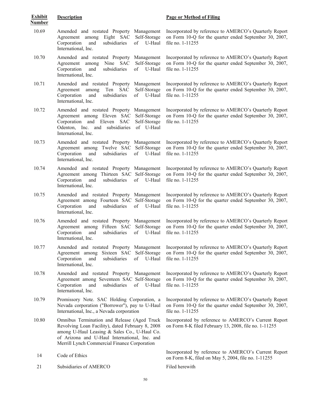| <b>Exhibit</b><br><b>Number</b> | <b>Description</b>                                                                                                                                                                                                                               | <b>Page or Method of Filing</b>                                                                                                      |
|---------------------------------|--------------------------------------------------------------------------------------------------------------------------------------------------------------------------------------------------------------------------------------------------|--------------------------------------------------------------------------------------------------------------------------------------|
| 10.69                           | Amended and restated Property<br>Management<br>Agreement among Eight SAC<br>Self-Storage<br>Corporation<br>subsidiaries<br>of U-Haul<br>and<br>International, Inc.                                                                               | Incorporated by reference to AMERCO's Quarterly Report<br>on Form 10-Q for the quarter ended September 30, 2007,<br>file no. 1-11255 |
| 10.70                           | Amended and restated Property<br>Management<br>Self-Storage<br>Agreement among<br>Nine SAC<br>Corporation<br>and<br>subsidiaries<br>of<br>U-Haul<br>International, Inc.                                                                          | Incorporated by reference to AMERCO's Quarterly Report<br>on Form 10-Q for the quarter ended September 30, 2007,<br>file no. 1-11255 |
| 10.71                           | Amended and restated Property<br>Management<br>Ten SAC<br>Self-Storage<br>Agreement<br>among<br>Corporation<br>subsidiaries<br>U-Haul<br>and<br>of<br>International, Inc.                                                                        | Incorporated by reference to AMERCO's Quarterly Report<br>on Form 10-Q for the quarter ended September 30, 2007,<br>file no. 1-11255 |
| 10.72                           | Amended and restated Property<br>Management<br>Agreement among Eleven SAC<br>Self-Storage<br>Corporation and Eleven<br><b>SAC</b><br>Self-Storage<br>Odenton, Inc. and subsidiaries<br>of U-Haul<br>International, Inc.                          | Incorporated by reference to AMERCO's Quarterly Report<br>on Form 10-Q for the quarter ended September 30, 2007,<br>file no. 1-11255 |
| 10.73                           | Amended and restated Property Management<br>Agreement among<br>Twelve SAC Self-Storage<br>Corporation<br>subsidiaries<br>U-Haul<br>and<br>of<br>International, Inc.                                                                              | Incorporated by reference to AMERCO's Quarterly Report<br>on Form 10-Q for the quarter ended September 30, 2007,<br>file no. 1-11255 |
| 10.74                           | Amended and restated Property Management<br>Agreement among Thirteen SAC Self-Storage<br>Corporation<br>and<br>subsidiaries<br>of<br>U-Haul<br>International, Inc.                                                                               | Incorporated by reference to AMERCO's Quarterly Report<br>on Form 10-Q for the quarter ended September 30, 2007,<br>file no. 1-11255 |
| 10.75                           | Amended and restated Property Management<br>Agreement among Fourteen SAC Self-Storage<br>Corporation<br>and<br>subsidiaries<br>of<br>U-Haul<br>International, Inc.                                                                               | Incorporated by reference to AMERCO's Quarterly Report<br>on Form 10-Q for the quarter ended September 30, 2007,<br>file no. 1-11255 |
| 10.76                           | Amended and restated Property Management<br>Fifteen SAC<br>Agreement among<br>Self-Storage<br>Corporation<br>subsidiaries<br>U-Haul<br>and<br>of<br>International, Inc.                                                                          | Incorporated by reference to AMERCO's Quarterly Report<br>on Form 10-Q for the quarter ended September 30, 2007,<br>file no. 1-11255 |
| 10.77                           | Amended and restated Property Management<br>Agreement among Sixteen SAC Self-Storage<br>of U-Haul<br>Corporation<br>and<br>subsidiaries<br>International, Inc.                                                                                   | Incorporated by reference to AMERCO's Quarterly Report<br>on Form 10-Q for the quarter ended September 30, 2007,<br>file no. 1-11255 |
| 10.78                           | Amended and restated Property Management<br>Agreement among Seventeen SAC Self-Storage<br>Corporation<br>and<br>subsidiaries<br>of<br>U-Haul<br>International, Inc.                                                                              | Incorporated by reference to AMERCO's Quarterly Report<br>on Form 10-Q for the quarter ended September 30, 2007,<br>file no. 1-11255 |
| 10.79                           | Promissory Note. SAC Holding Corporation, a<br>Nevada corporation ("Borrower"), pay to U-Haul<br>International, Inc., a Nevada corporation                                                                                                       | Incorporated by reference to AMERCO's Quarterly Report<br>on Form 10-Q for the quarter ended September 30, 2007,<br>file no. 1-11255 |
| 10.80                           | Omnibus Termination and Release (Aged Truck<br>Revolving Loan Facility), dated February 8, 2008<br>among U-Haul Leasing & Sales Co., U-Haul Co.<br>of Arizona and U-Haul International, Inc. and<br>Merrill Lynch Commercial Finance Corporation | Incorporated by reference to AMERCO's Current Report<br>on Form 8-K filed February 13, 2008, file no. 1-11255                        |
| 14                              | Code of Ethics                                                                                                                                                                                                                                   | Incorporated by reference to AMERCO's Current Report<br>on Form 8-K, filed on May 5, 2004, file no. 1-11255                          |
| 21                              | Subsidiaries of AMERCO                                                                                                                                                                                                                           | Filed herewith                                                                                                                       |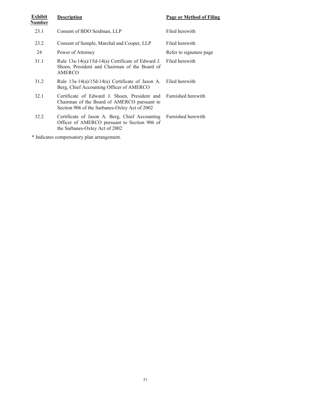| <b>Exhibit</b><br><b>Number</b> | <b>Description</b>                                                                                                                            | <b>Page or Method of Filing</b> |
|---------------------------------|-----------------------------------------------------------------------------------------------------------------------------------------------|---------------------------------|
| 23.1                            | Consent of BDO Seidman, LLP                                                                                                                   | Filed herewith                  |
| 23.2                            | Consent of Semple, Marchal and Cooper, LLP                                                                                                    | Filed herewith                  |
| 24                              | Power of Attorney                                                                                                                             | Refer to signature page         |
| 31.1                            | Rule $13a-14(a)/15d-14(a)$ Certificate of Edward J.<br>Shoen, President and Chairman of the Board of<br>AMERCO                                | Filed herewith                  |
| 31.2                            | Rule $13a-14(a)/15d-14(a)$ Certificate of Jason A.<br>Berg, Chief Accounting Officer of AMERCO                                                | Filed herewith                  |
| 32.1                            | Certificate of Edward J. Shoen, President and<br>Chairman of the Board of AMERCO pursuant to<br>Section 906 of the Sarbanes-Oxley Act of 2002 | Furnished herewith              |
| 32.2                            | Certificate of Jason A. Berg, Chief Accounting<br>Officer of AMERCO pursuant to Section 906 of<br>the Sarbanes-Oxley Act of 2002              | Furnished herewith              |
|                                 |                                                                                                                                               |                                 |

\* Indicates compensatory plan arrangement.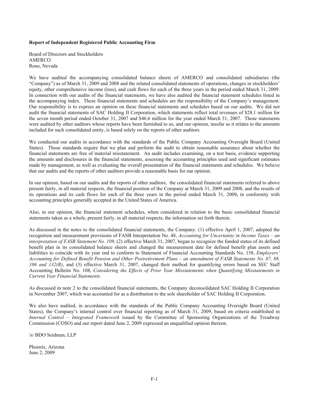# **Report of Independent Registered Public Accounting Firm**

Board of Directors and Stockholders AMERCO Reno, Nevada

We have audited the accompanying consolidated balance sheets of AMERCO and consolidated subsidiaries (the "Company") as of March 31, 2009 and 2008 and the related consolidated statements of operations, changes in stockholders' equity, other comprehensive income (loss), and cash flows for each of the three years in the period ended March 31, 2009. In connection with our audits of the financial statements, we have also audited the financial statement schedules listed in the accompanying index. These financial statements and schedules are the responsibility of the Company's management. Our responsibility is to express an opinion on these financial statements and schedules based on our audits. We did not audit the financial statements of SAC Holding II Corporation, which statements reflect total revenues of \$28.1 million for the seven month period ended October 31, 2007 and \$46.6 million for the year ended March 31, 2007. Those statements were audited by other auditors whose reports have been furnished to us, and our opinion, insofar as it relates to the amounts included for such consolidated entity, is based solely on the reports of other auditors.

We conducted our audits in accordance with the standards of the Public Company Accounting Oversight Board (United States). Those standards require that we plan and perform the audit to obtain reasonable assurance about whether the financial statements are free of material misstatement. An audit includes examining, on a test basis, evidence supporting the amounts and disclosures in the financial statements, assessing the accounting principles used and significant estimates made by management, as well as evaluating the overall presentation of the financial statements and schedules. We believe that our audits and the reports of other auditors provide a reasonable basis for our opinion.

In our opinion, based on our audits and the reports of other auditors, the consolidated financial statements referred to above present fairly, in all material respects, the financial position of the Company at March 31, 2009 and 2008, and the results of its operations and its cash flows for each of the three years in the period ended March 31, 2009**,** in conformity with accounting principles generally accepted in the United States of America.

Also, in our opinion, the financial statement schedules, when considered in relation to the basic consolidated financial statements taken as a whole, present fairly, in all material respects, the information set forth therein.

As discussed in the notes to the consolidated financial statements, the Company: (1) effective April 1, 2007, adopted the recognition and measurement provisions of FASB Interpretation No. 48, *Accounting for Uncertainty in Income Taxes – an interpretation of FASB Statement No. 109*, (2) effective March 31, 2007, began to recognize the funded status of its defined benefit plan in its consolidated balance sheets and changed the measurement date for defined benefit plan assets and liabilities to coincide with its year end to conform to Statement of Financial Accounting Standards No. 158, *Employers' Accounting for Defined Benefit Pension and Other Postretirement Plans – an amendment of FASB Statements No. 87, 88, 106 and 132(R)*, and (3) effective March 31, 2007, changed their method for quantifying errors based on SEC Staff Accounting Bulletin No. 108, *Considering the Effects of Prior Year Misstatements when Quantifying Misstatements in Current Year Financial Statements*.

As discussed in note 2 to the consolidated financial statements, the Company deconsolidated SAC Holding II Corporation in November 2007, which was accounted for as a distribution to the sole shareholder of SAC Holding II Corporation.

We also have audited, in accordance with the standards of the Public Company Accounting Oversight Board (United States), the Company's internal control over financial reporting as of March 31, 2009, based on criteria established in *Internal Control – Integrated Framework* issued by the Committee of Sponsoring Organizations of the Treadway Commission (COSO) and our report dated June 2, 2009 expressed an unqualified opinion thereon.

/s/ BDO Seidman, LLP

Phoenix, Arizona June 2, 2009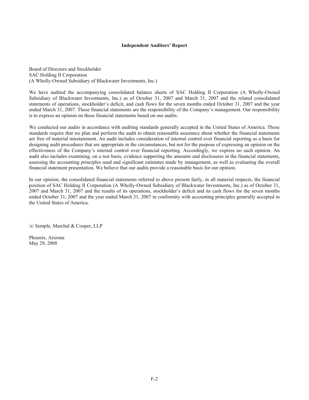# **Independent Auditors' Report**

Board of Directors and Stockholder SAC Holding II Corporation (A Wholly-Owned Subsidiary of Blackwater Investments, Inc.)

We have audited the accompanying consolidated balance sheets of SAC Holding II Corporation (A Wholly-Owned Subsidiary of Blackwater Investments, Inc.) as of October 31, 2007 and March 31, 2007 and the related consolidated statements of operations, stockholder's deficit, and cash flows for the seven months ended October 31, 2007 and the year ended March 31, 2007. These financial statements are the responsibility of the Company's management. Our responsibility is to express an opinion on these financial statements based on our audits.

We conducted our audits in accordance with auditing standards generally accepted in the United States of America. Those standards require that we plan and perform the audit to obtain reasonable assurance about whether the financial statements are free of material misstatement. An audit includes consideration of internal control over financial reporting as a basis for designing audit procedures that are appropriate in the circumstances, but not for the purpose of expressing an opinion on the effectiveness of the Company's internal control over financial reporting. Accordingly, we express no such opinion. An audit also includes examining, on a test basis, evidence supporting the amounts and disclosures in the financial statements, assessing the accounting principles used and significant estimates made by management, as well as evaluating the overall financial statement presentation. We believe that our audits provide a reasonable basis for our opinion.

In our opinion, the consolidated financial statements referred to above present fairly, in all material respects, the financial position of SAC Holding II Corporation (A Wholly-Owned Subsidiary of Blackwater Investments, Inc.) as of October 31, 2007 and March 31, 2007 and the results of its operations, stockholder's deficit and its cash flows for the seven months ended October 31, 2007 and the year ended March 31, 2007 in conformity with accounting principles generally accepted in the United States of America.

/s/ Semple, Marchal & Cooper, LLP

Phoenix, Arizona May 29, 2008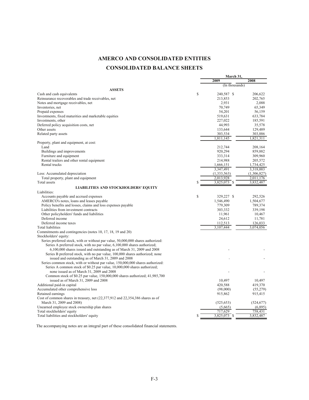# **AMERCO AND CONSOLIDATED ENTITIES CONSOLIDATED BALANCE SHEETS**

|                                                                                  |    | March 31,      |             |
|----------------------------------------------------------------------------------|----|----------------|-------------|
|                                                                                  |    | 2009           | 2008        |
|                                                                                  |    | (In thousands) |             |
| <b>ASSETS</b>                                                                    |    |                |             |
| Cash and cash equivalents                                                        | \$ | 240,587 \$     | 206,622     |
| Reinsurance recoverables and trade receivables, net                              |    | 213,853        | 202,765     |
| Notes and mortgage receivables, net                                              |    | 2,931          | 2,088       |
| Inventories, net                                                                 |    | 70,749         | 65,349      |
| Prepaid expenses                                                                 |    | 54,201         | 56,159      |
| Investments, fixed maturities and marketable equities                            |    | 519,631        | 633,784     |
| Investments, other                                                               |    | 227,022        | 185,591     |
| Deferred policy acquisition costs, net                                           |    | 44,993         | 35,578      |
| Other assets                                                                     |    | 133,644        | 129,489     |
| Related party assets                                                             |    | 303,534        | 303,886     |
|                                                                                  |    | 1,811,145      | 1,821,311   |
| Property, plant and equipment, at cost:<br>Land                                  |    | 212,744        | 208,164     |
| Buildings and improvements                                                       |    | 920,294        | 859,882     |
| Furniture and equipment                                                          |    | 333,314        | 309,960     |
| Rental trailers and other rental equipment                                       |    | 214,988        | 205,572     |
| Rental trucks                                                                    |    | 1,666,151      | 1,734,425   |
|                                                                                  |    | 3,347,491      | 3,318,003   |
| Less: Accumulated depreciation                                                   |    | (1, 333, 563)  | (1,306,827) |
| Total property, plant and equipment                                              |    | 2,013,928      | 2,011,176   |
| Total assets                                                                     | \$ | $3,825,073$ \$ | 3,832,487   |
| <b>LIABILITIES AND STOCKHOLDERS' EQUITY</b>                                      |    |                |             |
| Liabilities:                                                                     |    |                |             |
| Accounts payable and accrued expenses                                            | \$ | 329,227 \$     | 292,526     |
| AMERCO's notes, loans and leases payable                                         |    | 1,546,490      | 1,504,677   |
| Policy benefits and losses, claims and loss expenses payable                     |    | 779,309        | 789,374     |
| Liabilities from investment contracts                                            |    | 303,332        | 339,198     |
| Other policyholders' funds and liabilities                                       |    | 11,961         | 10,467      |
| Deferred income                                                                  |    | 24,612         | 11,781      |
| Deferred income taxes                                                            |    | 112,513        | 126,033     |
| <b>Total liabilities</b>                                                         |    | 3,107,444      | 3,074,056   |
| Commitments and contingencies (notes 10, 17, 18, 19 and 20)                      |    |                |             |
| Stockholders' equity:                                                            |    |                |             |
| Series preferred stock, with or without par value, 50,000,000 shares authorized: |    |                |             |
| Series A preferred stock, with no par value, 6,100,000 shares authorized;        |    |                |             |
| 6,100,000 shares issued and outstanding as of March 31, 2009 and 2008            |    |                |             |
| Series B preferred stock, with no par value, 100,000 shares authorized; none     |    |                |             |
| issued and outstanding as of March 31, 2009 and 2008                             |    |                |             |
| Series common stock, with or without par value, 150,000,000 shares authorized:   |    |                |             |
| Series A common stock of \$0.25 par value, 10,000,000 shares authorized;         |    |                |             |
| none issued as of March 31, 2009 and 2008                                        |    |                |             |
| Common stock of \$0.25 par value, 150,000,000 shares authorized; 41,985,700      |    |                |             |
| issued as of March 31, 2009 and 2008                                             |    | 10,497         | 10,497      |
| Additional paid-in capital                                                       |    | 420,588        | 419,370     |
| Accumulated other comprehensive loss                                             |    | (98,000)       | (55,279)    |
| Retained earnings                                                                |    | 915,862        | 915,415     |
| Cost of common shares in treasury, net (22,377,912 and 22,354,386 shares as of   |    |                |             |
| March 31, 2009 and 2008)                                                         |    | (525, 653)     | (524, 677)  |
| Unearned employee stock ownership plan shares                                    |    | (5,665)        | (6, 895)    |
| Total stockholders' equity                                                       |    | 717,629        | 758,431     |
| Total liabilities and stockholders' equity                                       | S  | 3,825,073 \$   | 3,832,487   |

The accompanying notes are an integral part of these consolidated financial statements.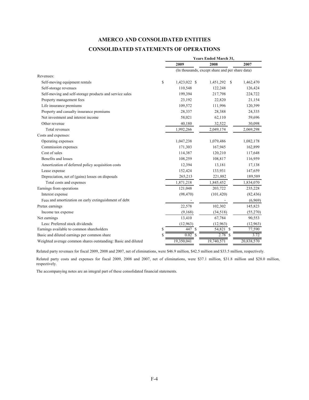# **CONSOLIDATED STATEMENTS OF OPERATIONS AMERCO AND CONSOLIDATED ENTITIES**

|                                                               |                    | <b>Years Ended March 31,</b>                    |                 |
|---------------------------------------------------------------|--------------------|-------------------------------------------------|-----------------|
|                                                               | 2009               | 2008                                            | 2007            |
|                                                               |                    | (In thousands, except share and per share data) |                 |
| Revenues:                                                     |                    |                                                 |                 |
| Self-moving equipment rentals                                 | \$<br>1,423,022 \$ | 1,451,292                                       | 1,462,470<br>-S |
| Self-storage revenues                                         | 110,548            | 122,248                                         | 126,424         |
| Self-moving and self-storage products and service sales       | 199,394            | 217,798                                         | 224,722         |
| Property management fees                                      | 23,192             | 22,820                                          | 21,154          |
| Life insurance premiums                                       | 109,572            | 111,996                                         | 120,399         |
| Property and casualty insurance premiums                      | 28,337             | 28,388                                          | 24,335          |
| Net investment and interest income                            | 58,021             | 62,110                                          | 59,696          |
| Other revenue                                                 | 40,180             | 32,522                                          | 30,098          |
| Total revenues                                                | 1,992,266          | 2,049,174                                       | 2,069,298       |
| Costs and expenses:                                           |                    |                                                 |                 |
| Operating expenses                                            | 1,047,238          | 1,079,486                                       | 1,082,178       |
| Commission expenses                                           | 171,303            | 167,945                                         | 162,899         |
| Cost of sales                                                 | 114,387            | 120,210                                         | 117,648         |
| Benefits and losses                                           | 108,259            | 108,817                                         | 116,959         |
| Amortization of deferred policy acquisition costs             | 12,394             | 13,181                                          | 17,138          |
| Lease expense                                                 | 152,424            | 133,931                                         | 147,659         |
| Depreciation, net of (gains) losses on disposals              | 265,213            | 221,882                                         | 189,589         |
| Total costs and expenses                                      | 1,871,218          | 1,845,452                                       | 1,834,070       |
| Earnings from operations                                      | 121,048            | 203,722                                         | 235,228         |
| Interest expense                                              | (98, 470)          | (101, 420)                                      | (82, 436)       |
| Fees and amortization on early extinguishment of debt         |                    |                                                 | (6,969)         |
| Pretax earnings                                               | 22,578             | 102,302                                         | 145,823         |
| Income tax expense                                            | (9,168)            | (34, 518)                                       | (55,270)        |
| Net earnings                                                  | 13,410             | 67,784                                          | 90,553          |
| Less: Preferred stock dividends                               | (12,963)           | (12, 963)                                       | (12,963)        |
| Earnings available to common shareholders                     | \$<br>447 \$       | 54,821 \$                                       | 77,590          |
| Basic and diluted earnings per common share                   | \$<br>0.02 S       | 2.78                                            | 3.72            |
| Weighted average common shares outstanding: Basic and diluted | 19,350,041         | $\overline{19}$ , 740, 571                      | 20,838,570      |

Related party revenues for fiscal 2009, 2008 and 2007, net of eliminations, were \$46.9 million, \$42.5 million and \$33.5 million, respectively.

Related party costs and expenses for fiscal 2009, 2008 and 2007, net of eliminations, were \$37.1 million, \$31.8 million and \$28.0 million, respectively.

The accompanying notes are an integral part of these consolidated financial statements.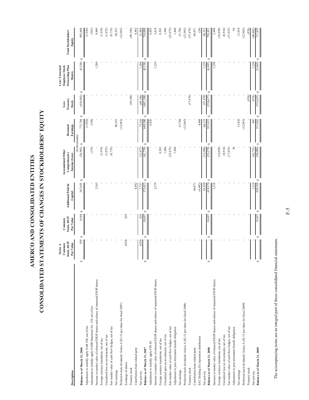**CONSOLIDATED STATEMENTS OF CHANGES IN STOCKHOLDERS' EQUITY**  CONSOLIDATED STATEMENTS OF CHANGES IN STOCKHOLDERS' EQUITY AMERCO AND CONSOLIDATED ENTITIES **AMERCO AND CONSOLIDATED ENTITIES** 

|                                                                                      | Series A<br>Common         |                                      |                                      | Accumulated Other                |                      |                                   | Less: Unearned                                           |                                      |
|--------------------------------------------------------------------------------------|----------------------------|--------------------------------------|--------------------------------------|----------------------------------|----------------------|-----------------------------------|----------------------------------------------------------|--------------------------------------|
| Description                                                                          | Stock, \$0.25<br>Par Value | Stock, \$0.25<br>Par Value<br>Common | <b>Additional Paid-In</b><br>Capital | Comprehensive<br>Income $(Loss)$ | Retained<br>Earnings | Treasury<br>Less:<br><b>Stock</b> | Ownership Plan<br><b>Employee Stock</b><br><b>Shares</b> | <b>Total Stockholders'</b><br>Equity |
|                                                                                      |                            |                                      |                                      |                                  | (In thousands)       |                                   |                                                          |                                      |
| Balance as of March 31, 2006                                                         | S<br>929<br>SĄ,            | 9,568                                | SA)<br>367,655<br>S                  | $(28,902)$ \$                    | S<br>773,784         | S<br>(418,092)                    | S<br>(9,338)                                             | 695,604                              |
| Adjustment to initially apply SAB 108, net of tax                                    |                            |                                      |                                      |                                  | (1,926)              |                                   |                                                          | (1,926)                              |
| Adjustment to initially apply FASB Statement No. 158, net of tax                     |                            |                                      |                                      | (153)                            | (148)                |                                   |                                                          | (301)                                |
| increase in market value of released ESOP shares and release of unearned ESOP shares |                            |                                      | 3,265                                |                                  |                      |                                   | 1,204                                                    | 4,469                                |
| oreign currency translation, net of tax                                              |                            |                                      |                                      | (1,919)                          |                      |                                   |                                                          | (1,919)                              |
| Jnrealized loss on investments, net of tax                                           |                            |                                      |                                      | (1,072)                          |                      |                                   |                                                          | (1,072)                              |
| Fair market value of cash flow hedges, net of tax                                    |                            |                                      |                                      | (9, 733)                         |                      |                                   |                                                          | (9, 733)                             |
| Net earnings                                                                         |                            |                                      |                                      |                                  | 90,553               |                                   |                                                          | 90,553                               |
| Preferred stock dividends: Series A (\$2.13 per share for fiscal 2007)               |                            |                                      |                                      |                                  | (12, 963)            |                                   |                                                          | (12,963)                             |
| Exchange of shares                                                                   | (929)                      | 929                                  |                                      |                                  |                      |                                   |                                                          |                                      |
| Treasury stock                                                                       |                            |                                      |                                      |                                  |                      | (49, 106)                         |                                                          | (49, 106)                            |
| Contribution from related party                                                      |                            |                                      | 4,492                                |                                  |                      |                                   |                                                          | 4,492                                |
| Net activity                                                                         | (929)                      | 929                                  | 7.757                                | (12, 877)                        | 75,516               | (49, 106)                         | 1.204                                                    | 22,494                               |
| Balance as of March 31, 2007                                                         |                            | 10,497                               | 375,412<br>S.                        | (41,779)                         | 849,300              | (467, 198)                        | (8, 134)                                                 | 718,098                              |
| Adjustment to initially apply FIN 48                                                 |                            |                                      |                                      |                                  | 6,826                |                                   |                                                          | 6,826                                |
| ncrease in market value of released ESOP shares and release of unearned ESOP shares  |                            |                                      | 2,379                                |                                  |                      |                                   | 1,239                                                    | 3,618                                |
| Foreign currency translation, net of tax                                             |                            |                                      |                                      | 8,583                            |                      |                                   |                                                          | 8,583                                |
| Inrealized gain on investments, net of tax                                           |                            |                                      |                                      | 1,946                            |                      |                                   |                                                          | 1,946                                |
| Fair market value of cash flow hedges, net of tax                                    |                            |                                      |                                      | (25, 473)                        |                      |                                   |                                                          | (25, 473)                            |
| Adjustment to post retirement benefit obligation                                     |                            |                                      |                                      | 1,444                            |                      |                                   |                                                          | 1,444                                |
| Net earnings                                                                         |                            |                                      |                                      |                                  | 67,784               |                                   |                                                          | 67,784                               |
| Preferred stock dividends: Series A (\$2.13 per share for fiscal 2008)               |                            |                                      |                                      |                                  | (12,963)             |                                   |                                                          | (12,963)                             |
| Treasury stock                                                                       |                            |                                      |                                      |                                  |                      | (57, 479)                         |                                                          | (57, 479)                            |
| Contribution from related party                                                      |                            |                                      | 46,071                               |                                  |                      |                                   |                                                          | 46,071                               |
| SAC Holding II Corporation distribution                                              |                            |                                      | (4,492)                              |                                  | 4,468                |                                   |                                                          | (24)                                 |
| Net activity                                                                         |                            |                                      | 43,958                               | (13,500)                         | 66,115               | (57, 479)                         | 1,239                                                    | 40,333                               |
| Balance as of March 31, 2008                                                         |                            | 10,49                                | 419,370<br>G.                        | (55,279)                         | 915,415              | (524, 677)                        | (6, 895)                                                 | 758,431                              |
| increase in market value of released ESOP shares and release of unearned ESOP shares |                            |                                      | 1,218                                |                                  |                      |                                   | 1,230                                                    | 2,448                                |
| oreign currency translation, net of tax                                              |                            |                                      |                                      | (16,030)                         |                      |                                   |                                                          | (16, 030)                            |
| Jnrealized loss on investments, net of tax                                           |                            |                                      |                                      | (8,914)                          |                      |                                   |                                                          | (8,914)                              |
| air market value of cash flow hedges, net of tax                                     |                            |                                      |                                      | (17, 833)                        |                      |                                   |                                                          | (17, 833)                            |
| Adjustment to post retirement benefit obligation                                     |                            |                                      |                                      | 56                               |                      |                                   |                                                          | 56                                   |
| <b>Vet earnings</b>                                                                  |                            |                                      |                                      |                                  | 13,410               |                                   |                                                          | 13,410                               |
| Preferred stock dividends: Series A (\$2.13 per share for fiscal 2009)               |                            |                                      |                                      |                                  | (12,963)             |                                   |                                                          | (12,963)                             |
| Treasury stock                                                                       |                            |                                      |                                      |                                  |                      | (976)                             |                                                          | (976)                                |
| Net activity                                                                         |                            |                                      | $\frac{1,218}{420,588}$              | (42, 721)                        | 447                  | (976)                             | 1,230                                                    | (40, 802)                            |
| Balance as of March 31, 2009                                                         |                            | 10,497                               |                                      | (000, 89)                        | 915,862              | (525, 653)                        | (5,665)                                                  | 717,629                              |

The accompanying notes are an integral part of these consolidated financial statements. The accompanying notes are an integral part of these consolidated financial statements.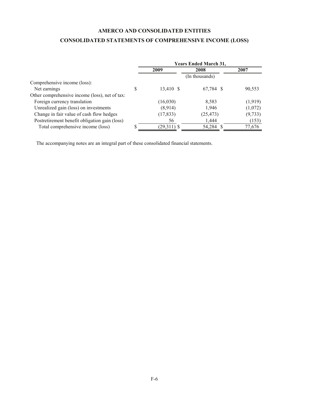# **AMERCO AND CONSOLIDATED ENTITIES CONSOLIDATED STATEMENTS OF COMPREHENSIVE INCOME (LOSS)**

|                                                |   |               | <b>Years Ended March 31,</b> |          |
|------------------------------------------------|---|---------------|------------------------------|----------|
|                                                |   | 2009          | 2008                         | 2007     |
|                                                |   |               | (In thousands)               |          |
| Comprehensive income (loss):                   |   |               |                              |          |
| Net earnings                                   | S | 13,410 \$     | 67,784 \$                    | 90,553   |
| Other comprehensive income (loss), net of tax: |   |               |                              |          |
| Foreign currency translation                   |   | (16,030)      | 8,583                        | (1,919)  |
| Unrealized gain (loss) on investments          |   | (8,914)       | 1,946                        | (1,072)  |
| Change in fair value of cash flow hedges       |   | (17, 833)     | (25, 473)                    | (9, 733) |
| Postretirement benefit obligation gain (loss)  |   | 56            | 1,444                        | (153)    |
| Total comprehensive income (loss)              |   | $(29,311)$ \$ | 54,284 \$                    | 77,676   |

The accompanying notes are an integral part of these consolidated financial statements.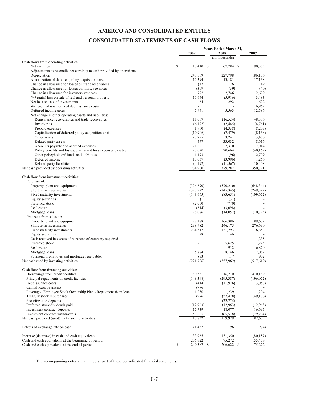# **AMERCO AND CONSOLIDATED ENTITIES CONSOLIDATED STATEMENTS OF CASH FLOWS**

|                                                                            |              |                    | <b>Years Ended March 31,</b> |                |
|----------------------------------------------------------------------------|--------------|--------------------|------------------------------|----------------|
|                                                                            |              | 2009               | 2008                         | 2007           |
|                                                                            |              |                    | (In thousands)               |                |
| Cash flows from operating activities:                                      |              |                    |                              |                |
| Net earnings                                                               | $\mathbb{S}$ | 13,410 \$          | 67,784 \$                    | 90,553         |
| Adjustments to reconcile net earnings to cash provided by operations:      |              |                    |                              |                |
| Depreciation                                                               |              | 248,569            | 227,798                      | 186,106        |
| Amortization of deferred policy acquisition costs                          |              | 12,394             | 13,181                       | 17,138         |
| Change in allowance for losses on trade receivables                        |              | (17)               | 76                           | 49             |
| Change in allowance for losses on mortgage notes                           |              | (309)              | (39)                         | (40)           |
| Change in allowance for inventory reserves                                 |              | 792                | 2,746                        | 2,679          |
| Net (gain) loss on sale of real and personal property                      |              | 16,644             | (5,916)                      | 3,483          |
| Net loss on sale of investments                                            |              | 64                 | 292                          | 622            |
| Write-off of unamortized debt issuance costs                               |              |                    |                              | 6,969          |
| Deferred income taxes                                                      |              | 7,941              | 5,563                        | 12,586         |
| Net change in other operating assets and liabilities:                      |              |                    |                              |                |
| Reinsurance recoverables and trade receivables                             |              | (11,069)           | (16, 524)                    | 48,386         |
| Inventories                                                                |              | (6,192)            | (2, 445)                     | (4,761)        |
| Prepaid expenses                                                           |              | 1,960              | (4,338)                      | (8,205)        |
| Capitalization of deferred policy acquisition costs                        |              | (10,906)           | (7, 479)                     | (8,168)        |
| Other assets                                                               |              | (3,795)            | 3,241                        | 3,450          |
| Related party assets                                                       |              | 4,577              | 33,032                       | 8,616          |
| Accounts payable and accrued expenses                                      |              | (1, 821)           | 7,310                        | 17,044         |
| Policy benefits and losses, claims and loss expenses payable               |              | (7,620)            | 20,664                       | (40, 169)      |
| Other policyholders' funds and liabilities                                 |              | 1,493              | (96)                         | 2,709          |
| Deferred income                                                            |              | 13,037             | (3,996)                      | 1,266          |
| Related party liabilities                                                  |              | (4,192)            | (11, 567)                    | 10,408         |
| Net cash provided by operating activities                                  |              | 274,960            | 329,287                      | 350,721        |
| Cash flow from investment activities:                                      |              |                    |                              |                |
| Purchase of:                                                               |              |                    |                              |                |
|                                                                            |              |                    |                              |                |
| Property, plant and equipment                                              |              | (396, 690)         | (570, 210)                   | (648, 344)     |
| Short term investments                                                     |              | (320, 922)         | (245, 345)                   | (249, 392)     |
| Fixed maturity investments                                                 |              | (143, 665)         | (83, 651)                    | (109,672)      |
| Equity securities<br>Preferred stock                                       |              | (1)                | (31)                         |                |
|                                                                            |              | (2,000)            | (770)                        |                |
| Real estate                                                                |              | (614)              | (3,098)                      |                |
| Mortgage loans                                                             |              | (26,086)           | (14, 057)                    | (10, 725)      |
| Proceeds from sales of:                                                    |              |                    |                              | 89,672         |
| Property, plant and equipment                                              |              | 128,188            | 166,386                      |                |
| Short term investments                                                     |              | 298,982            | 246,175                      | 276,690        |
| Fixed maturity investments                                                 |              | 234,317<br>28      | 131,793<br>46                | 116,858        |
| Equity securities                                                          |              |                    |                              |                |
| Cash received in excess of purchase of company acquired<br>Preferred stock |              | $\overline{a}$     | 5,625                        | 1,235<br>1,225 |
| Real estate                                                                |              |                    | 912                          | 6,870          |
|                                                                            |              |                    |                              |                |
| Mortgage loans<br>Payments from notes and mortgage receivables             |              | 5,884<br>853       | 8,146                        | 7,062<br>902   |
| Net cash used by investing activities                                      |              | (221, 726)         | 117<br>(357.962)             | (517.619)      |
|                                                                            |              |                    |                              |                |
| Cash flow from financing activities:                                       |              |                    |                              |                |
| Borrowings from credit facilities                                          |              | 180,331            | 616,710                      | 410,189        |
| Principal repayments on credit facilties                                   |              | (148,398)          | (295, 387)                   | (196,072)      |
| Debt issuance costs                                                        |              | (414)              | (11, 976)                    | (3,058)        |
| Capital lease payments                                                     |              | (776)              |                              |                |
| Leveraged Employee Stock Ownership Plan - Repayment from loan              |              | 1,230              | 1,239                        | 1,204          |
| Treasury stock repurchases                                                 |              | (976)              | (57, 478)                    | (49,106)       |
| Securitization deposits                                                    |              |                    | (32, 775)                    |                |
| Preferred stock dividends paid                                             |              | (12,963)           | (12,963)                     | (12,963)       |
| Investment contract deposits                                               |              |                    |                              | 16,695         |
| Investment contract withdrawals                                            |              | 17,739<br>(53,605) | 18,077<br>(65,518)           | (79, 204)      |
| Net cash provided (used) by financing activities                           |              | (17, 832)          | 159,929                      | 87,685         |
|                                                                            |              |                    |                              |                |
| Effects of exchange rate on cash                                           |              | (1, 437)           | 96                           | (974)          |
| Increase (decrease) in cash and cash equivalents                           |              | 33,965             | 131,350                      | (80, 187)      |
| Cash and cash equivalents at the beginning of period                       |              | 206,622            | 75,272                       | 155,459        |
| Cash and cash equivalents at the end of period                             | \$           | 240,587 \$         | $206,622$ \$                 | 75,272         |

The accompanying notes are an integral part of these consolidated financial statements.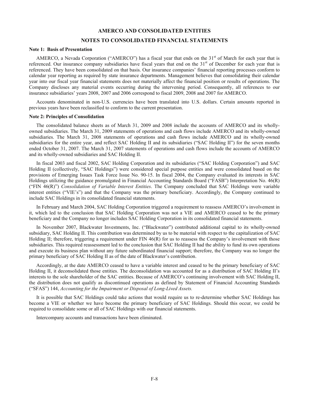# **NOTES TO CONSOLIDATED FINANCIAL STATEMENTS**

# **Note 1: Basis of Presentation**

AMERCO, a Nevada Corporation ("AMERCO") has a fiscal year that ends on the 31<sup>st</sup> of March for each year that is referenced. Our insurance company subsidiaries have fiscal years that end on the  $31<sup>st</sup>$  of December for each year that is referenced. They have been consolidated on that basis. Our insurance companies' financial reporting processes conform to calendar year reporting as required by state insurance departments. Management believes that consolidating their calendar year into our fiscal year financial statements does not materially affect the financial position or results of operations. The Company discloses any material events occurring during the intervening period. Consequently, all references to our insurance subsidiaries' years 2008, 2007 and 2006 correspond to fiscal 2009, 2008 and 2007 for AMERCO.

Accounts denominated in non-U.S. currencies have been translated into U.S. dollars. Certain amounts reported in previous years have been reclassified to conform to the current presentation.

## **Note 2: Principles of Consolidation**

The consolidated balance sheets as of March 31, 2009 and 2008 include the accounts of AMERCO and its whollyowned subsidiaries. The March 31, 2009 statements of operations and cash flows include AMERCO and its wholly-owned subsidiaries. The March 31, 2008 statements of operations and cash flows include AMERCO and its wholly-owned subsidiaries for the entire year, and reflect SAC Holding II and its subsidiaries ("SAC Holding II") for the seven months ended October 31, 2007. The March 31, 2007 statements of operations and cash flows include the accounts of AMERCO and its wholly-owned subsidiaries and SAC Holding II.

In fiscal 2003 and fiscal 2002, SAC Holding Corporation and its subsidiaries ("SAC Holding Corporation") and SAC Holding II (collectively, "SAC Holdings") were considered special purpose entities and were consolidated based on the provisions of Emerging Issues Task Force Issue No. 90-15. In fiscal 2004, the Company evaluated its interests in SAC Holdings utilizing the guidance promulgated in Financial Accounting Standards Board ("FASB") Interpretation No. 46(R) ("FIN 46(R)") *Consolidation of Variable Interest Entities*. The Company concluded that SAC Holdings were variable interest entities ("VIE's") and that the Company was the primary beneficiary. Accordingly, the Company continued to include SAC Holdings in its consolidated financial statements.

In February and March 2004, SAC Holding Corporation triggered a requirement to reassess AMERCO's involvement in it, which led to the conclusion that SAC Holding Corporation was not a VIE and AMERCO ceased to be the primary beneficiary and the Company no longer includes SAC Holding Corporation in its consolidated financial statements.

In November 2007, Blackwater Investments, Inc. ("Blackwater") contributed additional capital to its wholly-owned subsidiary, SAC Holding II. This contribution was determined by us to be material with respect to the capitalization of SAC Holding II; therefore, triggering a requirement under  $FIN\ 46(R)$  for us to reassess the Company's involvement with those subsidiaries. This required reassessment led to the conclusion that SAC Holding II had the ability to fund its own operations and execute its business plan without any future subordinated financial support; therefore, the Company was no longer the primary beneficiary of SAC Holding II as of the date of Blackwater's contribution.

Accordingly, at the date AMERCO ceased to have a variable interest and ceased to be the primary beneficiary of SAC Holding II, it deconsolidated those entities. The deconsolidation was accounted for as a distribution of SAC Holding II's interests to the sole shareholder of the SAC entities. Because of AMERCO's continuing involvement with SAC Holding II, the distribution does not qualify as discontinued operations as defined by Statement of Financial Accounting Standards ("SFAS") 144, *Accounting for the Impairment or Disposal of Long-Lived Assets.*

It is possible that SAC Holdings could take actions that would require us to re-determine whether SAC Holdings has become a VIE or whether we have become the primary beneficiary of SAC Holdings. Should this occur, we could be required to consolidate some or all of SAC Holdings with our financial statements.

Intercompany accounts and transactions have been eliminated.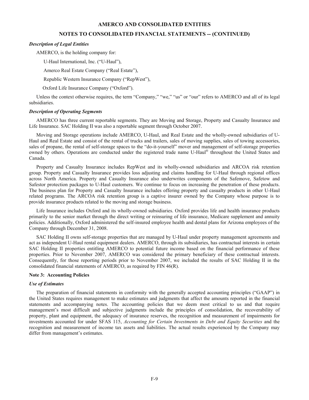# **NOTES TO CONSOLIDATED FINANCIAL STATEMENTS -- (CONTINUED)**

#### *Description of Legal Entities*

AMERCO, is the holding company for:

U-Haul International, Inc. ("U-Haul"),

Amerco Real Estate Company ("Real Estate"),

Republic Western Insurance Company ("RepWest"),

Oxford Life Insurance Company ("Oxford").

Unless the context otherwise requires, the term "Company," "we," "us" or "our" refers to AMERCO and all of its legal subsidiaries.

# *Description of Operating Segments*

AMERCO has three current reportable segments. They are Moving and Storage, Property and Casualty Insurance and Life Insurance. SAC Holding II was also a reportable segment through October 2007.

Moving and Storage operations include AMERCO, U-Haul, and Real Estate and the wholly-owned subsidiaries of U-Haul and Real Estate and consist of the rental of trucks and trailers, sales of moving supplies, sales of towing accessories, sales of propane, the rental of self-storage spaces to the "do-it-yourself" mover and management of self-storage properties owned by others. Operations are conducted under the registered trade name U-Haul® throughout the United States and Canada.

Property and Casualty Insurance includes RepWest and its wholly-owned subsidiaries and ARCOA risk retention group. Property and Casualty Insurance provides loss adjusting and claims handling for U-Haul through regional offices across North America. Property and Casualty Insurance also underwrites components of the Safemove, Safetow and Safestor protection packages to U-Haul customers. We continue to focus on increasing the penetration of these products. The business plan for Property and Casualty Insurance includes offering property and casualty products in other U-Haul related programs. The ARCOA risk retention group is a captive insurer owned by the Company whose purpose is to provide insurance products related to the moving and storage business.

Life Insurance includes Oxford and its wholly-owned subsidiaries. Oxford provides life and health insurance products primarily to the senior market through the direct writing or reinsuring of life insurance, Medicare supplement and annuity policies. Additionally, Oxford administered the self-insured employee health and dental plans for Arizona employees of the Company through December 31, 2008.

SAC Holding II owns self-storage properties that are managed by U-Haul under property management agreements and act as independent U-Haul rental equipment dealers. AMERCO, through its subsidiaries, has contractual interests in certain SAC Holding II properties entitling AMERCO to potential future income based on the financial performance of these properties. Prior to November 2007, AMERCO was considered the primary beneficiary of these contractual interests. Consequently, for those reporting periods prior to November 2007, we included the results of SAC Holding II in the consolidated financial statements of AMERCO, as required by FIN 46(R).

# **Note 3: Accounting Policies**

## *Use of Estimates*

The preparation of financial statements in conformity with the generally accepted accounting principles ("GAAP") in the United States requires management to make estimates and judgments that affect the amounts reported in the financial statements and accompanying notes. The accounting policies that we deem most critical to us and that require management's most difficult and subjective judgments include the principles of consolidation, the recoverability of property, plant and equipment, the adequacy of insurance reserves, the recognition and measurement of impairments for investments accounted for under SFAS 115, *Accounting for Certain Investments in Debt and Equity Securities* and the recognition and measurement of income tax assets and liabilities. The actual results experienced by the Company may differ from management's estimates.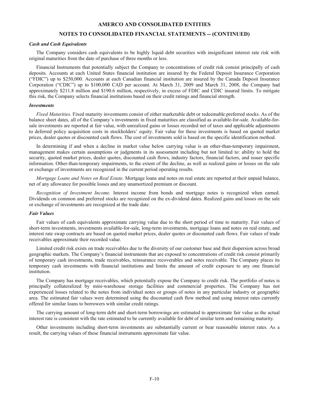# **NOTES TO CONSOLIDATED FINANCIAL STATEMENTS -- (CONTINUED)**

### *Cash and Cash Equivalents*

The Company considers cash equivalents to be highly liquid debt securities with insignificant interest rate risk with original maturities from the date of purchase of three months or less.

Financial Instruments that potentially subject the Company to concentrations of credit risk consist principally of cash deposits. Accounts at each United States financial institution are insured by the Federal Deposit Insurance Corporation ("FDIC") up to \$250,000. Accounts at each Canadian financial institution are insured by the Canada Deposit Insurance Corporation ("CDIC") up to \$100,000 CAD per account. At March 31, 2009 and March 31, 2008, the Company had approximately \$211.8 million and \$190.6 million, respectively, in excess of FDIC and CDIC insured limits. To mitigate this risk, the Company selects financial institutions based on their credit ratings and financial strength.

#### *Investments*

*Fixed Maturities.* Fixed maturity investments consist of either marketable debt or redeemable preferred stocks. As of the balance sheet dates, all of the Company's investments in fixed maturities are classified as available-for-sale. Available-forsale investments are reported at fair value, with unrealized gains or losses recorded net of taxes and applicable adjustments to deferred policy acquisition costs in stockholders' equity. Fair value for these investments is based on quoted market prices, dealer quotes or discounted cash flows. The cost of investments sold is based on the specific identification method.

In determining if and when a decline in market value below carrying value is an other-than-temporary impairment, management makes certain assumptions or judgments in its assessment including but not limited to: ability to hold the security, quoted market prices, dealer quotes, discounted cash flows, industry factors, financial factors, and issuer specific information. Other-than-temporary impairments, to the extent of the decline, as well as realized gains or losses on the sale or exchange of investments are recognized in the current period operating results.

*Mortgage Loans and Notes on Real Estate.* Mortgage loans and notes on real estate are reported at their unpaid balance, net of any allowance for possible losses and any unamortized premium or discount.

*Recognition of Investment Income.* Interest income from bonds and mortgage notes is recognized when earned. Dividends on common and preferred stocks are recognized on the ex-dividend dates. Realized gains and losses on the sale or exchange of investments are recognized at the trade date.

#### *Fair Values*

Fair values of cash equivalents approximate carrying value due to the short period of time to maturity. Fair values of short-term investments, investments available-for-sale, long-term investments, mortgage loans and notes on real estate, and interest rate swap contracts are based on quoted market prices, dealer quotes or discounted cash flows. Fair values of trade receivables approximate their recorded value.

Limited credit risk exists on trade receivables due to the diversity of our customer base and their dispersion across broad geographic markets. The Company's financial instruments that are exposed to concentrations of credit risk consist primarily of temporary cash investments, trade receivables, reinsurance recoverables and notes receivable. The Company places its temporary cash investments with financial institutions and limits the amount of credit exposure to any one financial institution.

The Company has mortgage receivables, which potentially expose the Company to credit risk. The portfolio of notes is principally collateralized by mini-warehouse storage facilities and commercial properties. The Company has not experienced losses related to the notes from individual notes or groups of notes in any particular industry or geographic area. The estimated fair values were determined using the discounted cash flow method and using interest rates currently offered for similar loans to borrowers with similar credit ratings.

The carrying amount of long-term debt and short-term borrowings are estimated to approximate fair value as the actual interest rate is consistent with the rate estimated to be currently available for debt of similar term and remaining maturity.

Other investments including short-term investments are substantially current or bear reasonable interest rates. As a result, the carrying values of these financial instruments approximate fair value.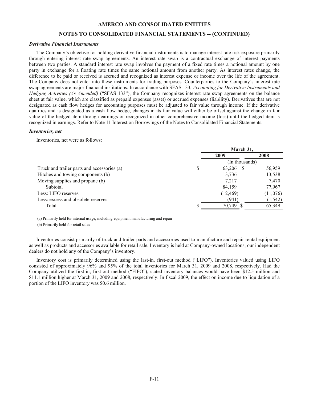# **NOTES TO CONSOLIDATED FINANCIAL STATEMENTS -- (CONTINUED)**

#### *Derivative Financial Instruments*

The Company's objective for holding derivative financial instruments is to manage interest rate risk exposure primarily through entering interest rate swap agreements. An interest rate swap is a contractual exchange of interest payments between two parties. A standard interest rate swap involves the payment of a fixed rate times a notional amount by one party in exchange for a floating rate times the same notional amount from another party. As interest rates change, the difference to be paid or received is accrued and recognized as interest expense or income over the life of the agreement. The Company does not enter into these instruments for trading purposes. Counterparties to the Company's interest rate swap agreements are major financial institutions. In accordance with SFAS 133, *Accounting for Derivative Instruments and Hedging Activities (As Amended)* ("SFAS 133"), the Company recognizes interest rate swap agreements on the balance sheet at fair value, which are classified as prepaid expenses (asset) or accrued expenses (liability). Derivatives that are not designated as cash flow hedges for accounting purposes must be adjusted to fair value through income. If the derivative qualifies and is designated as a cash flow hedge, changes in its fair value will either be offset against the change in fair value of the hedged item through earnings or recognized in other comprehensive income (loss) until the hedged item is recognized in earnings. Refer to Note 11 Interest on Borrowings of the Notes to Consolidated Financial Statements.

## *Inventories, net*

Inventories, net were as follows:

|                                             |   | March 31,      |          |
|---------------------------------------------|---|----------------|----------|
|                                             |   | 2009           | 2008     |
|                                             |   | (In thousands) |          |
| Truck and trailer parts and accessories (a) | S | 63,206<br>- S  | 56,959   |
| Hitches and towing components (b)           |   | 13,736         | 13,538   |
| Moving supplies and propane (b)             |   | 7,217          | 7,470    |
| Subtotal                                    |   | 84,159         | 77,967   |
| Less: LIFO reserves                         |   | (12, 469)      | (11,076) |
| Less: excess and obsolete reserves          |   | (941)          | (1, 542) |
| Total                                       |   | 70,749         | 65,349   |
|                                             |   |                |          |

(a) Primarily held for internal usage, including equipment manufacturing and repair

(b) Primarily held for retail sales

Inventories consist primarily of truck and trailer parts and accessories used to manufacture and repair rental equipment as well as products and accessories available for retail sale. Inventory is held at Company-owned locations; our independent dealers do not hold any of the Company's inventory.

Inventory cost is primarily determined using the last-in, first-out method ("LIFO"). Inventories valued using LIFO consisted of approximately 96% and 95% of the total inventories for March 31, 2009 and 2008, respectively. Had the Company utilized the first-in, first-out method ("FIFO"), stated inventory balances would have been \$12.5 million and \$11.1 million higher at March 31, 2009 and 2008, respectively. In fiscal 2009, the effect on income due to liquidation of a portion of the LIFO inventory was \$0.6 million.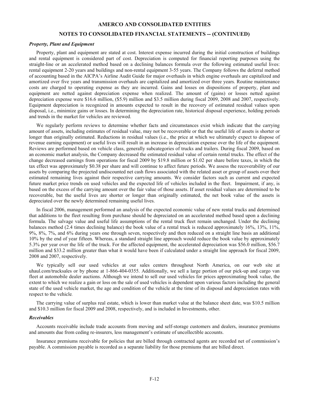# **AMERCO AND CONSOLIDATED ENTITIES NOTES TO CONSOLIDATED FINANCIAL STATEMENTS -- (CONTINUED)**

# *Property, Plant and Equipment*

Property, plant and equipment are stated at cost. Interest expense incurred during the initial construction of buildings and rental equipment is considered part of cost. Depreciation is computed for financial reporting purposes using the straight-line or an accelerated method based on a declining balances formula over the following estimated useful lives: rental equipment 2-20 years and buildings and non-rental equipment 3-55 years. The Company follows the deferral method of accounting based in the AICPA's Airline Audit Guide for major overhauls in which engine overhauls are capitalized and amortized over five years and transmission overhauls are capitalized and amortized over three years. Routine maintenance costs are charged to operating expense as they are incurred. Gains and losses on dispositions of property, plant and equipment are netted against depreciation expense when realized. The amount of (gains) or losses netted against depreciation expense were \$16.6 million, (\$5.9) million and \$3.5 million during fiscal 2009, 2008 and 2007, respectively. Equipment depreciation is recognized in amounts expected to result in the recovery of estimated residual values upon disposal, i.e., minimize gains or losses. In determining the depreciation rate, historical disposal experience, holding periods and trends in the market for vehicles are reviewed.

We regularly perform reviews to determine whether facts and circumstances exist which indicate that the carrying amount of assets, including estimates of residual value, may not be recoverable or that the useful life of assets is shorter or longer than originally estimated. Reductions in residual values (i.e., the price at which we ultimately expect to dispose of revenue earning equipment) or useful lives will result in an increase in depreciation expense over the life of the equipment. Reviews are performed based on vehicle class, generally subcategories of trucks and trailers. During fiscal 2009, based on an economic market analysis, the Company decreased the estimated residual value of certain rental trucks. The effect of the change decreased earnings from operations for fiscal 2009 by \$19.8 million or \$1.02 per share before taxes, in which the tax effect was approximately \$0.38 per share and will continue to affect future periods. We assess the recoverability of our assets by comparing the projected undiscounted net cash flows associated with the related asset or group of assets over their estimated remaining lives against their respective carrying amounts. We consider factors such as current and expected future market price trends on used vehicles and the expected life of vehicles included in the fleet. Impairment, if any, is based on the excess of the carrying amount over the fair value of those assets. If asset residual values are determined to be recoverable, but the useful lives are shorter or longer than originally estimated, the net book value of the assets is depreciated over the newly determined remaining useful lives.

In fiscal 2006, management performed an analysis of the expected economic value of new rental trucks and determined that additions to the fleet resulting from purchase should be depreciated on an accelerated method based upon a declining formula. The salvage value and useful life assumptions of the rental truck fleet remain unchanged. Under the declining balances method (2.4 times declining balance) the book value of a rental truck is reduced approximately 16%, 13%, 11%, 9%, 8%, 7%, and 6% during years one through seven, respectively and then reduced on a straight line basis an additional 10% by the end of year fifteen. Whereas, a standard straight line approach would reduce the book value by approximately 5.3% per year over the life of the truck. For the affected equipment, the accelerated depreciation was \$56.0 million, \$56.7 million and \$33.2 million greater than what it would have been if calculated under a straight line approach for fiscal 2009, 2008 and 2007, respectively.

We typically sell our used vehicles at our sales centers throughout North America, on our web site at uhaul.com/trucksales or by phone at 1-866-404-0355. Additionally, we sell a large portion of our pick-up and cargo van fleet at automobile dealer auctions. Although we intend to sell our used vehicles for prices approximating book value, the extent to which we realize a gain or loss on the sale of used vehicles is dependent upon various factors including the general state of the used vehicle market, the age and condition of the vehicle at the time of its disposal and depreciation rates with respect to the vehicle.

The carrying value of surplus real estate, which is lower than market value at the balance sheet date, was \$10.5 million and \$10.3 million for fiscal 2009 and 2008, respectively, and is included in Investments, other.

#### *Receivables*

Accounts receivable include trade accounts from moving and self-storage customers and dealers, insurance premiums and amounts due from ceding re-insurers, less management's estimate of uncollectible accounts.

Insurance premiums receivable for policies that are billed through contracted agents are recorded net of commission's payable. A commission payable is recorded as a separate liability for those premiums that are billed direct.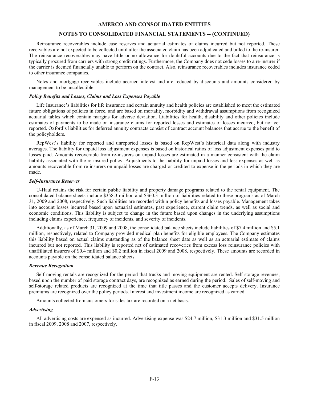# **NOTES TO CONSOLIDATED FINANCIAL STATEMENTS -- (CONTINUED)**

Reinsurance recoverables include case reserves and actuarial estimates of claims incurred but not reported. These receivables are not expected to be collected until after the associated claim has been adjudicated and billed to the re-insurer. The reinsurance recoverables may have little or no allowance for doubtful accounts due to the fact that reinsurance is typically procured from carriers with strong credit ratings. Furthermore, the Company does not cede losses to a re-insurer if the carrier is deemed financially unable to perform on the contract. Also, reinsurance recoverables includes insurance ceded to other insurance companies.

Notes and mortgage receivables include accrued interest and are reduced by discounts and amounts considered by management to be uncollectible.

#### *Policy Benefits and Losses, Claims and Loss Expenses Payable*

Life Insurance's liabilities for life insurance and certain annuity and health policies are established to meet the estimated future obligations of policies in force, and are based on mortality, morbidity and withdrawal assumptions from recognized actuarial tables which contain margins for adverse deviation. Liabilities for health, disability and other policies include estimates of payments to be made on insurance claims for reported losses and estimates of losses incurred, but not yet reported. Oxford's liabilities for deferred annuity contracts consist of contract account balances that accrue to the benefit of the policyholders.

RepWest's liability for reported and unreported losses is based on RepWest's historical data along with industry averages. The liability for unpaid loss adjustment expenses is based on historical ratios of loss adjustment expenses paid to losses paid. Amounts recoverable from re-insurers on unpaid losses are estimated in a manner consistent with the claim liability associated with the re-insured policy. Adjustments to the liability for unpaid losses and loss expenses as well as amounts recoverable from re-insurers on unpaid losses are charged or credited to expense in the periods in which they are made.

#### *Self-Insurance Reserves*

U-Haul retains the risk for certain public liability and property damage programs related to the rental equipment. The consolidated balance sheets include \$358.3 million and \$360.3 million of liabilities related to these programs as of March 31, 2009 and 2008, respectively. Such liabilities are recorded within policy benefits and losses payable. Management takes into account losses incurred based upon actuarial estimates, past experience, current claim trends, as well as social and economic conditions. This liability is subject to change in the future based upon changes in the underlying assumptions including claims experience, frequency of incidents, and severity of incidents.

Additionally, as of March 31, 2009 and 2008, the consolidated balance sheets include liabilities of \$7.4 million and \$5.1 million, respectively, related to Company provided medical plan benefits for eligible employees. The Company estimates this liability based on actual claims outstanding as of the balance sheet date as well as an actuarial estimate of claims incurred but not reported. This liability is reported net of estimated recoveries from excess loss reinsurance policies with unaffiliated insurers of \$0.4 million and \$0.2 million in fiscal 2009 and 2008, respectively. These amounts are recorded in accounts payable on the consolidated balance sheets.

#### *Revenue Recognition*

Self-moving rentals are recognized for the period that trucks and moving equipment are rented. Self-storage revenues, based upon the number of paid storage contract days, are recognized as earned during the period. Sales of self-moving and self-storage related products are recognized at the time that title passes and the customer accepts delivery. Insurance premiums are recognized over the policy periods. Interest and investment income are recognized as earned.

Amounts collected from customers for sales tax are recorded on a net basis.

## *Advertising*

All advertising costs are expensed as incurred. Advertising expense was \$24.7 million, \$31.3 million and \$31.5 million in fiscal 2009, 2008 and 2007, respectively.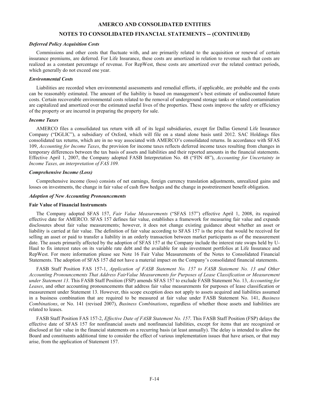# **NOTES TO CONSOLIDATED FINANCIAL STATEMENTS -- (CONTINUED)**

#### *Deferred Policy Acquisition Costs*

Commissions and other costs that fluctuate with, and are primarily related to the acquisition or renewal of certain insurance premiums, are deferred. For Life Insurance, these costs are amortized in relation to revenue such that costs are realized as a constant percentage of revenue. For RepWest, these costs are amortized over the related contract periods, which generally do not exceed one year.

### *Environmental Costs*

Liabilities are recorded when environmental assessments and remedial efforts, if applicable, are probable and the costs can be reasonably estimated. The amount of the liability is based on management's best estimate of undiscounted future costs. Certain recoverable environmental costs related to the removal of underground storage tanks or related contamination are capitalized and amortized over the estimated useful lives of the properties. These costs improve the safety or efficiency of the property or are incurred in preparing the property for sale.

### *Income Taxes*

AMERCO files a consolidated tax return with all of its legal subsidiaries, except for Dallas General Life Insurance Company ("DGLIC"), a subsidiary of Oxford, which will file on a stand alone basis until 2012. SAC Holdings files consolidated tax returns, which are in no way associated with AMERCO's consolidated returns. In accordance with SFAS 109, *Accounting for Income Taxes*, the provision for income taxes reflects deferred income taxes resulting from changes in temporary differences between the tax basis of assets and liabilities and their reported amounts in the financial statements. Effective April 1, 2007, the Company adopted FASB Interpretation No. 48 ("FIN 48"), *Accounting for Uncertainty in Income Taxes, an interpretation of FAS 109.*

### *Comprehensive Income (Loss)*

Comprehensive income (loss) consists of net earnings, foreign currency translation adjustments, unrealized gains and losses on investments, the change in fair value of cash flow hedges and the change in postretirement benefit obligation.

### *Adoption of New Accounting Pronouncements*

#### **Fair Value of Financial Instruments**

The Company adopted SFAS 157, *Fair Value Measurements* ("SFAS 157") effective April 1, 2008, its required effective date for AMERCO. SFAS 157 defines fair value, establishes a framework for measuring fair value and expands disclosures about fair value measurements; however, it does not change existing guidance about whether an asset or liability is carried at fair value. The definition of fair value according to SFAS 157 is the price that would be received for selling an asset or paid to transfer a liability in an orderly transaction between market participants as of the measurement date. The assets primarily affected by the adoption of SFAS 157 at the Company include the interest rate swaps held by U-Haul to fix interest rates on its variable rate debt and the available for sale investment portfolios at Life Insurance and RepWest. For more information please see Note 16 Fair Value Measurements of the Notes to Consolidated Financial Statements. The adoption of SFAS 157 did not have a material impact on the Company's consolidated financial statements.

FASB Staff Position FAS 157-1, *Application of FASB Statement No. 157 to FASB Statement No. 13 and Other Accounting Pronouncements That Address FairValue Measurements for Purposes of Lease Classification or Measurement under Statement 13*. This FASB Staff Position (FSP) amends SFAS 157 to exclude FASB Statement No. 13, *Accounting for Leases*, and other accounting pronouncements that address fair value measurements for purposes of lease classification or measurement under Statement 13. However, this scope exception does not apply to assets acquired and liabilities assumed in a business combination that are required to be measured at fair value under FASB Statement No. 141, *Business Combinations*, or No. 141 (revised 2007), *Business Combinations*, regardless of whether those assets and liabilities are related to leases.

FASB Staff Position FAS 157-2, *Effective Date of FASB Statement No. 157*. This FASB Staff Position (FSP) delays the effective date of SFAS 157 for nonfinancial assets and nonfinancial liabilities, except for items that are recognized or disclosed at fair value in the financial statements on a recurring basis (at least annually). The delay is intended to allow the Board and constituents additional time to consider the effect of various implementation issues that have arisen, or that may arise, from the application of Statement 157.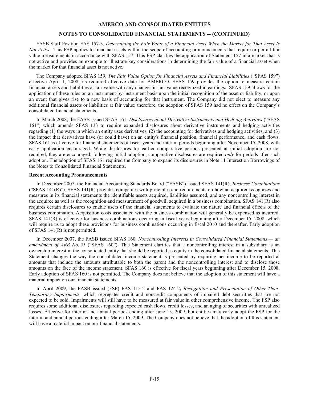# **NOTES TO CONSOLIDATED FINANCIAL STATEMENTS -- (CONTINUED)**

FASB Staff Position FAS 157-3, *Determining the Fair Value of a Financial Asset When the Market for That Asset Is Not Active.* This FSP applies to financial assets within the scope of accounting pronouncements that require or permit fair value measurements in accordance with SFAS 157. This FSP clarifies the application of Statement 157 in a market that is not active and provides an example to illustrate key considerations in determining the fair value of a financial asset when the market for that financial asset is not active.

The Company adopted SFAS 159, *The Fair Value Option for Financial Assets and Financial Liabilities* ("SFAS 159") effective April 1, 2008, its required effective date for AMERCO. SFAS 159 provides the option to measure certain financial assets and liabilities at fair value with any changes in fair value recognized in earnings. SFAS 159 allows for the application of these rules on an instrument-by-instrument basis upon the initial recognition of the asset or liability, or upon an event that gives rise to a new basis of accounting for that instrument. The Company did not elect to measure any additional financial assets or liabilities at fair value; therefore, the adoption of SFAS 159 had no effect on the Company's consolidated financial statements.

In March 2008, the FASB issued SFAS 161, *Disclosures about Derivative Instruments and Hedging Activities* ("SFAS 161") which amends SFAS 133 to require expanded disclosures about derivative instruments and hedging activities regarding (1) the ways in which an entity uses derivatives, (2) the accounting for derivatives and hedging activities, and (3) the impact that derivatives have (or could have) on an entity's financial position, financial performance, and cash flows. SFAS 161 is effective for financial statements of fiscal years and interim periods beginning after November 15, 2008, with early application encouraged. While disclosures for earlier comparative periods presented at initial adoption are not required, they are encouraged; following initial adoption, comparative disclosures are required *only* for periods after such adoption. The adoption of SFAS 161 required the Company to expand its disclosures in Note 11 Interest on Borrowings of the Notes to Consolidated Financial Statements.

# **Recent Accounting Pronouncements**

In December 2007, the Financial Accounting Standards Board ("FASB") issued SFAS 141(R), *Business Combinations* ("SFAS 141(R)"). SFAS 141(R) provides companies with principles and requirements on how an acquirer recognizes and measures in its financial statements the identifiable assets acquired, liabilities assumed, and any noncontrolling interest in the acquiree as well as the recognition and measurement of goodwill acquired in a business combination. SFAS 141(R) also requires certain disclosures to enable users of the financial statements to evaluate the nature and financial effects of the business combination. Acquisition costs associated with the business combination will generally be expensed as incurred. SFAS 141(R) is effective for business combinations occurring in fiscal years beginning after December 15, 2008, which will require us to adopt these provisions for business combinations occurring in fiscal 2010 and thereafter. Early adoption of SFAS 141(R) is not permitted.

In December 2007, the FASB issued SFAS 160, *Noncontrolling Interests in Consolidated Financial Statements — an amendment of ARB No. 51* ("SFAS 160"). This Statement clarifies that a noncontrolling interest in a subsidiary is an ownership interest in the consolidated entity that should be reported as equity in the consolidated financial statements. This Statement changes the way the consolidated income statement is presented by requiring net income to be reported at amounts that include the amounts attributable to both the parent and the noncontrolling interest and to disclose those amounts on the face of the income statement. SFAS 160 is effective for fiscal years beginning after December 15, 2008. Early adoption of SFAS 160 is not permitted. The Company does not believe that the adoption of this statement will have a material impact on our financial statements.

In April 2009, the FASB issued (FSP) FAS 115-2 and FAS 124-2**,** *Recognition and Presentation of Other-Than-Temporary Impairments,* which segregates credit and noncredit components of impaired debt securities that are not expected to be sold. Impairments will still have to be measured at fair value in other comprehensive income. The FSP also requires some additional disclosures regarding expected cash flows, credit losses, and an aging of securities with unrealized losses. Effective for interim and annual periods ending after June 15, 2009, but entities may early adopt the FSP for the interim and annual periods ending after March 15, 2009. The Company does not believe that the adoption of this statement will have a material impact on our financial statements.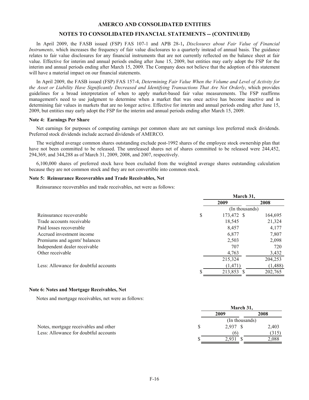# **NOTES TO CONSOLIDATED FINANCIAL STATEMENTS -- (CONTINUED)**

In April 2009, the FASB issued (FSP) FAS 107-1 and APB 28-1**,** *Disclosures about Fair Value of Financial Instruments,* which increases the frequency of fair value disclosures to a quarterly instead of annual basis. The guidance relates to fair value disclosures for any financial instruments that are not currently reflected on the balance sheet at fair value. Effective for interim and annual periods ending after June 15, 2009, but entities may early adopt the FSP for the interim and annual periods ending after March 15, 2009. The Company does not believe that the adoption of this statement will have a material impact on our financial statements.

In April 2009, the FASB issued (FSP) FAS 157-4, *Determining Fair Value When the Volume and Level of Activity for the Asset or Liability Have Significantly Decreased and Identifying Transactions That Are Not Orderly*, which provides guidelines for a broad interpretation of when to apply market-based fair value measurements. The FSP reaffirms management's need to use judgment to determine when a market that was once active has become inactive and in determining fair values in markets that are no longer active. Effective for interim and annual periods ending after June 15, 2009, but entities may early adopt the FSP for the interim and annual periods ending after March 15, 2009.

#### **Note 4: Earnings Per Share**

Net earnings for purposes of computing earnings per common share are net earnings less preferred stock dividends. Preferred stock dividends include accrued dividends of AMERCO.

The weighted average common shares outstanding exclude post-1992 shares of the employee stock ownership plan that have not been committed to be released. The unreleased shares net of shares committed to be released were 244,452, 294,369, and 344,288 as of March 31, 2009, 2008, and 2007, respectively.

6,100,000 shares of preferred stock have been excluded from the weighted average shares outstanding calculation because they are not common stock and they are not convertible into common stock.

#### **Note 5: Reinsurance Recoverables and Trade Receivables, Net**

Reinsurance recoverables and trade receivables, net were as follows:

|                                       |   | March 31,      |         |
|---------------------------------------|---|----------------|---------|
|                                       |   | 2009           | 2008    |
|                                       |   | (In thousands) |         |
| Reinsurance recoverable               | S | 173,472 \$     | 164,695 |
| Trade accounts receivable             |   | 18,545         | 21,324  |
| Paid losses recoverable               |   | 8,457          | 4,177   |
| Accrued investment income             |   | 6,877          | 7,807   |
| Premiums and agents' balances         |   | 2,503          | 2,098   |
| Independent dealer receivable         |   | 707            | 720     |
| Other receivable                      |   | 4,763          | 3,432   |
|                                       |   | 215,324        | 204,253 |
| Less: Allowance for doubtful accounts |   | (1, 471)       | (1,488) |
|                                       |   | 213,853        | 202,765 |

#### **Note 6: Notes and Mortgage Receivables, Net**

Notes and mortgage receivables, net were as follows:

|                                       | March 31.      |       |  |  |  |
|---------------------------------------|----------------|-------|--|--|--|
|                                       | 2009           | 2008  |  |  |  |
|                                       | (In thousands) |       |  |  |  |
| Notes, mortgage receivables and other | 2.937 \$       | 2,403 |  |  |  |
| Less: Allowance for doubtful accounts | (6)            | (315) |  |  |  |
|                                       |                | 2,088 |  |  |  |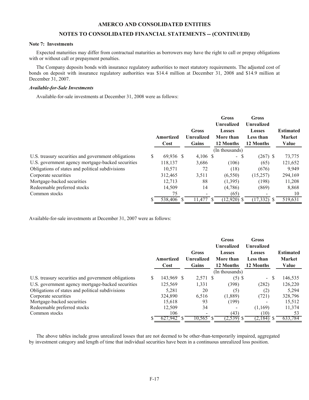# **NOTES TO CONSOLIDATED FINANCIAL STATEMENTS -- (CONTINUED)**

## **Note 7: Investments**

Expected maturities may differ from contractual maturities as borrowers may have the right to call or prepay obligations with or without call or prepayment penalties.

The Company deposits bonds with insurance regulatory authorities to meet statutory requirements. The adjusted cost of bonds on deposit with insurance regulatory authorities was \$14.4 million at December 31, 2008 and \$14.9 million at December 31, 2007.

## *Available-for-Sale Investments*

Available-for-sale investments at December 31, 2008 were as follows:

|                                                     | Amortized<br>Cost | Gross<br><b>Unrealized</b><br>Gains | Gross<br><b>Unrealized</b><br>Losses<br>More than<br>12 Months |    | Gross<br><b>Unrealized</b><br>Losses<br>Less than<br>12 Months | <b>Estimated</b><br><b>Market</b><br>Value |
|-----------------------------------------------------|-------------------|-------------------------------------|----------------------------------------------------------------|----|----------------------------------------------------------------|--------------------------------------------|
|                                                     |                   |                                     | (In thousands)                                                 |    |                                                                |                                            |
| U.S. treasury securities and government obligations | \$<br>69,936 \$   | $4,106$ \$                          | $\sim$                                                         | -S | $(267)$ \$                                                     | 73,775                                     |
| U.S. government agency mortgage-backed securities   | 118,137           | 3,686                               | (106)                                                          |    | (65)                                                           | 121,652                                    |
| Obligations of states and political subdivisions    | 10,571            | 72                                  | (18)                                                           |    | (676)                                                          | 9,949                                      |
| Corporate securities                                | 312,465           | 3,511                               | (6,550)                                                        |    | (15,257)                                                       | 294,169                                    |
| Mortgage-backed securities                          | 12,713            | 88                                  | (1,395)                                                        |    | (198)                                                          | 11,208                                     |
| Redeemable preferred stocks                         | 14,509            | 14                                  | (4,786)                                                        |    | (869)                                                          | 8,868                                      |
| Common stocks                                       | 75                |                                     | (65)                                                           |    |                                                                | 10                                         |
|                                                     | 538,406           | 11,477                              | $(12,920)$ \$                                                  |    | $\overline{(17,332)}$ \$                                       | 519,631                                    |

Available-for-sale investments at December 31, 2007 were as follows:

|                                                     |   | Amortized<br>Cost | Gross<br><b>Unrealized</b><br>Gains | Gross<br>Gross<br><b>Unrealized</b><br><b>Unrealized</b><br><b>Losses</b><br><b>Losses</b><br>More than<br>Less than<br>12 Months<br>12 Months |         | <b>Estimated</b><br><b>Market</b><br>Value |
|-----------------------------------------------------|---|-------------------|-------------------------------------|------------------------------------------------------------------------------------------------------------------------------------------------|---------|--------------------------------------------|
|                                                     |   |                   |                                     | (In thousands)                                                                                                                                 |         |                                            |
| U.S. treasury securities and government obligations | S | 143,969 \$        | 2,571 \$                            | $(5)$ \$                                                                                                                                       | - \$    | 146,535                                    |
| U.S. government agency mortgage-backed securities   |   | 125,569           | 1,331                               | (398)                                                                                                                                          | (282)   | 126,220                                    |
| Obligations of states and political subdivisions    |   | 5,281             | 20                                  | (5)                                                                                                                                            | (2)     | 5,294                                      |
| Corporate securities                                |   | 324,890           | 6,516                               | (1,889)                                                                                                                                        | (721)   | 328,796                                    |
| Mortgage-backed securities                          |   | 15,618            | 93                                  | (199)                                                                                                                                          |         | 15,512                                     |
| Redeemable preferred stocks                         |   | 12,509            | 34                                  |                                                                                                                                                | (1,169) | 11,374                                     |
| Common stocks                                       |   | 106               |                                     | (43)                                                                                                                                           | (10)    | 53                                         |
|                                                     |   | 627,942           | 10,565                              | $(2,539)$ \$                                                                                                                                   | (2,184) | 633,784                                    |

The above tables include gross unrealized losses that are not deemed to be other-than-temporarily impaired, aggregated by investment category and length of time that individual securities have been in a continuous unrealized loss position.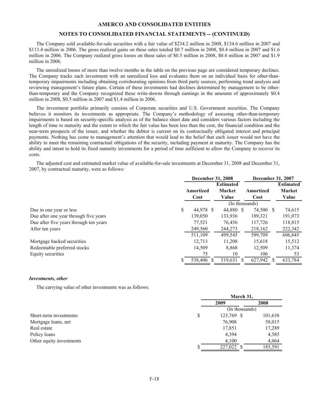### **NOTES TO CONSOLIDATED FINANCIAL STATEMENTS -- (CONTINUED)**

The Company sold available-for-sale securities with a fair value of \$234.2 million in 2008, \$134.6 million in 2007 and \$113.4 million in 2006. The gross realized gains on these sales totaled \$0.7 million in 2008, \$0.4 million in 2007 and \$1.6 million in 2006. The Company realized gross losses on these sales of \$0.5 million in 2008, \$0.4 million in 2007 and \$1.9 million in 2006.

The unrealized losses of more than twelve months in the table on the previous page are considered temporary declines. The Company tracks each investment with an unrealized loss and evaluates them on an individual basis for other-thantemporary impairments including obtaining corroborating opinions from third party sources, performing trend analysis and reviewing management's future plans. Certain of these investments had declines determined by management to be otherthan-temporary and the Company recognized these write-downs through earnings in the amounts of approximately \$0.4 million in 2008, \$0.5 million in 2007 and \$1.4 million in 2006.

The investment portfolio primarily consists of Corporate securities and U.S. Government securities. The Company believes it monitors its investments as appropriate. The Company's methodology of assessing other-than-temporary impairments is based on security-specific analysis as of the balance sheet date and considers various factors including the length of time to maturity and the extent to which the fair value has been less than the cost, the financial condition and the near-term prospects of the issuer, and whether the debtor is current on its contractually obligated interest and principal payments. Nothing has come to management's attention that would lead to the belief that each issuer would not have the ability to meet the remaining contractual obligations of the security, including payment at maturity. The Company has the ability and intent to hold its fixed maturity investments for a period of time sufficient to allow the Company to recover its costs.

The adjusted cost and estimated market value of available-for-sale investments at December 31, 2008 and December 31, 2007, by contractual maturity, were as follows:

|                                        |           | <b>December 31, 2008</b> |                  | <b>December 31, 2007</b> |
|----------------------------------------|-----------|--------------------------|------------------|--------------------------|
|                                        |           | <b>Estimated</b>         |                  | <b>Estimated</b>         |
|                                        | Amortized | <b>Market</b>            | <b>Amortized</b> | <b>Market</b>            |
|                                        | Cost      | Value                    | Cost             | Value                    |
|                                        |           |                          | (In thousands)   |                          |
| \$<br>Due in one year or less          | 44,978 \$ | 44,880 \$                | 74,500 \$        | 74,615                   |
| Due after one year through five years  | 139,050   | 133,936                  | 189,321          | 191,073                  |
| Due after five years through ten years | 77,521    | 76,456                   | 117,726          | 118,815                  |
| After ten years                        | 249,560   | 244,273                  | 218,162          | 222,342                  |
|                                        | 511,109   | 499,545                  | 599,709          | 606,845                  |
| Mortgage backed securities             | 12,713    | 11,208                   | 15,618           | 15,512                   |
| Redeemable preferred stocks            | 14,509    | 8,868                    | 12,509           | 11,374                   |
| Equity securities                      | 75        | 10                       | 106              | 53                       |
|                                        | 538,406   | 519,631                  | 627,942          | 633,784                  |

### *Investments, other*

The carrying value of other investments was as follows:

|                          | March 31,        |                |         |  |
|--------------------------|------------------|----------------|---------|--|
|                          | 2009             |                | 2008    |  |
|                          |                  | (In thousands) |         |  |
| Short-term investments   | \$<br>123,769 \$ |                | 101,638 |  |
| Mortgage loans, net      | 76,908           |                | 58,015  |  |
| Real estate              | 17,851           |                | 17,289  |  |
| Policy loans             | 4,394            |                | 4,585   |  |
| Other equity investments | 4,100            |                | 4,064   |  |
|                          | 227,022          |                | 185,591 |  |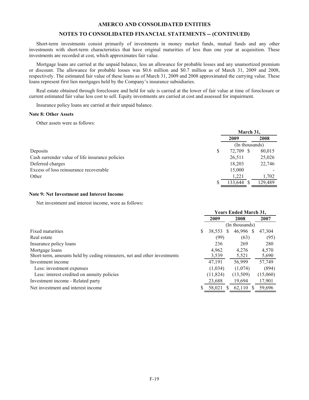### **NOTES TO CONSOLIDATED FINANCIAL STATEMENTS -- (CONTINUED)**

Short-term investments consist primarily of investments in money market funds, mutual funds and any other investments with short-term characteristics that have original maturities of less than one year at acquisition. These investments are recorded at cost, which approximates fair value.

Mortgage loans are carried at the unpaid balance, less an allowance for probable losses and any unamortized premium or discount. The allowance for probable losses was \$0.6 million and \$0.7 million as of March 31, 2009 and 2008, respectively. The estimated fair value of these loans as of March 31, 2009 and 2008 approximated the carrying value. These loans represent first lien mortgages held by the Company's insurance subsidiaries.

Real estate obtained through foreclosure and held for sale is carried at the lower of fair value at time of foreclosure or current estimated fair value less cost to sell. Equity investments are carried at cost and assessed for impairment.

Insurance policy loans are carried at their unpaid balance.

### **Note 8: Other Assets**

Other assets were as follows:

|                                                 | March 31.       |         |  |  |
|-------------------------------------------------|-----------------|---------|--|--|
|                                                 | 2009            | 2008    |  |  |
|                                                 | (In thousands)  |         |  |  |
| Deposits                                        | \$<br>72,709 \$ | 80,015  |  |  |
| Cash surrender value of life insurance policies | 26,511          | 25,026  |  |  |
| Deferred charges                                | 18,203          | 22,746  |  |  |
| Excess of loss reinsurance recoverable          | 15,000          |         |  |  |
| Other                                           | 1,221           | 1,702   |  |  |
|                                                 | 133.644         | 129,489 |  |  |

### **Note 9: Net Investment and Interest Income**

Net investment and interest income, were as follows:

|                                                                          | <b>Years Ended March 31,</b> |           |   |                |          |  |
|--------------------------------------------------------------------------|------------------------------|-----------|---|----------------|----------|--|
|                                                                          |                              | 2009      |   | 2008           | 2007     |  |
|                                                                          |                              |           |   | (In thousands) |          |  |
| <b>Fixed maturities</b>                                                  | \$                           | 38,553    | S | 46,996         | 47,304   |  |
| Real estate                                                              |                              | (99)      |   | (63)           | (95)     |  |
| Insurance policy loans                                                   |                              | 236       |   | 269            | 280      |  |
| Mortgage loans                                                           |                              | 4.962     |   | 4,276          | 4,570    |  |
| Short-term, amounts held by ceding reinsurers, net and other investments |                              | 3,539     |   | 5,521          | 5,690    |  |
| Investment income                                                        |                              | 47,191    |   | 56,999         | 57,749   |  |
| Less: investment expenses                                                |                              | (1,034)   |   | (1,074)        | (894)    |  |
| Less: interest credited on annuity policies                              |                              | (11, 824) |   | (13,509)       | (15,060) |  |
| Investment income - Related party                                        |                              | 23,688    |   | 19,694         | 17,901   |  |
| Net investment and interest income                                       | S                            | 58,021    | S | 62,110 \$      | 59,696   |  |
|                                                                          |                              |           |   |                |          |  |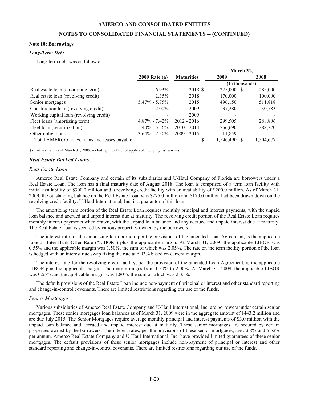### **AMERCO AND CONSOLIDATED ENTITIES NOTES TO CONSOLIDATED FINANCIAL STATEMENTS -- (CONTINUED)**

### **Note 10: Borrowings**

### *Long-Term Debt*

Long-term debt was as follows:

|                                              |                   |                   | March 31,      |           |
|----------------------------------------------|-------------------|-------------------|----------------|-----------|
|                                              | $2009$ Rate (a)   | <b>Maturities</b> | 2009           | 2008      |
|                                              |                   |                   | (In thousands) |           |
| Real estate loan (amortizing term)           | $6.93\%$          | 2018 \$           | 275,000 \$     | 285,000   |
| Real estate loan (revolving credit)          | 2.35%             | 2018              | 170,000        | 100,000   |
| Senior mortgages                             | $5.47\% - 5.75\%$ | 2015              | 496,156        | 511,818   |
| Construction loan (revolving credit)         | $2.00\%$          | 2009              | 37,280         | 30,783    |
| Working capital loan (revolving credit)      |                   | 2009              |                |           |
| Fleet loans (amortizing term)                | $4.87\% - 7.42\%$ | $2012 - 2016$     | 299,505        | 288,806   |
| Fleet loan (securitization)                  | $5.40\% - 5.56\%$ | $2010 - 2014$     | 256,690        | 288,270   |
| Other obligations                            | $3.64\% - 7.50\%$ | $2009 - 2015$     | 11,859         |           |
| Total AMERCO notes, loans and leases payable |                   |                   | 1,546,490      | 1,504,677 |

(a) Interest rate as of March 31, 2009, including the effect of applicable hedging instruments

### *Real Estate Backed Loans*

### *Real Estate Loan*

Amerco Real Estate Company and certain of its subsidiaries and U-Haul Company of Florida are borrowers under a Real Estate Loan. The loan has a final maturity date of August 2018. The loan is comprised of a term loan facility with initial availability of \$300.0 million and a revolving credit facility with an availability of \$200.0 million. As of March 31, 2009, the outstanding balance on the Real Estate Loan was \$275.0 million and \$170.0 million had been drawn down on the revolving credit facility. U-Haul International, Inc. is a guarantor of this loan.

The amortizing term portion of the Real Estate Loan requires monthly principal and interest payments, with the unpaid loan balance and accrued and unpaid interest due at maturity. The revolving credit portion of the Real Estate Loan requires monthly interest payments when drawn, with the unpaid loan balance and any accrued and unpaid interest due at maturity. The Real Estate Loan is secured by various properties owned by the borrowers.

The interest rate for the amortizing term portion, per the provisions of the amended Loan Agreement, is the applicable London Inter-Bank Offer Rate ("LIBOR") plus the applicable margin. At March 31, 2009, the applicable LIBOR was 0.55% and the applicable margin was 1.50%, the sum of which was 2.05%. The rate on the term facility portion of the loan is hedged with an interest rate swap fixing the rate at 6.93% based on current margin.

The interest rate for the revolving credit facility, per the provision of the amended Loan Agreement, is the applicable LIBOR plus the applicable margin. The margin ranges from 1.50% to 2.00%. At March 31, 2009, the applicable LIBOR was 0.55% and the applicable margin was 1.80%, the sum of which was 2.35%.

The default provisions of the Real Estate Loan include non-payment of principal or interest and other standard reporting and change-in-control covenants. There are limited restrictions regarding our use of the funds.

### *Senior Mortgages*

Various subsidiaries of Amerco Real Estate Company and U-Haul International, Inc. are borrowers under certain senior mortgages. These senior mortgages loan balances as of March 31, 2009 were in the aggregate amount of \$443.2 million and are due July 2015. The Senior Mortgages require average monthly principal and interest payments of \$3.0 million with the unpaid loan balance and accrued and unpaid interest due at maturity. These senior mortgages are secured by certain properties owned by the borrowers. The interest rates, per the provisions of these senior mortgages, are 5.68% and 5.52% per annum. Amerco Real Estate Company and U-Haul International, Inc. have provided limited guarantees of these senior mortgages. The default provisions of these senior mortgages include non-payment of principal or interest and other standard reporting and change-in-control covenants. There are limited restrictions regarding our use of the funds.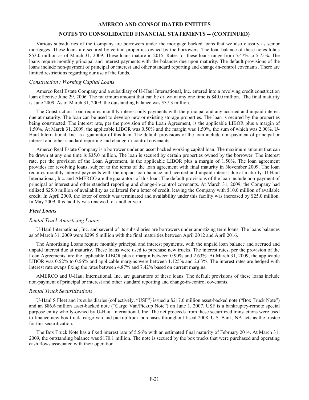### **NOTES TO CONSOLIDATED FINANCIAL STATEMENTS -- (CONTINUED)**

Various subsidiaries of the Company are borrowers under the mortgage backed loans that we also classify as senior mortgages. These loans are secured by certain properties owned by the borrowers. The loan balance of these notes totals \$53.0 million as of March 31, 2009. These loans mature in 2015. Rates for these loans range from 5.47% to 5.75%. The loans require monthly principal and interest payments with the balances due upon maturity. The default provisions of the loans include non-payment of principal or interest and other standard reporting and change-in-control covenants. There are limited restrictions regarding our use of the funds.

### *Construction / Working Capital Loans*

Amerco Real Estate Company and a subsidiary of U-Haul International, Inc. entered into a revolving credit construction loan effective June 29, 2006. The maximum amount that can be drawn at any one time is \$40.0 million. The final maturity is June 2009. As of March 31, 2009, the outstanding balance was \$37.3 million.

The Construction Loan requires monthly interest only payments with the principal and any accrued and unpaid interest due at maturity. The loan can be used to develop new or existing storage properties. The loan is secured by the properties being constructed. The interest rate, per the provision of the Loan Agreement, is the applicable LIBOR plus a margin of 1.50%. At March 31, 2009, the applicable LIBOR was 0.50% and the margin was 1.50%, the sum of which was 2.00%. U-Haul International, Inc. is a guarantor of this loan. The default provisions of the loan include non-payment of principal or interest and other standard reporting and change-in-control covenants.

Amerco Real Estate Company is a borrower under an asset backed working capital loan. The maximum amount that can be drawn at any one time is \$35.0 million. The loan is secured by certain properties owned by the borrower. The interest rate, per the provision of the Loan Agreement, is the applicable LIBOR plus a margin of 1.50%. The loan agreement provides for revolving loans, subject to the terms of the loan agreement with final maturity in November 2009. The loan requires monthly interest payments with the unpaid loan balance and accrued and unpaid interest due at maturity. U-Haul International, Inc. and AMERCO are the guarantors of this loan. The default provisions of the loan include non-payment of principal or interest and other standard reporting and change-in-control covenants. At March 31, 2009, the Company had utilized \$25.0 million of availability as collateral for a letter of credit, leaving the Company with \$10.0 million of available credit. In April 2009, the letter of credit was terminated and availability under this facility was increased by \$25.0 million. In May 2009, this facility was renewed for another year.

### *Fleet Loans*

### *Rental Truck Amortizing Loans*

U-Haul International, Inc. and several of its subsidiaries are borrowers under amortizing term loans. The loans balances as of March 31, 2009 were \$299.5 million with the final maturities between April 2012 and April 2016.

The Amortizing Loans require monthly principal and interest payments, with the unpaid loan balance and accrued and unpaid interest due at maturity. These loans were used to purchase new trucks. The interest rates, per the provision of the Loan Agreements, are the applicable LIBOR plus a margin between 0.90% and 2.63%. At March 31, 2009, the applicable LIBOR was 0.52% to 0.56% and applicable margins were between 1.125% and 2.63%. The interest rates are hedged with interest rate swaps fixing the rates between 4.87% and 7.42% based on current margins.

AMERCO and U-Haul International, Inc. are guarantors of these loans. The default provisions of these loans include non-payment of principal or interest and other standard reporting and change-in-control covenants.

### *Rental Truck Securitizations*

U-Haul S Fleet and its subsidiaries (collectively, "USF") issued a \$217.0 million asset-backed note ("Box Truck Note") and an \$86.6 million asset-backed note ("Cargo Van/Pickup Note") on June 1, 2007. USF is a bankruptcy-remote special purpose entity wholly-owned by U-Haul International, Inc. The net proceeds from these securitized transactions were used to finance new box truck, cargo van and pickup truck purchases throughout fiscal 2008. U.S. Bank, NA acts as the trustee for this securitization.

The Box Truck Note has a fixed interest rate of 5.56% with an estimated final maturity of February 2014. At March 31, 2009, the outstanding balance was \$170.1 million. The note is secured by the box trucks that were purchased and operating cash flows associated with their operation.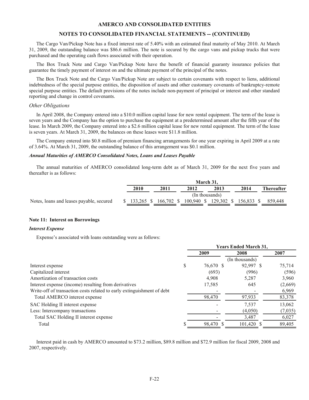### **NOTES TO CONSOLIDATED FINANCIAL STATEMENTS -- (CONTINUED)**

The Cargo Van/Pickup Note has a fixed interest rate of 5.40% with an estimated final maturity of May 2010. At March 31, 2009, the outstanding balance was \$86.6 million. The note is secured by the cargo vans and pickup trucks that were purchased and the operating cash flows associated with their operation.

The Box Truck Note and Cargo Van/Pickup Note have the benefit of financial guaranty insurance policies that guarantee the timely payment of interest on and the ultimate payment of the principal of the notes.

The Box Truck Note and the Cargo Van/Pickup Note are subject to certain covenants with respect to liens, additional indebtedness of the special purpose entities, the disposition of assets and other customary covenants of bankruptcy-remote special purpose entities. The default provisions of the notes include non-payment of principal or interest and other standard reporting and change in control covenants.

### *Other Obligations*

In April 2008, the Company entered into a \$10.0 million capital lease for new rental equipment. The term of the lease is seven years and the Company has the option to purchase the equipment at a predetermined amount after the fifth year of the lease. In March 2009, the Company entered into a \$2.6 million capital lease for new rental equipment. The term of the lease is seven years. At March 31, 2009, the balances on these leases were \$11.8 million.

The Company entered into \$0.8 million of premium financing arrangements for one year expiring in April 2009 at a rate of 3.64%. At March 31, 2009, the outstanding balance of this arrangement was \$0.1 million.

### *Annual Maturities of AMERCO Consolidated Notes, Loans and Leases Payable*

The annual maturities of AMERCO consolidated long-term debt as of March 31, 2009 for the next five years and thereafter is as follows:

|                                          | March 31,  |  |              |  |      |  |                       |  |            |                   |
|------------------------------------------|------------|--|--------------|--|------|--|-----------------------|--|------------|-------------------|
|                                          | 2010       |  | 2011         |  | 2012 |  | 2013                  |  | 2014       | <b>Thereafter</b> |
|                                          |            |  |              |  |      |  | (In thousands)        |  |            |                   |
| Notes, loans and leases payable, secured | \$ 133,265 |  | $166,702$ \$ |  |      |  | 100,940 \$ 129,302 \$ |  | 156,833 \$ | 859.448           |

### **Note 11: Interest on Borrowings**

### *Interest Expense*

Expense's associated with loans outstanding were as follows:

|                                                                        | <b>Years Ended March 31,</b> |                |         |  |  |  |
|------------------------------------------------------------------------|------------------------------|----------------|---------|--|--|--|
|                                                                        | 2009                         | 2008           | 2007    |  |  |  |
|                                                                        |                              | (In thousands) |         |  |  |  |
| Interest expense                                                       | \$<br>76,670 \$              | 92,997 \$      | 75,714  |  |  |  |
| Capitalized interest                                                   | (693)                        | (996)          | (596)   |  |  |  |
| Amortization of transaction costs                                      | 4,908                        | 5.287          | 3,960   |  |  |  |
| Interest expense (income) resulting from derivatives                   | 17,585                       | 645            | (2,669) |  |  |  |
| Write-off of transaction costs related to early extinguishment of debt |                              |                | 6,969   |  |  |  |
| Total AMERCO interest expense                                          | 98,470                       | 97,933         | 83,378  |  |  |  |
| SAC Holding II interest expense                                        |                              | 7,537          | 13,062  |  |  |  |
| Less: Intercompany transactions                                        |                              | (4,050)        | (7,035) |  |  |  |
| Total SAC Holding II interest expense                                  |                              | 3,487          | 6,027   |  |  |  |
| Total                                                                  | 98,470 \$                    | $101,420$ \$   | 89,405  |  |  |  |

Interest paid in cash by AMERCO amounted to \$73.2 million, \$89.8 million and \$72.9 million for fiscal 2009, 2008 and 2007, respectively.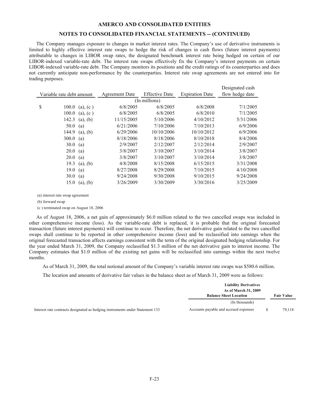### **NOTES TO CONSOLIDATED FINANCIAL STATEMENTS -- (CONTINUED)**

The Company manages exposure to changes in market interest rates. The Company's use of derivative instruments is limited to highly effective interest rate swaps to hedge the risk of changes in cash flows (future interest payments) attributable to changes in LIBOR swap rates, the designated benchmark interest rate being hedged on certain of our LIBOR-indexed variable-rate debt. The interest rate swaps effectively fix the Company's interest payments on certain LIBOR-indexed variable-rate debt. The Company monitors its positions and the credit ratings of its counterparties and does not currently anticipate non-performance by the counterparties. Interest rate swap agreements are not entered into for trading purposes.

|                           |               |                       |                       |                        | Designated cash |
|---------------------------|---------------|-----------------------|-----------------------|------------------------|-----------------|
| Variable rate debt amount |               | <b>Agreement Date</b> | <b>Effective Date</b> | <b>Expiration Date</b> | flow hedge date |
|                           |               |                       | (In millions)         |                        |                 |
| \$<br>100.0               | $(a)$ , $(c)$ | 6/8/2005              | 6/8/2005              | 6/8/2008               | 7/1/2005        |
| 100.0                     | $(a)$ , $(c)$ | 6/8/2005              | 6/8/2005              | 6/8/2010               | 7/1/2005        |
| 142.3                     | $(a)$ , $(b)$ | 11/15/2005            | 5/10/2006             | 4/10/2012              | 5/31/2006       |
| 50.0                      | (a)           | 6/21/2006             | 7/10/2006             | 7/10/2013              | 6/9/2006        |
| 144.9                     | (a), (b)      | 6/29/2006             | 10/10/2006            | 10/10/2012             | 6/9/2006        |
| 300.0                     | (a)           | 8/18/2006             | 8/18/2006             | 8/10/2018              | 8/4/2006        |
| 30.0                      | (a)           | 2/9/2007              | 2/12/2007             | 2/12/2014              | 2/9/2007        |
| 20.0                      | (a)           | 3/8/2007              | 3/10/2007             | 3/10/2014              | 3/8/2007        |
| 20.0                      | (a)           | 3/8/2007              | 3/10/2007             | 3/10/2014              | 3/8/2007        |
| 19.3                      | (a), (b)      | 4/8/2008              | 8/15/2008             | 6/15/2015              | 3/31/2008       |
| 19.0                      | (a)           | 8/27/2008             | 8/29/2008             | 7/10/2015              | 4/10/2008       |
| 30.0                      | (a)           | 9/24/2008             | 9/30/2008             | 9/10/2015              | 9/24/2008       |
| 15.0                      | (a), (b)      | 3/26/2009             | 3/30/2009             | 3/30/2016              | 3/25/2009       |

(a) interest rate swap agreement

(b) forward swap

(c ) terminated swap on August 18, 2006

As of August 18, 2006, a net gain of approximately \$6.0 million related to the two cancelled swaps was included in other comprehensive income (loss). As the variable-rate debt is replaced, it is probable that the original forecasted transaction (future interest payments) will continue to occur. Therefore, the net derivative gain related to the two cancelled swaps shall continue to be reported in other comprehensive income (loss) and be reclassified into earnings when the original forecasted transaction affects earnings consistent with the term of the original designated hedging relationship. For the year ended March 31, 2009, the Company reclassified \$1.3 million of the net derivative gain to interest income. The Company estimates that \$1.0 million of the existing net gains will be reclassified into earnings within the next twelve months.

As of March 31, 2009, the total notional amount of the Company's variable interest rate swaps was \$580.6 million.

The location and amounts of derivative fair values in the balance sheet as of March 31, 2009 were as follows:

|                                                                               | <b>Liability Derivatives</b>          |  |                   |  |
|-------------------------------------------------------------------------------|---------------------------------------|--|-------------------|--|
|                                                                               | As of March 31, 2009                  |  |                   |  |
|                                                                               | <b>Balance Sheet Location</b>         |  | <b>Fair Value</b> |  |
|                                                                               | (In thousands)                        |  |                   |  |
| Interest rate contracts designated as hedging instruments under Statement 133 | Accounts payable and accrued expenses |  | 79.118            |  |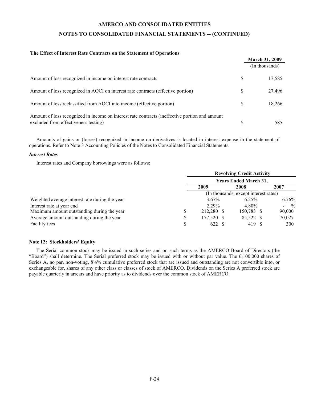### **AMERCO AND CONSOLIDATED ENTITIES NOTES TO CONSOLIDATED FINANCIAL STATEMENTS -- (CONTINUED)**

### **The Effect of Interest Rate Contracts on the Statement of Operations**

|                                                                                                                                        |   | <b>March 31, 2009</b> |
|----------------------------------------------------------------------------------------------------------------------------------------|---|-----------------------|
|                                                                                                                                        |   | (In thousands)        |
| Amount of loss recognized in income on interest rate contracts                                                                         | S | 17,585                |
| Amount of loss recognized in AOCI on interest rate contracts (effective portion)                                                       | S | 27,496                |
| Amount of loss reclassified from AOCI into income (effective portion)                                                                  | S | 18,266                |
| Amount of loss recognized in income on interest rate contracts (ineffective portion and amount<br>excluded from effectiveness testing) | S | 585                   |

Amounts of gains or (losses) recognized in income on derivatives is located in interest expense in the statement of operations. Refer to Note 3 Accounting Policies of the Notes to Consolidated Financial Statements.

### *Interest Rates*

Interest rates and Company borrowings were as follows:

|                                                |    | <b>Revolving Credit Activity</b>      |            |  |                       |  |  |  |
|------------------------------------------------|----|---------------------------------------|------------|--|-----------------------|--|--|--|
|                                                |    | <b>Years Ended March 31,</b>          |            |  |                       |  |  |  |
|                                                |    | 2009                                  | 2008       |  | 2007                  |  |  |  |
|                                                |    | (In thousands, except interest rates) |            |  |                       |  |  |  |
| Weighted average interest rate during the year |    | $3.67\%$                              | $6.25\%$   |  | 6.76%                 |  |  |  |
| Interest rate at year end                      |    | 2.29%                                 | 4.80%      |  | $^{0}/_{0}$<br>$\sim$ |  |  |  |
| Maximum amount outstanding during the year     | S  | 212,280 \$                            | 150,783 \$ |  | 90,000                |  |  |  |
| Average amount outstanding during the year     | \$ | 177,520 \$                            | 85,522 \$  |  | 70,027                |  |  |  |
| Facility fees                                  |    | 622 \$                                | 419 S      |  | 300                   |  |  |  |

### **Note 12: Stockholders' Equity**

The Serial common stock may be issued in such series and on such terms as the AMERCO Board of Directors (the "Board") shall determine. The Serial preferred stock may be issued with or without par value. The 6,100,000 shares of Series A, no par, non-voting, 8½% cumulative preferred stock that are issued and outstanding are not convertible into, or exchangeable for, shares of any other class or classes of stock of AMERCO. Dividends on the Series A preferred stock are payable quarterly in arrears and have priority as to dividends over the common stock of AMERCO.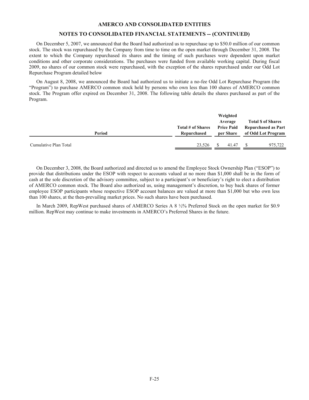### **NOTES TO CONSOLIDATED FINANCIAL STATEMENTS -- (CONTINUED)**

On December 5, 2007, we announced that the Board had authorized us to repurchase up to \$50.0 million of our common stock. The stock was repurchased by the Company from time to time on the open market through December 31, 2008. The extent to which the Company repurchased its shares and the timing of such purchases were dependent upon market conditions and other corporate considerations. The purchases were funded from available working capital. During fiscal 2009, no shares of our common stock were repurchased, with the exception of the shares repurchased under our Odd Lot Repurchase Program detailed below

On August 8, 2008, we announced the Board had authorized us to initiate a no-fee Odd Lot Repurchase Program (the "Program") to purchase AMERCO common stock held by persons who own less than 100 shares of AMERCO common stock. The Program offer expired on December 31, 2008. The following table details the shares purchased as part of the Program.

| Period                | Total # of Shares<br>Repurchased | Weighted<br>Average<br><b>Price Paid</b><br>per Share | <b>Total S of Shares</b><br><b>Repurchased as Part</b><br>of Odd Lot Program |         |  |
|-----------------------|----------------------------------|-------------------------------------------------------|------------------------------------------------------------------------------|---------|--|
| Cumulative Plan Total | 23,526                           | 41.47                                                 |                                                                              | 975,722 |  |

On December 3, 2008, the Board authorized and directed us to amend the Employee Stock Ownership Plan ("ESOP") to provide that distributions under the ESOP with respect to accounts valued at no more than \$1,000 shall be in the form of cash at the sole discretion of the advisory committee, subject to a participant's or beneficiary's right to elect a distribution of AMERCO common stock. The Board also authorized us, using management's discretion, to buy back shares of former employee ESOP participants whose respective ESOP account balances are valued at more than \$1,000 but who own less than 100 shares, at the then-prevailing market prices. No such shares have been purchased.

In March 2009, RepWest purchased shares of AMERCO Series A 8 ½% Preferred Stock on the open market for \$0.9 million. RepWest may continue to make investments in AMERCO's Preferred Shares in the future.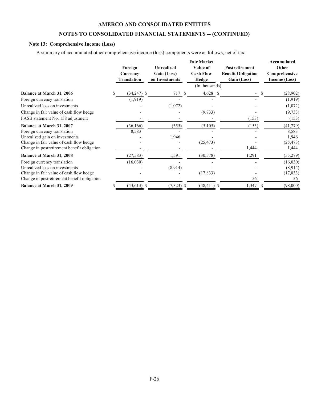### **AMERCO AND CONSOLIDATED ENTITIES NOTES TO CONSOLIDATED FINANCIAL STATEMENTS -- (CONTINUED)**

### **Note 13: Comprehensive Income (Loss)**

A summary of accumulated other comprehensive income (loss) components were as follows, net of tax:

|                                             |                                    |                                                    | <b>Fair Market</b>                    |                                                            |               | Accumulated                             |
|---------------------------------------------|------------------------------------|----------------------------------------------------|---------------------------------------|------------------------------------------------------------|---------------|-----------------------------------------|
|                                             | Foreign<br>Currency<br>Translation | <b>Unrealized</b><br>Gain (Loss)<br>on Investments | Value of<br><b>Cash Flow</b><br>Hedge | Postretirement<br><b>Benefit Obligation</b><br>Gain (Loss) |               | Other<br>Comprehensive<br>Income (Loss) |
|                                             |                                    |                                                    | (In thousands)                        |                                                            |               |                                         |
| <b>Balance at March 31, 2006</b>            | $(34,247)$ \$                      | 717 \$                                             | 4,628 \$                              |                                                            | <sup>\$</sup> | (28,902)                                |
| Foreign currency translation                | (1,919)                            |                                                    |                                       |                                                            |               | (1,919)                                 |
| Unrealized loss on investments              |                                    | (1,072)                                            |                                       |                                                            |               | (1,072)                                 |
| Change in fair value of cash flow hedge     |                                    |                                                    | (9,733)                               |                                                            |               | (9, 733)                                |
| FASB statement No. 158 adjustment           |                                    |                                                    |                                       | (153)                                                      |               | (153)                                   |
| <b>Balance at March 31, 2007</b>            | (36, 166)                          | (355)                                              | (5,105)                               | (153)                                                      |               | (41, 779)                               |
| Foreign currency translation                | 8,583                              |                                                    |                                       |                                                            |               | 8,583                                   |
| Unrealized gain on investments              |                                    | 1,946                                              |                                       |                                                            |               | 1,946                                   |
| Change in fair value of cash flow hedge     |                                    |                                                    | (25, 473)                             |                                                            |               | (25, 473)                               |
| Change in postretirement benefit obligation |                                    |                                                    |                                       | 1,444                                                      |               | 1,444                                   |
| <b>Balance at March 31, 2008</b>            | (27, 583)                          | 1,591                                              | (30, 578)                             | 1,291                                                      |               | (55,279)                                |
| Foreign currency translation                | (16,030)                           |                                                    |                                       |                                                            |               | (16,030)                                |
| Unrealized loss on investments              |                                    | (8,914)                                            |                                       |                                                            |               | (8,914)                                 |
| Change in fair value of cash flow hedge     |                                    |                                                    | (17, 833)                             |                                                            |               | (17, 833)                               |
| Change in postretirement benefit obligation |                                    |                                                    |                                       | 56                                                         |               | 56                                      |
| <b>Balance at March 31, 2009</b>            | $(43,613)$ \$                      | $(7,323)$ \$                                       | $(48, 411)$ \$                        | 1,347                                                      |               | (98,000)                                |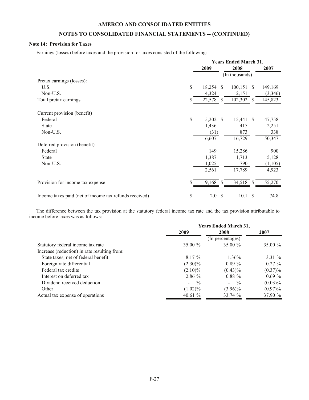### **NOTES TO CONSOLIDATED FINANCIAL STATEMENTS -- (CONTINUED)**

### **Note 14: Provision for Taxes**

Earnings (losses) before taxes and the provision for taxes consisted of the following:

|                                                        | <b>Years Ended March 31,</b> |                |               |         |  |
|--------------------------------------------------------|------------------------------|----------------|---------------|---------|--|
|                                                        | 2009                         | 2008           |               | 2007    |  |
|                                                        |                              | (In thousands) |               |         |  |
| Pretax earnings (losses):                              |                              |                |               |         |  |
| U.S.                                                   | \$<br>18,254 \$              | $100, 151$ \$  |               | 149,169 |  |
| Non-U.S.                                               | 4,324                        | 2,151          |               | (3,346) |  |
| Total pretax earnings                                  | 22,578<br><sup>S</sup>       | 102,302 \$     |               | 145,823 |  |
| Current provision (benefit)                            |                              |                |               |         |  |
| Federal                                                | \$<br>5,202 \$               | $15,441$ \$    |               | 47,758  |  |
| <b>State</b>                                           | 1,436                        | 415            |               | 2,251   |  |
| Non-U.S.                                               | (31)                         | 873            |               | 338     |  |
|                                                        | 6,607                        | 16,729         |               | 50,347  |  |
| Deferred provision (benefit)                           |                              |                |               |         |  |
| Federal                                                | 149                          | 15,286         |               | 900     |  |
| <b>State</b>                                           | 1,387                        | 1,713          |               | 5,128   |  |
| Non-U.S.                                               | 1,025                        | 790            |               | (1,105) |  |
|                                                        | 2,561                        | 17,789         |               | 4,923   |  |
| Provision for income tax expense                       | \$<br>9,168<br><sup>\$</sup> | 34,518 \$      |               | 55,270  |  |
| Income taxes paid (net of income tax refunds received) | \$<br>2.0 <sup>°</sup>       | 10.1           | $\mathcal{S}$ | 74.8    |  |

The difference between the tax provision at the statutory federal income tax rate and the tax provision attributable to income before taxes was as follows:

|                                              | <b>Years Ended March 31,</b>     |                             |            |  |  |
|----------------------------------------------|----------------------------------|-----------------------------|------------|--|--|
|                                              | 2009                             | 2008                        | 2007       |  |  |
|                                              |                                  | (In percentages)            |            |  |  |
| Statutory federal income tax rate            | $35.00 \%$                       | $35.00\%$                   | 35.00 $\%$ |  |  |
| Increase (reduction) in rate resulting from: |                                  |                             |            |  |  |
| State taxes, net of federal benefit          | $8.17 \%$                        | 1.36%                       | $3.31 \%$  |  |  |
| Foreign rate differential                    | $(2.30)\%$                       | $0.89\%$                    | $0.27 \%$  |  |  |
| Federal tax credits                          | $(2.10)\%$                       | $(0.43)\%$                  | $(0.37)\%$ |  |  |
| Interest on deferred tax                     | $2.86\%$                         | $0.88 \%$                   | $0.69\%$   |  |  |
| Dividend received deduction                  | $\frac{0}{0}$<br>$\sim$ 10 $\pm$ | $\frac{0}{0}$<br>$\sim 100$ | $(0.03)\%$ |  |  |
| Other                                        | $(1.02)\%$                       | $(3.96)\%$                  | $(0.97)\%$ |  |  |
| Actual tax expense of operations             | 40.61 $%$                        | 33.74 %                     | 37.90 %    |  |  |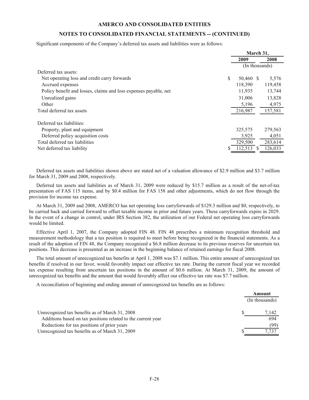### **AMERCO AND CONSOLIDATED ENTITIES NOTES TO CONSOLIDATED FINANCIAL STATEMENTS -- (CONTINUED)**

Significant components of the Company's deferred tax assets and liabilities were as follows:

|                                                                  | March 31,       |         |
|------------------------------------------------------------------|-----------------|---------|
|                                                                  | 2009            | 2008    |
|                                                                  | (In thousands)  |         |
| Deferred tax assets:                                             |                 |         |
| Net operating loss and credit carry forwards                     | \$<br>50,460 \$ | 5,576   |
| Accrued expenses                                                 | 118,390         | 119,458 |
| Policy benefit and losses, claims and loss expenses payable, net | 11,935          | 13,744  |
| Unrealized gains                                                 | 31,006          | 13,828  |
| Other                                                            | 5,196           | 4,975   |
| Total deferred tax assets                                        | 216,987         | 157,581 |
| Deferred tax liabilities:                                        |                 |         |
| Property, plant and equipment                                    | 325,575         | 279,563 |
| Deferred policy acquisition costs                                | 3,925           | 4,051   |
| Total deferred tax liabilities                                   | 329,500         | 283,614 |
| Net deferred tax liability                                       | 112,513         | 126,033 |

Deferred tax assets and liabilities shown above are stated net of a valuation allowance of \$2.9 million and \$3.7 million for March 31, 2009 and 2008, respectively.

Deferred tax assets and liabilities as of March 31, 2009 were reduced by \$15.7 million as a result of the net-of-tax presentation of FAS 115 items, and by \$0.4 million for FAS 158 and other adjustments, which do not flow through the provision for income tax expense.

At March 31, 2009 and 2008, AMERCO has net operating loss carryforwards of \$129.3 million and \$0, respectively, to be carried back and carried forward to offset taxable income in prior and future years. These carryforwards expire in 2029. In the event of a change in control, under IRS Section 382, the utilization of our Federal net operating loss carryforwards would be limited.

Effective April 1, 2007, the Company adopted FIN 48*.* FIN 48 prescribes a minimum recognition threshold and measurement methodology that a tax position is required to meet before being recognized in the financial statements. As a result of the adoption of FIN 48, the Company recognized a \$6.8 million decrease to its previous reserves for uncertain tax positions. This decrease is presented as an increase in the beginning balance of retained earnings for fiscal 2008.

The total amount of unrecognized tax benefits at April 1, 2008 was \$7.1 million. This entire amount of unrecognized tax benefits if resolved in our favor, would favorably impact our effective tax rate. During the current fiscal year we recorded tax expense resulting from uncertain tax positions in the amount of \$0.6 million. At March 31, 2009, the amount of unrecognized tax benefits and the amount that would favorably affect our effective tax rate was \$7.7 million.

A reconciliation of beginning and ending amount of unrecognized tax benefits are as follows:

|                                                              | Amount |                |
|--------------------------------------------------------------|--------|----------------|
|                                                              |        | (In thousands) |
| Unrecognized tax benefits as of March 31, 2008               |        | 7,142          |
| Additions based on tax positions related to the current year |        | 694            |
| Reductions for tax positions of prior years                  |        | (99)           |
| Unrecognized tax benefits as of March 31, 2009               |        | 1 737          |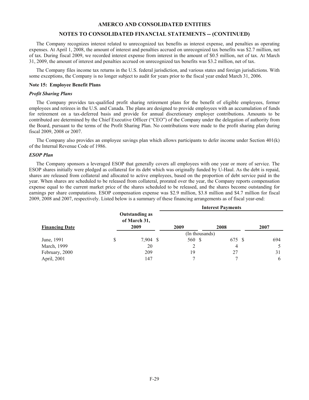### **NOTES TO CONSOLIDATED FINANCIAL STATEMENTS -- (CONTINUED)**

The Company recognizes interest related to unrecognized tax benefits as interest expense, and penalties as operating expenses. At April 1, 2008, the amount of interest and penalties accrued on unrecognized tax benefits was \$2.7 million, net of tax. During fiscal 2009, we recorded interest expense from interest in the amount of \$0.5 million, net of tax. At March 31, 2009, the amount of interest and penalties accrued on unrecognized tax benefits was \$3.2 million, net of tax.

The Company files income tax returns in the U.S. federal jurisdiction, and various states and foreign jurisdictions. With some exceptions, the Company is no longer subject to audit for years prior to the fiscal year ended March 31, 2006.

### **Note 15: Employee Benefit Plans**

### *Profit Sharing Plans*

The Company provides tax-qualified profit sharing retirement plans for the benefit of eligible employees, former employees and retirees in the U.S. and Canada. The plans are designed to provide employees with an accumulation of funds for retirement on a tax-deferred basis and provide for annual discretionary employer contributions. Amounts to be contributed are determined by the Chief Executive Officer ("CEO") of the Company under the delegation of authority from the Board, pursuant to the terms of the Profit Sharing Plan. No contributions were made to the profit sharing plan during fiscal 2009, 2008 or 2007.

The Company also provides an employee savings plan which allows participants to defer income under Section 401(k) of the Internal Revenue Code of 1986.

### *ESOP Plan*

The Company sponsors a leveraged ESOP that generally covers all employees with one year or more of service. The ESOP shares initially were pledged as collateral for its debt which was originally funded by U-Haul. As the debt is repaid, shares are released from collateral and allocated to active employees, based on the proportion of debt service paid in the year. When shares are scheduled to be released from collateral, prorated over the year, the Company reports compensation expense equal to the current market price of the shares scheduled to be released, and the shares become outstanding for earnings per share computations. ESOP compensation expense was \$2.9 million, \$3.8 million and \$4.7 million for fiscal 2009, 2008 and 2007, respectively. Listed below is a summary of these financing arrangements as of fiscal year-end:

|                       |                                       |          |  |        | <b>Interest Payments</b> |      |
|-----------------------|---------------------------------------|----------|--|--------|--------------------------|------|
|                       | <b>Outstanding as</b><br>of March 31, |          |  |        |                          |      |
| <b>Financing Date</b> |                                       | 2009     |  | 2009   | 2008                     | 2007 |
|                       |                                       |          |  |        | (In thousands)           |      |
| June, 1991            | S                                     | 7,904 \$ |  | 560 \$ | 675 \$                   | 694  |
| March, 1999           |                                       | 20       |  | າ      | 4                        |      |
| February, 2000        |                                       | 209      |  | 19     | 27                       | 31   |
| April, 2001           |                                       | 147      |  |        | π                        | 6    |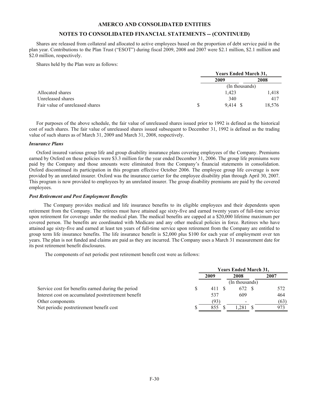### **NOTES TO CONSOLIDATED FINANCIAL STATEMENTS -- (CONTINUED)**

Shares are released from collateral and allocated to active employees based on the proportion of debt service paid in the plan year. Contributions to the Plan Trust ("ESOT") during fiscal 2009, 2008 and 2007 were \$2.1 million, \$2.1 million and \$2.0 million, respectively.

Shares held by the Plan were as follows:

|                                 |                | <b>Years Ended March 31,</b> |  |  |  |  |
|---------------------------------|----------------|------------------------------|--|--|--|--|
|                                 | 2009           | 2008                         |  |  |  |  |
|                                 | (In thousands) |                              |  |  |  |  |
| Allocated shares                | 1.423          | 1.418                        |  |  |  |  |
| Unreleased shares               | 340            | 417                          |  |  |  |  |
| Fair value of unreleased shares | 9.414 \$       | 18,576                       |  |  |  |  |

For purposes of the above schedule, the fair value of unreleased shares issued prior to 1992 is defined as the historical cost of such shares. The fair value of unreleased shares issued subsequent to December 31, 1992 is defined as the trading value of such shares as of March 31, 2009 and March 31, 2008, respectively.

### *Insurance Plans*

Oxford insured various group life and group disability insurance plans covering employees of the Company. Premiums earned by Oxford on these policies were \$3.3 million for the year ended December 31, 2006. The group life premiums were paid by the Company and those amounts were eliminated from the Company's financial statements in consolidation. Oxford discontinued its participation in this program effective October 2006. The employee group life coverage is now provided by an unrelated insurer. Oxford was the insurance carrier for the employee disability plan through April 30, 2007. This program is now provided to employees by an unrelated insurer. The group disability premiums are paid by the covered employees.

### *Post Retirement and Post Employment Benefits*

The Company provides medical and life insurance benefits to its eligible employees and their dependents upon retirement from the Company. The retirees must have attained age sixty-five and earned twenty years of full-time service upon retirement for coverage under the medical plan. The medical benefits are capped at a \$20,000 lifetime maximum per covered person. The benefits are coordinated with Medicare and any other medical policies in force. Retirees who have attained age sixty-five and earned at least ten years of full-time service upon retirement from the Company are entitled to group term life insurance benefits. The life insurance benefit is \$2,000 plus \$100 for each year of employment over ten years. The plan is not funded and claims are paid as they are incurred. The Company uses a March 31 measurement date for its post retirement benefit disclosures.

The components of net periodic post retirement benefit cost were as follows:

|                                                     | <b>Years Ended March 31,</b> |  |                |  |      |  |
|-----------------------------------------------------|------------------------------|--|----------------|--|------|--|
|                                                     | 2009                         |  | 2008           |  | 2007 |  |
|                                                     |                              |  | (In thousands) |  |      |  |
| Service cost for benefits earned during the period  | 411                          |  | 672 \$         |  | 572  |  |
| Interest cost on accumulated postretirement benefit | 537                          |  | 609            |  | 464  |  |
| Other components                                    | (93)                         |  |                |  | (63) |  |
| Net periodic postretirement benefit cost            | 855                          |  | $.28^{\circ}$  |  | 973  |  |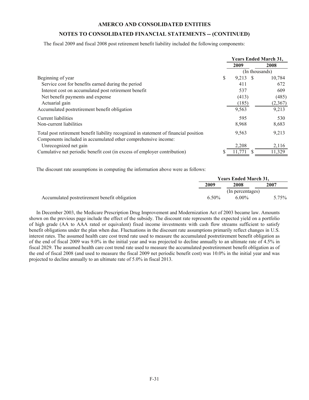### **AMERCO AND CONSOLIDATED ENTITIES NOTES TO CONSOLIDATED FINANCIAL STATEMENTS -- (CONTINUED)**

The fiscal 2009 and fiscal 2008 post retirement benefit liability included the following components:

|                                                                                                                                                         | <b>Years Ended March 31,</b> |         |  |
|---------------------------------------------------------------------------------------------------------------------------------------------------------|------------------------------|---------|--|
|                                                                                                                                                         | 2009                         | 2008    |  |
|                                                                                                                                                         | (In thousands)               |         |  |
| Beginning of year                                                                                                                                       | \$<br>9,213 \$               | 10,784  |  |
| Service cost for benefits earned during the period                                                                                                      | 411                          | 672     |  |
| Interest cost on accumulated post retirement benefit                                                                                                    | 537                          | 609     |  |
| Net benefit payments and expense                                                                                                                        | (413)                        | (485)   |  |
| Actuarial gain                                                                                                                                          | (185)                        | (2,367) |  |
| Accumulated postretirement benefit obligation                                                                                                           | 9,563                        | 9,213   |  |
| Current liabilities                                                                                                                                     | 595                          | 530     |  |
| Non-current liabilities                                                                                                                                 | 8,968                        | 8,683   |  |
| Total post retirement benefit liability recognized in statement of financial position<br>Components included in accumulated other comprehensive income: | 9,563                        | 9,213   |  |
| Unrecognized net gain                                                                                                                                   | 2,208                        | 2,116   |  |
| Cumulative net periodic benefit cost (in excess of employer contribution)                                                                               | 11,771                       | 11,329  |  |

The discount rate assumptions in computing the information above were as follows:

|                                               | <b>Years Ended March 31.</b> |                  |       |  |
|-----------------------------------------------|------------------------------|------------------|-------|--|
|                                               | 2009                         | 2008             | 2007  |  |
|                                               |                              | (In percentages) |       |  |
| Accumulated postretirement benefit obligation | $6.50\%$                     | $6.00\%$         | 5.75% |  |

In December 2003, the Medicare Prescription Drug Improvement and Modernization Act of 2003 became law. Amounts shown on the previous page include the effect of the subsidy. The discount rate represents the expected yield on a portfolio of high grade (AA to AAA rated or equivalent) fixed income investments with cash flow streams sufficient to satisfy benefit obligations under the plan when due. Fluctuations in the discount rate assumptions primarily reflect changes in U.S. interest rates. The assumed health care cost trend rate used to measure the accumulated postretirement benefit obligation as of the end of fiscal 2009 was 9.0% in the initial year and was projected to decline annually to an ultimate rate of 4.5% in fiscal 2029. The assumed health care cost trend rate used to measure the accumulated postretirement benefit obligation as of the end of fiscal 2008 (and used to measure the fiscal 2009 net periodic benefit cost) was 10.0% in the initial year and was projected to decline annually to an ultimate rate of 5.0% in fiscal 2013.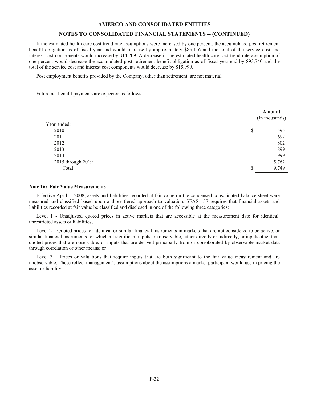### **NOTES TO CONSOLIDATED FINANCIAL STATEMENTS -- (CONTINUED)**

If the estimated health care cost trend rate assumptions were increased by one percent, the accumulated post retirement benefit obligation as of fiscal year-end would increase by approximately \$85,116 and the total of the service cost and interest cost components would increase by \$14,209. A decrease in the estimated health care cost trend rate assumption of one percent would decrease the accumulated post retirement benefit obligation as of fiscal year-end by \$93,740 and the total of the service cost and interest cost components would decrease by \$15,999.

Post employment benefits provided by the Company, other than retirement, are not material.

Future net benefit payments are expected as follows:

|                   |    | Amount         |
|-------------------|----|----------------|
|                   |    | (In thousands) |
| Year-ended:       |    |                |
| 2010              | \$ | 595            |
| 2011              |    | 692            |
| 2012              |    | 802            |
| 2013              |    | 899            |
| 2014              |    | 999            |
| 2015 through 2019 |    | 5,762          |
| Total             | S  | 9,749          |

### **Note 16: Fair Value Measurements**

Effective April 1, 2008, assets and liabilities recorded at fair value on the condensed consolidated balance sheet were measured and classified based upon a three tiered approach to valuation. SFAS 157 requires that financial assets and liabilities recorded at fair value be classified and disclosed in one of the following three categories:

Level 1 - Unadjusted quoted prices in active markets that are accessible at the measurement date for identical, unrestricted assets or liabilities;

Level 2 – Quoted prices for identical or similar financial instruments in markets that are not considered to be active, or similar financial instruments for which all significant inputs are observable, either directly or indirectly, or inputs other than quoted prices that are observable, or inputs that are derived principally from or corroborated by observable market data through correlation or other means; or

Level 3 – Prices or valuations that require inputs that are both significant to the fair value measurement and are unobservable. These reflect management's assumptions about the assumptions a market participant would use in pricing the asset or liability.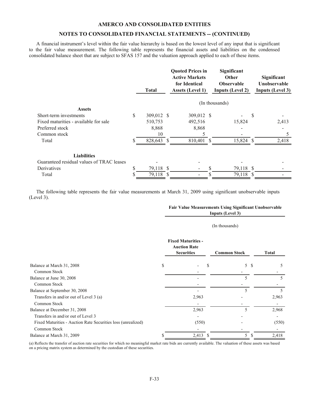### **NOTES TO CONSOLIDATED FINANCIAL STATEMENTS -- (CONTINUED)**

A financial instrument's level within the fair value hierarchy is based on the lowest level of any input that is significant to the fair value measurement. The following table represents the financial assets and liabilities on the condensed consolidated balance sheet that are subject to SFAS 157 and the valuation approach applied to each of these items.

|                                           |    | <b>Total</b> | <b>Quoted Prices in</b><br><b>Active Markets</b><br>for Identical<br><b>Assets (Level 1)</b> | Significant<br>Other<br><b>Observable</b><br>Inputs (Level 2) |    | Significant<br>Unobservable<br>Inputs (Level 3) |
|-------------------------------------------|----|--------------|----------------------------------------------------------------------------------------------|---------------------------------------------------------------|----|-------------------------------------------------|
|                                           |    |              |                                                                                              | (In thousands)                                                |    |                                                 |
| <b>Assets</b>                             |    |              |                                                                                              |                                                               |    |                                                 |
| Short-term investments                    | \$ | 309,012 \$   | 309,012 \$                                                                                   |                                                               | S  |                                                 |
| Fixed maturities - available for sale     |    | 510,753      | 492,516                                                                                      | 15,824                                                        |    | 2,413                                           |
| Preferred stock                           |    | 8,868        | 8,868                                                                                        |                                                               |    |                                                 |
| Common stock                              |    | 10           | 5                                                                                            |                                                               |    | 5                                               |
| Total                                     |    | 828,643 \$   | 810,401                                                                                      | 15,824 \$                                                     |    | 2,418                                           |
| <b>Liabilities</b>                        |    |              |                                                                                              |                                                               |    |                                                 |
| Guaranteed residual values of TRAC leases |    |              |                                                                                              |                                                               |    |                                                 |
| Derivatives                               | \$ | 79,118 \$    |                                                                                              | 79,118 \$                                                     |    |                                                 |
| Total                                     | S  | 79,118 \$    |                                                                                              | 79,118                                                        | -S |                                                 |

The following table represents the fair value measurements at March 31, 2009 using significant unobservable inputs (Level 3).

### **Fair Value Measurements Using Significant Unobservable Inputs (Level 3)**

### (In thousands)

|                                                              |   | <b>Fixed Maturities -</b><br><b>Auction Rate</b><br><b>Securities</b> | <b>Common Stock</b> | <b>Total</b> |
|--------------------------------------------------------------|---|-----------------------------------------------------------------------|---------------------|--------------|
| Balance at March 31, 2008                                    | S |                                                                       | 5                   | -S<br>5      |
| Common Stock                                                 |   |                                                                       |                     |              |
| Balance at June 30, 2008                                     |   |                                                                       |                     | 5            |
| Common Stock                                                 |   |                                                                       |                     |              |
| Balance at September 30, 2008                                |   |                                                                       |                     |              |
| Transfers in and/or out of Level 3 (a)                       |   | 2,963                                                                 |                     | 2,963        |
| Common Stock                                                 |   |                                                                       |                     |              |
| Balance at December 31, 2008                                 |   | 2,963                                                                 |                     | 2,968        |
| Transfers in and/or out of Level 3                           |   |                                                                       |                     |              |
| Fixed Maturities - Auction Rate Securities loss (unrealized) |   | (550)                                                                 |                     | (550)        |
| Common Stock                                                 |   |                                                                       |                     |              |
| Balance at March 31, 2009                                    |   | 2,413 \$                                                              | 5                   | 2,418<br>S   |

(a) Reflects the transfer of auction rate securities for which no meaningful market rate bids are currently available. The valuation of these assets was based on a pricing matrix system as determined by the custodian of these securities.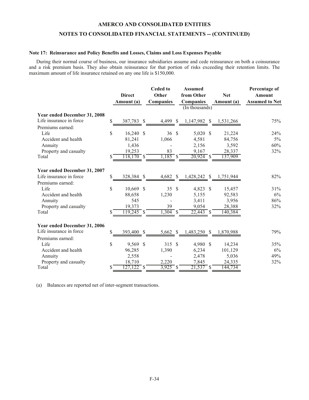### **AMERCO AND CONSOLIDATED ENTITIES NOTES TO CONSOLIDATED FINANCIAL STATEMENTS -- (CONTINUED)**

### **Note 17: Reinsurance and Policy Benefits and Losses, Claims and Loss Expenses Payable**

During their normal course of business, our insurance subsidiaries assume and cede reinsurance on both a coinsurance and a risk premium basis. They also obtain reinsurance for that portion of risks exceeding their retention limits. The maximum amount of life insurance retained on any one life is \$150,000.

|                              |                               |    | <b>Ceded</b> to  |              | <b>Assumed</b>                        |            | Percentage of         |
|------------------------------|-------------------------------|----|------------------|--------------|---------------------------------------|------------|-----------------------|
|                              | <b>Direct</b>                 |    | Other            |              | from Other                            | <b>Net</b> | <b>Amount</b>         |
|                              | Amount (a)                    |    | <b>Companies</b> |              | <b>Companies</b>                      | Amount (a) | <b>Assumed to Net</b> |
|                              |                               |    |                  |              | $(\overline{\ln \text{th} \text{c}})$ |            |                       |
| Year ended December 31, 2008 |                               |    |                  |              |                                       |            |                       |
| Life insurance in force      | \$<br>387,783                 | -S | 4,499            | <sup>S</sup> | 1,147,982 \$                          | 1,531,266  | 75%                   |
| Premiums earned:             |                               |    |                  |              |                                       |            |                       |
| Life                         | \$<br>$16,240$ \$             |    | 36S              |              | 5,020 \$                              | 21,224     | 24%                   |
| Accident and health          | 81,241                        |    | 1,066            |              | 4,581                                 | 84,756     | $5\%$                 |
| Annuity                      | 1,436                         |    |                  |              | 2,156                                 | 3,592      | 60%                   |
| Property and casualty        | 19,253                        |    | 83               |              | 9,167                                 | 28,337     | 32%                   |
| Total                        | $118,170$ \$                  |    | $1,185$ \$       |              | $20,924$ \$                           | 137,909    |                       |
| Year ended December 31, 2007 |                               |    |                  |              |                                       |            |                       |
| Life insurance in force      | \$<br>328,384 \$              |    | $4,682$ \$       |              | 1,428,242 \$                          | 1,751,944  | 82%                   |
| Premiums earned:             |                               |    |                  |              |                                       |            |                       |
| Life                         | \$<br>$10,669$ \$             |    | 35S              |              | 4,823 \$                              | 15,457     | 31%                   |
| Accident and health          | 88,658                        |    | 1,230            |              | 5,155                                 | 92,583     | 6%                    |
| Annuity                      | 545                           |    |                  |              | 3,411                                 | 3,956      | 86%                   |
| Property and casualty        | 19,373                        |    | 39               |              | 9,054                                 | 28,388     | 32%                   |
| Total                        | $119,245$ \$                  |    | $1,304$ \$       |              | 22,443                                | 140,384    |                       |
| Year ended December 31, 2006 |                               |    |                  |              |                                       |            |                       |
| Life insurance in force      | \$<br>393,400 \$              |    | 5,662 \$         |              | 1,483,250 \$                          | 1,870,988  | 79%                   |
| Premiums earned:             |                               |    |                  |              |                                       |            |                       |
| Life                         | \$<br>9,569 \$                |    | 315 \$           |              | 4,980 \$                              | 14,234     | 35%                   |
| Accident and health          | 96,285                        |    | 1,390            |              | 6,234                                 | 101,129    | 6%                    |
| Annuity                      | 2,558                         |    |                  |              | 2,478                                 | 5,036      | 49%                   |
| Property and casualty        | 18,710                        |    | 2,220            |              | 7,845                                 | 24,335     | 32%                   |
| Total                        | \$<br>$\overline{127,122}$ \$ |    | $3,925$ \$       |              | $21,537$ \$                           | 144,734    |                       |

(a) Balances are reported net of inter-segment transactions.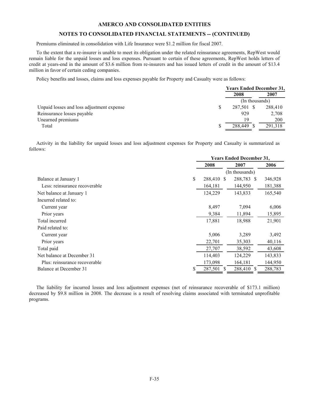### **NOTES TO CONSOLIDATED FINANCIAL STATEMENTS -- (CONTINUED)**

Premiums eliminated in consolidation with Life Insurance were \$1.2 million for fiscal 2007.

To the extent that a re-insurer is unable to meet its obligation under the related reinsurance agreements, RepWest would remain liable for the unpaid losses and loss expenses. Pursuant to certain of these agreements, RepWest holds letters of credit at years-end in the amount of \$3.6 million from re-insurers and has issued letters of credit in the amount of \$13.4 million in favor of certain ceding companies.

Policy benefits and losses, claims and loss expenses payable for Property and Casualty were as follows:

|                                           |            | <b>Years Ended December 31,</b> |
|-------------------------------------------|------------|---------------------------------|
|                                           | 2008       | 2007                            |
|                                           |            | (In thousands)                  |
| Unpaid losses and loss adjustment expense | 287,501 \$ | 288,410                         |
| Reinsurance losses payable                | 929        | 2,708                           |
| Unearned premiums                         | 19         | 200                             |
| Total                                     | 288,449    | 291,318                         |

Activity in the liability for unpaid losses and loss adjustment expenses for Property and Casualty is summarized as follows:

|                               |                  | <b>Years Ended December 31,</b> |         |
|-------------------------------|------------------|---------------------------------|---------|
|                               | 2008             | 2007                            | 2006    |
|                               |                  | (In thousands)                  |         |
| Balance at January 1          | \$<br>288,410 \$ | 288,783 \$                      | 346,928 |
| Less: reinsurance recoverable | 164,181          | 144,950                         | 181,388 |
| Net balance at January 1      | 124,229          | 143,833                         | 165,540 |
| Incurred related to:          |                  |                                 |         |
| Current year                  | 8,497            | 7.094                           | 6,006   |
| Prior years                   | 9,384            | 11,894                          | 15,895  |
| Total incurred                | 17,881           | 18,988                          | 21,901  |
| Paid related to:              |                  |                                 |         |
| Current year                  | 5,006            | 3,289                           | 3,492   |
| Prior years                   | 22,701           | 35,303                          | 40,116  |
| Total paid                    | 27,707           | 38,592                          | 43,608  |
| Net balance at December 31    | 114,403          | 124,229                         | 143,833 |
| Plus: reinsurance recoverable | 173,098          | 164,181                         | 144,950 |
| Balance at December 31        | 287,501          | 288,410 \$                      | 288,783 |
|                               |                  |                                 |         |

The liability for incurred losses and loss adjustment expenses (net of reinsurance recoverable of \$173.1 million) decreased by \$9.8 million in 2008. The decrease is a result of resolving claims associated with terminated unprofitable programs.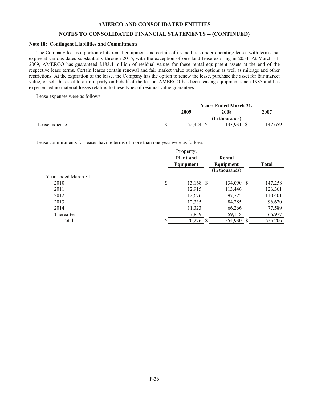### **NOTES TO CONSOLIDATED FINANCIAL STATEMENTS -- (CONTINUED)**

### **Note 18: Contingent Liabilities and Commitments**

The Company leases a portion of its rental equipment and certain of its facilities under operating leases with terms that expire at various dates substantially through 2016, with the exception of one land lease expiring in 2034. At March 31, 2009, AMERCO has guaranteed \$183.4 million of residual values for these rental equipment assets at the end of the respective lease terms. Certain leases contain renewal and fair market value purchase options as well as mileage and other restrictions. At the expiration of the lease, the Company has the option to renew the lease, purchase the asset for fair market value, or sell the asset to a third party on behalf of the lessor. AMERCO has been leasing equipment since 1987 and has experienced no material losses relating to these types of residual value guarantees.

Lease expenses were as follows:

|               |            | <b>Years Ended March 31,</b> |         |
|---------------|------------|------------------------------|---------|
|               | 2009       | 2008                         | 2007    |
|               |            | (In thousands)               |         |
| Lease expense | 152,424 \$ | 133.931 \$                   | 147,659 |

Lease commitments for leases having terms of more than one year were as follows:

|                      | Property,        |                |              |
|----------------------|------------------|----------------|--------------|
|                      | <b>Plant</b> and | Rental         |              |
|                      | Equipment        | Equipment      | <b>Total</b> |
|                      |                  | (In thousands) |              |
| Year-ended March 31: |                  |                |              |
| 2010                 | \$<br>13,168 \$  | 134,090 \$     | 147,258      |
| 2011                 | 12,915           | 113,446        | 126,361      |
| 2012                 | 12,676           | 97,725         | 110,401      |
| 2013                 | 12,335           | 84,285         | 96,620       |
| 2014                 | 11,323           | 66,266         | 77,589       |
| Thereafter           | 7,859            | 59,118         | 66,977       |
| Total                | \$<br>70,276 \$  | 554,930        | 625,206      |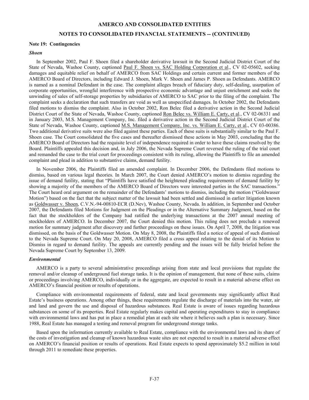### **AMERCO AND CONSOLIDATED ENTITIES NOTES TO CONSOLIDATED FINANCIAL STATEMENTS -- (CONTINUED)**

### **Note 19: Contingencies**

### *Shoen*

In September 2002, Paul F. Shoen filed a shareholder derivative lawsuit in the Second Judicial District Court of the State of Nevada, Washoe County, captioned Paul F. Shoen vs. SAC Holding Corporation et al., CV 02-05602, seeking damages and equitable relief on behalf of AMERCO from SAC Holdings and certain current and former members of the AMERCO Board of Directors, including Edward J. Shoen, Mark V. Shoen and James P. Shoen as Defendants. AMERCO is named as a nominal Defendant in the case. The complaint alleges breach of fiduciary duty, self-dealing, usurpation of corporate opportunities, wrongful interference with prospective economic advantage and unjust enrichment and seeks the unwinding of sales of self-storage properties by subsidiaries of AMERCO to SAC prior to the filing of the complaint. The complaint seeks a declaration that such transfers are void as well as unspecified damages. In October 2002, the Defendants filed motions to dismiss the complaint. Also in October 2002, Ron Belec filed a derivative action in the Second Judicial District Court of the State of Nevada, Washoe County, captioned Ron Belec vs. William E. Carty, et al., CV 02-06331 and in January 2003, M.S. Management Company, Inc. filed a derivative action in the Second Judicial District Court of the State of Nevada, Washoe County, captioned M.S. Management Company, Inc. vs. William E. Carty, et al., CV 03-00386. Two additional derivative suits were also filed against these parties. Each of these suits is substantially similar to the Paul F. Shoen case. The Court consolidated the five cases and thereafter dismissed these actions in May 2003, concluding that the AMERCO Board of Directors had the requisite level of independence required in order to have these claims resolved by the Board. Plaintiffs appealed this decision and, in July 2006, the Nevada Supreme Court reversed the ruling of the trial court and remanded the case to the trial court for proceedings consistent with its ruling, allowing the Plaintiffs to file an amended complaint and plead in addition to substantive claims, demand futility.

In November 2006, the Plaintiffs filed an amended complaint. In December 2006, the Defendants filed motions to dismiss, based on various legal theories. In March 2007, the Court denied AMERCO's motion to dismiss regarding the issue of demand futility, stating that "Plaintiffs have satisfied the heightened pleading requirements of demand futility by showing a majority of the members of the AMERCO Board of Directors were interested parties in the SAC transactions." The Court heard oral argument on the remainder of the Defendants' motions to dismiss, including the motion ("Goldwasser Motion") based on the fact that the subject matter of the lawsuit had been settled and dismissed in earlier litigation known as Goldwasser v. Shoen, C.V.N.-94-00810-ECR (D.Nev), Washoe County, Nevada. In addition, in September and October 2007, the Defendants filed Motions for Judgment on the Pleadings or in the Alternative Summary Judgment, based on the fact that the stockholders of the Company had ratified the underlying transactions at the 2007 annual meeting of stockholders of AMERCO. In December 2007, the Court denied this motion. This ruling does not preclude a renewed motion for summary judgment after discovery and further proceedings on these issues. On April 7, 2008, the litigation was dismissed, on the basis of the Goldwasser Motion. On May 8, 2008, the Plaintiffs filed a notice of appeal of such dismissal to the Nevada Supreme Court. On May 20, 2008, AMERCO filed a cross appeal relating to the denial of its Motion to Dismiss in regard to demand futility. The appeals are currently pending and the issues will be fully briefed before the Nevada Supreme Court by September 13, 2009.

### *Environmental*

AMERCO is a party to several administrative proceedings arising from state and local provisions that regulate the removal and/or cleanup of underground fuel storage tanks. It is the opinion of management, that none of these suits, claims or proceedings involving AMERCO, individually or in the aggregate, are expected to result in a material adverse effect on AMERCO's financial position or results of operations.

Compliance with environmental requirements of federal, state and local governments may significantly affect Real Estate's business operations. Among other things, these requirements regulate the discharge of materials into the water, air and land and govern the use and disposal of hazardous substances. Real Estate is aware of issues regarding hazardous substances on some of its properties. Real Estate regularly makes capital and operating expenditures to stay in compliance with environmental laws and has put in place a remedial plan at each site where it believes such a plan is necessary. Since 1988, Real Estate has managed a testing and removal program for underground storage tanks.

Based upon the information currently available to Real Estate, compliance with the environmental laws and its share of the costs of investigation and cleanup of known hazardous waste sites are not expected to result in a material adverse effect on AMERCO's financial position or results of operations. Real Estate expects to spend approximately \$5.2 million in total through 2011 to remediate these properties.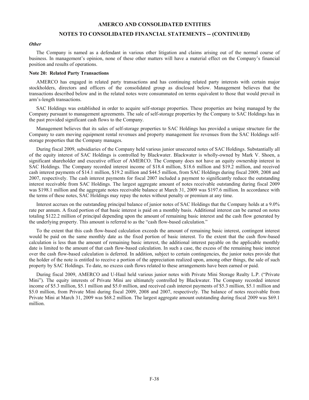### **NOTES TO CONSOLIDATED FINANCIAL STATEMENTS -- (CONTINUED)**

### *Other*

The Company is named as a defendant in various other litigation and claims arising out of the normal course of business. In management's opinion, none of these other matters will have a material effect on the Company's financial position and results of operations.

### **Note 20: Related Party Transactions**

AMERCO has engaged in related party transactions and has continuing related party interests with certain major stockholders, directors and officers of the consolidated group as disclosed below. Management believes that the transactions described below and in the related notes were consummated on terms equivalent to those that would prevail in arm's-length transactions.

SAC Holdings was established in order to acquire self-storage properties. These properties are being managed by the Company pursuant to management agreements. The sale of self-storage properties by the Company to SAC Holdings has in the past provided significant cash flows to the Company.

Management believes that its sales of self-storage properties to SAC Holdings has provided a unique structure for the Company to earn moving equipment rental revenues and property management fee revenues from the SAC Holdings selfstorage properties that the Company manages.

During fiscal 2009, subsidiaries of the Company held various junior unsecured notes of SAC Holdings. Substantially all of the equity interest of SAC Holdings is controlled by Blackwater. Blackwater is wholly-owned by Mark V. Shoen, a significant shareholder and executive officer of AMERCO. The Company does not have an equity ownership interest in SAC Holdings. The Company recorded interest income of \$18.4 million, \$18.6 million and \$19.2 million, and received cash interest payments of \$14.1 million, \$19.2 million and \$44.5 million, from SAC Holdings during fiscal 2009, 2008 and 2007, respectively. The cash interest payments for fiscal 2007 included a payment to significantly reduce the outstanding interest receivable from SAC Holdings. The largest aggregate amount of notes receivable outstanding during fiscal 2009 was \$198.1 million and the aggregate notes receivable balance at March 31, 2009 was \$197.6 million. In accordance with the terms of these notes, SAC Holdings may repay the notes without penalty or premium at any time.

Interest accrues on the outstanding principal balance of junior notes of SAC Holdings that the Company holds at a 9.0% rate per annum. A fixed portion of that basic interest is paid on a monthly basis. Additional interest can be earned on notes totaling \$122.2 million of principal depending upon the amount of remaining basic interest and the cash flow generated by the underlying property. This amount is referred to as the "cash flow-based calculation."

To the extent that this cash flow-based calculation exceeds the amount of remaining basic interest, contingent interest would be paid on the same monthly date as the fixed portion of basic interest. To the extent that the cash flow-based calculation is less than the amount of remaining basic interest, the additional interest payable on the applicable monthly date is limited to the amount of that cash flow-based calculation. In such a case, the excess of the remaining basic interest over the cash flow-based calculation is deferred. In addition, subject to certain contingencies, the junior notes provide that the holder of the note is entitled to receive a portion of the appreciation realized upon, among other things, the sale of such property by SAC Holdings. To date, no excess cash flows related to these arrangements have been earned or paid.

During fiscal 2009, AMERCO and U-Haul held various junior notes with Private Mini Storage Realty L.P. ("Private Mini"). The equity interests of Private Mini are ultimately controlled by Blackwater. The Company recorded interest income of \$5.3 million, \$5.1 million and \$5.0 million, and received cash interest payments of \$5.3 million, \$5.1 million and \$5.0 million, from Private Mini during fiscal 2009, 2008 and 2007, respectively. The balance of notes receivable from Private Mini at March 31, 2009 was \$68.2 million. The largest aggregate amount outstanding during fiscal 2009 was \$69.1 million.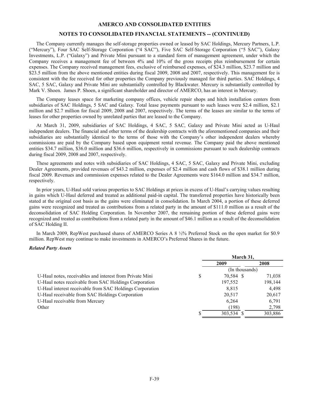### **NOTES TO CONSOLIDATED FINANCIAL STATEMENTS -- (CONTINUED)**

The Company currently manages the self-storage properties owned or leased by SAC Holdings, Mercury Partners, L.P. ("Mercury"), Four SAC Self-Storage Corporation ("4 SAC"), Five SAC Self-Storage Corporation ("5 SAC"), Galaxy Investments, L.P. ("Galaxy") and Private Mini pursuant to a standard form of management agreement, under which the Company receives a management fee of between 4% and 10% of the gross receipts plus reimbursement for certain expenses. The Company received management fees, exclusive of reimbursed expenses, of \$24.3 million, \$23.7 million and \$23.5 million from the above mentioned entities during fiscal 2009, 2008 and 2007, respectively. This management fee is consistent with the fee received for other properties the Company previously managed for third parties. SAC Holdings, 4 SAC, 5 SAC, Galaxy and Private Mini are substantially controlled by Blackwater. Mercury is substantially controlled by Mark V. Shoen. James P. Shoen, a significant shareholder and director of AMERCO, has an interest in Mercury.

The Company leases space for marketing company offices, vehicle repair shops and hitch installation centers from subsidiaries of SAC Holdings, 5 SAC and Galaxy. Total lease payments pursuant to such leases were \$2.4 million, \$2.1 million and \$2.7 million for fiscal 2009, 2008 and 2007, respectively. The terms of the leases are similar to the terms of leases for other properties owned by unrelated parties that are leased to the Company.

At March 31, 2009, subsidiaries of SAC Holdings, 4 SAC, 5 SAC, Galaxy and Private Mini acted as U-Haul independent dealers. The financial and other terms of the dealership contracts with the aforementioned companies and their subsidiaries are substantially identical to the terms of those with the Company's other independent dealers whereby commissions are paid by the Company based upon equipment rental revenue. The Company paid the above mentioned entities \$34.7 million, \$36.0 million and \$36.6 million, respectively in commissions pursuant to such dealership contracts during fiscal 2009, 2008 and 2007, respectively.

These agreements and notes with subsidiaries of SAC Holdings, 4 SAC, 5 SAC, Galaxy and Private Mini, excluding Dealer Agreements, provided revenues of \$43.2 million, expenses of \$2.4 million and cash flows of \$38.1 million during fiscal 2009. Revenues and commission expenses related to the Dealer Agreements were \$164.0 million and \$34.7 million, respectively.

In prior years, U-Haul sold various properties to SAC Holdings at prices in excess of U-Haul's carrying values resulting in gains which U-Haul deferred and treated as additional paid-in capital. The transferred properties have historically been stated at the original cost basis as the gains were eliminated in consolidation. In March 2004, a portion of these deferred gains were recognized and treated as contributions from a related party in the amount of \$111.0 million as a result of the deconsolidation of SAC Holding Corporation. In November 2007, the remaining portion of these deferred gains were recognized and treated as contributions from a related party in the amount of \$46.1 million as a result of the deconsolidation of SAC Holding II.

In March 2009, RepWest purchased shares of AMERCO Series A 8 ½% Preferred Stock on the open market for \$0.9 million. RepWest may continue to make investments in AMERCO's Preferred Shares in the future.

### *Related Party Assets*

|                                                          |   | March 31,      |         |
|----------------------------------------------------------|---|----------------|---------|
|                                                          |   | 2009           | 2008    |
|                                                          |   | (In thousands) |         |
| U-Haul notes, receivables and interest from Private Mini | S | 70,584 \$      | 71,038  |
| U-Haul notes receivable from SAC Holdings Corporation    |   | 197,552        | 198,144 |
| U-Haul interest receivable from SAC Holdings Corporation |   | 8,815          | 4,498   |
| U-Haul receivable from SAC Holdings Corporation          |   | 20,517         | 20,617  |
| U-Haul receivable from Mercury                           |   | 6,264          | 6,791   |
| Other                                                    |   | (198           | 2,798   |
|                                                          |   | 303,534        | 303,886 |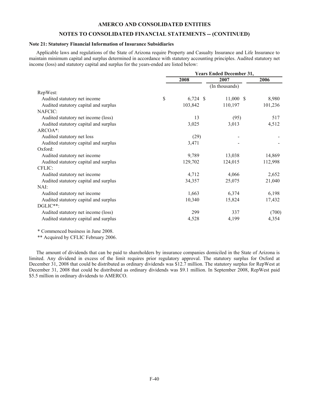### **NOTES TO CONSOLIDATED FINANCIAL STATEMENTS -- (CONTINUED)**

### **Note 21: Statutory Financial Information of Insurance Subsidiaries**

Applicable laws and regulations of the State of Arizona require Property and Casualty Insurance and Life Insurance to maintain minimum capital and surplus determined in accordance with statutory accounting principles. Audited statutory net income (loss) and statutory capital and surplus for the years-ended are listed below:

|                                       |                  | <b>Years Ended December 31,</b> |         |
|---------------------------------------|------------------|---------------------------------|---------|
|                                       | 2008             | 2007                            | 2006    |
|                                       |                  | (In thousands)                  |         |
| RepWest:                              |                  |                                 |         |
| Audited statutory net income          | \$<br>$6,724$ \$ | $11,000$ \$                     | 8,980   |
| Audited statutory capital and surplus | 103,842          | 110,197                         | 101,236 |
| NAFCIC:                               |                  |                                 |         |
| Audited statutory net income (loss)   | 13               | (95)                            | 517     |
| Audited statutory capital and surplus | 3,025            | 3,013                           | 4,512   |
| ARCOA*:                               |                  |                                 |         |
| Audited statutory net loss            | (29)             |                                 |         |
| Audited statutory capital and surplus | 3,471            |                                 |         |
| Oxford:                               |                  |                                 |         |
| Audited statutory net income          | 9,789            | 13,038                          | 14,869  |
| Audited statutory capital and surplus | 129,702          | 124,015                         | 112,998 |
| CFLIC:                                |                  |                                 |         |
| Audited statutory net income          | 4,712            | 4,066                           | 2,652   |
| Audited statutory capital and surplus | 34,357           | 25,075                          | 21,040  |
| NAI:                                  |                  |                                 |         |
| Audited statutory net income          | 1,663            | 6,374                           | 6,198   |
| Audited statutory capital and surplus | 10,340           | 15,824                          | 17,432  |
| DGLIC**:                              |                  |                                 |         |
| Audited statutory net income (loss)   | 299              | 337                             | (700)   |
| Audited statutory capital and surplus | 4,528            | 4,199                           | 4,354   |

\* Commenced business in June 2008.

\*\* Acquired by CFLIC February 2006.

The amount of dividends that can be paid to shareholders by insurance companies domiciled in the State of Arizona is limited. Any dividend in excess of the limit requires prior regulatory approval. The statutory surplus for Oxford at December 31, 2008 that could be distributed as ordinary dividends was \$12.7 million. The statutory surplus for RepWest at December 31, 2008 that could be distributed as ordinary dividends was \$9.1 million. In September 2008, RepWest paid \$5.5 million in ordinary dividends to AMERCO.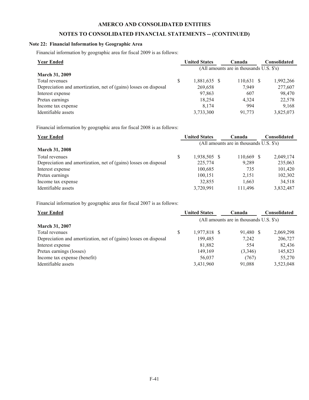### **NOTES TO CONSOLIDATED FINANCIAL STATEMENTS -- (CONTINUED)**

### **Note 22: Financial Information by Geographic Area**

Financial information by geographic area for fiscal 2009 is as follows:

| <b>Year Ended</b>                                                | <b>United States</b> | Canada                                   | <b>Consolidated</b> |
|------------------------------------------------------------------|----------------------|------------------------------------------|---------------------|
|                                                                  |                      | (All amounts are in thousands U.S. \$'s) |                     |
| <b>March 31, 2009</b>                                            |                      |                                          |                     |
| Total revenues                                                   | 1,881,635 \$         | $110,631$ \$                             | 1,992,266           |
| Depreciation and amortization, net of (gains) losses on disposal | 269,658              | 7,949                                    | 277,607             |
| Interest expense                                                 | 97,863               | 607                                      | 98,470              |
| Pretax earnings                                                  | 18.254               | 4.324                                    | 22,578              |
| Income tax expense                                               | 8.174                | 994                                      | 9,168               |
| Identifiable assets                                              | 3,733,300            | 91.773                                   | 3,825,073           |

Financial information by geographic area for fiscal 2008 is as follows:

| <b>Year Ended</b>                                                |     | <b>United States</b> | Canada                                   | Consolidated |
|------------------------------------------------------------------|-----|----------------------|------------------------------------------|--------------|
|                                                                  |     |                      | (All amounts are in thousands U.S. \$'s) |              |
| <b>March 31, 2008</b>                                            |     |                      |                                          |              |
| Total revenues                                                   | \$. | 1,938,505 \$         | 110,669 \$                               | 2,049,174    |
| Depreciation and amortization, net of (gains) losses on disposal |     | 225,774              | 9.289                                    | 235,063      |
| Interest expense                                                 |     | 100,685              | 735                                      | 101,420      |
| Pretax earnings                                                  |     | 100.151              | 2,151                                    | 102,302      |
| Income tax expense                                               |     | 32,855               | 1,663                                    | 34,518       |
| Identifiable assets                                              |     | 3,720,991            | 111,496                                  | 3,832,487    |

Financial information by geographic area for fiscal 2007 is as follows:

| <b>Year Ended</b>                                                | <b>United States</b> | Canada                                   | Consolidated |
|------------------------------------------------------------------|----------------------|------------------------------------------|--------------|
|                                                                  |                      | (All amounts are in thousands U.S. \$'s) |              |
| <b>March 31, 2007</b>                                            |                      |                                          |              |
| \$<br>Total revenues                                             | 1,977,818 \$         | 91,480 \$                                | 2,069,298    |
| Depreciation and amortization, net of (gains) losses on disposal | 199,485              | 7,242                                    | 206,727      |
| Interest expense                                                 | 81,882               | 554                                      | 82,436       |
| Pretax earnings (losses)                                         | 149,169              | (3,346)                                  | 145,823      |
| Income tax expense (benefit)                                     | 56,037               | (767)                                    | 55,270       |
| Identifiable assets                                              | 3,431,960            | 91,088                                   | 3,523,048    |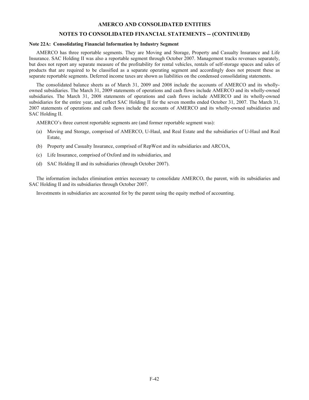### **NOTES TO CONSOLIDATED FINANCIAL STATEMENTS -- (CONTINUED)**

### **Note 22A: Consolidating Financial Information by Industry Segment**

AMERCO has three reportable segments. They are Moving and Storage, Property and Casualty Insurance and Life Insurance. SAC Holding II was also a reportable segment through October 2007. Management tracks revenues separately, but does not report any separate measure of the profitability for rental vehicles, rentals of self-storage spaces and sales of products that are required to be classified as a separate operating segment and accordingly does not present these as separate reportable segments. Deferred income taxes are shown as liabilities on the condensed consolidating statements.

The consolidated balance sheets as of March 31, 2009 and 2008 include the accounts of AMERCO and its whollyowned subsidiaries. The March 31, 2009 statements of operations and cash flows include AMERCO and its wholly-owned subsidiaries. The March 31, 2008 statements of operations and cash flows include AMERCO and its wholly-owned subsidiaries for the entire year, and reflect SAC Holding II for the seven months ended October 31, 2007. The March 31, 2007 statements of operations and cash flows include the accounts of AMERCO and its wholly-owned subsidiaries and SAC Holding II.

AMERCO's three current reportable segments are (and former reportable segment was):

- (a) Moving and Storage, comprised of AMERCO, U-Haul, and Real Estate and the subsidiaries of U-Haul and Real Estate,
- (b) Property and Casualty Insurance, comprised of RepWest and its subsidiaries and ARCOA,
- (c) Life Insurance, comprised of Oxford and its subsidiaries, and
- (d) SAC Holding II and its subsidiaries (through October 2007).

The information includes elimination entries necessary to consolidate AMERCO, the parent, with its subsidiaries and SAC Holding II and its subsidiaries through October 2007.

Investments in subsidiaries are accounted for by the parent using the equity method of accounting.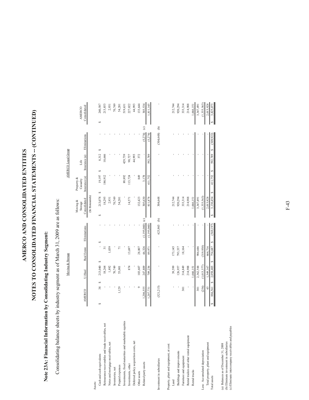### NOTES TO CONSOLIDATED FINANCIAL STATEMENTS -- (CONTINUED) **NOTES TO CONSOLIDATED FINANCIAL STATEMENTS -- (CONTINUED) AMERCO AND CONSOLIDATED ENTITIES**  AMERCO AND CONSOLIDATED ENTITIES

## Note 23A: Financial Information by Consolidating Industry Segment: **Note 23A: Financial Information by Consolidating Industry Segment:**

Consolidating balance sheets by industry segment as of March 31, 2009 are as follows: Consolidating balance sheets by industry segment as of March 31, 2009 are as follows:

|                                                       |           | Moving & Storage |                |                   |                                     |                                         | <b>AMERCO</b> Legal Group |                  |                        |        |
|-------------------------------------------------------|-----------|------------------|----------------|-------------------|-------------------------------------|-----------------------------------------|---------------------------|------------------|------------------------|--------|
|                                                       | AMERCO    | U-Haul           | Real Estate    | Eliminations      | Consolidated<br>Moving &<br>Storage | Insurance (a)<br>Property &<br>Casualty | Insurance (a)<br>Life     | Eliminations     | Consolidated<br>AMERCO |        |
|                                                       |           |                  |                |                   | (In thousands)                      |                                         |                           |                  |                        |        |
| Assets:                                               |           |                  |                |                   |                                     |                                         |                           |                  |                        |        |
| Cash and cash equivalents                             | 38<br>S,  | 213,040<br>S     | S              | S                 | 213,078<br>S                        | 19,197<br>S                             | 8,312<br>S                | S                | 240,587<br>S           |        |
| Reinsurance recoverables and trade receivables, net   |           | 18,264           | $\overline{5}$ |                   | 18,295                              | 184,912                                 | 10,646                    |                  | 213,853                |        |
| Notes and mortgage receivables, net                   |           | 1,892            | 1,039          |                   | 2,931                               |                                         |                           |                  |                        | 2,931  |
| Inventories, net                                      |           | 70,749           |                |                   | 70,749                              |                                         |                           |                  |                        | 70,749 |
| Prepaid expenses                                      | 1,129     | 53,001           | $\overline{1}$ |                   | 54,201                              |                                         |                           |                  | 54,201                 |        |
| Investments, fixed maturities and marketable equities |           |                  |                |                   |                                     | 89,892                                  | 429,739                   |                  | 519,631                |        |
| Investments, other                                    |           | 874              | 13,697         |                   | 14,571                              | 113,724                                 | 98,727                    |                  | 227,022                |        |
| Deferred policy acquisition costs, net                |           |                  |                |                   |                                     |                                         | 44,993                    |                  | 44,993                 |        |
| Other assets                                          |           | 103,607          | 28,807         |                   | 132,423                             | 849                                     | 372                       |                  | 133,644                |        |
| Related party assets                                  | 1,206,555 | 247,809          | 46,326         | $(1,195,060)$ (c) | 305,630                             | 3,178                                   |                           | (5,274)          | 303,534<br>$\odot$     |        |
|                                                       | 1,207,731 | 709,236          | 89.971         | (1, 195, 060)     | 811,878                             | 411,752                                 | 592,789                   | (5,274)          | 1,811,145              |        |
| Investment in subsidiaries                            | (321,215) |                  | ł              | 625,863 (b)       | 304,648                             |                                         |                           | $(304, 648)$ (b) |                        |        |
| Property, plant and equipment, at cost:               |           |                  |                |                   |                                     |                                         |                           |                  |                        |        |
| Land                                                  |           | 39,599           | 173,145        |                   | 212,744                             |                                         |                           |                  | 212,744                |        |
| Buildings and improvements                            |           | 126,957          | 793,337        |                   | 920,294                             |                                         |                           |                  | 920,294                |        |
| Furniture and equipment                               | 301       | 314,849          | 18,164         |                   | 333,314                             |                                         |                           |                  | 333,314                |        |
| Rental trailers and other rental equipment            |           | 214,988          |                |                   | 214,988                             |                                         |                           |                  | 214,988                |        |
| Rental trucks                                         |           | 1,666,151        |                |                   | 1,666,151                           |                                         |                           |                  | 1,666,151              |        |
|                                                       | 301       | 2,362,544        | 984,646        |                   | 3,347,491                           |                                         |                           |                  | 3,347,491              |        |
| Less: Accumulated depreciation                        | (256)     | (1,013,377)      | (319, 930)     |                   | (1,333,563)                         |                                         |                           |                  | (1, 333, 563)          |        |
| Total property, plant and equipment                   | 45        | 1,349,167        | 664,716        |                   | 2,013,928                           |                                         |                           |                  | 2,013,928              |        |
| Total assets                                          | 886,561   | 2,058,403<br>S   | 754,687<br>S   | (569, 197)<br>S   | 3,130,454                           | 411,752<br>S                            | 592,789<br>S              | (309, 922)<br>S  | 3,825,073              |        |

(a) Balances as of December 31, 2008<br>(b) Eliminate investment in subsidiaries<br>(c) Eliminate intercompany receivables and payables (c) Eliminate intercompany receivables and payables (b) Eliminate investment in subsidiaries (a) Balances as of December 31, 2008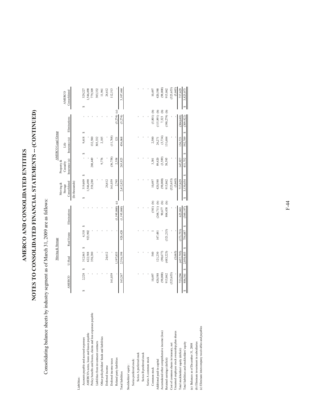## NOTES TO CONSOLIDATED FINANCIAL STATEMENTS -- (CONTINUED) **NOTES TO CONSOLIDATED FINANCIAL STATEMENTS -- (CONTINUED)**

Consolidating balance sheets by industry segment as of March 31, 2009 are as follows: Consolidating balance sheets by industry segment as of March 31, 2009 are as follows:

|                                                              |   |                       |            | Moving & Storage |                   |                |                     |                        | <b>AMERCO Legal Group</b> |                  |              |            |
|--------------------------------------------------------------|---|-----------------------|------------|------------------|-------------------|----------------|---------------------|------------------------|---------------------------|------------------|--------------|------------|
|                                                              |   |                       |            |                  |                   |                | Moving &<br>Storage | Property &<br>Casualty | Life                      |                  | AMERCO       |            |
|                                                              |   | <b>AMERCO</b>         | U-Haul     | Real Estate      | Eliminations      |                | Consolidated        | Insurance (a)          | Insurance (a)             | Eliminations     | Consolidated |            |
|                                                              |   |                       |            |                  |                   | (In thousands) |                     |                        |                           |                  |              |            |
| Liabilities:                                                 |   |                       |            |                  |                   |                |                     |                        |                           |                  |              |            |
| Accounts payable and accrued expenses                        | S | $\mathbf{S}$<br>2,228 | 312,863    | 4,518<br>S       |                   | G,             | G,<br>319,609       |                        | 9,618                     | S                | GA           | 329,227    |
| AMERCO's notes, loans and leases payable                     |   |                       | 622,588    | 923,902          |                   |                | ,546,490            |                        |                           |                  |              | ,546,490   |
| Policy benefits and losses, claims and loss expenses payable |   |                       | 358,280    |                  |                   |                | 358,280             | 288,449                | 132,580                   |                  |              | 779,309    |
| Liabilities from investment contracts                        |   |                       |            |                  |                   |                |                     |                        | 303,332                   |                  |              | 303,332    |
| Other policyholders' funds and liabilities                   |   |                       |            |                  |                   |                |                     | 9,776                  | 2,185                     |                  |              | 11,961     |
| Deferred income                                              |   |                       | 24,612     |                  |                   |                | 24,612              |                        |                           |                  |              | 24,612     |
| Deferred income taxes                                        |   | 161,039               |            |                  |                   |                | 161,039             | (36,758)               | (11,768)                  |                  |              | 112,513    |
| Related party liabilities                                    |   |                       | 1.197.855  |                  | $(1,195,060)$ (c) |                | 2,795               | 2,358                  | 121                       | $(5,274)$ (c)    |              |            |
| Total liabilities                                            |   | 163,267               | 2,516,198  | 928,420          | (1, 195, 060)     |                | 2,412,825           | 263,825                | 436,068                   | (5,274)          |              | 3,107,444  |
| Stockholders' equity:                                        |   |                       |            |                  |                   |                |                     |                        |                           |                  |              |            |
| Series preferred stock:                                      |   |                       |            |                  |                   |                |                     |                        |                           |                  |              |            |
| Series A preferred stock                                     |   |                       |            |                  |                   |                |                     |                        |                           |                  |              |            |
| Series B preferred stock                                     |   |                       |            |                  |                   |                |                     |                        |                           |                  |              |            |
| Series A common stock                                        |   |                       |            |                  |                   |                |                     |                        |                           |                  |              |            |
| Common stock                                                 |   | 10,497                | 540        |                  | $(541)$ (b)       |                | 10,497              | 3,301                  | 2,500                     | $(5,801)$ (b)    |              | 10,497     |
| Additional paid-in capital                                   |   | 420,588               | 121,230    | 147,481          | $(268,711)$ (b)   |                | 420,588             | 89,620                 | 26,271                    | $(115, 891)$ (b) |              | 420,588    |
| Accumulated other comprehensive income (loss)                |   | (98,000)              | (90, 677)  |                  | 90,677            | ê              | (98,000)            | (3,589)                | (3,734)                   | ê<br>7,323       |              | (98,000)   |
| Retained earnings (deficit)                                  |   | 915,862               | (483, 223) | (321, 215)       | 804,438           | $\widehat{e}$  | 915,862             | 58,595                 | 131,684                   | $(190, 279)$ (b) |              | 915,862    |
| Cost of common shares in treasury, net                       |   | (525, 653)            |            |                  |                   |                | (525, 653)          |                        |                           |                  |              | (525, 653) |
| Unearned employee stock ownership plan shares                |   |                       | (5,665)    |                  |                   |                | (5,665)             |                        |                           |                  |              | (5,665)    |
| Total stockholders' equity (deficit)                         |   | 723,294               | (457.795)  | (173, 733)       | 625,863           |                | 717,629             | 147.927                | 156,721                   | (304, 648)       |              | 717,629    |
| Total liabilities and stockholders' equity                   |   | S,<br>886,561         | 2,058,403  | 754,687<br>S,    | (569, 197)<br>S   |                | Ŷ,<br>3,130,454     | Ç,<br>411,752          | 592,789                   | (309, 922)<br>Ý, |              | 3,825,073  |

(a) Balances as of December 31, 2008<br>
(b) Eliminate investment in subsidiaries<br>
(c) Eliminate intercompany receivables and payables (c) Eliminate intercompany receivables and payables (b) Eliminate investment in subsidiaries (a) Balances as of December 31, 2008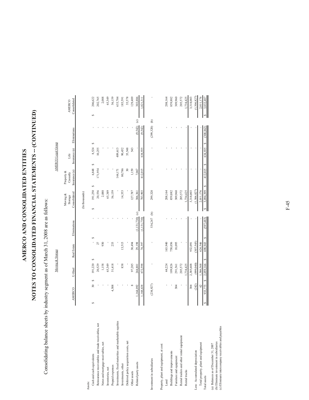## NOTES TO CONSOLIDATED FINANCIAL STATEMENTS -- (CONTINUED) **NOTES TO CONSOLIDATED FINANCIAL STATEMENTS -- (CONTINUED)**

 $\frac{1}{2}$  $f$  March 21 2008  $\frac{1}{2}$ ني<br>ب Ŕ dating bolo  $\tilde{\zeta}$ 

| Consolidating balance sheets by industry segment as of March 31, 2008 are as follows: |                      |                  |                      |                     |                                     |                                         |                           |               |               |                               |
|---------------------------------------------------------------------------------------|----------------------|------------------|----------------------|---------------------|-------------------------------------|-----------------------------------------|---------------------------|---------------|---------------|-------------------------------|
|                                                                                       |                      | Moving & Storage |                      |                     |                                     |                                         | <b>AMERCO Legal Group</b> |               |               |                               |
|                                                                                       | <b>AMERCO</b>        | U-Haul           | Real Estate          | Eliminations        | Consolidated<br>Moving &<br>Storage | Insurance (a)<br>Property &<br>Casualty | Insurance (a)<br>Life     | Eliminations  |               | Consolidated<br><b>AMERCO</b> |
|                                                                                       |                      |                  |                      |                     | (In thousands)                      |                                         |                           |               |               |                               |
| Assets:                                                                               |                      |                  |                      |                     |                                     |                                         |                           |               |               |                               |
| Cash and cash equivalents                                                             | $\overline{30}$<br>S | 191,220<br>S     | G,                   | S                   | 191,250<br>S.                       | 6,848<br>S                              | 8,524<br>S                | S             | S             | 206,622                       |
| Reinsurance recoverables and trade receivables, net                                   |                      | 20,529           | 27                   |                     | 20,556                              | 171,954                                 | 10,255                    |               |               | 202,765                       |
| Notes and mortgage receivables, net                                                   |                      | 1,158            | 930                  |                     | 2,088                               |                                         |                           |               |               | 2,088                         |
| Inventories, net                                                                      |                      | 65,349           |                      |                     | 65,349                              |                                         |                           |               |               | 65,349                        |
| Prepaid expenses                                                                      | 4,508                | 51,418           | 233                  |                     | 56,159                              |                                         |                           |               |               | 56,159                        |
| investments, fixed maturities and marketable equities                                 |                      |                  |                      |                     |                                     | 144, 171                                | 489,613                   |               |               | 633,784                       |
| Investments, other                                                                    |                      | 838              | 13,515               |                     | 14,353                              | 80,786                                  | 90,452                    |               |               | 185,591                       |
| Deferred policy acquisition costs, net                                                |                      |                  |                      |                     |                                     | 30                                      | 35,548                    |               |               | 35,578                        |
| Other assets                                                                          | $^{\circ}$           | 97,285           | 30,494               |                     | 127,787                             | 1,159                                   | 543                       |               |               | 129,489                       |
| Related party assets                                                                  | 1,164,092            | 244,801          | 29,198               | $(1, 131, 730)$ (c) | 306,361                             | 7,067                                   |                           | $(9,542)$ (c) |               | 303,886                       |
|                                                                                       | 1,168,638            | 672,598          | 74,397               | (1, 131, 730)       | 783,903                             | 412,015                                 | 634,935                   | (9, 542)      |               | 1,821,311                     |
| Investment in subsidiaries                                                            | (234, 927)           |                  |                      | 534,247 (b)         | 299,320                             |                                         |                           | (299, 320)    | $\widehat{e}$ |                               |
| Property, plant and equipment, at cost:                                               |                      |                  |                      |                     |                                     |                                         |                           |               |               |                               |
| Land                                                                                  |                      | 44,224           | 163,940              |                     | 208,164                             |                                         |                           |               |               | 208,164                       |
| Buildings and improvements                                                            |                      | 109,826          | 750,056              |                     | 859,882                             |                                         |                           |               |               | 859,882                       |
| Furniture and equipment                                                               | 304                  | 291,561          | 18,095               |                     | 309,960                             |                                         |                           |               |               | 309,960                       |
| Rental trailers and other rental equipment                                            |                      | 205,572          |                      |                     | 205,572                             |                                         |                           |               |               | 205,572                       |
| Rental trucks                                                                         |                      | 1,734,425        |                      |                     | 1,734,425                           |                                         |                           |               |               | 1,734,425                     |
|                                                                                       | 304                  | 2,385,608        | 932,091              |                     | 3,318,003                           |                                         |                           |               |               | 3,318,003                     |
| Less: Accumulated depreciation                                                        | (242)                | (999,040)        | (307, 545)           |                     | (1,306,827)                         |                                         |                           |               |               | (1,306,827)                   |
| Total property, plant and equipment                                                   | $\mathcal{O}$        | 1,386,568        | 624,546              |                     | 2,011,176                           |                                         |                           |               |               | 2,011,176                     |
| Total assets                                                                          | 933,773              | 2,059,166        | 698,943<br>$\bullet$ | (597, 483)          | 3,094,399                           | 412,015                                 | 634,935                   | (308, 862)    |               | 3,832,487                     |

F-45

(a) Balances as of December 31, 2007 (b) Eliminate investment in subsidiaries (c) Eliminate intercompany receivables and payables

(a) Balances as of December 31,  $2007$ <br>(b) Eliminate investment in subsidiaries<br>(c) Eliminate intercompany receivables and payables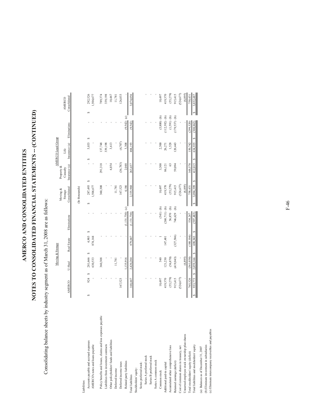## NOTES TO CONSOLIDATED FINANCIAL STATEMENTS -- (CONTINUED) **NOTES TO CONSOLIDATED FINANCIAL STATEMENTS -- (CONTINUED)**

Consolidating balance sheets by industry segment as of March 31, 2008 are as follows: Consolidating balance sheets by industry segment as of March 31, 2008 are as follows:

|                                                                   |        |              | Moving & Storage |              |                   |                          |                        | <b>AMERCO</b> Legal Group |                  |    |               |
|-------------------------------------------------------------------|--------|--------------|------------------|--------------|-------------------|--------------------------|------------------------|---------------------------|------------------|----|---------------|
|                                                                   |        |              |                  |              |                   | Moving &<br>Storage      | Property &<br>Casualty | Life                      |                  |    | <b>AMERCO</b> |
|                                                                   | AMERCO |              | U-Haul           | Real Estate  | Eliminations      | Consolidated             | Insurance (a)          | Insurance (a)             | Eliminations     |    | Consolidated  |
|                                                                   |        |              |                  |              |                   | (In thousands)           |                        |                           |                  |    |               |
| Liabilities:                                                      |        |              |                  |              |                   |                          |                        |                           |                  |    |               |
| Accounts payable and accrued expenses                             | S      | S<br>924     | 281,666          | 4,903<br>S   | S                 | 287,493<br>S             | S                      | 5,033<br>S                | S                | GA | 292,526       |
| AMERCO's notes and loans payable                                  |        |              | 630,533          | 874,144      |                   | 1,504,677                |                        |                           |                  |    | 1,504,677     |
| ble<br>Policy benefits and losses, claims and loss expenses payal |        |              | 360,308          |              |                   | 360,308                  | 291,318                | 137,748                   |                  |    | 789,374       |
| Liabilities from investment contracts                             |        |              |                  |              |                   |                          |                        | 339,198                   |                  |    | 339,198       |
| Other policyholders' funds and liabilities                        |        |              |                  |              |                   |                          | 6,854                  | 3,613                     |                  |    | 10,467        |
| Deferred income                                                   |        |              | 11,781           |              |                   | 11,781                   |                        |                           |                  |    | 11,781        |
| Deferred income taxes                                             |        | 167,523      |                  |              |                   | 167,523                  | (36,783)               | (4,707)                   |                  |    | 126,033       |
| Related party liabilities                                         |        |              | 1,135,916        |              | $(1,131,730)$ (c) | 4,186                    | 2,048                  | 3,308                     | $(9,542)$ (c)    |    |               |
| Total liabilities                                                 |        | 168,447      | 2,420,204        | 879,047      | (1, 131, 730)     | 2,335,968                | 263,437                | 484,193                   | (9,542)          |    | 3,074,056     |
| Stockholders' equity:                                             |        |              |                  |              |                   |                          |                        |                           |                  |    |               |
| Series preferred stock:                                           |        |              |                  |              |                   |                          |                        |                           |                  |    |               |
| Series A preferred stock                                          |        |              |                  |              |                   |                          |                        |                           |                  |    |               |
| Series B preferred stock                                          |        |              |                  |              |                   |                          |                        |                           |                  |    |               |
| Series A common stock                                             |        |              |                  |              |                   |                          |                        |                           |                  |    |               |
| Common stock                                                      |        | 10,497       | 540              |              | $(541)$ (b)       | 10,497                   | 3,300                  | 2,500                     | $(5,800)$ (b)    |    | 10,497        |
| Additional paid-in capital                                        |        | 419,370      | 121,230          | 147,481      | $(268,711)$ (b)   | 419,370                  | 86,121                 | 26,271                    | $(112,392)$ (b)  |    | 419,370       |
| Accumulated other comprehensive loss                              |        | (55,279)     | (56, 870)        |              | 56,870 (b)        | (55,279)                 | 63                     | 1,528                     | $(1,591)$ (b)    |    | (55,279)      |
| Retained earnings (deficit)                                       |        | 915,415      | (419, 043)       | (327, 586)   | 746,629           | 915,415<br>$\widehat{e}$ | 59,094                 | (20, 443)                 | $(179, 537)$ (b) |    | 915,415       |
| Cost of common shares in treasury, net                            |        | (524, 677)   |                  |              |                   | (524, 677)               |                        |                           |                  |    | (524, 677)    |
| Unearned employee stock ownership plan shares                     |        |              | (6, 895)         |              |                   | (6, 895)                 |                        |                           |                  |    | (6, 895)      |
| Total stockholders' equity (deficit)                              |        | 765,326      | (361,038)        | (180, 104)   | 534,247           | 758,431                  | 148,578                | 150,742                   | (299, 320)       |    | 758,431       |
| Total liabilities and stockholders' equity                        |        | S<br>933,773 | 2,059,166        | 698,943<br>S | (597, 483)<br>S   | 3,094,399                | 412,015<br>S           | 634,935<br>S              | (308, 862)<br>S. |    | 3,832,487     |
| (a) Balances as of December 31, 2007                              |        |              |                  |              |                   |                          |                        |                           |                  |    |               |
| (b) Eliminate investment in subsidiaries                          |        |              |                  |              |                   |                          |                        |                           |                  |    |               |
| (c) Eliminate intercompany receivables and payables               |        |              |                  |              |                   |                          |                        |                           |                  |    |               |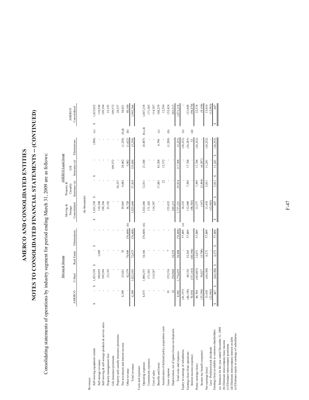# NOTES TO CONSOLIDATED FINANCIAL STATEMENTS -- (CONTINUED) **NOTES TO CONSOLIDATED FINANCIAL STATEMENTS -- (CONTINUED)**

Consolidating statements of operations by industry segment for period ending March 31, 2009 are as follows: Consolidating statements of operations by industry segment for period ending March 31, 2009 are as follows:

|                                                                                |                 |                | Moving & Storage |                |                     |                        |                | <b>AMERCO</b> Legal Group |                     |                        |              |
|--------------------------------------------------------------------------------|-----------------|----------------|------------------|----------------|---------------------|------------------------|----------------|---------------------------|---------------------|------------------------|--------------|
|                                                                                |                 |                |                  |                | Moving &<br>Storage | Property &<br>Casualty |                | Life                      |                     |                        | AMERCO       |
|                                                                                | AMERCO          | U-Haul         | Real Estate      | Eliminations   | Consolidated        | Insurance (a)          |                | Insurance (a)             | Eliminations        |                        | Consolidated |
|                                                                                |                 |                |                  |                |                     | (In thousands)         |                |                           |                     |                        |              |
| Revenues:                                                                      |                 |                |                  |                |                     |                        |                |                           |                     |                        |              |
| Self-moving equipment rentals                                                  | $\Theta$        | 1,423,330<br>S | $\Theta$         | S              | 1,423,330<br>S      | S                      | S              |                           | (308)               | S<br>$\odot$           | 1,423,022    |
| Self-storage revenues                                                          |                 | 108,859        | 1,689            |                |                     | 110,548                |                |                           |                     |                        | 110,548      |
| sales<br>Self-moving & self-storage products & service                         |                 | 199,394        |                  |                |                     | 199,394                |                |                           |                     |                        | 199,394      |
| Property management fees                                                       |                 | 23,192         |                  |                |                     | 23,192                 |                |                           |                     |                        | 23,192       |
| Life insurance premiums                                                        |                 |                |                  |                |                     |                        |                | 109,572                   |                     |                        | 109,572      |
| Property and casualty insurance premiums                                       |                 |                |                  |                |                     |                        | 28,337         |                           |                     |                        | 28,337       |
| Net investment and interest income                                             | 4,389           | 25,441         | 35               |                |                     | 29,865                 | 9,082          | 20,402                    | (1,328)             | $^{(b,d)}$             | 58,021       |
| Other revenue                                                                  |                 | 42,379         | 70,949           | $(76,608)$ (b) |                     | 36,720                 |                | 5,082                     | (1,622)             | $\widehat{e}$          | 40,180       |
| Total revenues                                                                 | 4,389           | ,822,595       | 72,673           | (76, 608)      | 1,823,049           |                        | 37,419         | 135,056                   | (3,258)             |                        | 1,992,266    |
| Costs and expenses:                                                            |                 |                |                  |                |                     |                        |                |                           |                     |                        |              |
| Operating expenses                                                             | 8,873           | 1,080,255      | 10,166           | $(76,608)$ (b) | 1,022,686           |                        | 12,011         | 21,348                    | $(8,807)$ $(b,c,d)$ |                        | 1,047,238    |
| Commission expenses                                                            |                 | 171,303        |                  |                | 171,303             |                        |                |                           |                     |                        | 171,303      |
| Cost of sales                                                                  |                 | 114,387        |                  |                | 114,387             |                        |                |                           |                     |                        | 114,387      |
| Benefits and losses                                                            |                 |                |                  |                |                     |                        | 17,881         | 83,588                    | 6,790               | $\odot$                | 108,259      |
| Amortization of deferred policy acquisition costs                              |                 |                |                  |                |                     |                        | $\mathfrak{Z}$ | 12,372                    |                     |                        | 12,394       |
| Lease expense                                                                  | $\overline{5}$  | 153,534        |                  |                |                     | 153,632                |                |                           | (1, 208)            | ê                      | 152,424      |
| Depreciation, net of (gains) losses on disposals                               | $\overline{18}$ | 254,960        | 10,235           |                | 265,213             |                        |                |                           |                     |                        | 265,213      |
| Total costs and expenses                                                       | 8,982           | 1,774,439      | 20,408           | (76, 608)      | 1,727,221           |                        | 29,914         | 117,308                   | (3,225)             |                        | 1,871,218    |
| Equity in earnings of subsidiaries                                             | (41, 557)       |                |                  | 57,809         | $\odot$             | 16,252                 |                |                           | (16, 252)           | $\circledcirc$         |              |
| Earnings (loss) from operations                                                | (46, 150)       | 48,156         | 52,265           | 57,809         |                     | 112,080                | 7,505          | 17,748                    | (16, 285)           |                        | 121,048      |
| Interest income (expense)                                                      | 92,854          | (151, 163)     | (40, 194)        |                |                     | (98, 503)              |                |                           | 33                  | $\widehat{\mathbf{c}}$ | (98, 470)    |
| Pretax earnings (loss)                                                         | 46,704          | (103,007)      | 12,071           | 57,809         |                     | 13,577                 | 7,505          | 17,748                    | (16, 252)           |                        | 22,578       |
| Income tax benefit (expense)                                                   | (33,294)        | 38,827         | (5,700)          |                |                     | (167)                  | (2, 494)       | (6, 507)                  |                     |                        | (9,168)      |
| Net earnings (loss)                                                            | 13,410          | (64, 180)      | 6,371            | 57,809         |                     | 13,410                 | 5,011          | 11,241                    | (16, 252)           |                        | 13,410       |
| Less: Preferred stock dividends                                                | (12,963)        |                |                  |                |                     | (12,963)               |                |                           |                     |                        | (12,963)     |
| Earnings (loss) available to common shareholders                               | 447             | (64, 180)<br>S | 6.371            | 57,809<br>v    |                     | G,<br>447              | Y,<br>5.011    | 11,241                    | (16, 252)           |                        | 447          |
| $\frac{8}{2}$<br>(a) Balances for the year ended December 31, 200              |                 |                |                  |                |                     |                        |                |                           |                     |                        |              |
| (b) Eliminate intercompany lease income<br>(c) Eliminate intercompany premiums |                 |                |                  |                |                     |                        |                |                           |                     |                        |              |
| (d) Eliminate intercompany interest on debt                                    |                 |                |                  |                |                     |                        |                |                           |                     |                        |              |
| (e) Eliminate equity in earnings of subsidiaries                               |                 |                |                  |                |                     |                        |                |                           |                     |                        |              |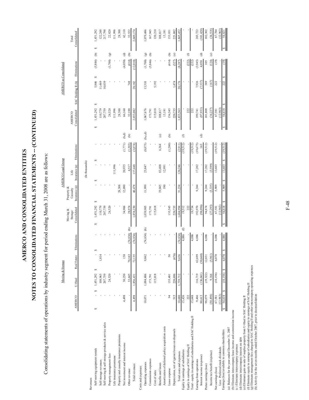NOTES TO CONSOLIDATED FINANCIAL STATEMENTS -- (CONTINUED) **NOTES TO CONSOLIDATED FINANCIAL STATEMENTS -- (CONTINUED)** 

**AMERCO AND CONSOLIDATED ENTITIES** 

AMERCO AND CONSOLIDATED ENTITIES

Consolidating statements of operations by industry segment for period ending March 31, 2008 are as follows: Consolidating statements of operations by industry segment for period ending March 31, 2008 are as follows:

|                                                                                                                                                                                                                                                                                          |                | Moving & Storage |                          |                |                                     |                                         | <b>AMERCO Legal Group</b> |              |                    |                               |                    | <b>AMERCO</b> as Consolidated   |                       |
|------------------------------------------------------------------------------------------------------------------------------------------------------------------------------------------------------------------------------------------------------------------------------------------|----------------|------------------|--------------------------|----------------|-------------------------------------|-----------------------------------------|---------------------------|--------------|--------------------|-------------------------------|--------------------|---------------------------------|-----------------------|
|                                                                                                                                                                                                                                                                                          | AMERCO         | U-Haul           | Real Estate              | Eliminations   | Consolidated<br>Moving &<br>Storage | Insurance (a)<br>Property &<br>Casualty | Insurance (a)<br>Life     | Eliminations |                    | Consolidated<br><b>AMERCO</b> | SAC Holding II (h) | Eliminations                    | Consolidated<br>Total |
|                                                                                                                                                                                                                                                                                          |                |                  |                          |                |                                     |                                         | (In thousands)            |              |                    |                               |                    |                                 |                       |
| Revenues:                                                                                                                                                                                                                                                                                |                |                  |                          |                |                                     |                                         |                           |              |                    |                               |                    |                                 |                       |
| Self-moving equipment rentals                                                                                                                                                                                                                                                            | S<br>S         | 1,451,292        | S                        | S              | 1,451,292<br>S                      | S                                       | SA)                       | S            |                    | 1,451,292<br>S                | 5,846<br>S         | $\widehat{e}$<br>(5, 846)<br>S  | 1,451,292<br>S        |
| Self-storage revenues                                                                                                                                                                                                                                                                    |                | 108,965          | 1,814                    |                | 110,779                             |                                         |                           |              |                    | 110,779                       | 11,469             |                                 | 122,248               |
| Self-moving & self-storage products & service sales                                                                                                                                                                                                                                      |                | 207,759          |                          |                | 207,759                             |                                         |                           |              |                    | 207,759                       | 10,039             |                                 | 217,798               |
| Property management fees                                                                                                                                                                                                                                                                 |                | 24,520           |                          |                | 24,520                              |                                         |                           |              |                    | 24,520                        |                    | $\circledcirc$<br>(1,700)       | 22,820                |
| Life insurance premiums                                                                                                                                                                                                                                                                  |                |                  |                          |                |                                     |                                         | 111,996                   |              |                    | 111,996                       |                    |                                 | 111,996               |
| Property and casualty insurance premiums                                                                                                                                                                                                                                                 |                |                  |                          |                |                                     | 28,388                                  |                           |              |                    | 28,388                        |                    |                                 | 28,388                |
| Net investment and interest income                                                                                                                                                                                                                                                       | 4,498          | 30,250           | 158                      |                | 34,906                              | 12,090                                  | 20,935                    | (1,771)      | $^{(b,d)}$         | 66,160                        |                    | $\widehat{\sigma}$<br>(4,050)   | 62,110                |
| Other revenue                                                                                                                                                                                                                                                                            |                | 33,645           | 70,163                   | $(74,834)$ (b) | 28,974                              |                                         | 4,517                     | (1,303)      | $\widehat{e}$      | 32,188                        | 748                | $\widehat{\mathrm{e}}$<br>(414) | 32,522                |
| Total revenues                                                                                                                                                                                                                                                                           | 4,498          | 1,856,431        | 72,135                   | (74, 834)      | 1,858,230                           | 40,478                                  | 137,448                   | (3,074)      |                    | 2,033,082                     | 28,102             | (12,010)                        | 2,049,174             |
| Costs and expenses:                                                                                                                                                                                                                                                                      |                |                  |                          |                |                                     |                                         |                           |              |                    |                               |                    |                                 |                       |
| Operating expenses                                                                                                                                                                                                                                                                       | 10,071         | 1,094,806        | 9,862                    | $(74,834)$ (b) | 1,039,905                           | 11,999                                  | 23,847                    | (8,075)      | (b, c, d)          | 1,067,676                     | 13,510             | $\circledcirc$<br>(1,700)       | 1,079,486             |
| Commission expenses                                                                                                                                                                                                                                                                      |                | 173,791          |                          |                | 173,791                             |                                         |                           |              |                    | 173,791                       |                    | $\widehat{e}$<br>(5, 846)       | 167,945               |
| Cost of sales                                                                                                                                                                                                                                                                            |                | 115,018          |                          |                | 115,018                             |                                         |                           |              |                    | 115,018                       | 5,192              |                                 | 120,210               |
| Benefits and losses                                                                                                                                                                                                                                                                      |                |                  |                          |                |                                     | 19,045                                  | 83,408                    | 6,364        | $\circledcirc$     | 108,817                       |                    |                                 | 108,817               |
| Amortization of deferred policy acquisition costs                                                                                                                                                                                                                                        |                |                  |                          |                |                                     | 190                                     | 12,991                    |              |                    | 13,181                        |                    |                                 | 13,181                |
| Lease expense                                                                                                                                                                                                                                                                            | $\overline{6}$ | 135,401          | $\overline{\phantom{0}}$ |                | 135,545                             |                                         |                           | (1,200)      | ê                  | 134,345                       |                    | ê<br>(414)                      | 133,931               |
| Depreciation, net of (gains) losses on disposals                                                                                                                                                                                                                                         | 515            | 220,696          | (476)                    |                | 220,735                             |                                         |                           |              |                    | 220,735                       | 1,474              | $\circledcirc$<br>(327)         | 221,882               |
| Total costs and expenses                                                                                                                                                                                                                                                                 | 10,680         | 739,712          | 9,436                    | (74, 834)      | 1,684,994                           | 31,234                                  | 120,246                   | (2, 911)     |                    | ,833,563                      | 20,176             | (8, 287)                        | 1,845,452             |
| Equity in earnings of subsidiaries                                                                                                                                                                                                                                                       | 15,426         |                  |                          | 4,086          | 19,512<br>$\mathfrak{S}$            |                                         |                           | (19, 512)    | $\oplus$           |                               |                    |                                 |                       |
| Equity in earnings of SAC Holding II                                                                                                                                                                                                                                                     | 222            |                  |                          |                | 222                                 |                                         |                           |              |                    | 222                           |                    | $\in$<br>(222)                  |                       |
| Total - equity in earnings of subsidiaries and SAC Holding II                                                                                                                                                                                                                            | 15,648         |                  |                          | 4,086          | 19,734                              |                                         |                           | (19, 512)    |                    | 222                           |                    | (222)                           |                       |
| Earnings from operations                                                                                                                                                                                                                                                                 | 9,466          | 116,719          | 62,699                   | 4,086          | 192,970                             | 9,244                                   | 17,202                    | (19, 675)    |                    | 199,741                       | 7,926              | (3,945)                         | 203,722               |
| Interest income (expense)                                                                                                                                                                                                                                                                | 88,613         | (136, 041)       | (50, 668)                |                | (98,096)                            |                                         |                           | 163          | $\widehat{\sigma}$ | (97, 933)                     | (7, 537)           | $\widehat{\mathbf{c}}$<br>4,050 | (101, 420)            |
| Pretax earnings (loss)                                                                                                                                                                                                                                                                   | 98,079         | (19, 322)        | 12,031                   | 4,086          | 94,874                              | 9,244                                   | 17,202                    | (19, 512)    |                    | 101,808                       | 389                | 105                             | 102,302               |
| Income tax benefit (expense)                                                                                                                                                                                                                                                             | (30, 498)      | 9,166            | (5,961)                  |                | (27, 293)                           | (3,335)                                 | (3,599)                   |              |                    | (34,227)                      | (167)              | $\circledcirc$<br>(124)         | (34, 518)             |
| Net earnings (loss)                                                                                                                                                                                                                                                                      | 67,581         | (10, 156)        | 6,070                    | 4,086          | 67,581                              | 5,909                                   | 13,603                    | (19, 512)    |                    | 67,581                        | 222                | $(19)$                          | 67,784                |
| Less: Preferred stock dividends                                                                                                                                                                                                                                                          | (12,963)       |                  |                          |                | (12.963)                            |                                         |                           |              |                    | (12,963)                      |                    |                                 | (12,963)              |
| Earnings (loss) available to common shareholders                                                                                                                                                                                                                                         | 54,618         | (10, 156)        | 6,070                    | 4,086          | 54,618                              | 5,909                                   | 13,603                    | (19, 512)    |                    | 54,618                        | 222                | $\frac{1}{2}$                   | 54,821                |
| (e) Eliminate gain on sale of surplus property from U-Haul to SAC Holding II<br>(b) Eliminate intercompany lease income and commission income<br>(a) Balances for the year ended December 31, 2007<br>(d) Eliminate intercompany interest on debt<br>(c) Eliminate intercompany expenses |                |                  |                          |                |                                     |                                         |                           |              |                    |                               |                    |                                 |                       |
| (f) Eliminate equity in earnings of subsidiaries and equity in earnings of SAC Holding II<br>(g) Eliminate management fees charged to SAC Holding II and other intercompany operating expenses<br>(h) Activity for the seven months ended October 2007, prior to deconsolidation         |                |                  |                          |                |                                     |                                         |                           |              |                    |                               |                    |                                 |                       |
|                                                                                                                                                                                                                                                                                          |                |                  |                          |                |                                     |                                         |                           |              |                    |                               |                    |                                 |                       |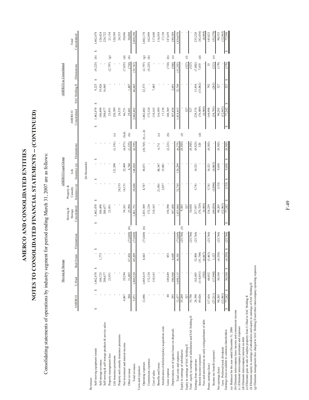NOTES TO CONSOLIDATED FINANCIAL STATEMENTS -- (CONTINUED) **NOTES TO CONSOLIDATED FINANCIAL STATEMENTS -- (CONTINUED) AMERCO AND CONSOLIDATED ENTITIES**  AMERCO AND CONSOLIDATED ENTITIES

Consolidating statements of operations by industry segment for period ending March 31, 2007 are as follows: Consolidating statements of operations by industry segment for period ending March 31, 2007 are as follows:

|                                                                                                                                                                                                                                                                                                       |          | Moving & Storage    |                         |                |                         |                           | <b>AMERCO Legal Group</b> |                        |                        |                        |                | <b>AMERCO</b> as Consolidated |                                |                       |
|-------------------------------------------------------------------------------------------------------------------------------------------------------------------------------------------------------------------------------------------------------------------------------------------------------|----------|---------------------|-------------------------|----------------|-------------------------|---------------------------|---------------------------|------------------------|------------------------|------------------------|----------------|-------------------------------|--------------------------------|-----------------------|
|                                                                                                                                                                                                                                                                                                       |          |                     |                         |                | Moving &                | Property &                |                           |                        |                        |                        |                |                               |                                |                       |
|                                                                                                                                                                                                                                                                                                       | AMERCO   | U-Haul              | Real Estate             | Eliminations   | Consolidated<br>Storage | Insurance (a)<br>Casualty | Insurance (a)<br>Life     | Eliminations           |                        | Consolidated<br>AMERCO | SAC Holding II | Eliminations                  |                                | Consolidated<br>Total |
|                                                                                                                                                                                                                                                                                                       |          |                     |                         |                |                         |                           | (In thousands)            |                        |                        |                        |                |                               |                                |                       |
| Revenues:                                                                                                                                                                                                                                                                                             |          |                     |                         |                |                         |                           |                           |                        |                        |                        |                |                               |                                |                       |
| Self-moving equipment rentals                                                                                                                                                                                                                                                                         | GP.<br>S | 1,462,470           | S                       | G,             | 1,462,470<br>S          | S                         | G,                        | S                      |                        | 1,462,470<br>GP.       | 9,225<br>S     | (9,225)<br>S                  | $\mathcal{G}$<br>$\widehat{e}$ | 1,462,470             |
| Self-storage revenues                                                                                                                                                                                                                                                                                 |          | 104,725             | E,                      |                | 106,498                 |                           |                           |                        |                        | 106,498                | 19,926         |                               |                                | 126,424               |
| Self-moving & self-storage products & service sales                                                                                                                                                                                                                                                   |          | 208,677             |                         |                | 208,677                 |                           |                           |                        |                        | 208,677                | 16,045         |                               |                                | 224,722               |
| Property management fees                                                                                                                                                                                                                                                                              |          | 23,951              |                         |                | 23,951                  |                           |                           |                        |                        | 23,951                 |                | (2,797)                       | $\textcircled{\scriptsize{s}}$ | 21,154                |
| Life insurance premiums                                                                                                                                                                                                                                                                               |          |                     |                         |                |                         |                           | 121,590                   | (1, 191)               | $\odot$                | 120,399                |                |                               |                                | 120,399               |
| Property and casualty insurance premiums                                                                                                                                                                                                                                                              |          |                     |                         |                |                         | 24,335                    |                           |                        |                        | 24,335                 |                |                               |                                | 24,335                |
| Net investment and interest income                                                                                                                                                                                                                                                                    | 4,867    | 29,294              |                         |                | 34,161                  | 14,151                    | 22,490                    | (4,071)                | $^{(b,d)}$             | 66,731                 |                | (7,035)                       | $\oplus$                       | 59,696                |
| Other revenue                                                                                                                                                                                                                                                                                         | 204      | 31,403              | 67,436                  | $(73,049)$ (b) | 25,994                  |                           | 4,740                     | (1,333)                | $\widehat{\mathbf{e}}$ | 29,401                 | 1,407          | $(710)$                       | $\widehat{e}$                  | 30,098                |
| Total revenues                                                                                                                                                                                                                                                                                        | 5,071    | ,860,520            | 69,209                  | (73,049)       | 1,861,751               | 38,486                    | 148,820                   | (6, 595)               |                        | 2,042,462              | 46,603         | (19,767)                      |                                | 2,069,298             |
| Costs and expenses:                                                                                                                                                                                                                                                                                   |          |                     |                         |                |                         |                           |                           |                        |                        |                        |                |                               |                                |                       |
| Operating expenses                                                                                                                                                                                                                                                                                    | 12,096   | 1,085,619           | 43<br>8,84              | $(73,049)$ (b) | 1,033,509               | 8,787                     | 30,871                    | $(10,765)$ $(b, c, d)$ |                        | 1,062,402              | 22,573         | (2,797)                       | $\circledcirc$                 | 1,082,178             |
| Commission expenses                                                                                                                                                                                                                                                                                   |          | 172,124             |                         |                | 172,124                 |                           |                           |                        |                        | 172,124                |                | (9,225)                       | $\widehat{e}$                  | 162,899               |
| Cost of sales                                                                                                                                                                                                                                                                                         |          | 110,163             |                         |                | 110,163                 |                           |                           |                        |                        | 110,163                | 7,485          |                               |                                | 117,648               |
| Benefits and losses                                                                                                                                                                                                                                                                                   |          |                     |                         |                |                         | 21,901                    | 88,347                    | 6,711                  | $\odot$                | 116,959                |                |                               |                                | 116,959               |
| Amortization of deferred policy acquisition costs                                                                                                                                                                                                                                                     |          |                     |                         |                |                         | 2,057                     | 15,081                    |                        |                        | 17,138                 |                |                               |                                | 17,138                |
| Lease expense                                                                                                                                                                                                                                                                                         | 88       | 149,649             | 853                     |                | 150,590                 |                           |                           | (2,221)                | $\widehat{e}$          | 148,369                |                | (710)                         | $\widehat{e}$                  | 147,659               |
| Depreciation, net of (gains) losses on disposals                                                                                                                                                                                                                                                      | 293      | 180,560             | 6,605                   |                | 187,458                 |                           |                           |                        |                        | 187,458                | 2,691          | (560)                         | $\circledcirc$                 | 189,589               |
| Total costs and expenses                                                                                                                                                                                                                                                                              | 12,477   | 698,115             | $\overline{5}$<br>16,3( | (73,049)       | ,653,844                | 32,745                    | 134,299                   | (6,275)                |                        | ,814,613               | 32,749         | (13,292)                      |                                | ,834,070              |
| Equity in earnings of subsidiaries                                                                                                                                                                                                                                                                    | 35,269   |                     |                         | (25,766)       | 9,503<br>$\epsilon$     |                           |                           | (9,503)                | $\mathop{\mathbf{e}}$  |                        |                |                               |                                |                       |
| Equity in earnings of SAC Holding II                                                                                                                                                                                                                                                                  | 527      |                     |                         |                | 527                     |                           |                           |                        |                        | 527                    |                | (527)                         | $\oplus$                       |                       |
| Total - equity in earnings of subsidiaries and SAC Holding II                                                                                                                                                                                                                                         | 35,796   |                     |                         | (25,766)       | 10,030                  |                           |                           | (9,503)                |                        | 527                    |                | (527)                         |                                |                       |
| Earnings from operations                                                                                                                                                                                                                                                                              | 28,390   | 162,405             | 52,908                  | (25,766)       | 217,937                 | 5,741                     | 14,521                    | (9, 823)               |                        | 228,376                | 13,854         | (7,002)                       |                                | 235,228               |
| Fees and amortization on early extinguishment of debt<br>Interest income (expense)                                                                                                                                                                                                                    | 89,026   | (114, 051)<br>(302) | (51,704)<br>(6, 667)    |                | (76, 729)<br>(6,969)    |                           |                           | 320                    | $\oplus$               | (76, 409)<br>(6,969)   | (13,062)       | 7,035                         | $\widehat{\sigma}$             | (82, 436)<br>(6,969)  |
| Pretax earnings (loss)                                                                                                                                                                                                                                                                                | 117,416  | 48,052              | (5,463)                 | (25,766)       | 134,239                 | 5,741                     | 14,521                    | (9,503)                |                        | 144,998                | 792            | 33                            |                                | 145,823               |
| Income tax benefit (expense)                                                                                                                                                                                                                                                                          | (27,211) | (17,948)            | 25<br>Ξ                 |                | (44, 034)               | (5,896)                   | (4, 863)                  |                        |                        | (54, 793)              | (265)          | (212)                         | $\circledcirc$                 | (55, 270)             |
| Net earnings (loss)                                                                                                                                                                                                                                                                                   | 90,205   | 30,104              | (4,338)                 | (25,766)       | 90,205                  | (155)                     | 9,658                     | (9,503)                |                        | 90,205                 | 527            | (179)                         |                                | 90,553                |
| Less: Preferred stock dividends                                                                                                                                                                                                                                                                       | (12,963) |                     |                         |                | (12,963)                |                           |                           |                        |                        | (12,963)               |                |                               |                                | (12,963)              |
| Earnings (loss) available to common shareholders                                                                                                                                                                                                                                                      |          | 80.104              | 38)                     | (25,766)       |                         | 155)                      | 9,658                     | (9,503)                |                        |                        | 52.            | 179)                          |                                | 77,590                |
| (e) Eliminate gain on sale of surplus property from U-Haul to SAC Holding II<br>(b) Eliminate intercompany lease income and commission income<br>(c) Eliminate intercompany premiums and expenses<br>(a) Balances for the year ended December 31, 2006<br>(d) Eliminate intercompany interest on debt |          |                     |                         |                |                         |                           |                           |                        |                        |                        |                |                               |                                |                       |
| (g) Eliminate management fees charged to SAC Holding II and other intercompany operating expenses<br>(f) Eliminate equity in earnings of subsidiaries and equity in earnings of SAC Holding II                                                                                                        |          |                     |                         |                |                         |                           |                           |                        |                        |                        |                |                               |                                |                       |

(g) Eliminate management fees charged to SAC Holding II and other intercompany operating expenses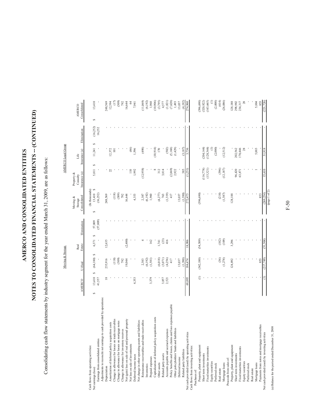## NOTES TO CONSOLIDATED FINANCIAL STATEMENTS -- (CONTINUED) **NOTES TO CONSOLIDATED FINANCIAL STATEMENTS -- (CONTINUED)**

Consolidating cash flow statements by industry segment for the year ended March 31, 2009, are as follows: Consolidating cash flow statements by industry segment for the year ended March 31, 2009, are as follows:

|                                                                                           |                 | Moving & Storage   |            |                    |                               |                        | <b>AMERCO Legal Group</b> |                        |   |                                                             |
|-------------------------------------------------------------------------------------------|-----------------|--------------------|------------|--------------------|-------------------------------|------------------------|---------------------------|------------------------|---|-------------------------------------------------------------|
|                                                                                           |                 |                    | Real       |                    | Moving $\&$<br>Storage        | Property &<br>Casualty | Life                      |                        |   | AMERCO                                                      |
|                                                                                           | AMERCO          | U-Haul             | Estate     | Elimination        | Consolidated                  | Insurance (a)          | Insurance (a)             | Elimination            |   | Consolidated                                                |
| Cash flows from operating activities:<br>Net earnings (loss)                              | 13,410<br>S     | $(64,180)$ \$<br>S | S<br>6,371 |                    | (In thousands)<br>13,410<br>S | 5,011                  | 11,241<br>S               | S                      | S | 13,410                                                      |
| Earnings from consolidated entities                                                       | 41,557          |                    |            | 57,809<br>(57,809) | (16,252)                      |                        |                           | $(16,252)$<br>$16,252$ |   |                                                             |
| Adjustments to reconcile net earnings to cash provided by operations:                     |                 |                    |            |                    |                               |                        |                           |                        |   |                                                             |
| Depreciation                                                                              | $\overline{18}$ | 235,916            | 12,635     |                    | 248,569                       |                        |                           |                        |   | 248,569                                                     |
| Amortization of deferred policy acquisition costs                                         |                 |                    |            |                    |                               | 22                     | 12,372                    |                        |   | 12,394                                                      |
| Change in allowance for losses on trade receivables                                       |                 | (118)              |            |                    | $(118)$                       |                        | $\overline{a}$            |                        |   | (17)                                                        |
| Change in allowance for losses on mortgage notes                                          |                 | (309)              |            |                    | (309)                         |                        |                           |                        |   | (309)                                                       |
| Change in allowance for inventory reserves                                                |                 | 792                |            |                    | 792                           |                        |                           |                        |   | 792                                                         |
| Net (gain) loss on sale of real and personal property                                     |                 | 19,044             | (2,400)    |                    | 16,644                        |                        |                           |                        |   | 16,644                                                      |
| Net loss on sale of investments                                                           |                 |                    |            |                    |                               | $\approx$              | (46)                      |                        |   | $\mathcal{L}$                                               |
| Deferred income taxes                                                                     | 4,353           |                    |            |                    | 4,353                         | 1,992                  | 1,596                     |                        |   | 7,941                                                       |
| Net change in other operating assets and liabilities:                                     |                 |                    |            |                    |                               |                        |                           |                        |   |                                                             |
| Reinsurance recoverables and trade receivables                                            |                 | 2,383              |            |                    | 2,387                         | (12,958)               | (498)                     |                        |   | (11,069)                                                    |
| Inventories                                                                               |                 | (6, 192)           |            |                    | (6, 192)                      |                        |                           |                        |   | (6, 192)                                                    |
| Prepaid expenses                                                                          | 3,379           | (1,581)            | 162        |                    | 1,960                         |                        |                           |                        |   |                                                             |
| Capitalization of deferred policy acquisition costs                                       |                 |                    |            |                    |                               | $^{\circ}$             | (10, 914)                 |                        |   |                                                             |
| Other assets                                                                              |                 | (6,018)            | 1,741      |                    | (4,277)                       | 312                    | 170                       |                        |   | $\begin{array}{c} 1,960 \\ (10,906) \\ (3,795) \end{array}$ |
| Related party assets                                                                      | 3,857           | (3,071)            | (23)       |                    | 763                           | 3,814                  |                           |                        |   | 4,577                                                       |
| Accounts payable and accrued expenses                                                     | 2,521           | (4,256)            | 416        |                    | (1,319)                       |                        | (502)                     |                        |   | $(1, 821)$<br>$(7, 620)$                                    |
| expenses payable<br>Policy benefits and losses, claims and loss                           |                 | 417                |            |                    | 417                           | (2, 869)               | (5, 168)                  |                        |   |                                                             |
| Other policyholders' funds and liabilities                                                |                 |                    |            |                    |                               | 2,922                  | (1,429)                   |                        |   | 1,493                                                       |
| Deferred income                                                                           |                 | 13,037             |            |                    | 13,037                        |                        |                           |                        |   | 13,037                                                      |
| Related party liabilities                                                                 |                 | (1,390)            |            |                    | (1,390)                       | 385                    | (3,187)                   |                        |   | (4, 192)                                                    |
| Net cash provided (used) by operating activities<br>Cash flows from investing activities: | 69,095          | 184,474            | 18,906     |                    | 272,475                       | (1,251)                | 3,736                     |                        |   | 274,960                                                     |
| Purchases of:                                                                             |                 |                    |            |                    |                               |                        |                           |                        |   |                                                             |
| Property, plant and equipment                                                             | Ξ               | (342, 180)         | (54, 509)  |                    | (396, 690)                    |                        |                           |                        |   | (396, 690)                                                  |
| Short term investments                                                                    |                 |                    |            |                    |                               | (116,778)              | (204, 144)                |                        |   | (320, 922)                                                  |
| Fixed maturities investments                                                              |                 |                    |            |                    |                               | (15, 321)              | (128, 344)                |                        |   | (143, 665)                                                  |
| Equity securities                                                                         |                 |                    |            |                    |                               |                        | $\in$                     |                        |   | $\in$                                                       |
| Preferred stock                                                                           |                 |                    |            |                    |                               |                        | (2,000)                   |                        |   | $(2,000)$                                                   |
| Real estate                                                                               |                 | (36)               | (182)      |                    | (218)                         | (396)                  |                           |                        |   | (614)                                                       |
| Mortgage loans                                                                            |                 | (1,278)            | (109)      |                    | (1,387)                       | (12, 187)              | (12, 512)                 |                        |   | (26,086)                                                    |
| Proceeds from sales of:                                                                   |                 |                    |            |                    |                               |                        |                           |                        |   |                                                             |
| Property, plant and equipment                                                             |                 | 124,892            | 3,296      |                    | 128,188                       |                        |                           |                        |   | 128,188                                                     |
| Short term investments                                                                    |                 |                    |            |                    |                               | 96,420                 | 202,562                   |                        |   | 298,982                                                     |
| Fixed maturities investments                                                              |                 |                    |            |                    |                               | 63,871                 | 170,446                   |                        |   | 234,317                                                     |
| Equity securities                                                                         |                 |                    |            |                    |                               |                        | $\frac{8}{2}$             |                        |   | $^{28}$                                                     |
| Preferred stock                                                                           |                 |                    |            |                    |                               |                        |                           |                        |   |                                                             |
| Real estate                                                                               |                 |                    |            |                    |                               |                        |                           |                        |   |                                                             |
| Mortgage loans                                                                            |                 |                    |            |                    |                               |                        | 5,883                     |                        |   | 5,884                                                       |
| Payments from notes and mortgage receivables                                              |                 | 853                |            |                    | 853                           |                        |                           |                        |   | 853                                                         |
| Net cash provided (used) by investing activities                                          |                 | (217,749)          | 51,504     |                    | (269, 254)                    | 15,610                 | 31,91                     |                        |   | (221, 726)                                                  |
|                                                                                           |                 |                    |            |                    | (page 1 of 2)                 |                        |                           |                        |   |                                                             |
| onne 11 anno<br>ariad and ad Dai<br>an familia<br>ch Bale                                 |                 |                    |            |                    |                               |                        |                           |                        |   |                                                             |

(a) Balance for the period ended December 31, 2008 (a) Balance for the period ended December 31, 2008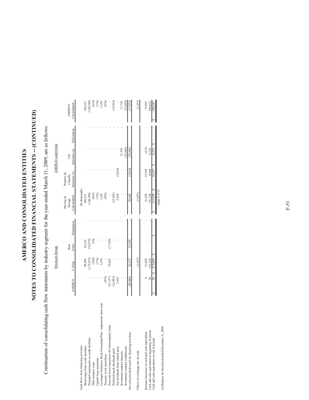## NOTES TO CONSOLIDATED FINANCIAL STATEMENTS -- (CONTINUED) **NOTES TO CONSOLIDATED FINANCIAL STATEMENTS -- (CONTINUED)**

Continuation of consolidating cash flow statements by industry segment for the year ended March 31, 2009, are as follows: Continuation of consolidating cash flow statements by industry segment for the year ended March 31, 2009, are as follows:

|                                                                |                 | Moving & Storage |           |             |                               |                        | <b>AMERCO Legal Group</b> |             |                    |
|----------------------------------------------------------------|-----------------|------------------|-----------|-------------|-------------------------------|------------------------|---------------------------|-------------|--------------------|
|                                                                |                 |                  | Real      |             | Moving &<br>Storage           | Property &<br>Casualty | Life                      |             | AMERCO             |
|                                                                | AMERCO          | U-Haul           | Estate    | Elimination | Consolidated                  | Insurance (a)          | Insurance (a)             | Elimination | Consolidated       |
| Cash flows from financing activities:                          |                 |                  |           |             | (In thousands)                |                        |                           |             |                    |
| Borrowings from credit facilities                              |                 | 98,099           | 82,232    |             | 180,331                       |                        |                           |             | 180,331            |
| Principal repayments on credit facilities                      |                 | 115,923)         | (32, 475) |             | (148, 398)                    |                        |                           |             | (148, 398)         |
| Debt issuance costs                                            |                 | (360)            | (54)      |             | (414)                         |                        |                           |             | (414)              |
| Capital lease payments                                         |                 | (776)            |           |             | (776)                         |                        |                           |             | (776)              |
| Leveraged Employee Stock Ownership Plan - repayments from loan |                 | 1,230            |           |             | 1,230                         |                        |                           |             | 1,230              |
| Treasury stock repurchase                                      | (976)           |                  |           |             | (976)                         |                        |                           |             | (976)              |
| Proceeds from (repayment of) intercompany loans                | (57, 157)       | 74,262           | (17, 105) |             |                               |                        |                           |             |                    |
| Preferred stock dividends paid                                 | (12,963)        |                  |           |             | (12,963)                      |                        |                           |             | (12,963)           |
| Net dividends from related party                               | 2,010           |                  |           |             | 2,010                         | (2,010)                |                           |             |                    |
| Investment contract deposits                                   |                 |                  |           |             |                               |                        | 17,739                    |             | 17,739             |
| Investment contract withdrawals                                |                 |                  |           |             |                               |                        | (53,605)                  |             | (53,605)           |
| Net cash provided (used) by financing activities               | (69,086)        | 56,532           | 32,598    |             | 20,044                        | (2,010)                | (35, 866)                 |             | (17, 832)          |
| Effects of exchange rate on cash                               |                 | (1,437)          |           |             | (1,437)                       |                        |                           |             | (1,437)            |
| Increase (decrease) in cash and cash equivalents               |                 | 21,820           |           |             | 21,828                        | 12,349                 | (212)                     |             | 33,965             |
| Cash and cash equivalents at beginning of period               | $\overline{30}$ | 191,220          |           |             | 191,250                       | 6,848                  | 8.524                     |             | 206,622<br>240,587 |
| Cash and cash equivalents at end of period                     |                 | 13.040           |           |             | (page $2$ of $2$ )<br>213,078 | 61.6                   |                           |             |                    |
|                                                                |                 |                  |           |             |                               |                        |                           |             |                    |

(a) Balance for the period ended December 31, 2008

(a) Balance for the period ended December 31, 2008

F-51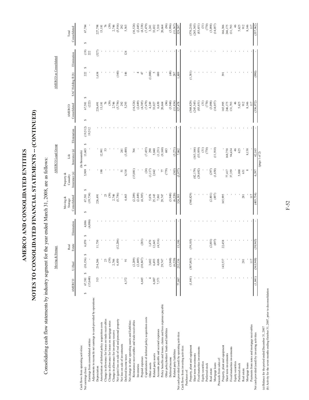## NOTES TO CONSOLIDATED FINANCIAL STATEMENTS -- (CONTINUED) **NOTES TO CONSOLIDATED FINANCIAL STATEMENTS -- (CONTINUED)**

Consolidating cash flow statements by industry segment for the year ended March 31, 2008, are as follows: Consolidating cash flow statements by industry segment for the year ended March 31, 2008, are as follows:

|                                                                       |               | Moving & Storage          |                |             |                                     |                                         | <b>AMERCO Legal Group</b>        |                |                               | <b>AMERCO</b> as Consolidated |                       |                       |                        |
|-----------------------------------------------------------------------|---------------|---------------------------|----------------|-------------|-------------------------------------|-----------------------------------------|----------------------------------|----------------|-------------------------------|-------------------------------|-----------------------|-----------------------|------------------------|
|                                                                       | <b>AMERCO</b> | U-Hau                     | Estate<br>Real | Elimination | Consolidated<br>Moving &<br>Storage | Insurance (a)<br>Property &<br>Casualty | Insurance (a)<br>Life            | Elimination    | Consolidated<br><b>AMERCO</b> | SAC Holding II (b)            | Elimination           | Consolidated<br>Total |                        |
| Cash flows from operating activities:                                 |               |                           |                |             |                                     |                                         | (In thousands)                   |                |                               |                               |                       |                       |                        |
| Net earnings (loss)                                                   | 67,581<br>S   | S<br>(10, 156)<br>S       | S<br>6,070     | 4,086       | S                                   | 5,909<br>S                              | 13,603<br>$\boldsymbol{\varphi}$ | (19, 512)<br>S | 67,581<br>S                   | 222<br>S                      | (19)<br>$\mathcal{L}$ | S                     | 67,784                 |
| Earnings from consolidated entities                                   | (15, 648)     |                           |                | (4,086)     | $67,581$<br>(19,734)                |                                         |                                  | 19,512         | (222)                         |                               | 222                   |                       |                        |
| Adjustments to reconcile net earnings to cash provided by operations: |               |                           |                |             |                                     |                                         |                                  |                |                               |                               |                       |                       |                        |
| Depreciation                                                          | 515           | 214,246                   | 11,730         |             | 226,491                             |                                         |                                  |                | 226,491                       | 1,634                         | (327)                 |                       | 227,798                |
| Amortization of deferred policy acquisition costs                     |               |                           |                |             |                                     | 190                                     | 12,991                           |                | 13,181                        |                               |                       |                       | 13,181                 |
| Change in allowance for losses on trade receivables                   |               | 23                        |                |             | $23\,$                              |                                         | 53                               |                |                               |                               |                       |                       | 76                     |
| Change in allowance for losses on mortgage notes                      |               | (39)                      |                |             | (39)                                |                                         |                                  |                | (39)                          |                               |                       |                       | (39)                   |
| Change in allowance for inventory reserve                             |               | 2,746                     |                |             | 2,746                               |                                         |                                  |                | 2,746                         |                               |                       |                       | 2,746                  |
| Net (gain) loss on sale of real and personal property                 |               | 6,450                     | (12, 206)      |             | (5,756)                             |                                         |                                  |                | (5,756)                       | (160)                         |                       |                       | (5,916)                |
| Net loss on sale of investments                                       |               |                           |                |             |                                     | 51                                      | 241                              |                | 292                           |                               |                       |                       | 292                    |
| Deferred income taxes                                                 | 4,372         | $\overline{\mathfrak{s}}$ |                |             | 4,463                               | 4,318                                   | (3,488)                          |                | 5,293                         | 146                           | 124                   |                       | 5,563                  |
| Net change in other operating assets and liabilities:                 |               |                           |                |             |                                     |                                         |                                  |                |                               |                               |                       |                       |                        |
| Reinsurance recoverables and trade receivables                        |               | (2,209)                   |                |             | (2,209)                             | (15,081)                                | 766                              |                | (16, 524)                     |                               |                       |                       | (16, 524)              |
| Inventories                                                           |               | (2,449)                   |                |             | (2,449)                             |                                         |                                  |                | (2, 449)                      |                               |                       |                       |                        |
| Prepaid expenses                                                      | 6,665         | (10, 847)                 | (203)          |             | (4,385)                             |                                         |                                  |                | (4,385)                       | t.                            |                       |                       | $(2,445)$<br>$(4,338)$ |
| Capitalization of deferred policy acquisition costs                   |               |                           |                |             |                                     | (24)                                    | (7,455)                          |                | (7,479)                       |                               |                       |                       | (7,479)                |
| Other assets                                                          |               | 3,602                     | 1,470          |             | 5,076                               | (1,117)                                 | 290                              |                | 4,249                         | (1,008)                       |                       |                       | 3,241                  |
| Related party assets                                                  | 6,007         | 6,493                     | 12,645         |             | 25,145                              | 2,842                                   | 5,040                            |                | 33,027                        |                               |                       |                       | 33,032                 |
| Accounts payable and accrued expenses                                 | 7,571         | 4,606                     | (4,316)        |             | 7,861                               |                                         | (1,231)                          |                | 6,630                         | 680                           |                       |                       | 7,310                  |
| Policy benefits and losses, claims and loss expenses payable          |               | 29,747                    |                |             | 29,747                              | $77\,$                                  | (9,160)                          |                | 20,664                        |                               |                       |                       | 20,664                 |
| Other policyholders' funds and liabilities                            |               |                           |                |             |                                     | (779)                                   | 683                              |                | (96)                          |                               |                       |                       | (96)                   |
| Deferred income                                                       |               | (3,948)                   |                |             | (3,948)                             |                                         |                                  |                | (3,948)                       | $^{(48)}$                     |                       |                       | (3,996)                |
| Related party liabilities                                             |               | (6,220)                   |                |             | (6,220)                             | (363)                                   | (5.271)                          |                | (11, 854)                     | 287                           |                       |                       | (11, 567)              |
| Net cash provided (used) by operating activities                      | 77,067        | 232,136                   | 15,190         |             | 324,393                             | (3,977)                                 | 7,062                            |                | 327,478                       | 1,809                         |                       |                       | 329,287                |
| Cash flows from investing activities:                                 |               |                           |                |             |                                     |                                         |                                  |                |                               |                               |                       |                       |                        |
| Purchases of:                                                         |               |                           |                |             |                                     |                                         |                                  |                |                               |                               |                       |                       |                        |
| Property, plant and equipment                                         | (1, 841)      | (507, 883)                | (59, 105)      |             | (568, 829)                          |                                         |                                  |                | (568, 829)                    | (1,381)                       |                       |                       | (570, 210)             |
| Short term investments                                                |               |                           |                |             |                                     | (82, 179)                               | (163, 166)                       |                | (245, 345)                    |                               |                       |                       | (245, 345)             |
| Fixed maturities investments                                          |               |                           |                |             |                                     | (29, 692)                               | (53,959)                         |                | (83, 651)                     |                               |                       |                       | (83, 651)              |
| Equity securities                                                     |               |                           |                |             |                                     |                                         | $\overline{c}$                   |                | (31)                          |                               |                       |                       | (31)                   |
| Preferred stock                                                       |               |                           |                |             |                                     |                                         | (770)                            |                | (770)                         |                               |                       |                       | (770)                  |
| Real estate                                                           |               |                           | (2, 801)       |             | (2, 801)                            | (297)                                   |                                  |                | (3,098)                       |                               |                       |                       | (3,098)                |
| Mortgage loans                                                        |               |                           | (497)          |             | (497)                               | (1,650)                                 | (11, 910)                        |                | (14,057)                      |                               |                       |                       | (14, 057)              |
| Proceeds from sales of:                                               |               |                           |                |             |                                     |                                         |                                  |                |                               |                               |                       |                       |                        |
| Property, plant and equipment                                         |               | 143,537                   | 22,458         |             | 165,995                             |                                         |                                  |                | 165,995                       | 391                           |                       |                       | 166,386                |
| Short term investments                                                |               |                           |                |             |                                     | 77,417<br>37,359                        | 168,758                          |                | 246,175                       |                               |                       |                       | 246,175                |
| Fixed maturities investments                                          |               |                           |                |             |                                     |                                         | 94,434                           |                | 131,793                       |                               |                       |                       | 131,793                |
| Equity securities                                                     |               |                           |                |             |                                     |                                         | $\frac{4}{6}$                    |                | $\frac{4}{6}$                 |                               |                       |                       | $\frac{4}{6}$          |
| Preferred stock                                                       |               |                           |                |             |                                     | 5,000                                   | 625                              |                | 5,625                         |                               |                       |                       | 5,625                  |
| Real estate                                                           |               | 281                       |                |             | 281                                 | 631                                     |                                  |                | 912                           |                               |                       |                       | 912                    |
| Mortgage loans                                                        |               |                           |                |             |                                     | ${}^{\circ}$                            | 8,138                            |                | 8,146                         |                               |                       |                       | 8,146                  |
| Payments from notes and mortgage receivables                          |               | 117                       |                |             | $\overline{117}$                    |                                         |                                  |                | $\Xi$                         |                               |                       |                       | 117                    |
| Net cash provided (used) by investing activities                      | 84            | 363.948                   | 39,945)        |             | (405.734)                           | 6.597                                   | 42,165                           |                | 356.972                       | (990)                         |                       |                       | (357,962)              |
|                                                                       |               |                           |                |             |                                     |                                         | (page 1 of 2)                    |                |                               |                               |                       |                       |                        |

(a) Balance for the period ended December 31, 2007<br>(b) Activity for the seven months ending October 31, 2007, prior to deconsolidation (b) Activity for the seven months ending October 31, 2007, prior to deconsolidation (a) Balance for the period ended December 31, 2007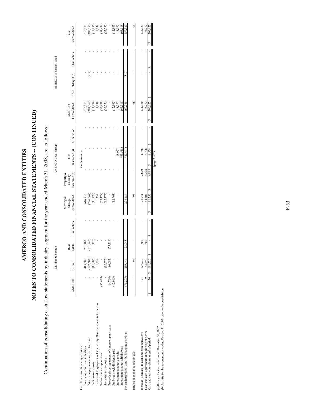## NOTES TO CONSOLIDATED FINANCIAL STATEMENTS -- (CONTINUED) **NOTES TO CONSOLIDATED FINANCIAL STATEMENTS -- (CONTINUED)**

Continuation of consolidating cash flow statements by industry segment for the year ended March 31, 2008, are as follows: Continuation of consolidating cash flow statements by industry segment for the year ended March 31, 2008, are as follows:

|                                                                |               | Moving & Storage |                |             |                                     |                                         | <b>AMERCO Legal Group</b> |             |                          | AMERCO as Consolidated |             |                           |
|----------------------------------------------------------------|---------------|------------------|----------------|-------------|-------------------------------------|-----------------------------------------|---------------------------|-------------|--------------------------|------------------------|-------------|---------------------------|
|                                                                | <b>AMERCO</b> | U-Haul           | Estate<br>Real | Elimination | Consolidated<br>Moving &<br>Storage | Insurance (a)<br>Property &<br>Casualty | Insurance (a)<br>Life     | Elimination | Consolidated<br>AMERCO   | SAC Holding II (b)     | Elimination | Consolidated<br>Total     |
| Cash flows from financing activities:                          |               |                  |                |             |                                     |                                         | (In thousands)            |             |                          |                        |             |                           |
| Borrowings from credit facilities                              |               | 415,308          | 01,402<br>ন    |             | 616,710                             |                                         |                           |             | 616,710                  |                        |             | 616,710                   |
| Principal repayments on credit facilities                      |               | (192, 603)       | (101, 965)     |             |                                     |                                         |                           |             | (294, 568)               | (819)                  |             |                           |
| Debt issuance costs                                            |               | (11, 806)        | (170)          |             | $(294, 568)$<br>$(11, 976)$         |                                         |                           |             | (11,976)                 |                        |             | $(295,387)$<br>$(11,976)$ |
| Leveraged Employee Stock Ownership Plan - repayments from loan |               | 1,239            |                |             | 1,239                               |                                         |                           |             | 1,239                    |                        |             | 1,239                     |
| Treasury stock repurchases                                     | (57, 478)     |                  |                |             | (57, 478)                           |                                         |                           |             |                          |                        |             |                           |
| Securitization deposits                                        |               | (32, 775)        |                |             | (32, 775)                           |                                         |                           |             | $(57,478)$<br>$(32,775)$ |                        |             | $(57,478)$<br>$(32,775)$  |
| Proceeds from (repayment of) intercompany loans                | (4,764)       | 80,083           | 75,319)        |             |                                     |                                         |                           |             |                          |                        |             |                           |
| Preferred stock dividends paid                                 | (12,963)      |                  |                |             | (12,963)                            |                                         |                           |             | (12,963)                 |                        |             | (12,963)                  |
| Investment contract deposits                                   |               |                  |                |             |                                     |                                         | 18,077                    |             | 18,077                   |                        |             | 18,077                    |
| Investment contract withdrawals                                |               |                  |                |             |                                     |                                         | (65, 518)                 |             | (65,518)                 |                        |             | (65, 518)                 |
| Net cash provided (used) by financing activities               | (75.205)      | 259,446          | 23,948         |             | 208,189                             |                                         | (47, 441)                 |             | 160,748                  | (819)                  |             | 159,929                   |
| Effects of exchange rate on cash                               |               | 66               |                |             | $\frac{6}{2}$                       |                                         |                           |             | 96                       |                        |             | $\frac{6}{2}$             |
| Increase (decrease) in cash and cash equivalents               |               | 127,730          | (807)          |             | 126,944                             | 2,620                                   | 1,786                     |             | 131,350                  |                        |             | 131,350                   |
| Cash and cash equivalents at beginning of period               |               | 63.490           | 807            |             | 64,306                              | 4,228                                   | 6,738                     |             | 75,272                   |                        |             | 75,272                    |
| Cash and cash equivalents at end of period                     |               | 191,220          |                |             | 191,250                             | 6,848                                   | 8,524                     |             | 206,622                  |                        |             | 206,622                   |
|                                                                |               |                  |                |             |                                     |                                         | (page 2 of 2)             |             |                          |                        |             |                           |

(a) Balance for the period ended December 31, 2007<br>(b) Activity for the seven months ending October 31, 2007, prior to deconsolidation<br>(b) Activity for the seven months ending October 31, 2007, prior to deconsolidation (b) Activity for the seven months ending October 31, 2007, prior to deconsolidation (a) Balance for the period ended December 31, 2007

F-53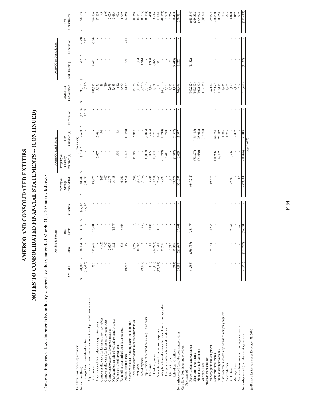AMERCO AND CONSOLIDATED ENTITIES **AMERCO AND CONSOLIDATED ENTITIES** 

# NOTES TO CONSOLIDATED FINANCIAL STATEMENTS -- (CONTINUED) **NOTES TO CONSOLIDATED FINANCIAL STATEMENTS -- (CONTINUED)**

Consolidating cash flow statements by industry segment for the year ended March 31, 2007 are as follows: Consolidating cash flow statements by industry segment for the year ended March 31, 2007 are as follows:

|                                                                       |                  | Moving & Storage |                |                        |                                        |                                         | AMERCO Legal Group     |              |                        | AMERCO as Consolidated |             |   |                       |
|-----------------------------------------------------------------------|------------------|------------------|----------------|------------------------|----------------------------------------|-----------------------------------------|------------------------|--------------|------------------------|------------------------|-------------|---|-----------------------|
|                                                                       | <b>AMERCO</b>    | U-Haul           | Estate<br>Real | Elimination            | Consolidated<br>Moving $\&$<br>Storage | Insurance (a)<br>Property &<br>Casualty | Insurance (a)<br>Life  | Elimination  | Consolidated<br>AMERCO | <b>SAC Holding II</b>  | Elimination |   | Consolidated<br>Total |
| Cash flows from operating activities:                                 |                  |                  |                |                        |                                        |                                         | (In thousands)         |              |                        |                        |             |   |                       |
| Net earnings (loss)                                                   | S<br>90,205<br>S | S<br>30,104      | S<br>(4,338)   | $(25,766)$<br>$25,766$ | S                                      | S<br>90,205                             | 9,658<br>$(155)$ \$    | (9,503)<br>S | 90,205<br>se           | 527<br>S               | (179)<br>S  | S | 90,553                |
| Earnings from consolidated entities                                   | (35,796)         |                  |                |                        |                                        | (10, 030)                               |                        | 9,503        | (527)                  |                        | 527         |   |                       |
| Adjustments to reconcile net earnings to cash provided by operations: |                  |                  |                |                        |                                        |                                         |                        |              |                        |                        |             |   |                       |
| Depreciation                                                          | 293              | 172,698          | 10,984         |                        |                                        | 183,975                                 |                        |              | 183,975                | 2,691                  | (560)       |   | 86,106                |
| Amortization of deferred policy acquisition costs                     |                  |                  |                |                        |                                        |                                         | 15,081<br>2,057        |              | 17,138                 |                        |             |   | 17,138                |
| Changes in allowance for losses on trade receivables                  |                  | (145)            |                |                        |                                        | (145)                                   | 194                    |              | $^{49}$                |                        |             |   | $^{49}$               |
| Changes in allowance for losses on mortgage notes                     |                  | (40)             |                |                        |                                        | (40)                                    |                        |              | (40)                   |                        |             |   | (40)                  |
| Change in allowance for inventory reserves                            |                  |                  |                |                        |                                        | 2,679                                   |                        |              | 2,679                  |                        |             |   | 2,679                 |
| Net (gain) loss on sale of real and personal property                 |                  | 2,679<br>7,862   | (4,379)        |                        |                                        | 3,483                                   |                        |              | 3,483                  |                        |             |   | 3,483                 |
| Net loss on sale of investments                                       |                  |                  |                |                        |                                        |                                         | 559                    | 3            | 622                    |                        |             |   | 622                   |
| Write-off of unamortized debt issuance costs                          |                  | 302              | 6,667          |                        |                                        | 6,969                                   |                        |              | 6,969                  |                        |             |   | 6,969                 |
| Deferred income taxes                                                 | 10,853           | (19)             |                |                        |                                        | 10,834                                  | (4,456)<br>5,292       |              | 11,670                 | 704                    | 212         |   | 12,586                |
| Net change in other operating assets and liabilities:                 |                  |                  |                |                        |                                        |                                         |                        |              |                        |                        |             |   |                       |
| Reinsurance recoverables and trade receivables                        |                  | (859)            | $\odot$        |                        |                                        | (861)                                   | 5,032<br>44,215        |              |                        |                        |             |   |                       |
| Inventories                                                           |                  | (4,718)          |                |                        |                                        | (4,718)                                 |                        |              | 48,386<br>(4,718)      | (43)                   |             |   | $48,386$<br>$(4,761)$ |
| Prepaid expenses                                                      | (9, 122)         | 1,193            | (30)           |                        |                                        | (7,959)                                 |                        |              | (7,959)                | (246)                  |             |   | (8,205)               |
| Capitalization of deferred policy acquisition costs                   |                  |                  |                |                        |                                        |                                         | (7,075)<br>(1,093)     |              | (8, 168)               |                        |             |   | (8, 168)              |
| Other assets                                                          | (10)             | $\Xi$            | 2,182          |                        |                                        | 3,283                                   | 805                    | (395)        | 3,693                  | (243)                  |             |   | 3,450                 |
| Related party assets                                                  | (1,479)          | (12,973)         | $^{\circ}$     |                        |                                        | (14, 444)                               | 5,781<br>14,384        |              | 5,721                  | 2,895                  |             |   | 8,616                 |
| Accounts payable and accrued expenses                                 | (19, 561)        | 27,511           | 4,312          |                        |                                        | 12,262                                  | 4,451                  |              | 16,713                 | 331                    |             |   | 17,044                |
| Policy benefits and losses, claims and loss expenses payable          |                  | 35,298           |                |                        |                                        | 35,298                                  | (13, 748)<br>(61, 719) |              | (40, 169)              |                        |             |   | (40, 169)             |
| Other policyholders' funds and liabilities                            |                  |                  |                |                        |                                        |                                         | 298<br>2,411           |              | 2,709                  |                        |             |   | 2,709                 |
| Deferred income                                                       |                  | 1,215            |                |                        |                                        | 1,215                                   |                        |              | 1,215                  | $\overline{5}$         |             |   | 1,266                 |
| Related party liabilities                                             | (201)            | 19,878           |                |                        |                                        | 19,677                                  | (3,507)<br>(1,317)     |              | 14,853                 | (4,445)                |             |   | 10,408                |
| Net cash provided (used) by operating activities                      | 35.182           | 281,097          | 15,404         |                        | 331,683                                |                                         | 137<br>5,439           |              | 348,499                |                        |             |   | 350,721               |
| Cash flows from investing activities:                                 |                  |                  |                |                        |                                        |                                         |                        |              |                        |                        |             |   |                       |
| Purchases of:                                                         |                  |                  |                |                        |                                        |                                         |                        |              |                        |                        |             |   |                       |
| Property, plant and equipment                                         | (1,998)          | (586, 737)       | (58, 477)      |                        | (647,212)                              |                                         |                        |              | 647,212)               | (1, 132)               |             |   | (648, 344)            |
| Short term investments                                                |                  |                  |                |                        |                                        |                                         | 166,115)<br>(83,277)   |              | (249, 392)             |                        |             |   | (249, 392)            |
| Fixed maturity investments                                            |                  |                  |                |                        |                                        |                                         | (38,042)<br>(71, 630)  |              | (109, 672)             |                        |             |   | (109, 672)            |
| Mortgage loans                                                        |                  |                  |                |                        |                                        |                                         | (10, 725)              |              | (10, 725)              |                        |             |   | (10, 725)             |
| Proceeds from sales of:                                               |                  |                  |                |                        |                                        |                                         |                        |              |                        |                        |             |   |                       |
| Property, plant and equipment                                         |                  | 85,134           | 4,538          |                        |                                        | 89,672                                  |                        |              | 89,672                 |                        |             |   | 89,672                |
| Short term investments                                                |                  |                  |                |                        |                                        | 111,936                                 | 164,754                |              | 276,690                |                        |             |   | 276,690               |
| Fixed maturity investments                                            |                  |                  |                |                        |                                        |                                         | 94,449<br>22,409       |              | 116,858                |                        |             |   | 116,858               |
| Cash received in excess of purchase of company acquired               |                  |                  |                |                        |                                        |                                         | 1,235                  |              | 1,235                  |                        |             |   | 1,235                 |
| Preferred stock                                                       |                  |                  |                |                        |                                        |                                         | 1,225                  |              | 1,225                  |                        |             |   | 1,225                 |
| Real estate                                                           |                  | 195              | (2,861)        |                        |                                        | (2, 666)                                | 9,536                  |              | 6,870                  |                        |             |   | 6,870                 |
| Mortgage loans                                                        |                  |                  |                |                        |                                        |                                         | 7,062                  |              | 7,062                  |                        |             |   | 7,062                 |
| Payments from notes and mortgage receivables                          |                  | 136              | 766            |                        |                                        | $902$                                   |                        |              | 902                    |                        |             |   | 902                   |
| Net cash provided (used) by investing activities                      | .998             | 501              | (56, 034)      |                        | (559, 304)                             |                                         | 53,843<br>(11, 026)    |              | (516, 487)             | (1.132)                |             |   | (517, 619)            |
|                                                                       |                  |                  |                |                        |                                        |                                         | (page $1$ of $2$ )     |              |                        |                        |             |   |                       |

(a) Balance for the year ended December 31, 2006 (a) Balance for the year ended December 31, 2006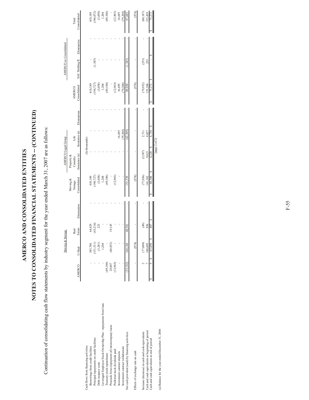### **TITIES**  AMERCO AND CONSOLIDATED ENTITIES **AMERCO AND CONSOLIDATED EN**

## NOTES TO CONSOLIDATED FINANCIAL STATEMENTS -- (CONTINUED) **AL STATEMENTS -- (CONTINUED) NOTES TO CONSOLIDATED FINANCI**

Continuation of consolidating cash flow statements by industry segment for the year ended March 31, 2007 are as follows: Continuation of consolidating cash flow statements by industry segment for the year ended March 31, 2007 are as follows:

|                                                                |               | Moving & Storage |          |             |                     |                        | <b>AMERCO Legal Group</b> |             |               | AMERCO as Consolidated     |              |
|----------------------------------------------------------------|---------------|------------------|----------|-------------|---------------------|------------------------|---------------------------|-------------|---------------|----------------------------|--------------|
|                                                                |               |                  | Real     |             | Moving &<br>Storage | Property &<br>Casualty | Life                      |             | <b>AMERCO</b> |                            | Total        |
|                                                                | <b>AMERCO</b> | U-Haul           | Estate   | Elimination | Consolidated        | Insurance (a)          | Insurance (a)             | Elimination | Consolidated  | SAC Holding II Elimination | Consolidated |
| Cash flows from financing activities:                          |               |                  |          |             |                     |                        | (In thousands)            |             |               |                            |              |
| Borrowings from credit facilities                              |               | 345,760          | 64,429   |             | 410,189             |                        |                           |             | 410,189       |                            | 410,189      |
| Principal repayments on credit facilities                      |               | (151, 511)       | (43,216) |             | (194, 727)          |                        |                           |             | (194, 727)    | (1,345)                    | 196,072)     |
| Debt issuance costs                                            |               | (3,281)          | 223      |             | (3,058)             |                        |                           |             | (3,058)       |                            | (3,058)      |
| Leveraged Employee Stock Ownership Plan - repayments from loan |               | 1,204            |          |             | 1,204               |                        |                           |             | 1,204         |                            | 1,204        |
| Treasury stock repurchases                                     | (49, 106)     |                  |          |             | (49, 106)           |                        |                           |             | (49, 106)     |                            | (49, 106)    |
| Proceeds from (repayment of) intercompany loans                | 28,887        | (48, 032)        | 19,145   |             |                     |                        |                           |             |               |                            |              |
| Preferred stock dividends paid                                 | (12,963)      |                  |          |             | (12, 963)           |                        |                           |             | (12,963)      |                            | (12,963)     |
| Investment contract deposits                                   |               |                  |          |             |                     |                        | 16,695                    |             | 16,695        |                            | 16,695       |
| Investment contract withdrawals                                |               |                  |          |             |                     |                        | (79,204)                  |             | (79,204)      |                            | (79, 204)    |
| Net cash provided (used) by financing activities               | (33,182)      | 144,140          | 40,581   |             | 151,539             |                        | (62, 509)                 |             | 89,030        | (1,345)                    | 87,685       |
| Effects of exchange rate on cash                               |               | (974)            |          |             | (974)               |                        |                           |             | (974)         |                            | (974)        |
| Increase (decrease) in cash and cash equivalents               |               | (77,009)         | (49)     |             | (77,056)            | (5,587)                | 2,711                     |             | (79, 932)     | (255)                      | (80, 187)    |
| Cash and cash equivalents at beginning of period               |               | 40,499           | 856      |             | 141,362             | 9,815                  | 4,027                     |             | 155,204       | 255                        | 155,459      |
| Cash and cash equivalents at end of period                     |               | 63,490           | 708      |             | 90£79               | 328                    | 6,738                     |             |               |                            | 75,272       |
|                                                                |               |                  |          |             |                     |                        | (page 2 of 2)             |             |               |                            |              |

(a) Balance for the year ended December 31, 2006

(a) Balance for the year ended December 31, 2006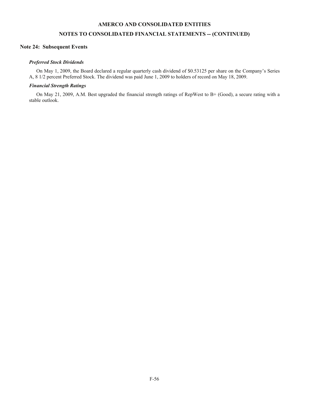### **AMERCO AND CONSOLIDATED ENTITIES NOTES TO CONSOLIDATED FINANCIAL STATEMENTS -- (CONTINUED)**

### **Note 24: Subsequent Events**

### *Preferred Stock Dividends*

On May 1, 2009, the Board declared a regular quarterly cash dividend of \$0.53125 per share on the Company's Series A, 8 1/2 percent Preferred Stock. The dividend was paid June 1, 2009 to holders of record on May 18, 2009.

### *Financial Strength Ratings*

On May 21, 2009, A.M. Best upgraded the financial strength ratings of RepWest to B+ (Good), a secure rating with a stable outlook.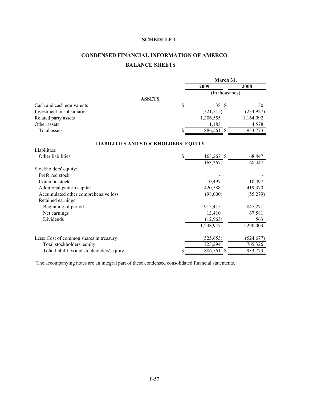### **SCHEDULE I**

### **CONDENSED FINANCIAL INFORMATION OF AMERCO BALANCE SHEETS**

|                                             |    |            | March 31,      |            |
|---------------------------------------------|----|------------|----------------|------------|
|                                             |    | 2009       |                | 2008       |
|                                             |    |            | (In thousands) |            |
| <b>ASSETS</b>                               |    |            |                |            |
| Cash and cash equivalents                   | \$ | 38 \$      |                | 30         |
| Investment in subsidiaries                  |    | (321, 215) |                | (234, 927) |
| Related party assets                        |    | 1,206,555  |                | 1,164,092  |
| Other assets                                |    | 1,183      |                | 4,578      |
| Total assets                                | S  | 886,561 \$ |                | 933,773    |
| <b>LIABILITIES AND STOCKHOLDERS' EQUITY</b> |    |            |                |            |
| Liabilities:                                |    |            |                |            |
| Other liabilities                           | \$ | 163,267 \$ |                | 168,447    |
|                                             |    | 163,267    |                | 168,447    |
| Stockholders' equity:                       |    |            |                |            |
| Preferred stock                             |    |            |                |            |
| Common stock                                |    | 10,497     |                | 10,497     |
| Additional paid-in capital                  |    | 420,588    |                | 419,370    |
| Accumulated other comprehensive loss        |    | (98,000)   |                | (55,279)   |
| Retained earnings:                          |    |            |                |            |
| Beginning of period                         |    | 915,415    |                | 847,271    |
| Net earnings                                |    | 13,410     |                | 67,581     |
| Dividends                                   |    | (12, 963)  |                | 563        |
|                                             |    | 1,248,947  |                | 1,290,003  |
| Less: Cost of common shares in treasury     |    | (525, 653) |                | (524, 677) |
| Total stockholders' equity                  |    | 723,294    |                | 765,326    |
| Total liabilities and stockholders' equity  |    | 886,561    | \$             | 933,773    |

The accompanying notes are an integral part of these condensed consolidated financial statements.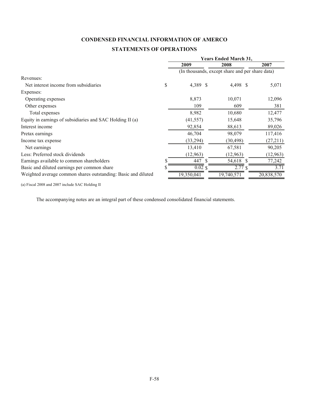### **CONDENSED FINANCIAL INFORMATION OF AMERCO STATEMENTS OF OPERATIONS**

|                                                               |                | <b>Years Ended March 31,</b>                    |            |
|---------------------------------------------------------------|----------------|-------------------------------------------------|------------|
|                                                               | 2009           | 2008                                            | 2007       |
|                                                               |                | (In thousands, except share and per share data) |            |
| Revenues:                                                     |                |                                                 |            |
| Net interest income from subsidiaries                         | \$<br>4,389 \$ | 4,498 \$                                        | 5,071      |
| Expenses:                                                     |                |                                                 |            |
| Operating expenses                                            | 8,873          | 10,071                                          | 12,096     |
| Other expenses                                                | 109            | 609                                             | 381        |
| Total expenses                                                | 8,982          | 10,680                                          | 12,477     |
| Equity in earnings of subsidiaries and SAC Holding II (a)     | (41, 557)      | 15,648                                          | 35,796     |
| Interest income                                               | 92,854         | 88,613                                          | 89,026     |
| Pretax earnings                                               | 46,704         | 98,079                                          | 117,416    |
| Income tax expense                                            | (33, 294)      | (30, 498)                                       | (27, 211)  |
| Net earnings                                                  | 13,410         | 67,581                                          | 90,205     |
| Less: Preferred stock dividends                               | (12,963)       | (12, 963)                                       | (12, 963)  |
| Earnings available to common shareholders                     | 447            | 54,618 \$                                       | 77,242     |
| Basic and diluted earnings per common share                   | $0.02$ \$      | $2.77$ \$                                       | 3.71       |
| Weighted average common shares outstanding: Basic and diluted | 19,350,041     | 19,740,571                                      | 20,838,570 |
|                                                               |                |                                                 |            |

(a) Fiscal 2008 and 2007 include SAC Holding II

The accompanying notes are an integral part of these condensed consolidated financial statements.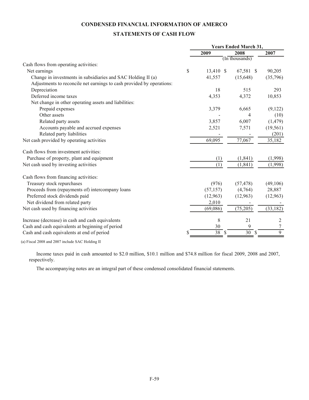### **CONDENSED FINANCIAL INFORMATION OF AMERCO STATEMENTS OF CASH FLOW**

|                                                                       |                                           | <b>Years Ended March 31,</b>    |                  |
|-----------------------------------------------------------------------|-------------------------------------------|---------------------------------|------------------|
|                                                                       | 2009                                      | 2008                            | 2007             |
|                                                                       |                                           | (In thousands)                  |                  |
| Cash flows from operating activities:                                 |                                           |                                 |                  |
| \$<br>Net earnings                                                    | 13,410 \$                                 | 67,581 \$                       | 90,205           |
| Change in investments in subsidiaries and SAC Holding II (a)          | 41,557                                    | (15, 648)                       | (35,796)         |
| Adjustments to reconcile net earnings to cash provided by operations: |                                           |                                 |                  |
| Depreciation                                                          | 18                                        | 515                             | 293              |
| Deferred income taxes                                                 | 4,353                                     | 4,372                           | 10,853           |
| Net change in other operating assets and liabilities:                 |                                           |                                 |                  |
| Prepaid expenses                                                      | 3,379                                     | 6,665                           | (9,122)          |
| Other assets                                                          |                                           | 4                               | (10)             |
| Related party assets                                                  | 3,857                                     | 6,007                           | (1, 479)         |
| Accounts payable and accrued expenses                                 | 2,521                                     | 7,571                           | (19, 561)        |
| Related party liabilities                                             |                                           |                                 | (201)            |
| Net cash provided by operating activities                             | 69,095                                    | 77,067                          | 35,182           |
| Cash flows from investment activities:                                |                                           |                                 |                  |
| Purchase of property, plant and equipment                             | (1)                                       | (1, 841)                        | (1,998)          |
| Net cash used by investing activities                                 | (1)                                       | (1, 841)                        | (1,998)          |
| Cash flows from financing activities:                                 |                                           |                                 |                  |
| Treasury stock repurchases                                            | (976)                                     | (57, 478)                       | (49,106)         |
| Proceeds from (repayments of) intercompany loans                      | (57, 157)                                 | (4,764)                         | 28,887           |
| Preferred stock dividends paid                                        | (12,963)                                  | (12,963)                        | (12,963)         |
| Net dividend from related party                                       | 2,010                                     |                                 |                  |
| Net cash used by financing activities                                 | (69,086)                                  | (75,205)                        | (33, 182)        |
| Increase (decrease) in cash and cash equivalents                      | 8                                         | 21                              | 2                |
| Cash and cash equivalents at beginning of period                      | 30                                        | 9                               | $\boldsymbol{7}$ |
| Cash and cash equivalents at end of period                            | $\overline{38}$ $\overline{\phantom{1}5}$ | 30 <sup>°</sup><br><sup>S</sup> | $\overline{9}$   |

(a) Fiscal 2008 and 2007 include SAC Holding II

Income taxes paid in cash amounted to \$2.0 million, \$10.1 million and \$74.8 million for fiscal 2009, 2008 and 2007, respectively.

The accompanying notes are an integral part of these condensed consolidated financial statements.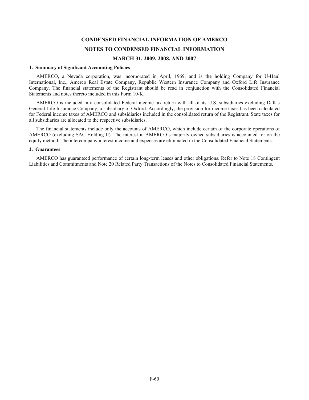### **CONDENSED FINANCIAL INFORMATION OF AMERCO NOTES TO CONDENSED FINANCIAL INFORMATION**

### **MARCH 31, 2009, 2008, AND 2007**

### **1. Summary of Significant Accounting Policies**

AMERCO, a Nevada corporation, was incorporated in April, 1969, and is the holding Company for U-Haul International, Inc., Amerco Real Estate Company, Republic Western Insurance Company and Oxford Life Insurance Company. The financial statements of the Registrant should be read in conjunction with the Consolidated Financial Statements and notes thereto included in this Form 10-K.

AMERCO is included in a consolidated Federal income tax return with all of its U.S. subsidiaries excluding Dallas General Life Insurance Company, a subsidiary of Oxford. Accordingly, the provision for income taxes has been calculated for Federal income taxes of AMERCO and subsidiaries included in the consolidated return of the Registrant. State taxes for all subsidiaries are allocated to the respective subsidiaries.

The financial statements include only the accounts of AMERCO, which include certain of the corporate operations of AMERCO (excluding SAC Holding II). The interest in AMERCO's majority owned subsidiaries is accounted for on the equity method. The intercompany interest income and expenses are eliminated in the Consolidated Financial Statements.

### **2. Guarantees**

AMERCO has guaranteed performance of certain long-term leases and other obligations. Refer to Note 18 Contingent Liabilities and Commitments and Note 20 Related Party Transactions of the Notes to Consolidated Financial Statements.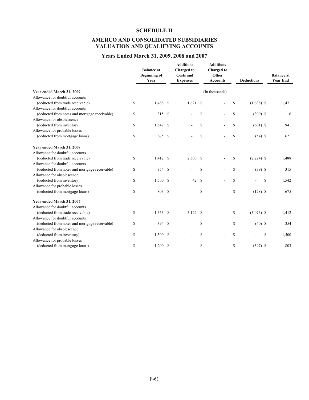### **SCHEDULE II**

### **AMERCO AND CONSOLIDATED SUBSIDIARIES VALUATION AND QUALIFYING ACCOUNTS**

### **Years Ended March 31, 2009, 2008 and 2007**

|                                               | <b>Balance</b> at<br><b>Beginning of</b><br>Year | <b>Additions</b><br><b>Charged</b> to<br><b>Costs and</b><br><b>Expenses</b> |              | <b>Additions</b><br><b>Charged</b> to<br>Other<br><b>Accounts</b> | <b>Deductions</b>  | <b>Balance</b> at<br><b>Year End</b> |
|-----------------------------------------------|--------------------------------------------------|------------------------------------------------------------------------------|--------------|-------------------------------------------------------------------|--------------------|--------------------------------------|
| Year ended March 31, 2009                     |                                                  |                                                                              |              | (In thousands)                                                    |                    |                                      |
| Allowance for doubtful accounts               |                                                  |                                                                              |              |                                                                   |                    |                                      |
| (deducted from trade receivable)              | \$<br>1,488 \$                                   | 1,621                                                                        | \$           |                                                                   | \$<br>$(1,638)$ \$ | 1,471                                |
| Allowance for doubtful accounts               |                                                  |                                                                              |              |                                                                   |                    |                                      |
| (deducted from notes and mortgage receivable) | \$<br>315 \$                                     |                                                                              | \$           |                                                                   | \$<br>$(309)$ \$   | 6                                    |
| Allowance for obsolescence                    |                                                  |                                                                              |              |                                                                   |                    |                                      |
| (deducted from inventory)                     | \$<br>$1,542$ \$                                 |                                                                              | \$           |                                                                   | \$<br>$(601)$ \$   | 941                                  |
| Allowance for probable losses                 |                                                  |                                                                              |              |                                                                   |                    |                                      |
| (deducted from mortgage loans)                | \$<br>675                                        | \$                                                                           | \$           |                                                                   | \$<br>$(54)$ \$    | 621                                  |
| Year ended March 31, 2008                     |                                                  |                                                                              |              |                                                                   |                    |                                      |
| Allowance for doubtful accounts               |                                                  |                                                                              |              |                                                                   |                    |                                      |
| (deducted from trade receivable)              | \$<br>$1,412$ \$                                 | 2,300 S                                                                      |              |                                                                   | \$<br>$(2,224)$ \$ | 1,488                                |
| Allowance for doubtful accounts               |                                                  |                                                                              |              |                                                                   |                    |                                      |
| (deducted from notes and mortgage receivable) | \$<br>354 \$                                     |                                                                              | \$           |                                                                   | \$<br>$(39)$ \$    | 315                                  |
| Allowance for obsolescence                    |                                                  |                                                                              |              |                                                                   |                    |                                      |
| (deducted from inventory)                     | \$<br>$1,500$ \$                                 | 42                                                                           | $\mathbf S$  |                                                                   | \$<br>\$           | 1,542                                |
| Allowance for probable losses                 |                                                  |                                                                              |              |                                                                   |                    |                                      |
| (deducted from mortgage loans)                | \$<br>803                                        | \$                                                                           | \$           |                                                                   | \$<br>$(128)$ \$   | 675                                  |
| Year ended March 31, 2007                     |                                                  |                                                                              |              |                                                                   |                    |                                      |
| Allowance for doubtful accounts               |                                                  |                                                                              |              |                                                                   |                    |                                      |
| (deducted from trade receivable)              | \$<br>$1,363$ \$                                 | $3,122$ \$                                                                   |              |                                                                   | \$<br>$(3,073)$ \$ | 1,412                                |
| Allowance for doubtful accounts               |                                                  |                                                                              |              |                                                                   |                    |                                      |
| (deducted from notes and mortgage receivable) | \$<br>394 \$                                     |                                                                              | $\mathbb{S}$ |                                                                   | \$<br>$(40)$ \$    | 354                                  |
| Allowance for obsolescence                    |                                                  |                                                                              |              |                                                                   |                    |                                      |
| (deducted from inventory)                     | \$<br>$1,500$ \$                                 |                                                                              | \$           |                                                                   | \$<br>\$           | 1,500                                |
| Allowance for probable losses                 |                                                  |                                                                              |              |                                                                   |                    |                                      |
| (deducted from mortgage loans)                | \$<br>$1,200$ \$                                 |                                                                              | \$           |                                                                   | \$<br>$(397)$ \$   | 803                                  |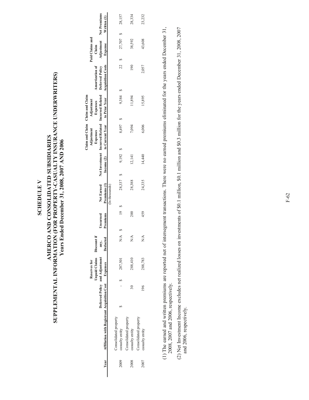| 9,192<br>12,141<br>28,337 \$<br>28,388<br>Net Earned<br>Premiums (1)<br>(In thousands)<br>$^{19}$<br>200<br>Year Affiliation with Registrant Acquisition Cost Expenses Deducted Premiums<br>Unearned<br>$\stackrel{\triangle}{\approx}$<br>$\stackrel{\triangle}{\geq}$<br>Unpaid Claims Discount<br>any,<br>Deferred Policy and Adjustment<br>287,501<br>288,410<br>$\overline{\mathrm{30}}$<br>Consolidated property<br>Consolidated property<br>Consolidated property<br>casualty entity<br>casualty entity<br>2009<br>2008 | Adjustment                                                                               | Claim and Claim Claim and Claim |                       | Paid Claims and |             |
|--------------------------------------------------------------------------------------------------------------------------------------------------------------------------------------------------------------------------------------------------------------------------------------------------------------------------------------------------------------------------------------------------------------------------------------------------------------------------------------------------------------------------------|------------------------------------------------------------------------------------------|---------------------------------|-----------------------|-----------------|-------------|
|                                                                                                                                                                                                                                                                                                                                                                                                                                                                                                                                | Expenses                                                                                 | Adjustment<br>Expenses          | Amortization of Claim |                 |             |
|                                                                                                                                                                                                                                                                                                                                                                                                                                                                                                                                | Net Investment Incurred Related Incurred Related Deferred Policy Adjustment Net Premiums |                                 |                       |                 |             |
|                                                                                                                                                                                                                                                                                                                                                                                                                                                                                                                                | Income $(2)$ to Current Year to Prior Year Acquisition Costs Expense                     |                                 |                       |                 | Written (1) |
|                                                                                                                                                                                                                                                                                                                                                                                                                                                                                                                                |                                                                                          |                                 |                       |                 |             |
|                                                                                                                                                                                                                                                                                                                                                                                                                                                                                                                                |                                                                                          |                                 |                       |                 |             |
|                                                                                                                                                                                                                                                                                                                                                                                                                                                                                                                                |                                                                                          | 9,384 \$<br>8,497 \$            | 22S                   | 27,707 \$       | 28,157      |
|                                                                                                                                                                                                                                                                                                                                                                                                                                                                                                                                |                                                                                          |                                 |                       |                 |             |
|                                                                                                                                                                                                                                                                                                                                                                                                                                                                                                                                | 7,094                                                                                    | 11,894                          | $\overline{190}$      | 38,592          | 28,334      |
|                                                                                                                                                                                                                                                                                                                                                                                                                                                                                                                                |                                                                                          |                                 |                       |                 |             |
| 14,440<br>24,335<br>459<br>$\frac{\lambda}{\lambda}$<br>288,783<br>196<br>casualty entity<br>2007                                                                                                                                                                                                                                                                                                                                                                                                                              | 6,006                                                                                    | 15,895                          | 2,057                 | 43,608          | 23,232      |

(1) The earned and written premiums are reported net of intersegment transactions. There were no earned premiums eliminated for the years ended December 31, 2008, 2007 and 2006, respectively. (1) The earned and written premiums are reported net of intersegment transactions. There were no earned premiums eliminated for the years ended December 31, 2008, 2007 and 2006, respectively.

 (2) Net Investment Income excludes net realized losses on investments of \$0.1 million, \$0.1 million and \$0.3 million for the years ended December 31, 2008, 2007 (2) Net Investment Income excludes net realized losses on investments of \$0.1 million, \$0.1 million and \$0.3 million for the years ended December 31, 2008, 2007 and 2006, respectively. and 2006, respectively.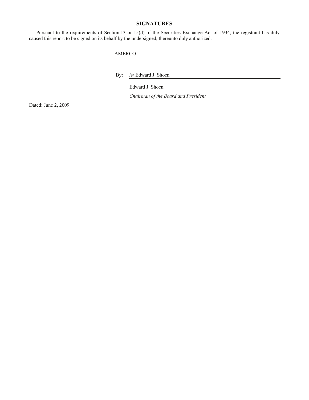### **SIGNATURES**

Pursuant to the requirements of Section 13 or 15(d) of the Securities Exchange Act of 1934, the registrant has duly caused this report to be signed on its behalf by the undersigned, thereunto duly authorized.

### AMERCO

By: /s/ Edward J. Shoen

Edward J. Shoen

*Chairman of the Board and President*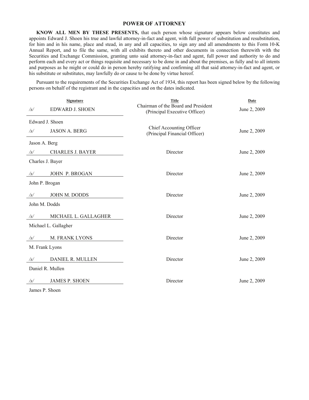### **POWER OF ATTORNEY**

**KNOW ALL MEN BY THESE PRESENTS,** that each person whose signature appears below constitutes and appoints Edward J. Shoen his true and lawful attorney-in-fact and agent, with full power of substitution and resubstitution, for him and in his name, place and stead, in any and all capacities, to sign any and all amendments to this Form 10-K Annual Report, and to file the same, with all exhibits thereto and other documents in connection therewith with the Securities and Exchange Commission, granting unto said attorney-in-fact and agent, full power and authority to do and perform each and every act or things requisite and necessary to be done in and about the premises, as fully and to all intents and purposes as he might or could do in person hereby ratifying and confirming all that said attorney-in-fact and agent, or his substitute or substitutes, may lawfully do or cause to be done by virtue hereof.

Pursuant to the requirements of the Securities Exchange Act of 1934, this report has been signed below by the following persons on behalf of the registrant and in the capacities and on the dates indicated.

| Signature<br><b>EDWARD J. SHOEN</b><br>$\sqrt{s/}$   | <b>Title</b><br>Chairman of the Board and President<br>(Principal Executive Officer) | Date<br>June 2, 2009 |
|------------------------------------------------------|--------------------------------------------------------------------------------------|----------------------|
| Edward J. Shoen                                      | Chief Accounting Officer                                                             |                      |
| $\sqrt{s/}$<br><b>JASON A. BERG</b><br>Jason A. Berg | (Principal Financial Officer)                                                        | June 2, 2009         |
| $\sqrt{s/}$<br><b>CHARLES J. BAYER</b>               | Director                                                                             | June 2, 2009         |
| Charles J. Bayer                                     |                                                                                      |                      |
| JOHN P. BROGAN<br>$\sqrt{s/2}$<br>John P. Brogan     | Director                                                                             | June 2, 2009         |
| JOHN M. DODDS<br>$\sqrt{s/2}$                        | Director                                                                             | June 2, 2009         |
| John M. Dodds                                        |                                                                                      |                      |
| MICHAEL L. GALLAGHER<br>$\sqrt{s/2}$                 | Director                                                                             | June 2, 2009         |
| Michael L. Gallagher                                 |                                                                                      |                      |
| M. FRANK LYONS<br>$\sqrt{s/}$<br>M. Frank Lyons      | Director                                                                             | June 2, 2009         |
| DANIEL R. MULLEN<br>$\sqrt{s/}$                      | Director                                                                             | June 2, 2009         |
| Daniel R. Mullen                                     |                                                                                      |                      |
| <b>JAMES P. SHOEN</b><br>$\sqrt{s/}$                 | Director                                                                             | June 2, 2009         |
| James P. Shoen                                       |                                                                                      |                      |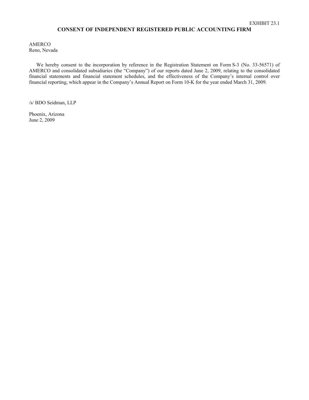### **CONSENT OF INDEPENDENT REGISTERED PUBLIC ACCOUNTING FIRM**

AMERCO Reno, Nevada

We hereby consent to the incorporation by reference in the Registration Statement on Form S-3 (No. 33-56571) of AMERCO and consolidated subsidiaries (the "Company") of our reports dated June 2, 2009, relating to the consolidated financial statements and financial statement schedules, and the effectiveness of the Company's internal control over financial reporting, which appear in the Company's Annual Report on Form 10-K for the year ended March 31, 2009.

/s/ BDO Seidman, LLP

Phoenix, Arizona June 2, 2009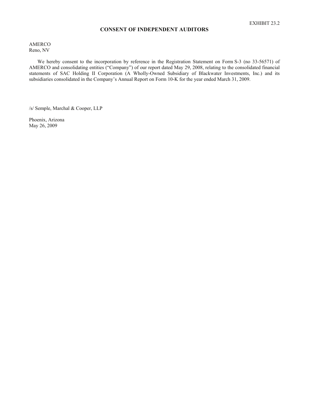### **CONSENT OF INDEPENDENT AUDITORS**

AMERCO Reno, NV

 We hereby consent to the incorporation by reference in the Registration Statement on Form S-3 (no 33-56571) of AMERCO and consolidating entities ("Company") of our report dated May 29, 2008, relating to the consolidated financial statements of SAC Holding II Corporation (A Wholly-Owned Subsidiary of Blackwater Investments, Inc.) and its subsidiaries consolidated in the Company's Annual Report on Form 10-K for the year ended March 31, 2009.

/s/ Semple, Marchal & Cooper, LLP

Phoenix, Arizona May 26, 2009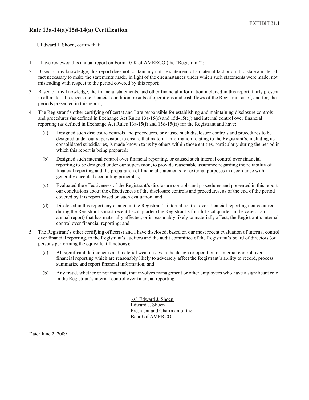I, Edward J. Shoen, certify that:

- 1. I have reviewed this annual report on Form 10-K of AMERCO (the "Registrant");
- 2. Based on my knowledge, this report does not contain any untrue statement of a material fact or omit to state a material fact necessary to make the statements made, in light of the circumstances under which such statements were made, not misleading with respect to the period covered by this report;
- 3. Based on my knowledge, the financial statements, and other financial information included in this report, fairly present in all material respects the financial condition, results of operations and cash flows of the Registrant as of, and for, the periods presented in this report;
- 4. The Registrant's other certifying officer(s) and I are responsible for establishing and maintaining disclosure controls and procedures (as defined in Exchange Act Rules 13a-15(e) and 15d-15(e)) and internal control over financial reporting (as defined in Exchange Act Rules 13a-15(f) and 15d-15(f)) for the Registrant and have:
	- (a) Designed such disclosure controls and procedures, or caused such disclosure controls and procedures to be designed under our supervision, to ensure that material information relating to the Registrant's, including its consolidated subsidiaries, is made known to us by others within those entities, particularly during the period in which this report is being prepared;
	- (b) Designed such internal control over financial reporting, or caused such internal control over financial reporting to be designed under our supervision, to provide reasonable assurance regarding the reliability of financial reporting and the preparation of financial statements for external purposes in accordance with generally accepted accounting principles;
	- (c) Evaluated the effectiveness of the Registrant's disclosure controls and procedures and presented in this report our conclusions about the effectiveness of the disclosure controls and procedures, as of the end of the period covered by this report based on such evaluation; and
	- (d) Disclosed in this report any change in the Registrant's internal control over financial reporting that occurred during the Registrant's most recent fiscal quarter (the Registrant's fourth fiscal quarter in the case of an annual report) that has materially affected, or is reasonably likely to materially affect, the Registrant's internal control over financial reporting; and
- 5. The Registrant's other certifying officer(s) and I have disclosed, based on our most recent evaluation of internal control over financial reporting, to the Registrant's auditors and the audit committee of the Registrant's board of directors (or persons performing the equivalent functions):
	- (a) All significant deficiencies and material weaknesses in the design or operation of internal control over financial reporting which are reasonably likely to adversely affect the Registrant's ability to record, process, summarize and report financial information; and
	- (b) Any fraud, whether or not material, that involves management or other employees who have a significant role in the Registrant's internal control over financial reporting.

 /s/ Edward J. Shoen Edward J. Shoen President and Chairman of the Board of AMERCO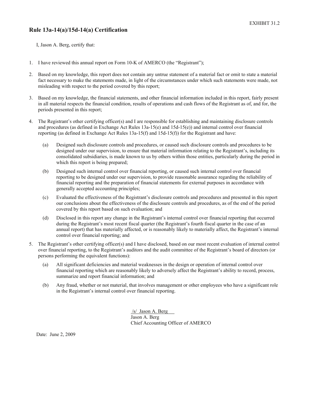### **Rule 13a-14(a)/15d-14(a) Certification**

I, Jason A. Berg, certify that:

- 1. I have reviewed this annual report on Form 10-K of AMERCO (the "Registrant");
- 2. Based on my knowledge, this report does not contain any untrue statement of a material fact or omit to state a material fact necessary to make the statements made, in light of the circumstances under which such statements were made, not misleading with respect to the period covered by this report;
- 3. Based on my knowledge, the financial statements, and other financial information included in this report, fairly present in all material respects the financial condition, results of operations and cash flows of the Registrant as of, and for, the periods presented in this report;
- 4. The Registrant's other certifying officer(s) and I are responsible for establishing and maintaining disclosure controls and procedures (as defined in Exchange Act Rules 13a-15(e) and 15d-15(e)) and internal control over financial reporting (as defined in Exchange Act Rules 13a-15(f) and 15d-15(f)) for the Registrant and have:
	- (a) Designed such disclosure controls and procedures, or caused such disclosure controls and procedures to be designed under our supervision, to ensure that material information relating to the Registrant's, including its consolidated subsidiaries, is made known to us by others within those entities, particularly during the period in which this report is being prepared;
	- (b) Designed such internal control over financial reporting, or caused such internal control over financial reporting to be designed under our supervision, to provide reasonable assurance regarding the reliability of financial reporting and the preparation of financial statements for external purposes in accordance with generally accepted accounting principles;
	- (c) Evaluated the effectiveness of the Registrant's disclosure controls and procedures and presented in this report our conclusions about the effectiveness of the disclosure controls and procedures, as of the end of the period covered by this report based on such evaluation; and
	- (d) Disclosed in this report any change in the Registrant's internal control over financial reporting that occurred during the Registrant's most recent fiscal quarter (the Registrant's fourth fiscal quarter in the case of an annual report) that has materially affected, or is reasonably likely to materially affect, the Registrant's internal control over financial reporting; and
- 5. The Registrant's other certifying officer(s) and I have disclosed, based on our most recent evaluation of internal control over financial reporting, to the Registrant's auditors and the audit committee of the Registrant's board of directors (or persons performing the equivalent functions):
	- (a) All significant deficiencies and material weaknesses in the design or operation of internal control over financial reporting which are reasonably likely to adversely affect the Registrant's ability to record, process, summarize and report financial information; and
	- (b) Any fraud, whether or not material, that involves management or other employees who have a significant role in the Registrant's internal control over financial reporting.

 /s/ Jason A. Berg Jason A. Berg Chief Accounting Officer of AMERCO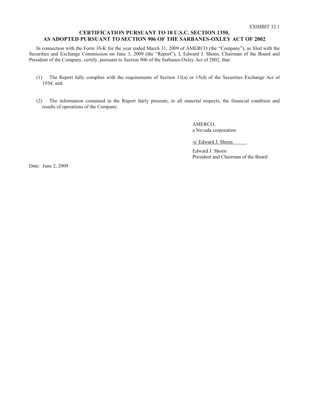### **CERTIFICATION PURSUANT TO 18 U.S.C. SECTION 1350, AS ADOPTED PURSUANT TO SECTION 906 OF THE SARBANES-OXLEY ACT OF 2002**

In connection with the Form 10-K for the year ended March 31, 2009 of AMERCO (the "Company"), as filed with the Securities and Exchange Commission on June 3, 2009 (the "Report"), I, Edward J. Shoen, Chairman of the Board and President of the Company, certify, pursuant to Section 906 of the Sarbanes-Oxley Act of 2002, that:

- (1) The Report fully complies with the requirements of Section 13(a) or 15(d) of the Securities Exchange Act of 1934; and
- (2) The information contained in the Report fairly presents, in all material respects, the financial condition and results of operations of the Company.

AMERCO, a Nevada corporation

/s/ Edward J. Shoen

Edward J. Shoen President and Chairman of the Board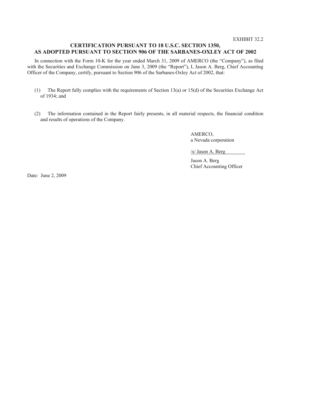### **CERTIFICATION PURSUANT TO 18 U.S.C. SECTION 1350, AS ADOPTED PURSUANT TO SECTION 906 OF THE SARBANES-OXLEY ACT OF 2002**

In connection with the Form 10-K for the year ended March 31, 2009 of AMERCO (the "Company"), as filed with the Securities and Exchange Commission on June 3, 2009 (the "Report"), I, Jason A. Berg, Chief Accounting Officer of the Company, certify, pursuant to Section 906 of the Sarbanes-Oxley Act of 2002, that:

- (1) The Report fully complies with the requirements of Section 13(a) or 15(d) of the Securities Exchange Act of 1934; and
- (2) The information contained in the Report fairly presents, in all material respects, the financial condition and results of operations of the Company.

AMERCO, a Nevada corporation

/s/ Jason A. Berg

Jason A. Berg Chief Accounting Officer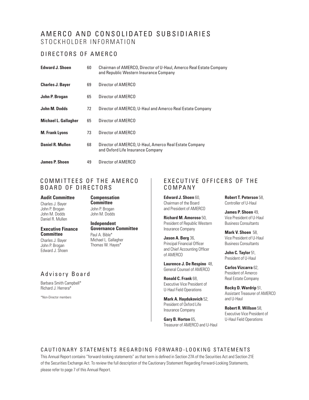### A MERCO AND CONSOLIDATED SUB SIDIARIES stockholder information

### DIRECTORS OF AMERCO

| <b>Edward J. Shoen</b>      | 60 | Chairman of AMERCO, Director of U-Haul, Amerco Real Estate Company<br>and Republic Western Insurance Company |
|-----------------------------|----|--------------------------------------------------------------------------------------------------------------|
| <b>Charles J. Bayer</b>     | 69 | Director of AMERCO                                                                                           |
| John P. Brogan              | 65 | Director of AMERCO                                                                                           |
| John M. Dodds               | 72 | Director of AMERCO, U-Haul and Amerco Real Estate Company                                                    |
| <b>Michael L. Gallagher</b> | 65 | Director of AMERCO                                                                                           |
| <b>M. Frank Lyons</b>       | 73 | Director of AMERCO                                                                                           |
| <b>Daniel R. Mullen</b>     | 68 | Director of AMERCO, U-Haul, Amerco Real Estate Company<br>and Oxford Life Insurance Company                  |
| <b>James P. Shoen</b>       | 49 | Director of AMERCO                                                                                           |

### COMMITTEES OF THE AMERCO BOARD OF DIRECTORS

**Audit Committee** Charles J. Bayer John P. Brogan John M. Dodds Daniel R. Mullen

### **Executive Finance Committee**

Charles J. Bayer John P. Brogan Edward J. Shoen

### **Compensation Committee** John P. Brogan John M. Dodds

### **Independent Governance Committee** Paul A. Bible\* Michael L. Gallagher Thomas W. Hayes\*

### Advisory Board

Barbara Smith Campbell\* Richard J. Herrera\*

\*Non-Director members

### EXECUTIVE OFFICERS OF THE COMPANY

**Edward J. Shoen** 60, Chairman of the Board and President of AMERCO

**Richard M. Amoroso** 50, President of Republic Western Insurance Company

**Jason A. Berg** 36, Principal Financial Officer and Chief Accounting Officer of AMERCO

**Laurence J. De Respino** 48, General Counsel of AMERCO

**Ronald C. Frank** 68, Executive Vice President of U-Haul Field Operations

**Mark A. Haydukovich** 52, President of Oxford Life Insurance Company

**Gary B. Horton** 65, Treasurer of AMERCO and U-Haul **Robert T. Peterson** 58, Controller of U-Haul

**James P. Shoen** 49, Vice President of U-Haul Business Consultants

**Mark V. Shoen** 58, Vice President of U-Haul Business Consultants

**John C. Taylor** 51, President of U-Haul

**Carlos Vizcarra** 62, President of Amerco Real Estate Company

**Rocky D. Wardrip** 51, Assistant Treasurer of AMERCO and U-Haul

**Robert R. Willson** 58, Executive Vice President of U-Haul Field Operations

### CAUTIONARY STATEMENTS REGARDING FORWARD-LOOKING STATEMENTS

This Annual Report contains "forward-looking statements" as that term is defined in Section 27A of the Securities Act and Section 21E of the Securities Exchange Act. To review the full description of the Cautionary Statement Regarding Forward-Looking Statements, please refer to page 7 of this Annual Report.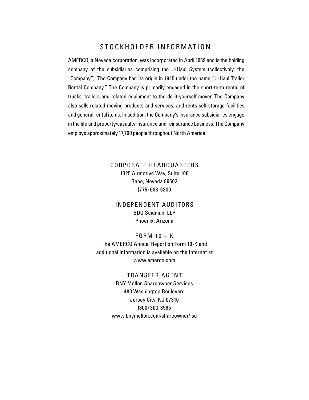### stoc kholder information

AMERCO, a Nevada corporation, was incorporated in April 1969 and is the holding company of the subsidiaries comprising the U-Haul System (collectively, the "Company"). The Company had its origin in 1945 under the name "U-Haul Trailer Rental Company." The Company is primarily engaged in the short-term rental of trucks, trailers and related equipment to the do-it-yourself mover. The Company also sells related moving products and services, and rents self-storage facilities and general rental items. In addition, the Company's insurance subsidiaries engage in the life and property/casualty insurance and reinsurance business. The Company employs approximately 17,700 people throughout North America.

### CORPORATE HEADQUARTERS 1325 Airmotive Way, Suite 100 Reno, Nevada 89502 (775) 688-6300

### INDEPENDENT AUDITORS BDO Seidman, LLP Phoenix, Arizona

### FORM 10 – K

The AMERCO Annual Report on Form 10-K and additional information is available on the Internet at www.amerco.com

### TRANSFER AGENT

BNY Mellon Shareowner Services 480 Washington Boulevard Jersey City, NJ 07310 (800) 303-3965 www.bnymellon.com/shareowner/isd